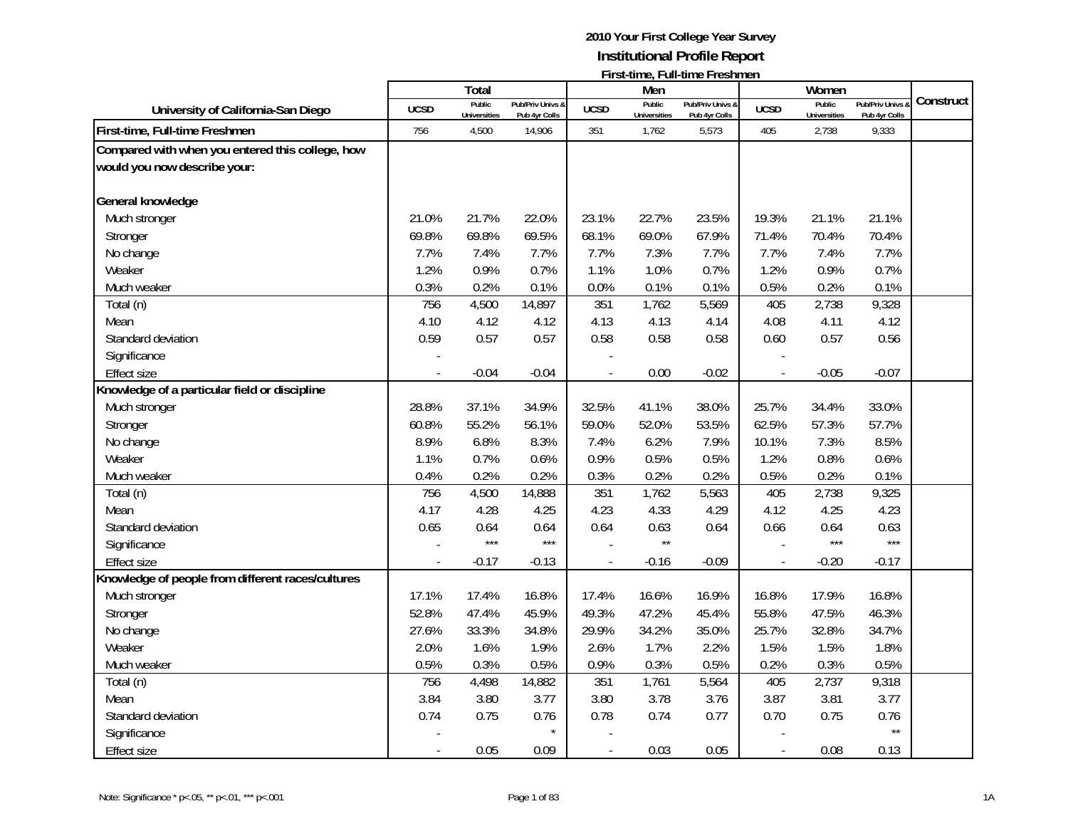|                                                                                  |             | Total                         |                                   |               | Men                           | FII SUUTIITU, FUITUITUU FI ESITTIEIT |                          | Women                         |                                 |           |
|----------------------------------------------------------------------------------|-------------|-------------------------------|-----------------------------------|---------------|-------------------------------|--------------------------------------|--------------------------|-------------------------------|---------------------------------|-----------|
| University of California-San Diego                                               | <b>UCSD</b> | Public<br><b>Universities</b> | Pub/Priv Univs &<br>Pub 4yr Colls | <b>UCSD</b>   | Public<br><b>Universities</b> | Pub/Priv Univs &<br>Pub 4yr Colls    | <b>UCSD</b>              | Public<br><b>Universities</b> | Pub/Priv Univs<br>Pub 4yr Colls | Construct |
| First-time, Full-time Freshmen                                                   | 756         | 4,500                         | 14,906                            | 351           | 1,762                         | 5,573                                | 405                      | 2,738                         | 9,333                           |           |
| Compared with when you entered this college, how<br>would you now describe your: |             |                               |                                   |               |                               |                                      |                          |                               |                                 |           |
| General knowledge                                                                |             |                               |                                   |               |                               |                                      |                          |                               |                                 |           |
| Much stronger                                                                    | 21.0%       | 21.7%                         | 22.0%                             | 23.1%         | 22.7%                         | 23.5%                                | 19.3%                    | 21.1%                         | 21.1%                           |           |
| Stronger                                                                         | 69.8%       | 69.8%                         | 69.5%                             | 68.1%         | 69.0%                         | 67.9%                                | 71.4%                    | 70.4%                         | 70.4%                           |           |
| No change                                                                        | 7.7%        | 7.4%                          | 7.7%                              | 7.7%          | 7.3%                          | 7.7%                                 | 7.7%                     | 7.4%                          | 7.7%                            |           |
| Weaker                                                                           | 1.2%        | 0.9%                          | 0.7%                              | 1.1%          | 1.0%                          | 0.7%                                 | 1.2%                     | 0.9%                          | 0.7%                            |           |
| Much weaker                                                                      | 0.3%        | 0.2%                          | 0.1%                              | 0.0%          | 0.1%                          | 0.1%                                 | 0.5%                     | 0.2%                          | 0.1%                            |           |
| Total (n)                                                                        | 756         | 4,500                         | 14,897                            | 351           | 1,762                         | 5,569                                | 405                      | 2,738                         | 9,328                           |           |
| Mean                                                                             | 4.10        | 4.12                          | 4.12                              | 4.13          | 4.13                          | 4.14                                 | 4.08                     | 4.11                          | 4.12                            |           |
| Standard deviation                                                               | 0.59        | 0.57                          | 0.57                              | 0.58          | 0.58                          | 0.58                                 | 0.60                     | 0.57                          | 0.56                            |           |
| Significance                                                                     |             |                               |                                   |               |                               |                                      |                          |                               |                                 |           |
| <b>Effect size</b>                                                               |             | $-0.04$                       | $-0.04$                           | $\frac{1}{2}$ | 0.00                          | $-0.02$                              | $\overline{\phantom{a}}$ | $-0.05$                       | $-0.07$                         |           |
| Knowledge of a particular field or discipline                                    |             |                               |                                   |               |                               |                                      |                          |                               |                                 |           |
| Much stronger                                                                    | 28.8%       | 37.1%                         | 34.9%                             | 32.5%         | 41.1%                         | 38.0%                                | 25.7%                    | 34.4%                         | 33.0%                           |           |
| Stronger                                                                         | 60.8%       | 55.2%                         | 56.1%                             | 59.0%         | 52.0%                         | 53.5%                                | 62.5%                    | 57.3%                         | 57.7%                           |           |
| No change                                                                        | 8.9%        | 6.8%                          | 8.3%                              | 7.4%          | 6.2%                          | 7.9%                                 | 10.1%                    | 7.3%                          | 8.5%                            |           |
| Weaker                                                                           | 1.1%        | 0.7%                          | 0.6%                              | 0.9%          | 0.5%                          | 0.5%                                 | 1.2%                     | 0.8%                          | 0.6%                            |           |
| Much weaker                                                                      | 0.4%        | 0.2%                          | 0.2%                              | 0.3%          | 0.2%                          | 0.2%                                 | 0.5%                     | 0.2%                          | 0.1%                            |           |
| Total (n)                                                                        | 756         | 4,500                         | 14,888                            | 351           | 1,762                         | 5,563                                | 405                      | 2,738                         | 9,325                           |           |
| Mean                                                                             | 4.17        | 4.28                          | 4.25                              | 4.23          | 4.33                          | 4.29                                 | 4.12                     | 4.25                          | 4.23                            |           |
| Standard deviation                                                               | 0.65        | 0.64                          | 0.64                              | 0.64          | 0.63                          | 0.64                                 | 0.66                     | 0.64                          | 0.63                            |           |
| Significance                                                                     |             | $***$                         | $***$                             |               | $\star\star$                  |                                      |                          | $***$                         | $***$                           |           |
| <b>Effect size</b>                                                               |             | $-0.17$                       | $-0.13$                           |               | $-0.16$                       | $-0.09$                              | $\overline{\phantom{a}}$ | $-0.20$                       | $-0.17$                         |           |
| Knowledge of people from different races/cultures                                |             |                               |                                   |               |                               |                                      |                          |                               |                                 |           |
| Much stronger                                                                    | 17.1%       | 17.4%                         | 16.8%                             | 17.4%         | 16.6%                         | 16.9%                                | 16.8%                    | 17.9%                         | 16.8%                           |           |
| Stronger                                                                         | 52.8%       | 47.4%                         | 45.9%                             | 49.3%         | 47.2%                         | 45.4%                                | 55.8%                    | 47.5%                         | 46.3%                           |           |
| No change                                                                        | 27.6%       | 33.3%                         | 34.8%                             | 29.9%         | 34.2%                         | 35.0%                                | 25.7%                    | 32.8%                         | 34.7%                           |           |
| Weaker                                                                           | 2.0%        | 1.6%                          | 1.9%                              | 2.6%          | 1.7%                          | 2.2%                                 | 1.5%                     | 1.5%                          | 1.8%                            |           |
| Much weaker                                                                      | 0.5%        | 0.3%                          | 0.5%                              | 0.9%          | 0.3%                          | 0.5%                                 | 0.2%                     | 0.3%                          | 0.5%                            |           |
| Total (n)                                                                        | 756         | 4,498                         | 14,882                            | 351           | 1,761                         | 5,564                                | 405                      | 2,737                         | 9,318                           |           |
| Mean                                                                             | 3.84        | 3.80                          | 3.77                              | 3.80          | 3.78                          | 3.76                                 | 3.87                     | 3.81                          | 3.77                            |           |
| Standard deviation                                                               | 0.74        | 0.75                          | 0.76                              | 0.78          | 0.74                          | 0.77                                 | 0.70                     | 0.75                          | 0.76                            |           |
| Significance                                                                     |             |                               |                                   |               |                               |                                      |                          |                               | $\star\star$                    |           |
| Effect size                                                                      |             | 0.05                          | 0.09                              |               | 0.03                          | 0.05                                 |                          | 0.08                          | 0.13                            |           |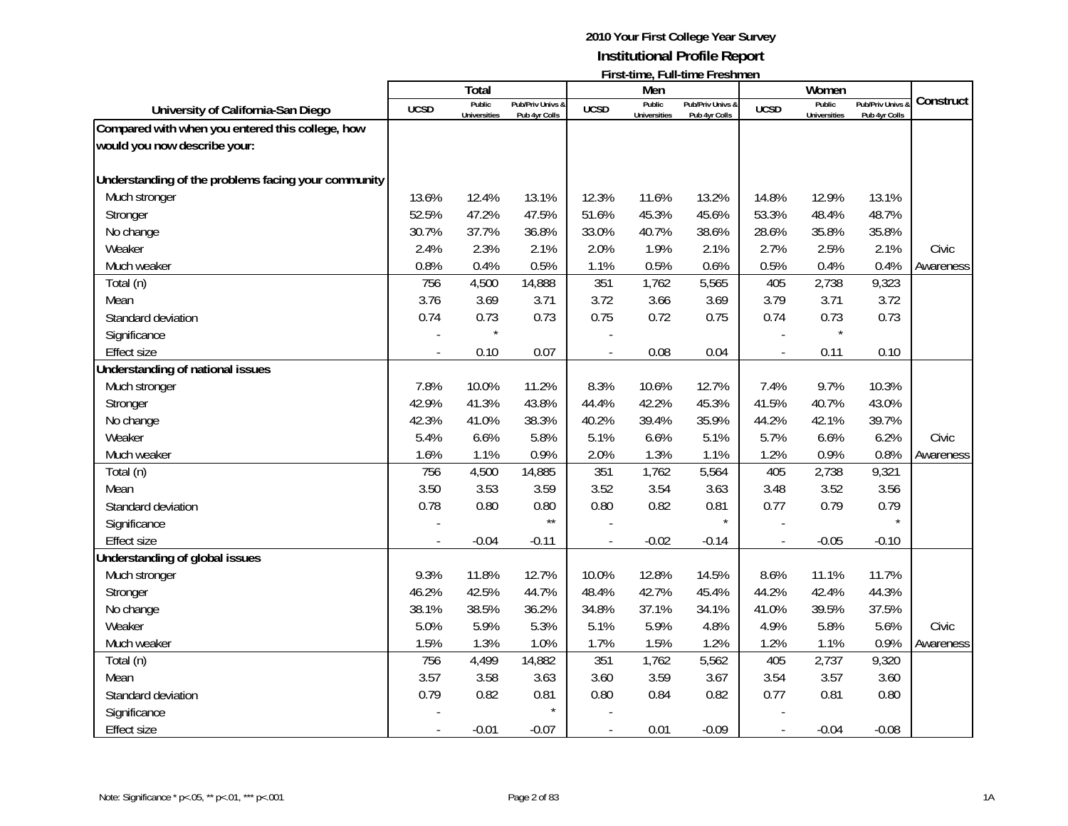|                                                     |             | <b>Total</b>        |                  |             | Men                 | 1 11 3 t-tillity, T Gill-tillity T T estiment |                          | Women               |                             |           |
|-----------------------------------------------------|-------------|---------------------|------------------|-------------|---------------------|-----------------------------------------------|--------------------------|---------------------|-----------------------------|-----------|
|                                                     |             | Public              | Pub/Priv Univs & |             | Public              | Pub/Priv Univs &                              |                          | Public              | <b>Pub/Priv Univs &amp;</b> | Construct |
| University of California-San Diego                  | <b>UCSD</b> | <b>Universities</b> | Pub 4yr Colls    | <b>UCSD</b> | <b>Universities</b> | Pub 4yr Colls                                 | <b>UCSD</b>              | <b>Universities</b> | Pub 4yr Colls               |           |
| Compared with when you entered this college, how    |             |                     |                  |             |                     |                                               |                          |                     |                             |           |
| would you now describe your:                        |             |                     |                  |             |                     |                                               |                          |                     |                             |           |
| Understanding of the problems facing your community |             |                     |                  |             |                     |                                               |                          |                     |                             |           |
| Much stronger                                       | 13.6%       | 12.4%               | 13.1%            | 12.3%       | 11.6%               | 13.2%                                         | 14.8%                    | 12.9%               | 13.1%                       |           |
| Stronger                                            | 52.5%       | 47.2%               | 47.5%            | 51.6%       | 45.3%               | 45.6%                                         | 53.3%                    | 48.4%               | 48.7%                       |           |
| No change                                           | 30.7%       | 37.7%               | 36.8%            | 33.0%       | 40.7%               | 38.6%                                         | 28.6%                    | 35.8%               | 35.8%                       |           |
| Weaker                                              | 2.4%        | 2.3%                | 2.1%             | 2.0%        | 1.9%                | 2.1%                                          | 2.7%                     | 2.5%                | 2.1%                        | Civic     |
| Much weaker                                         | 0.8%        | 0.4%                | 0.5%             | 1.1%        | 0.5%                | 0.6%                                          | 0.5%                     | 0.4%                | 0.4%                        | Awareness |
| Total (n)                                           | 756         | 4,500               | 14,888           | 351         | 1,762               | 5,565                                         | 405                      | 2,738               | 9,323                       |           |
| Mean                                                | 3.76        | 3.69                | 3.71             | 3.72        | 3.66                | 3.69                                          | 3.79                     | 3.71                | 3.72                        |           |
| Standard deviation                                  | 0.74        | 0.73                | 0.73             | 0.75        | 0.72                | 0.75                                          | 0.74                     | 0.73                | 0.73                        |           |
| Significance                                        |             | $\star$             |                  |             |                     |                                               |                          | $\star$             |                             |           |
| <b>Effect size</b>                                  |             | 0.10                | 0.07             |             | 0.08                | 0.04                                          | $\blacksquare$           | 0.11                | 0.10                        |           |
| Understanding of national issues                    |             |                     |                  |             |                     |                                               |                          |                     |                             |           |
| Much stronger                                       | 7.8%        | 10.0%               | 11.2%            | 8.3%        | 10.6%               | 12.7%                                         | 7.4%                     | 9.7%                | 10.3%                       |           |
| Stronger                                            | 42.9%       | 41.3%               | 43.8%            | 44.4%       | 42.2%               | 45.3%                                         | 41.5%                    | 40.7%               | 43.0%                       |           |
| No change                                           | 42.3%       | 41.0%               | 38.3%            | 40.2%       | 39.4%               | 35.9%                                         | 44.2%                    | 42.1%               | 39.7%                       |           |
| Weaker                                              | 5.4%        | 6.6%                | 5.8%             | 5.1%        | 6.6%                | 5.1%                                          | 5.7%                     | 6.6%                | 6.2%                        | Civic     |
| Much weaker                                         | 1.6%        | 1.1%                | 0.9%             | 2.0%        | 1.3%                | 1.1%                                          | 1.2%                     | 0.9%                | 0.8%                        | Awareness |
| Total (n)                                           | 756         | 4,500               | 14,885           | 351         | 1,762               | 5,564                                         | 405                      | 2,738               | 9,321                       |           |
| Mean                                                | 3.50        | 3.53                | 3.59             | 3.52        | 3.54                | 3.63                                          | 3.48                     | 3.52                | 3.56                        |           |
| Standard deviation                                  | 0.78        | 0.80                | 0.80             | 0.80        | 0.82                | 0.81                                          | 0.77                     | 0.79                | 0.79                        |           |
| Significance                                        |             |                     | $\star\star$     |             |                     | $\star$                                       |                          |                     | $\star$                     |           |
| <b>Effect size</b>                                  |             | $-0.04$             | $-0.11$          |             | $-0.02$             | $-0.14$                                       |                          | $-0.05$             | $-0.10$                     |           |
| Understanding of global issues                      |             |                     |                  |             |                     |                                               |                          |                     |                             |           |
| Much stronger                                       | 9.3%        | 11.8%               | 12.7%            | 10.0%       | 12.8%               | 14.5%                                         | 8.6%                     | 11.1%               | 11.7%                       |           |
| Stronger                                            | 46.2%       | 42.5%               | 44.7%            | 48.4%       | 42.7%               | 45.4%                                         | 44.2%                    | 42.4%               | 44.3%                       |           |
| No change                                           | 38.1%       | 38.5%               | 36.2%            | 34.8%       | 37.1%               | 34.1%                                         | 41.0%                    | 39.5%               | 37.5%                       |           |
| Weaker                                              | 5.0%        | 5.9%                | 5.3%             | 5.1%        | 5.9%                | 4.8%                                          | 4.9%                     | 5.8%                | 5.6%                        | Civic     |
| Much weaker                                         | 1.5%        | 1.3%                | 1.0%             | 1.7%        | 1.5%                | 1.2%                                          | 1.2%                     | 1.1%                | 0.9%                        | Awareness |
| Total (n)                                           | 756         | 4,499               | 14,882           | 351         | 1,762               | 5,562                                         | 405                      | 2,737               | 9,320                       |           |
| Mean                                                | 3.57        | 3.58                | 3.63             | 3.60        | 3.59                | 3.67                                          | 3.54                     | 3.57                | 3.60                        |           |
| Standard deviation                                  | 0.79        | 0.82                | 0.81             | 0.80        | 0.84                | 0.82                                          | 0.77                     | 0.81                | 0.80                        |           |
| Significance                                        |             |                     | $\star$          |             |                     |                                               |                          |                     |                             |           |
| <b>Effect size</b>                                  |             | $-0.01$             | $-0.07$          |             | 0.01                | $-0.09$                                       | $\overline{\phantom{a}}$ | $-0.04$             | $-0.08$                     |           |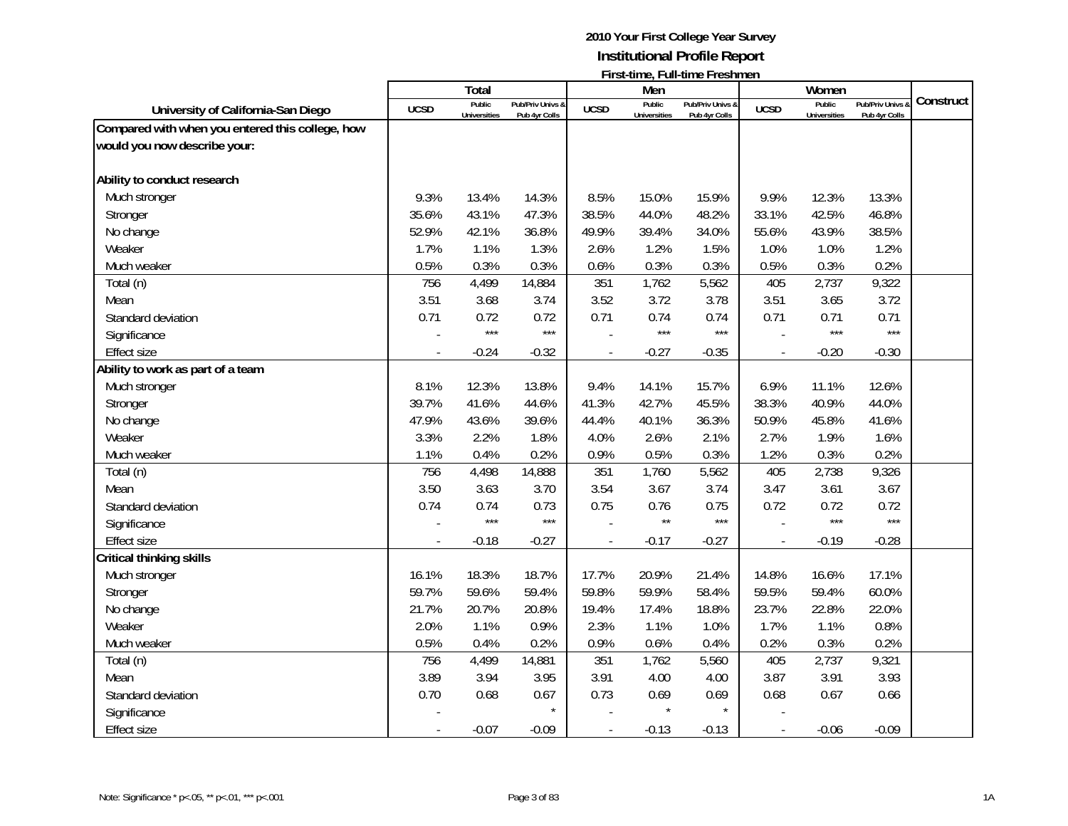|                                                                                                           |                              | <b>Total</b>                          |                                        |                                     | Men                                   | 1 11 3 t-111 1 1 2 1 2 1 1 2 1 1 1 2 3 1 1 1 1 2 1 1 1 2 1 1 1 2 1 1 1 2 1 1 2 1 1 2 1 1 2 1 2 1 2 1 2 1 2 1 2 |                                     | Women                                 |                                                |           |
|-----------------------------------------------------------------------------------------------------------|------------------------------|---------------------------------------|----------------------------------------|-------------------------------------|---------------------------------------|----------------------------------------------------------------------------------------------------------------|-------------------------------------|---------------------------------------|------------------------------------------------|-----------|
| University of California-San Diego                                                                        | <b>UCSD</b>                  | Public<br><b>Universities</b>         | Pub/Priv Univs &<br>Pub 4yr Colls      | <b>UCSD</b>                         | Public<br><b>Universities</b>         | Pub/Priv Univs &<br>Pub 4yr Colls                                                                              | <b>UCSD</b>                         | Public<br><b>Universities</b>         | Pub/Priv Univs &<br>Pub 4yr Colls              | Construct |
| Compared with when you entered this college, how                                                          |                              |                                       |                                        |                                     |                                       |                                                                                                                |                                     |                                       |                                                |           |
| would you now describe your:                                                                              |                              |                                       |                                        |                                     |                                       |                                                                                                                |                                     |                                       |                                                |           |
|                                                                                                           |                              |                                       |                                        |                                     |                                       |                                                                                                                |                                     |                                       |                                                |           |
| Ability to conduct research                                                                               |                              |                                       |                                        |                                     |                                       |                                                                                                                |                                     |                                       |                                                |           |
| Much stronger                                                                                             | 9.3%                         | 13.4%                                 | 14.3%                                  | 8.5%                                | 15.0%                                 | 15.9%                                                                                                          | 9.9%                                | 12.3%                                 | 13.3%                                          |           |
| Stronger                                                                                                  | 35.6%                        | 43.1%                                 | 47.3%                                  | 38.5%                               | 44.0%                                 | 48.2%                                                                                                          | 33.1%                               | 42.5%                                 | 46.8%                                          |           |
| No change                                                                                                 | 52.9%                        | 42.1%                                 | 36.8%                                  | 49.9%                               | 39.4%                                 | 34.0%                                                                                                          | 55.6%                               | 43.9%                                 | 38.5%                                          |           |
| Weaker                                                                                                    | 1.7%                         | 1.1%                                  | 1.3%                                   | 2.6%                                | 1.2%                                  | 1.5%                                                                                                           | 1.0%                                | 1.0%                                  | 1.2%                                           |           |
| Much weaker                                                                                               | 0.5%                         | 0.3%                                  | 0.3%                                   | 0.6%                                | 0.3%                                  | 0.3%                                                                                                           | 0.5%                                | 0.3%                                  | 0.2%                                           |           |
| Total (n)                                                                                                 | 756                          | 4,499                                 | 14,884                                 | 351                                 | 1,762                                 | 5,562                                                                                                          | 405                                 | 2,737                                 | 9,322                                          |           |
| Mean                                                                                                      | 3.51                         | 3.68                                  | 3.74                                   | 3.52                                | 3.72                                  | 3.78                                                                                                           | 3.51                                | 3.65                                  | 3.72                                           |           |
| Standard deviation                                                                                        | 0.71                         | 0.72                                  | 0.72                                   | 0.71                                | 0.74                                  | 0.74                                                                                                           | 0.71                                | 0.71                                  | 0.71                                           |           |
| Significance                                                                                              |                              | $***$                                 | $***$                                  |                                     | $***$                                 | $***$                                                                                                          | $\sim$                              | $***$                                 | $***$                                          |           |
| <b>Effect size</b>                                                                                        |                              | $-0.24$                               | $-0.32$                                |                                     | $-0.27$                               | $-0.35$                                                                                                        | $\overline{a}$                      | $-0.20$                               | $-0.30$                                        |           |
| Ability to work as part of a team                                                                         |                              |                                       |                                        |                                     |                                       |                                                                                                                |                                     |                                       |                                                |           |
| Much stronger                                                                                             | 8.1%                         | 12.3%                                 | 13.8%                                  | 9.4%                                | 14.1%                                 | 15.7%                                                                                                          | 6.9%                                | 11.1%                                 | 12.6%                                          |           |
| Stronger                                                                                                  | 39.7%                        | 41.6%                                 | 44.6%                                  | 41.3%                               | 42.7%                                 | 45.5%                                                                                                          | 38.3%                               | 40.9%                                 | 44.0%                                          |           |
| No change                                                                                                 | 47.9%                        | 43.6%                                 | 39.6%                                  | 44.4%                               | 40.1%                                 | 36.3%                                                                                                          | 50.9%                               | 45.8%                                 | 41.6%                                          |           |
| Weaker                                                                                                    | 3.3%                         | 2.2%                                  | 1.8%                                   | 4.0%                                | 2.6%                                  | 2.1%                                                                                                           | 2.7%                                | 1.9%                                  | 1.6%                                           |           |
| Much weaker                                                                                               | 1.1%                         | 0.4%                                  | 0.2%                                   | 0.9%                                | 0.5%                                  | 0.3%                                                                                                           | 1.2%                                | 0.3%                                  | 0.2%                                           |           |
| Total (n)                                                                                                 | 756                          | 4,498                                 | 14,888                                 | 351                                 | 1,760                                 | 5,562                                                                                                          | 405                                 | 2,738                                 | 9,326                                          |           |
| Mean                                                                                                      | 3.50                         | 3.63                                  | 3.70                                   | 3.54                                | 3.67                                  | 3.74                                                                                                           | 3.47                                | 3.61                                  | 3.67                                           |           |
| Standard deviation                                                                                        | 0.74                         | 0.74                                  | 0.73                                   | 0.75                                | 0.76                                  | 0.75                                                                                                           | 0.72                                | 0.72                                  | 0.72                                           |           |
| Significance                                                                                              |                              | ***                                   | $***$                                  |                                     | $\star\star$                          | $***$                                                                                                          |                                     | ***                                   | $***$                                          |           |
| <b>Effect size</b>                                                                                        |                              | $-0.18$                               | $-0.27$                                | $\overline{\phantom{a}}$            | $-0.17$                               | $-0.27$                                                                                                        | $\frac{1}{2}$                       | $-0.19$                               | $-0.28$                                        |           |
| Critical thinking skills                                                                                  |                              |                                       |                                        |                                     |                                       |                                                                                                                |                                     |                                       |                                                |           |
| Much stronger                                                                                             | 16.1%                        | 18.3%                                 | 18.7%                                  | 17.7%                               | 20.9%                                 | 21.4%                                                                                                          | 14.8%                               | 16.6%                                 | 17.1%                                          |           |
| Stronger                                                                                                  | 59.7%                        | 59.6%                                 | 59.4%                                  | 59.8%                               | 59.9%                                 | 58.4%                                                                                                          | 59.5%                               | 59.4%                                 | 60.0%                                          |           |
|                                                                                                           | 21.7%                        | 20.7%                                 | 20.8%                                  | 19.4%                               | 17.4%                                 | 18.8%                                                                                                          | 23.7%                               | 22.8%                                 |                                                |           |
| Weaker                                                                                                    |                              |                                       |                                        |                                     |                                       |                                                                                                                |                                     |                                       |                                                |           |
|                                                                                                           |                              |                                       |                                        |                                     |                                       |                                                                                                                |                                     |                                       |                                                |           |
|                                                                                                           | 756                          |                                       |                                        |                                     |                                       |                                                                                                                |                                     |                                       |                                                |           |
|                                                                                                           |                              |                                       |                                        |                                     |                                       |                                                                                                                |                                     |                                       |                                                |           |
|                                                                                                           |                              |                                       |                                        |                                     |                                       |                                                                                                                |                                     |                                       |                                                |           |
|                                                                                                           |                              |                                       |                                        |                                     |                                       | $\star$                                                                                                        |                                     |                                       |                                                |           |
|                                                                                                           |                              | $-0.07$                               | $-0.09$                                | $\overline{\phantom{a}}$            | $-0.13$                               | $-0.13$                                                                                                        | $\overline{\phantom{a}}$            | $-0.06$                               | $-0.09$                                        |           |
| No change<br>Much weaker<br>Total (n)<br>Mean<br>Standard deviation<br>Significance<br><b>Effect size</b> | 2.0%<br>0.5%<br>3.89<br>0.70 | 1.1%<br>0.4%<br>4,499<br>3.94<br>0.68 | 0.9%<br>0.2%<br>14,881<br>3.95<br>0.67 | 2.3%<br>0.9%<br>351<br>3.91<br>0.73 | 1.1%<br>0.6%<br>1,762<br>4.00<br>0.69 | 1.0%<br>0.4%<br>5,560<br>4.00<br>0.69                                                                          | 1.7%<br>0.2%<br>405<br>3.87<br>0.68 | 1.1%<br>0.3%<br>2,737<br>3.91<br>0.67 | 22.0%<br>0.8%<br>0.2%<br>9,321<br>3.93<br>0.66 |           |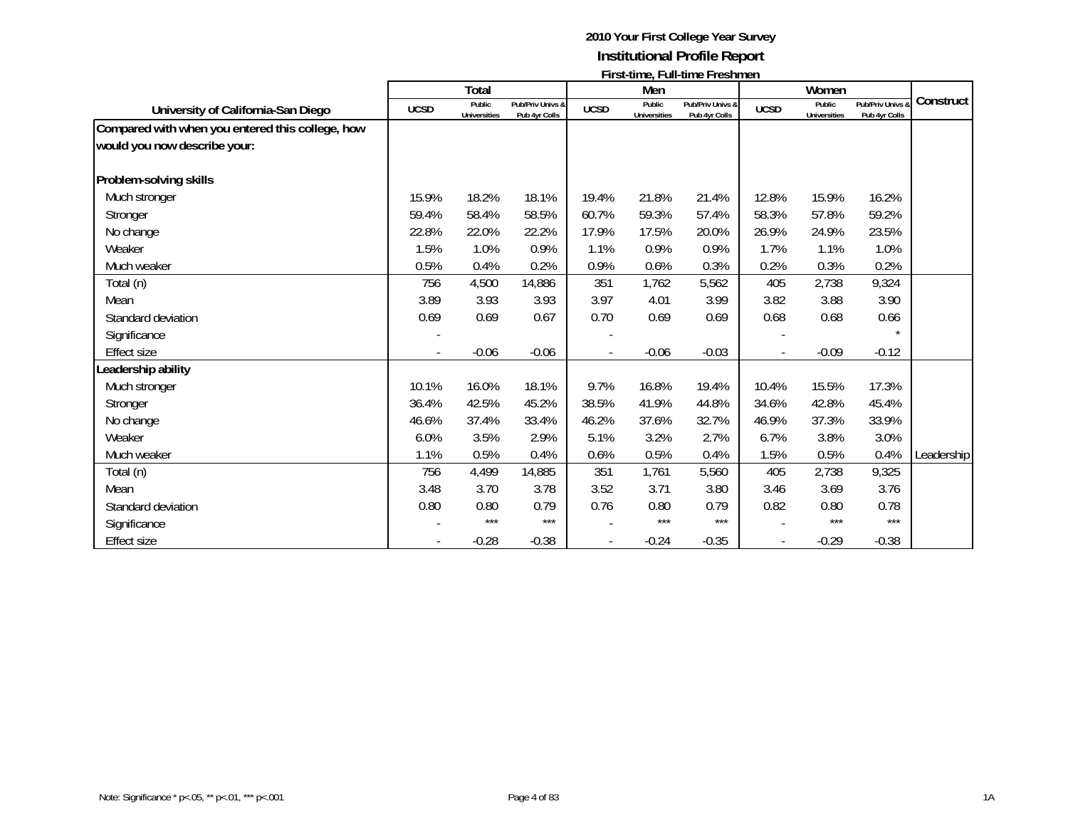|                                                  |             | <b>Total</b>                  |                                   |             | Men                           | LILOGRAFILM $\mathsf{L}_1$ Lilografilm $\mathsf{L}_2$ Lilografilm $\mathsf{L}_3$ |                          | Women                         |                                   |            |
|--------------------------------------------------|-------------|-------------------------------|-----------------------------------|-------------|-------------------------------|----------------------------------------------------------------------------------|--------------------------|-------------------------------|-----------------------------------|------------|
| University of California-San Diego               | <b>UCSD</b> | Public<br><b>Universities</b> | Pub/Priv Univs &<br>Pub 4yr Colls | <b>UCSD</b> | Public<br><b>Universities</b> | Pub/Priv Univs &<br>Pub 4yr Colls                                                | <b>UCSD</b>              | Public<br><b>Universities</b> | Pub/Priv Univs &<br>Pub 4yr Colls | Construct  |
| Compared with when you entered this college, how |             |                               |                                   |             |                               |                                                                                  |                          |                               |                                   |            |
| would you now describe your:                     |             |                               |                                   |             |                               |                                                                                  |                          |                               |                                   |            |
| Problem-solving skills                           |             |                               |                                   |             |                               |                                                                                  |                          |                               |                                   |            |
| Much stronger                                    | 15.9%       | 18.2%                         | 18.1%                             | 19.4%       | 21.8%                         | 21.4%                                                                            | 12.8%                    | 15.9%                         | 16.2%                             |            |
| Stronger                                         | 59.4%       | 58.4%                         | 58.5%                             | 60.7%       | 59.3%                         | 57.4%                                                                            | 58.3%                    | 57.8%                         | 59.2%                             |            |
| No change                                        | 22.8%       | 22.0%                         | 22.2%                             | 17.9%       | 17.5%                         | 20.0%                                                                            | 26.9%                    | 24.9%                         | 23.5%                             |            |
| Weaker                                           | 1.5%        | 1.0%                          | 0.9%                              | 1.1%        | 0.9%                          | 0.9%                                                                             | 1.7%                     | 1.1%                          | 1.0%                              |            |
| Much weaker                                      | 0.5%        | 0.4%                          | 0.2%                              | 0.9%        | 0.6%                          | 0.3%                                                                             | 0.2%                     | 0.3%                          | 0.2%                              |            |
| Total (n)                                        | 756         | 4,500                         | 14,886                            | 351         | 1,762                         | 5,562                                                                            | 405                      | 2,738                         | 9,324                             |            |
| Mean                                             | 3.89        | 3.93                          | 3.93                              | 3.97        | 4.01                          | 3.99                                                                             | 3.82                     | 3.88                          | 3.90                              |            |
| Standard deviation                               | 0.69        | 0.69                          | 0.67                              | 0.70        | 0.69                          | 0.69                                                                             | 0.68                     | 0.68                          | 0.66                              |            |
| Significance                                     |             |                               |                                   |             |                               |                                                                                  |                          |                               |                                   |            |
| <b>Effect size</b>                               |             | $-0.06$                       | $-0.06$                           |             | $-0.06$                       | $-0.03$                                                                          | $\overline{\phantom{a}}$ | $-0.09$                       | $-0.12$                           |            |
| Leadership ability                               |             |                               |                                   |             |                               |                                                                                  |                          |                               |                                   |            |
| Much stronger                                    | 10.1%       | 16.0%                         | 18.1%                             | 9.7%        | 16.8%                         | 19.4%                                                                            | 10.4%                    | 15.5%                         | 17.3%                             |            |
| Stronger                                         | 36.4%       | 42.5%                         | 45.2%                             | 38.5%       | 41.9%                         | 44.8%                                                                            | 34.6%                    | 42.8%                         | 45.4%                             |            |
| No change                                        | 46.6%       | 37.4%                         | 33.4%                             | 46.2%       | 37.6%                         | 32.7%                                                                            | 46.9%                    | 37.3%                         | 33.9%                             |            |
| Weaker                                           | 6.0%        | 3.5%                          | 2.9%                              | 5.1%        | 3.2%                          | 2.7%                                                                             | 6.7%                     | 3.8%                          | 3.0%                              |            |
| Much weaker                                      | 1.1%        | 0.5%                          | 0.4%                              | 0.6%        | 0.5%                          | 0.4%                                                                             | 1.5%                     | 0.5%                          | 0.4%                              | Leadership |
| Total (n)                                        | 756         | 4,499                         | 14,885                            | 351         | 1,761                         | 5,560                                                                            | 405                      | 2,738                         | 9,325                             |            |
| Mean                                             | 3.48        | 3.70                          | 3.78                              | 3.52        | 3.71                          | 3.80                                                                             | 3.46                     | 3.69                          | 3.76                              |            |
| Standard deviation                               | 0.80        | 0.80                          | 0.79                              | 0.76        | 0.80                          | 0.79                                                                             | 0.82                     | 0.80                          | 0.78                              |            |
| Significance                                     |             | ***                           | $***$                             |             | $***$                         | ***                                                                              |                          | $***$                         | $***$                             |            |
| <b>Effect size</b>                               |             | $-0.28$                       | $-0.38$                           |             | $-0.24$                       | $-0.35$                                                                          |                          | $-0.29$                       | $-0.38$                           |            |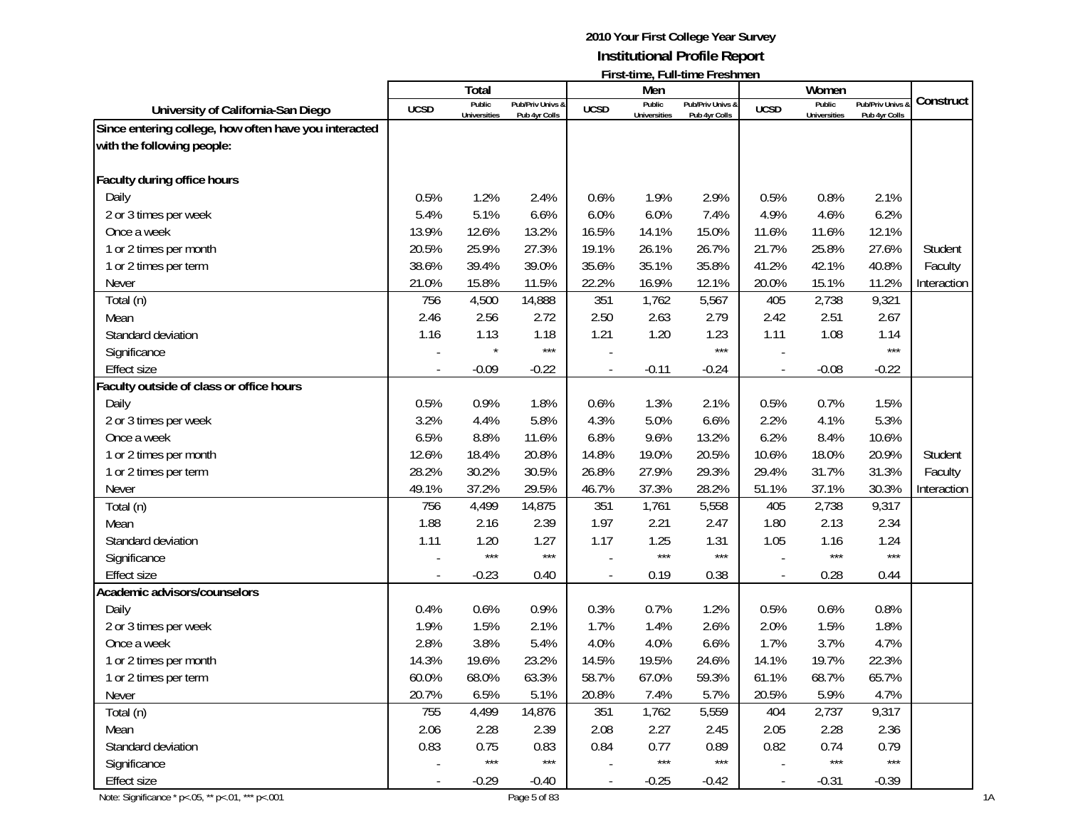|                                                       |                          |                     |                   |                |                     | <b>FILSI-ULIIC, FUII-ULIIC FIESIIIIICII</b> |                          |                     |                |             |
|-------------------------------------------------------|--------------------------|---------------------|-------------------|----------------|---------------------|---------------------------------------------|--------------------------|---------------------|----------------|-------------|
|                                                       |                          | Total<br>Public     | Pub/Priv Univs &  |                | Men<br>Public       | Pub/Priv Univs &                            |                          | Women<br>Public     | Pub/Priv Univs | Construct   |
| University of California-San Diego                    | <b>UCSD</b>              | <b>Universities</b> | Pub 4yr Colls     | <b>UCSD</b>    | <b>Universities</b> | Pub 4yr Colls                               | <b>UCSD</b>              | <b>Universities</b> | Pub 4yr Colls  |             |
| Since entering college, how often have you interacted |                          |                     |                   |                |                     |                                             |                          |                     |                |             |
| with the following people:                            |                          |                     |                   |                |                     |                                             |                          |                     |                |             |
|                                                       |                          |                     |                   |                |                     |                                             |                          |                     |                |             |
| Faculty during office hours                           |                          |                     |                   |                |                     |                                             |                          |                     |                |             |
| Daily                                                 | 0.5%                     | 1.2%                | 2.4%              | 0.6%           | 1.9%                | 2.9%                                        | 0.5%                     | 0.8%                | 2.1%           |             |
| 2 or 3 times per week                                 | 5.4%                     | 5.1%                | 6.6%              | 6.0%           | 6.0%                | 7.4%                                        | 4.9%                     | 4.6%                | 6.2%           |             |
| Once a week                                           | 13.9%                    | 12.6%               | 13.2%             | 16.5%          | 14.1%               | 15.0%                                       | 11.6%                    | 11.6%               | 12.1%          |             |
| 1 or 2 times per month                                | 20.5%                    | 25.9%               | 27.3%             | 19.1%          | 26.1%               | 26.7%                                       | 21.7%                    | 25.8%               | 27.6%          | Student     |
| 1 or 2 times per term                                 | 38.6%                    | 39.4%               | 39.0%             | 35.6%          | 35.1%               | 35.8%                                       | 41.2%                    | 42.1%               | 40.8%          | Faculty     |
| Never                                                 | 21.0%                    | 15.8%               | 11.5%             | 22.2%          | 16.9%               | 12.1%                                       | 20.0%                    | 15.1%               | 11.2%          | Interaction |
| Total (n)                                             | 756                      | 4,500               | 14,888            | 351            | 1,762               | 5,567                                       | 405                      | 2,738               | 9,321          |             |
| Mean                                                  | 2.46                     | 2.56                | 2.72              | 2.50           | 2.63                | 2.79                                        | 2.42                     | 2.51                | 2.67           |             |
| Standard deviation                                    | 1.16                     | 1.13                | 1.18              | 1.21           | 1.20                | 1.23                                        | 1.11                     | 1.08                | 1.14           |             |
| Significance                                          |                          |                     | $***$             |                |                     | $***$                                       |                          |                     | ***            |             |
| <b>Effect size</b>                                    |                          | $-0.09$             | $-0.22$           |                | $-0.11$             | $-0.24$                                     |                          | $-0.08$             | $-0.22$        |             |
| Faculty outside of class or office hours              |                          |                     |                   |                |                     |                                             |                          |                     |                |             |
| Daily                                                 | 0.5%                     | 0.9%                | 1.8%              | 0.6%           | 1.3%                | 2.1%                                        | 0.5%                     | 0.7%                | 1.5%           |             |
| 2 or 3 times per week                                 | 3.2%                     | 4.4%                | 5.8%              | 4.3%           | 5.0%                | 6.6%                                        | 2.2%                     | 4.1%                | 5.3%           |             |
| Once a week                                           | 6.5%                     | 8.8%                | 11.6%             | 6.8%           | 9.6%                | 13.2%                                       | 6.2%                     | 8.4%                | 10.6%          |             |
| 1 or 2 times per month                                | 12.6%                    | 18.4%               | 20.8%             | 14.8%          | 19.0%               | 20.5%                                       | 10.6%                    | 18.0%               | 20.9%          | Student     |
| 1 or 2 times per term                                 | 28.2%                    | 30.2%               | 30.5%             | 26.8%          | 27.9%               | 29.3%                                       | 29.4%                    | 31.7%               | 31.3%          | Faculty     |
| Never                                                 | 49.1%                    | 37.2%               | 29.5%             | 46.7%          | 37.3%               | 28.2%                                       | 51.1%                    | 37.1%               | 30.3%          | Interaction |
| Total (n)                                             | 756                      | 4,499               | 14,875            | 351            | 1,761               | 5,558                                       | 405                      | 2,738               | 9,317          |             |
| Mean                                                  | 1.88                     | 2.16                | 2.39              | 1.97           | 2.21                | 2.47                                        | 1.80                     | 2.13                | 2.34           |             |
| Standard deviation                                    | 1.11                     | 1.20                | 1.27              | 1.17           | 1.25                | 1.31                                        | 1.05                     | 1.16                | 1.24           |             |
| Significance                                          |                          | $***$               | $***$             |                | $***$               | $***$                                       |                          | $***$               | $***$          |             |
| <b>Effect size</b>                                    |                          | $-0.23$             | 0.40              |                | 0.19                | 0.38                                        |                          | 0.28                | 0.44           |             |
| Academic advisors/counselors                          |                          |                     |                   |                |                     |                                             |                          |                     |                |             |
| Daily                                                 | 0.4%                     | 0.6%                | 0.9%              | 0.3%           | 0.7%                | 1.2%                                        | 0.5%                     | 0.6%                | 0.8%           |             |
| 2 or 3 times per week                                 | 1.9%                     | 1.5%                | 2.1%              | 1.7%           | 1.4%                | 2.6%                                        | 2.0%                     | 1.5%                | 1.8%           |             |
| Once a week                                           | 2.8%                     | 3.8%                | 5.4%              | 4.0%           | 4.0%                | 6.6%                                        | 1.7%                     | 3.7%                | 4.7%           |             |
| 1 or 2 times per month                                | 14.3%                    | 19.6%               | 23.2%             | 14.5%          | 19.5%               | 24.6%                                       | 14.1%                    | 19.7%               | 22.3%          |             |
| 1 or 2 times per term                                 | 60.0%                    | 68.0%               | 63.3%             | 58.7%          | 67.0%               | 59.3%                                       | 61.1%                    | 68.7%               | 65.7%          |             |
| Never                                                 | 20.7%                    | 6.5%                | 5.1%              | 20.8%          | 7.4%                | 5.7%                                        | 20.5%                    | 5.9%                | 4.7%           |             |
| Total (n)                                             | 755                      | 4,499               | 14,876            | 351            | 1,762               | 5,559                                       | 404                      | 2,737               | 9,317          |             |
| Mean                                                  | 2.06                     | 2.28                | 2.39              | 2.08           | 2.27                | 2.45                                        | 2.05                     | 2.28                | 2.36           |             |
| Standard deviation                                    | 0.83                     | 0.75                | 0.83              | 0.84           | 0.77                | 0.89                                        | 0.82                     | 0.74                | 0.79           |             |
| Significance                                          |                          | $***$               | $\star\star\star$ |                | $\star\star\star$   | $***$                                       |                          | $***$               | $***$          |             |
| Effect size                                           | $\overline{\phantom{a}}$ | $-0.29$             | $-0.40$           | $\blacksquare$ | $-0.25$             | $-0.42$                                     | $\overline{\phantom{a}}$ | $-0.31$             | $-0.39$        |             |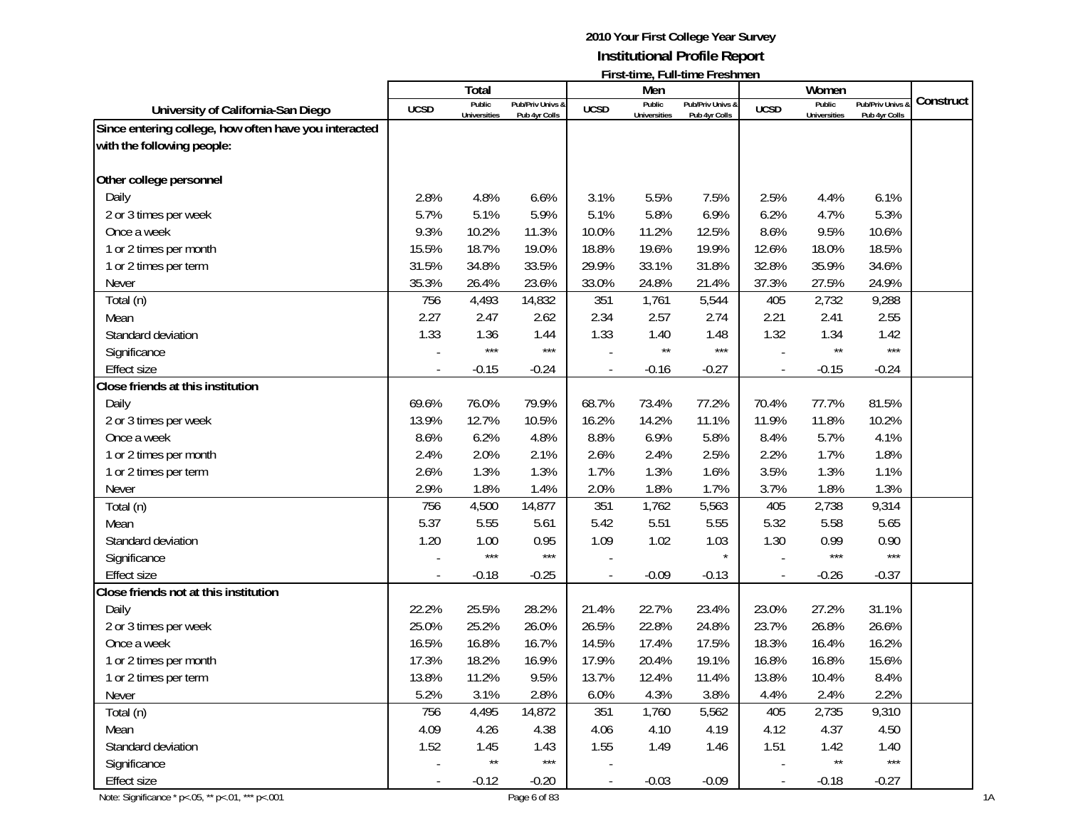|                                                       |                | Total               |                   |                          | Men                 | <b>FILSI-ULLIC, FULL-ULLIC FILESITILICIT</b> |                          | Women               |                   |           |
|-------------------------------------------------------|----------------|---------------------|-------------------|--------------------------|---------------------|----------------------------------------------|--------------------------|---------------------|-------------------|-----------|
|                                                       | <b>UCSD</b>    | Public              | Pub/Priv Univs &  | <b>UCSD</b>              | Public              | Pub/Priv Univs &                             | <b>UCSD</b>              | Public              | Pub/Priv Univs    | Construct |
| University of California-San Diego                    |                | <b>Universities</b> | Pub 4yr Colls     |                          | <b>Universities</b> | Pub 4yr Colls                                |                          | <b>Universities</b> | Pub 4yr Colls     |           |
| Since entering college, how often have you interacted |                |                     |                   |                          |                     |                                              |                          |                     |                   |           |
| with the following people:                            |                |                     |                   |                          |                     |                                              |                          |                     |                   |           |
| Other college personnel                               |                |                     |                   |                          |                     |                                              |                          |                     |                   |           |
| Daily                                                 | 2.8%           | 4.8%                | 6.6%              | 3.1%                     | 5.5%                | 7.5%                                         | 2.5%                     | 4.4%                | 6.1%              |           |
| 2 or 3 times per week                                 | 5.7%           | 5.1%                | 5.9%              | 5.1%                     | 5.8%                | 6.9%                                         | 6.2%                     | 4.7%                | 5.3%              |           |
| Once a week                                           | 9.3%           | 10.2%               | 11.3%             | 10.0%                    | 11.2%               | 12.5%                                        | 8.6%                     | 9.5%                | 10.6%             |           |
| 1 or 2 times per month                                | 15.5%          | 18.7%               | 19.0%             | 18.8%                    | 19.6%               | 19.9%                                        | 12.6%                    | 18.0%               | 18.5%             |           |
| 1 or 2 times per term                                 | 31.5%          | 34.8%               | 33.5%             | 29.9%                    | 33.1%               | 31.8%                                        | 32.8%                    | 35.9%               | 34.6%             |           |
| Never                                                 | 35.3%          | 26.4%               | 23.6%             | 33.0%                    | 24.8%               | 21.4%                                        | 37.3%                    | 27.5%               | 24.9%             |           |
| Total (n)                                             | 756            | 4,493               | 14,832            | 351                      | 1,761               | 5,544                                        | 405                      | 2,732               | 9,288             |           |
| Mean                                                  | 2.27           | 2.47                | 2.62              | 2.34                     | 2.57                | 2.74                                         | 2.21                     | 2.41                | 2.55              |           |
| Standard deviation                                    | 1.33           | 1.36                | 1.44              | 1.33                     | 1.40                | 1.48                                         | 1.32                     | 1.34                | 1.42              |           |
| Significance                                          |                | $***$               | $***$             |                          | $\star\star$        | $***$                                        |                          | $\star\star$        | $***$             |           |
| <b>Effect size</b>                                    |                | $-0.15$             | $-0.24$           |                          | $-0.16$             | $-0.27$                                      | $\overline{\phantom{a}}$ | $-0.15$             | $-0.24$           |           |
| Close friends at this institution                     |                |                     |                   |                          |                     |                                              |                          |                     |                   |           |
| Daily                                                 | 69.6%          | 76.0%               | 79.9%             | 68.7%                    | 73.4%               | 77.2%                                        | 70.4%                    | 77.7%               | 81.5%             |           |
| 2 or 3 times per week                                 | 13.9%          | 12.7%               | 10.5%             | 16.2%                    | 14.2%               | 11.1%                                        | 11.9%                    | 11.8%               | 10.2%             |           |
| Once a week                                           | 8.6%           | 6.2%                | 4.8%              | 8.8%                     | 6.9%                | 5.8%                                         | 8.4%                     | 5.7%                | 4.1%              |           |
| 1 or 2 times per month                                | 2.4%           | 2.0%                | 2.1%              | 2.6%                     | 2.4%                | 2.5%                                         | 2.2%                     | 1.7%                | 1.8%              |           |
| 1 or 2 times per term                                 | 2.6%           | 1.3%                | 1.3%              | 1.7%                     | 1.3%                | 1.6%                                         | 3.5%                     | 1.3%                | 1.1%              |           |
| Never                                                 | 2.9%           | 1.8%                | 1.4%              | 2.0%                     | 1.8%                | 1.7%                                         | 3.7%                     | 1.8%                | 1.3%              |           |
| Total (n)                                             | 756            | 4,500               | 14,877            | 351                      | 1,762               | 5,563                                        | 405                      | 2,738               | 9,314             |           |
| Mean                                                  | 5.37           | 5.55                | 5.61              | 5.42                     | 5.51                | 5.55                                         | 5.32                     | 5.58                | 5.65              |           |
| Standard deviation                                    | 1.20           | 1.00                | 0.95              | 1.09                     | 1.02                | 1.03                                         | 1.30                     | 0.99                | 0.90              |           |
| Significance                                          |                | $***$               | $***$             |                          |                     |                                              |                          | $***$               | $***$             |           |
| <b>Effect size</b>                                    |                | $-0.18$             | $-0.25$           |                          | $-0.09$             | $-0.13$                                      |                          | $-0.26$             | $-0.37$           |           |
| Close friends not at this institution                 |                |                     |                   |                          |                     |                                              |                          |                     |                   |           |
| Daily                                                 | 22.2%          | 25.5%               | 28.2%             | 21.4%                    | 22.7%               | 23.4%                                        | 23.0%                    | 27.2%               | 31.1%             |           |
| 2 or 3 times per week                                 | 25.0%          | 25.2%               | 26.0%             | 26.5%                    | 22.8%               | 24.8%                                        | 23.7%                    | 26.8%               | 26.6%             |           |
| Once a week                                           | 16.5%          | 16.8%               | 16.7%             | 14.5%                    | 17.4%               | 17.5%                                        | 18.3%                    | 16.4%               | 16.2%             |           |
| 1 or 2 times per month                                | 17.3%          | 18.2%               | 16.9%             | 17.9%                    | 20.4%               | 19.1%                                        | 16.8%                    | 16.8%               | 15.6%             |           |
| 1 or 2 times per term                                 | 13.8%          | 11.2%               | 9.5%              | 13.7%                    | 12.4%               | 11.4%                                        | 13.8%                    | 10.4%               | 8.4%              |           |
| Never                                                 | 5.2%           | 3.1%                | 2.8%              | 6.0%                     | 4.3%                | 3.8%                                         | 4.4%                     | 2.4%                | 2.2%              |           |
| Total (n)                                             | 756            | 4,495               | 14,872            | 351                      | 1,760               | 5,562                                        | 405                      | 2,735               | 9,310             |           |
| Mean                                                  | 4.09           | 4.26                | 4.38              | 4.06                     | 4.10                | 4.19                                         | 4.12                     | 4.37                | 4.50              |           |
| Standard deviation                                    | 1.52           | 1.45                | 1.43              | 1.55                     | 1.49                | 1.46                                         | 1.51                     | 1.42                | 1.40              |           |
| Significance                                          |                | $^{\star\star}$     | $\star\star\star$ |                          |                     |                                              |                          | $\star\star$        | $\star\star\star$ |           |
| Effect size                                           | $\blacksquare$ | $-0.12$             | $-0.20$           | $\overline{\phantom{a}}$ | $-0.03$             | $-0.09$                                      | $\overline{\phantom{a}}$ | $-0.18$             | $-0.27$           |           |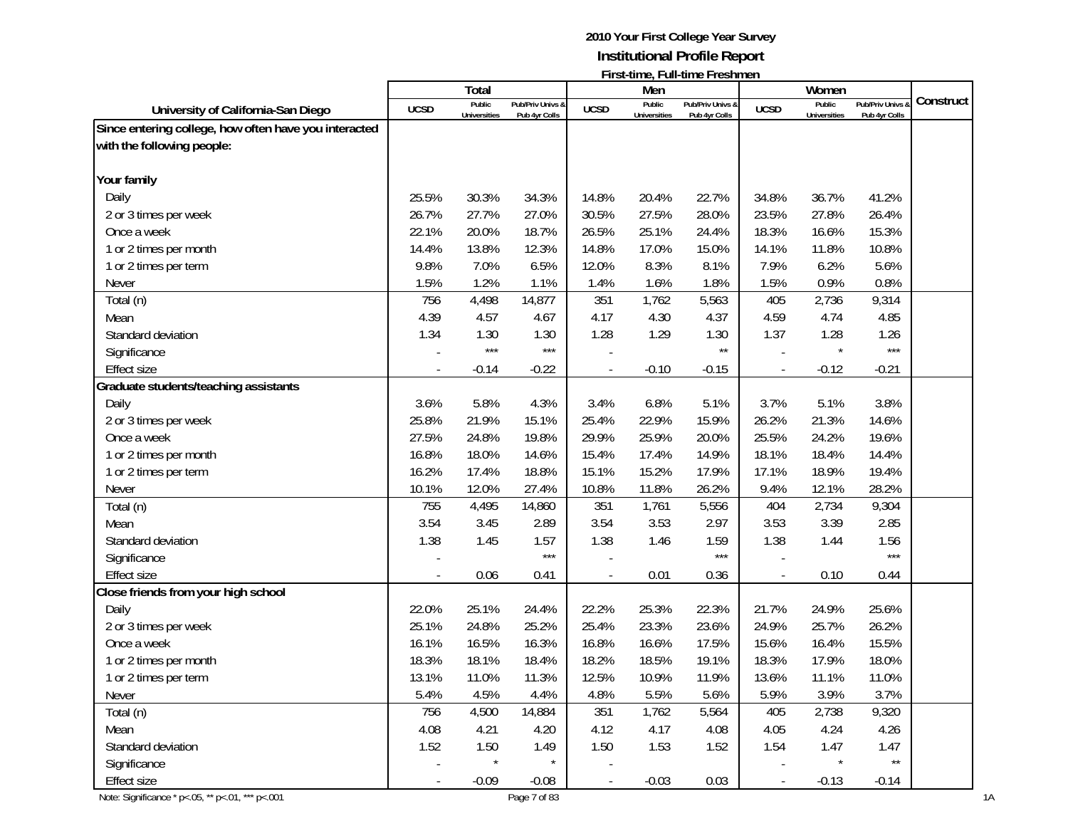| Construct |
|-----------|
|           |
|           |
|           |
|           |
|           |
|           |
|           |
|           |
|           |
|           |
|           |
|           |
|           |
|           |
|           |
|           |
|           |
|           |
|           |
|           |
|           |
|           |
|           |
|           |
|           |
|           |
|           |
|           |
|           |
|           |
|           |
|           |
|           |
|           |
|           |
|           |
|           |
|           |
|           |
|           |
|           |
|           |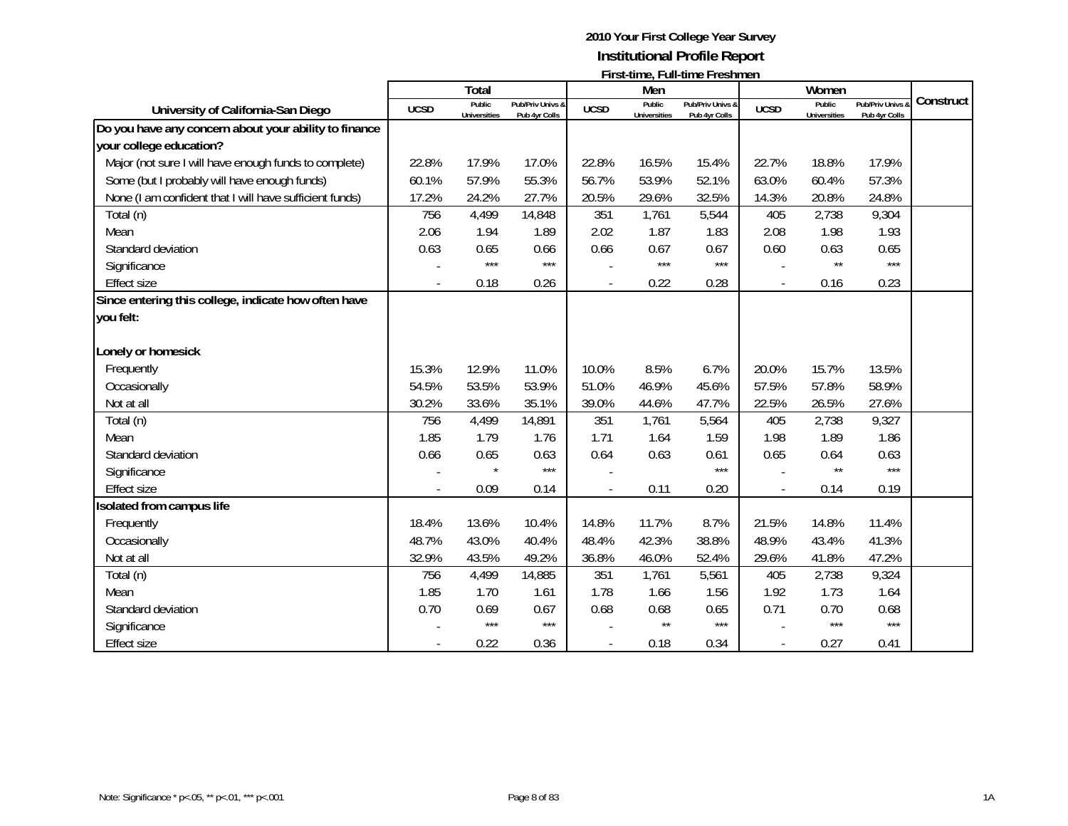|                                                         |             | Total                         |                                   |             | Men                           | <b>FILSI-ULIIE, FUII-ULIIE FIESIILIEII</b> |                          | Women                         |                                 |           |
|---------------------------------------------------------|-------------|-------------------------------|-----------------------------------|-------------|-------------------------------|--------------------------------------------|--------------------------|-------------------------------|---------------------------------|-----------|
| University of California-San Diego                      | <b>UCSD</b> | Public<br><b>Universities</b> | Pub/Priv Univs &<br>Pub 4yr Colls | <b>UCSD</b> | Public<br><b>Universities</b> | Pub/Priv Univs &<br>Pub 4yr Colls          | <b>UCSD</b>              | Public<br><b>Universities</b> | Pub/Priv Univs<br>Pub 4yr Colls | Construct |
| Do you have any concern about your ability to finance   |             |                               |                                   |             |                               |                                            |                          |                               |                                 |           |
| your college education?                                 |             |                               |                                   |             |                               |                                            |                          |                               |                                 |           |
| Major (not sure I will have enough funds to complete)   | 22.8%       | 17.9%                         | 17.0%                             | 22.8%       | 16.5%                         | 15.4%                                      | 22.7%                    | 18.8%                         | 17.9%                           |           |
| Some (but I probably will have enough funds)            | 60.1%       | 57.9%                         | 55.3%                             | 56.7%       | 53.9%                         | 52.1%                                      | 63.0%                    | 60.4%                         | 57.3%                           |           |
| None (I am confident that I will have sufficient funds) | 17.2%       | 24.2%                         | 27.7%                             | 20.5%       | 29.6%                         | 32.5%                                      | 14.3%                    | 20.8%                         | 24.8%                           |           |
| Total (n)                                               | 756         | 4,499                         | 14,848                            | 351         | 1,761                         | 5,544                                      | 405                      | 2,738                         | 9,304                           |           |
| Mean                                                    | 2.06        | 1.94                          | 1.89                              | 2.02        | 1.87                          | 1.83                                       | 2.08                     | 1.98                          | 1.93                            |           |
| Standard deviation                                      | 0.63        | 0.65                          | 0.66                              | 0.66        | 0.67                          | 0.67                                       | 0.60                     | 0.63                          | 0.65                            |           |
| Significance                                            |             | $***$                         | $***$                             |             | $***$                         | $***$                                      |                          | $\star\star$                  | $***$                           |           |
| <b>Effect size</b>                                      |             | 0.18                          | 0.26                              |             | 0.22                          | 0.28                                       | $\overline{\phantom{a}}$ | 0.16                          | 0.23                            |           |
| Since entering this college, indicate how often have    |             |                               |                                   |             |                               |                                            |                          |                               |                                 |           |
| you felt:                                               |             |                               |                                   |             |                               |                                            |                          |                               |                                 |           |
|                                                         |             |                               |                                   |             |                               |                                            |                          |                               |                                 |           |
| Lonely or homesick                                      |             |                               |                                   |             |                               |                                            |                          |                               |                                 |           |
| Frequently                                              | 15.3%       | 12.9%                         | 11.0%                             | 10.0%       | 8.5%                          | 6.7%                                       | 20.0%                    | 15.7%                         | 13.5%                           |           |
| Occasionally                                            | 54.5%       | 53.5%                         | 53.9%                             | 51.0%       | 46.9%                         | 45.6%                                      | 57.5%                    | 57.8%                         | 58.9%                           |           |
| Not at all                                              | 30.2%       | 33.6%                         | 35.1%                             | 39.0%       | 44.6%                         | 47.7%                                      | 22.5%                    | 26.5%                         | 27.6%                           |           |
| Total (n)                                               | 756         | 4,499                         | 14,891                            | 351         | 1,761                         | 5,564                                      | 405                      | 2,738                         | 9,327                           |           |
| Mean                                                    | 1.85        | 1.79                          | 1.76                              | 1.71        | 1.64                          | 1.59                                       | 1.98                     | 1.89                          | 1.86                            |           |
| Standard deviation                                      | 0.66        | 0.65                          | 0.63                              | 0.64        | 0.63                          | 0.61                                       | 0.65                     | 0.64                          | 0.63                            |           |
| Significance                                            |             | $\star$                       | $***$                             |             |                               | $***$                                      |                          | $\star\star$                  | $***$                           |           |
| <b>Effect size</b>                                      |             | 0.09                          | 0.14                              |             | 0.11                          | 0.20                                       | $\overline{\phantom{a}}$ | 0.14                          | 0.19                            |           |
| Isolated from campus life                               |             |                               |                                   |             |                               |                                            |                          |                               |                                 |           |
| Frequently                                              | 18.4%       | 13.6%                         | 10.4%                             | 14.8%       | 11.7%                         | 8.7%                                       | 21.5%                    | 14.8%                         | 11.4%                           |           |
| Occasionally                                            | 48.7%       | 43.0%                         | 40.4%                             | 48.4%       | 42.3%                         | 38.8%                                      | 48.9%                    | 43.4%                         | 41.3%                           |           |
| Not at all                                              | 32.9%       | 43.5%                         | 49.2%                             | 36.8%       | 46.0%                         | 52.4%                                      | 29.6%                    | 41.8%                         | 47.2%                           |           |
| Total (n)                                               | 756         | 4,499                         | 14,885                            | 351         | 1,761                         | 5,561                                      | 405                      | 2,738                         | 9,324                           |           |
| Mean                                                    | 1.85        | 1.70                          | 1.61                              | 1.78        | 1.66                          | 1.56                                       | 1.92                     | 1.73                          | 1.64                            |           |
| Standard deviation                                      | 0.70        | 0.69                          | 0.67                              | 0.68        | 0.68                          | 0.65                                       | 0.71                     | 0.70                          | 0.68                            |           |
| Significance                                            |             | ***                           | $***$                             |             | $\star\star$                  | $***$                                      |                          | $***$                         | $***$                           |           |
| <b>Effect size</b>                                      |             | 0.22                          | 0.36                              |             | 0.18                          | 0.34                                       | $\blacksquare$           | 0.27                          | 0.41                            |           |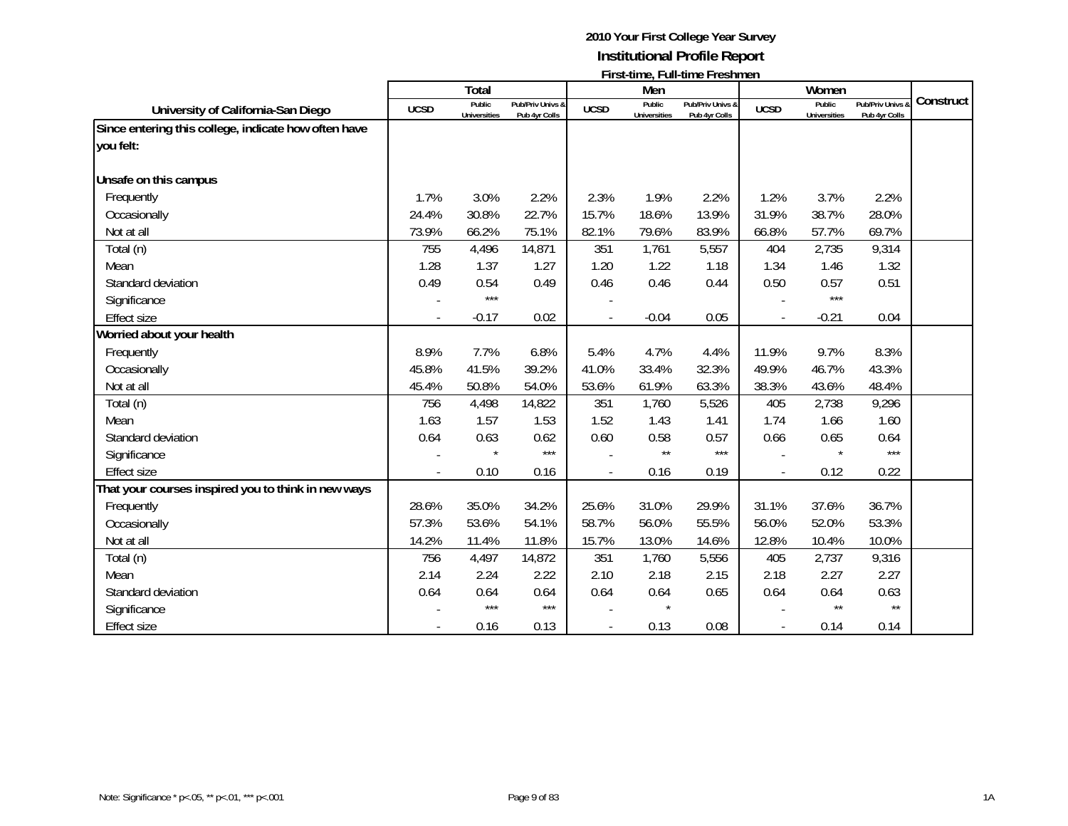|                                                      |             | Total                         |                                   |             | Men                           | $\mathbf{1}$ ii st-time, i un-time i resument |             | Women                         |                                              |           |
|------------------------------------------------------|-------------|-------------------------------|-----------------------------------|-------------|-------------------------------|-----------------------------------------------|-------------|-------------------------------|----------------------------------------------|-----------|
| University of California-San Diego                   | <b>UCSD</b> | Public<br><b>Universities</b> | Pub/Priv Univs &<br>Pub 4yr Colls | <b>UCSD</b> | Public<br><b>Universities</b> | Pub/Priv Univs &<br>Pub 4yr Colls             | <b>UCSD</b> | Public<br><b>Universities</b> | <b>Pub/Priv Univs &amp;</b><br>Pub 4yr Colls | Construct |
| Since entering this college, indicate how often have |             |                               |                                   |             |                               |                                               |             |                               |                                              |           |
| you felt:                                            |             |                               |                                   |             |                               |                                               |             |                               |                                              |           |
| Unsafe on this campus                                |             |                               |                                   |             |                               |                                               |             |                               |                                              |           |
| Frequently                                           | 1.7%        | 3.0%                          | 2.2%                              | 2.3%        | 1.9%                          | 2.2%                                          | 1.2%        | 3.7%                          | 2.2%                                         |           |
| Occasionally                                         | 24.4%       | 30.8%                         | 22.7%                             | 15.7%       | 18.6%                         | 13.9%                                         | 31.9%       | 38.7%                         | 28.0%                                        |           |
| Not at all                                           | 73.9%       | 66.2%                         | 75.1%                             | 82.1%       | 79.6%                         | 83.9%                                         | 66.8%       | 57.7%                         | 69.7%                                        |           |
| Total (n)                                            | 755         | 4,496                         | 14,871                            | 351         | 1,761                         | 5,557                                         | 404         | 2,735                         | 9,314                                        |           |
| Mean                                                 | 1.28        | 1.37                          | 1.27                              | 1.20        | 1.22                          | 1.18                                          | 1.34        | 1.46                          | 1.32                                         |           |
| Standard deviation                                   | 0.49        | 0.54                          | 0.49                              | 0.46        | 0.46                          | 0.44                                          | 0.50        | 0.57                          | 0.51                                         |           |
| Significance                                         |             | $***$                         |                                   |             |                               |                                               |             | $***$                         |                                              |           |
| <b>Effect size</b>                                   |             | $-0.17$                       | 0.02                              |             | $-0.04$                       | 0.05                                          |             | $-0.21$                       | 0.04                                         |           |
| Worried about your health                            |             |                               |                                   |             |                               |                                               |             |                               |                                              |           |
| Frequently                                           | 8.9%        | 7.7%                          | 6.8%                              | 5.4%        | 4.7%                          | 4.4%                                          | 11.9%       | 9.7%                          | 8.3%                                         |           |
| Occasionally                                         | 45.8%       | 41.5%                         | 39.2%                             | 41.0%       | 33.4%                         | 32.3%                                         | 49.9%       | 46.7%                         | 43.3%                                        |           |
| Not at all                                           | 45.4%       | 50.8%                         | 54.0%                             | 53.6%       | 61.9%                         | 63.3%                                         | 38.3%       | 43.6%                         | 48.4%                                        |           |
| Total (n)                                            | 756         | 4,498                         | 14,822                            | 351         | 1,760                         | 5,526                                         | 405         | 2,738                         | 9,296                                        |           |
| Mean                                                 | 1.63        | 1.57                          | 1.53                              | 1.52        | 1.43                          | 1.41                                          | 1.74        | 1.66                          | 1.60                                         |           |
| Standard deviation                                   | 0.64        | 0.63                          | 0.62                              | 0.60        | 0.58                          | 0.57                                          | 0.66        | 0.65                          | 0.64                                         |           |
| Significance                                         |             |                               | $***$                             |             | $\star\star$                  | ***                                           |             |                               | $***$                                        |           |
| <b>Effect size</b>                                   |             | 0.10                          | 0.16                              |             | 0.16                          | 0.19                                          |             | 0.12                          | 0.22                                         |           |
| That your courses inspired you to think in new ways  |             |                               |                                   |             |                               |                                               |             |                               |                                              |           |
| Frequently                                           | 28.6%       | 35.0%                         | 34.2%                             | 25.6%       | 31.0%                         | 29.9%                                         | 31.1%       | 37.6%                         | 36.7%                                        |           |
| Occasionally                                         | 57.3%       | 53.6%                         | 54.1%                             | 58.7%       | 56.0%                         | 55.5%                                         | 56.0%       | 52.0%                         | 53.3%                                        |           |
| Not at all                                           | 14.2%       | 11.4%                         | 11.8%                             | 15.7%       | 13.0%                         | 14.6%                                         | 12.8%       | 10.4%                         | 10.0%                                        |           |
| Total (n)                                            | 756         | 4,497                         | 14,872                            | 351         | 1,760                         | 5,556                                         | 405         | 2,737                         | 9,316                                        |           |
| Mean                                                 | 2.14        | 2.24                          | 2.22                              | 2.10        | 2.18                          | 2.15                                          | 2.18        | 2.27                          | 2.27                                         |           |
| Standard deviation                                   | 0.64        | 0.64                          | 0.64                              | 0.64        | 0.64                          | 0.65                                          | 0.64        | 0.64                          | 0.63                                         |           |
| Significance                                         |             | $***$                         | $***$                             |             |                               |                                               |             | $\star\star$                  | $\star\star$                                 |           |
| Effect size                                          |             | 0.16                          | 0.13                              |             | 0.13                          | 0.08                                          |             | 0.14                          | 0.14                                         |           |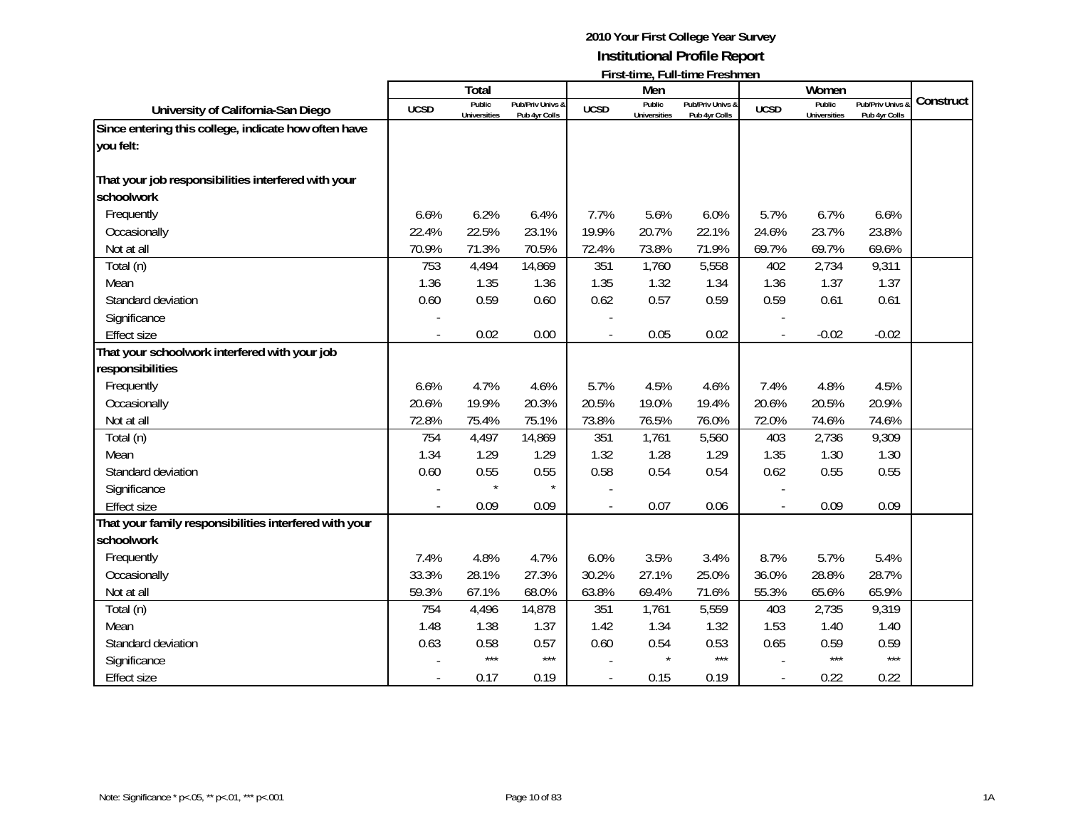|                                                                   |             | Total                         |                                   |             | Men                           |                                   |             | Women                         |                                 |           |
|-------------------------------------------------------------------|-------------|-------------------------------|-----------------------------------|-------------|-------------------------------|-----------------------------------|-------------|-------------------------------|---------------------------------|-----------|
| University of California-San Diego                                | <b>UCSD</b> | Public<br><b>Universities</b> | Pub/Priv Univs &<br>Pub 4yr Colls | <b>UCSD</b> | Public<br><b>Universities</b> | Pub/Priv Univs &<br>Pub 4yr Colls | <b>UCSD</b> | Public<br><b>Universities</b> | Pub/Priv Univs<br>Pub 4yr Colls | Construct |
| Since entering this college, indicate how often have              |             |                               |                                   |             |                               |                                   |             |                               |                                 |           |
| you felt:                                                         |             |                               |                                   |             |                               |                                   |             |                               |                                 |           |
| That your job responsibilities interfered with your<br>schoolwork |             |                               |                                   |             |                               |                                   |             |                               |                                 |           |
| Frequently                                                        | 6.6%        | 6.2%                          | 6.4%                              | 7.7%        | 5.6%                          | 6.0%                              | 5.7%        | 6.7%                          | 6.6%                            |           |
| Occasionally                                                      | 22.4%       | 22.5%                         | 23.1%                             | 19.9%       | 20.7%                         | 22.1%                             | 24.6%       | 23.7%                         | 23.8%                           |           |
| Not at all                                                        | 70.9%       | 71.3%                         | 70.5%                             | 72.4%       | 73.8%                         | 71.9%                             | 69.7%       | 69.7%                         | 69.6%                           |           |
| Total (n)                                                         | 753         | 4,494                         | 14,869                            | 351         | 1,760                         | 5,558                             | 402         | 2,734                         | 9,311                           |           |
| Mean                                                              | 1.36        | 1.35                          | 1.36                              | 1.35        | 1.32                          | 1.34                              | 1.36        | 1.37                          | 1.37                            |           |
| Standard deviation                                                | 0.60        | 0.59                          | 0.60                              | 0.62        | 0.57                          | 0.59                              | 0.59        | 0.61                          | 0.61                            |           |
| Significance                                                      |             |                               |                                   |             |                               |                                   |             |                               |                                 |           |
| <b>Effect size</b>                                                |             | 0.02                          | 0.00                              |             | 0.05                          | 0.02                              |             | $-0.02$                       | $-0.02$                         |           |
| That your schoolwork interfered with your job                     |             |                               |                                   |             |                               |                                   |             |                               |                                 |           |
| responsibilities                                                  |             |                               |                                   |             |                               |                                   |             |                               |                                 |           |
| Frequently                                                        | 6.6%        | 4.7%                          | 4.6%                              | 5.7%        | 4.5%                          | 4.6%                              | 7.4%        | 4.8%                          | 4.5%                            |           |
| Occasionally                                                      | 20.6%       | 19.9%                         | 20.3%                             | 20.5%       | 19.0%                         | 19.4%                             | 20.6%       | 20.5%                         | 20.9%                           |           |
| Not at all                                                        | 72.8%       | 75.4%                         | 75.1%                             | 73.8%       | 76.5%                         | 76.0%                             | 72.0%       | 74.6%                         | 74.6%                           |           |
| Total (n)                                                         | 754         | 4,497                         | 14,869                            | 351         | 1,761                         | 5,560                             | 403         | 2,736                         | 9,309                           |           |
| Mean                                                              | 1.34        | 1.29                          | 1.29                              | 1.32        | 1.28                          | 1.29                              | 1.35        | 1.30                          | 1.30                            |           |
| Standard deviation                                                | 0.60        | 0.55                          | 0.55                              | 0.58        | 0.54                          | 0.54                              | 0.62        | 0.55                          | 0.55                            |           |
| Significance                                                      |             |                               |                                   |             |                               |                                   |             |                               |                                 |           |
| <b>Effect size</b>                                                |             | 0.09                          | 0.09                              |             | 0.07                          | 0.06                              |             | 0.09                          | 0.09                            |           |
| That your family responsibilities interfered with your            |             |                               |                                   |             |                               |                                   |             |                               |                                 |           |
| schoolwork                                                        |             |                               |                                   |             |                               |                                   |             |                               |                                 |           |
| Frequently                                                        | 7.4%        | 4.8%                          | 4.7%                              | 6.0%        | 3.5%                          | 3.4%                              | 8.7%        | 5.7%                          | 5.4%                            |           |
| Occasionally                                                      | 33.3%       | 28.1%                         | 27.3%                             | 30.2%       | 27.1%                         | 25.0%                             | 36.0%       | 28.8%                         | 28.7%                           |           |
| Not at all                                                        | 59.3%       | 67.1%                         | 68.0%                             | 63.8%       | 69.4%                         | 71.6%                             | 55.3%       | 65.6%                         | 65.9%                           |           |
| Total (n)                                                         | 754         | 4,496                         | 14,878                            | 351         | 1,761                         | 5,559                             | 403         | 2,735                         | 9,319                           |           |
| Mean                                                              | 1.48        | 1.38                          | 1.37                              | 1.42        | 1.34                          | 1.32                              | 1.53        | 1.40                          | 1.40                            |           |
| Standard deviation                                                | 0.63        | 0.58                          | 0.57                              | 0.60        | 0.54                          | 0.53                              | 0.65        | 0.59                          | 0.59                            |           |
| Significance                                                      |             | $***$                         | $***$                             |             |                               | $***$                             |             | $***$                         | $***$                           |           |
| <b>Effect size</b>                                                |             | 0.17                          | 0.19                              |             | 0.15                          | 0.19                              |             | 0.22                          | 0.22                            |           |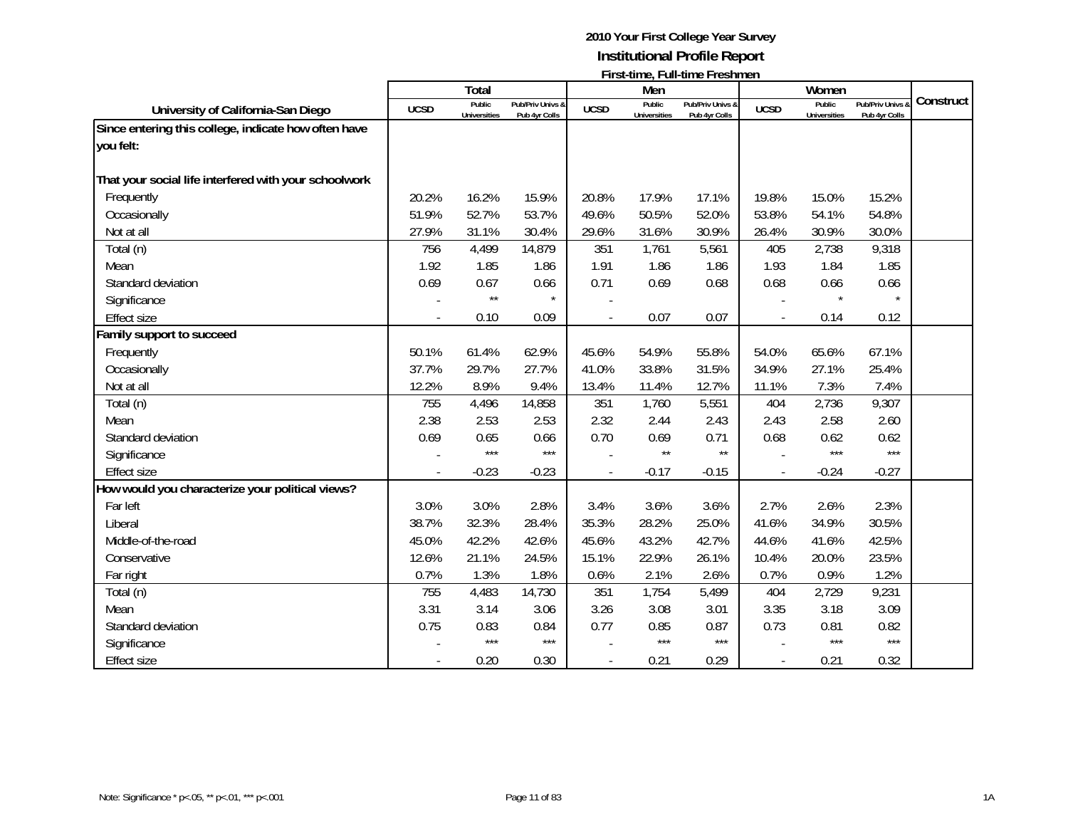|                                                       |             | Total                         |                                   |             | Men                           |                                   |             | Women                         |                                 |           |
|-------------------------------------------------------|-------------|-------------------------------|-----------------------------------|-------------|-------------------------------|-----------------------------------|-------------|-------------------------------|---------------------------------|-----------|
| University of California-San Diego                    | <b>UCSD</b> | Public<br><b>Universities</b> | Pub/Priv Univs &<br>Pub 4yr Colls | <b>UCSD</b> | Public<br><b>Universities</b> | Pub/Priv Univs &<br>Pub 4yr Colls | <b>UCSD</b> | Public<br><b>Universities</b> | Pub/Priv Univs<br>Pub 4yr Colls | Construct |
| Since entering this college, indicate how often have  |             |                               |                                   |             |                               |                                   |             |                               |                                 |           |
| you felt:                                             |             |                               |                                   |             |                               |                                   |             |                               |                                 |           |
| That your social life interfered with your schoolwork |             |                               |                                   |             |                               |                                   |             |                               |                                 |           |
| Frequently                                            | 20.2%       | 16.2%                         | 15.9%                             | 20.8%       | 17.9%                         | 17.1%                             | 19.8%       | 15.0%                         | 15.2%                           |           |
| Occasionally                                          | 51.9%       | 52.7%                         | 53.7%                             | 49.6%       | 50.5%                         | 52.0%                             | 53.8%       | 54.1%                         | 54.8%                           |           |
| Not at all                                            | 27.9%       | 31.1%                         | 30.4%                             | 29.6%       | 31.6%                         | 30.9%                             | 26.4%       | 30.9%                         | 30.0%                           |           |
| Total (n)                                             | 756         | 4,499                         | 14,879                            | 351         | 1,761                         | 5,561                             | 405         | 2,738                         | 9,318                           |           |
| Mean                                                  | 1.92        | 1.85                          | 1.86                              | 1.91        | 1.86                          | 1.86                              | 1.93        | 1.84                          | 1.85                            |           |
| Standard deviation                                    | 0.69        | 0.67                          | 0.66                              | 0.71        | 0.69                          | 0.68                              | 0.68        | 0.66                          | 0.66                            |           |
| Significance                                          |             | $\star\star$                  | $\star$                           |             |                               |                                   |             |                               | $\star$                         |           |
| <b>Effect size</b>                                    |             | 0.10                          | 0.09                              |             | 0.07                          | 0.07                              |             | 0.14                          | 0.12                            |           |
| Family support to succeed                             |             |                               |                                   |             |                               |                                   |             |                               |                                 |           |
| Frequently                                            | 50.1%       | 61.4%                         | 62.9%                             | 45.6%       | 54.9%                         | 55.8%                             | 54.0%       | 65.6%                         | 67.1%                           |           |
| Occasionally                                          | 37.7%       | 29.7%                         | 27.7%                             | 41.0%       | 33.8%                         | 31.5%                             | 34.9%       | 27.1%                         | 25.4%                           |           |
| Not at all                                            | 12.2%       | 8.9%                          | 9.4%                              | 13.4%       | 11.4%                         | 12.7%                             | 11.1%       | 7.3%                          | 7.4%                            |           |
| Total (n)                                             | 755         | 4,496                         | 14,858                            | 351         | 1,760                         | 5,551                             | 404         | 2,736                         | 9,307                           |           |
| Mean                                                  | 2.38        | 2.53                          | 2.53                              | 2.32        | 2.44                          | 2.43                              | 2.43        | 2.58                          | 2.60                            |           |
| Standard deviation                                    | 0.69        | 0.65                          | 0.66                              | 0.70        | 0.69                          | 0.71                              | 0.68        | 0.62                          | 0.62                            |           |
| Significance                                          |             | $***$                         | $***$                             |             | $\star\star$                  | $\star\star$                      |             | ***                           | $***$                           |           |
| <b>Effect size</b>                                    |             | $-0.23$                       | $-0.23$                           |             | $-0.17$                       | $-0.15$                           |             | $-0.24$                       | $-0.27$                         |           |
| How would you characterize your political views?      |             |                               |                                   |             |                               |                                   |             |                               |                                 |           |
| Far left                                              | 3.0%        | 3.0%                          | 2.8%                              | 3.4%        | 3.6%                          | 3.6%                              | 2.7%        | 2.6%                          | 2.3%                            |           |
| Liberal                                               | 38.7%       | 32.3%                         | 28.4%                             | 35.3%       | 28.2%                         | 25.0%                             | 41.6%       | 34.9%                         | 30.5%                           |           |
| Middle-of-the-road                                    | 45.0%       | 42.2%                         | 42.6%                             | 45.6%       | 43.2%                         | 42.7%                             | 44.6%       | 41.6%                         | 42.5%                           |           |
| Conservative                                          | 12.6%       | 21.1%                         | 24.5%                             | 15.1%       | 22.9%                         | 26.1%                             | 10.4%       | 20.0%                         | 23.5%                           |           |
| Far right                                             | 0.7%        | 1.3%                          | 1.8%                              | 0.6%        | 2.1%                          | 2.6%                              | 0.7%        | 0.9%                          | 1.2%                            |           |
| Total (n)                                             | 755         | 4,483                         | 14,730                            | 351         | 1,754                         | 5,499                             | 404         | 2,729                         | 9,231                           |           |
| Mean                                                  | 3.31        | 3.14                          | 3.06                              | 3.26        | 3.08                          | 3.01                              | 3.35        | 3.18                          | 3.09                            |           |
| Standard deviation                                    | 0.75        | 0.83                          | 0.84                              | 0.77        | 0.85                          | 0.87                              | 0.73        | 0.81                          | 0.82                            |           |
| Significance                                          |             | $***$                         | $***$                             |             | $***$                         | $***$                             |             | $***$                         | $***$                           |           |
| <b>Effect size</b>                                    |             | 0.20                          | 0.30                              |             | 0.21                          | 0.29                              |             | 0.21                          | 0.32                            |           |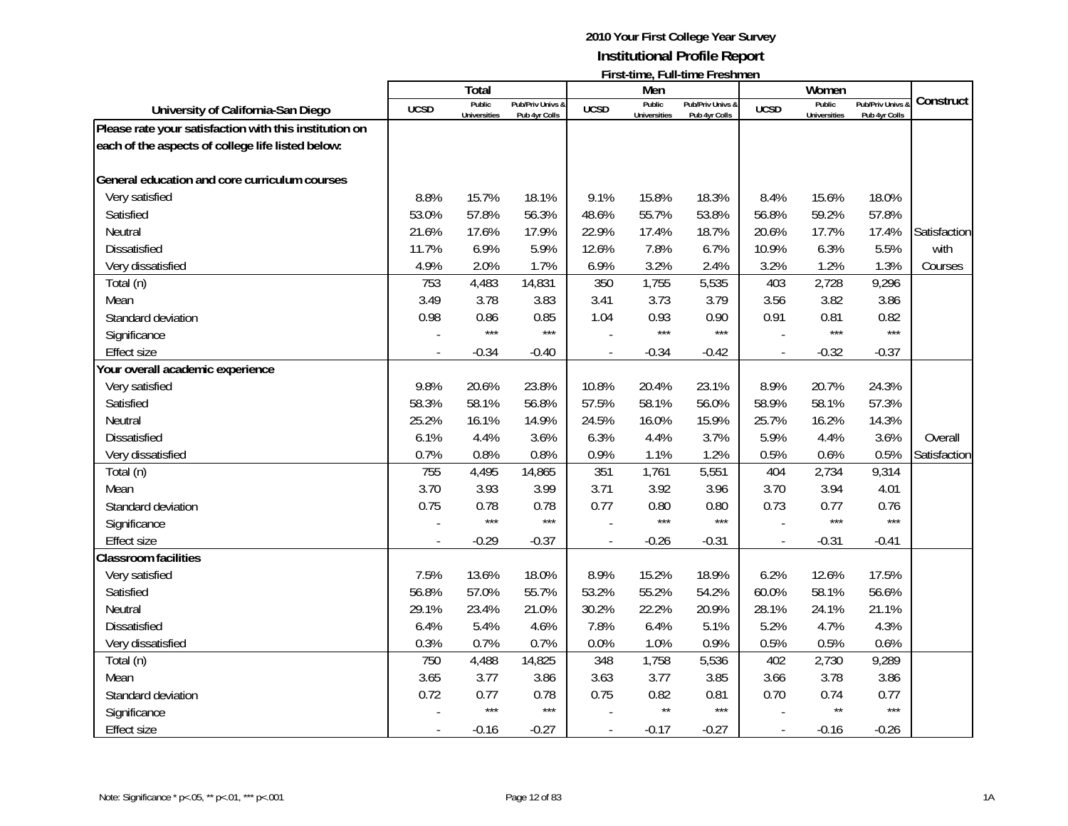|                                                        |             | Total                         |                                   |             | Men                           | <u>I II SUUILLE, LUILLUILLE LI ESIIILIEIT</u> |                | Women                         |                                              |              |
|--------------------------------------------------------|-------------|-------------------------------|-----------------------------------|-------------|-------------------------------|-----------------------------------------------|----------------|-------------------------------|----------------------------------------------|--------------|
| University of California-San Diego                     | <b>UCSD</b> | Public<br><b>Universities</b> | Pub/Priv Univs &<br>Pub 4yr Colls | <b>UCSD</b> | Public<br><b>Universities</b> | Pub/Priv Univs &<br>Pub 4yr Colls             | <b>UCSD</b>    | Public<br><b>Universities</b> | <b>Pub/Priv Univs &amp;</b><br>Pub 4yr Colls | Construct    |
| Please rate your satisfaction with this institution on |             |                               |                                   |             |                               |                                               |                |                               |                                              |              |
| each of the aspects of college life listed below:      |             |                               |                                   |             |                               |                                               |                |                               |                                              |              |
|                                                        |             |                               |                                   |             |                               |                                               |                |                               |                                              |              |
| General education and core curriculum courses          |             |                               |                                   |             |                               |                                               |                |                               |                                              |              |
| Very satisfied                                         | 8.8%        | 15.7%                         | 18.1%                             | 9.1%        | 15.8%                         | 18.3%                                         | 8.4%           | 15.6%                         | 18.0%                                        |              |
| Satisfied                                              | 53.0%       | 57.8%                         | 56.3%                             | 48.6%       | 55.7%                         | 53.8%                                         | 56.8%          | 59.2%                         | 57.8%                                        |              |
| Neutral                                                | 21.6%       | 17.6%                         | 17.9%                             | 22.9%       | 17.4%                         | 18.7%                                         | 20.6%          | 17.7%                         | 17.4%                                        | Satisfaction |
| <b>Dissatisfied</b>                                    | 11.7%       | 6.9%                          | 5.9%                              | 12.6%       | 7.8%                          | 6.7%                                          | 10.9%          | 6.3%                          | 5.5%                                         | with         |
| Very dissatisfied                                      | 4.9%        | 2.0%                          | 1.7%                              | 6.9%        | 3.2%                          | 2.4%                                          | 3.2%           | 1.2%                          | 1.3%                                         | Courses      |
| Total (n)                                              | 753         | 4,483                         | 14,831                            | 350         | 1,755                         | 5,535                                         | 403            | 2,728                         | 9,296                                        |              |
| Mean                                                   | 3.49        | 3.78                          | 3.83                              | 3.41        | 3.73                          | 3.79                                          | 3.56           | 3.82                          | 3.86                                         |              |
| Standard deviation                                     | 0.98        | 0.86                          | 0.85                              | 1.04        | 0.93                          | 0.90                                          | 0.91           | 0.81                          | 0.82                                         |              |
| Significance                                           |             | $***$                         | $***$                             |             | $***$                         | $***$                                         |                | $***$                         | $***$                                        |              |
| <b>Effect size</b>                                     |             | $-0.34$                       | $-0.40$                           |             | $-0.34$                       | $-0.42$                                       | $\blacksquare$ | $-0.32$                       | $-0.37$                                      |              |
| Your overall academic experience                       |             |                               |                                   |             |                               |                                               |                |                               |                                              |              |
| Very satisfied                                         | 9.8%        | 20.6%                         | 23.8%                             | 10.8%       | 20.4%                         | 23.1%                                         | 8.9%           | 20.7%                         | 24.3%                                        |              |
| Satisfied                                              | 58.3%       | 58.1%                         | 56.8%                             | 57.5%       | 58.1%                         | 56.0%                                         | 58.9%          | 58.1%                         | 57.3%                                        |              |
| Neutral                                                | 25.2%       | 16.1%                         | 14.9%                             | 24.5%       | 16.0%                         | 15.9%                                         | 25.7%          | 16.2%                         | 14.3%                                        |              |
| <b>Dissatisfied</b>                                    | 6.1%        | 4.4%                          | 3.6%                              | 6.3%        | 4.4%                          | 3.7%                                          | 5.9%           | 4.4%                          | 3.6%                                         | Overall      |
| Very dissatisfied                                      | 0.7%        | 0.8%                          | 0.8%                              | 0.9%        | 1.1%                          | 1.2%                                          | 0.5%           | 0.6%                          | 0.5%                                         | Satisfaction |
| Total (n)                                              | 755         | 4,495                         | 14,865                            | 351         | 1,761                         | 5,551                                         | 404            | 2,734                         | 9,314                                        |              |
| Mean                                                   | 3.70        | 3.93                          | 3.99                              | 3.71        | 3.92                          | 3.96                                          | 3.70           | 3.94                          | 4.01                                         |              |
| Standard deviation                                     | 0.75        | 0.78                          | 0.78                              | 0.77        | 0.80                          | 0.80                                          | 0.73           | 0.77                          | 0.76                                         |              |
| Significance                                           |             | $***$                         | $***$                             |             | $***$                         | ***                                           |                | $***$                         | $***$                                        |              |
| <b>Effect size</b>                                     |             | $-0.29$                       | $-0.37$                           |             | $-0.26$                       | $-0.31$                                       |                | $-0.31$                       | $-0.41$                                      |              |
| <b>Classroom facilities</b>                            |             |                               |                                   |             |                               |                                               |                |                               |                                              |              |
| Very satisfied                                         | 7.5%        | 13.6%                         | 18.0%                             | 8.9%        | 15.2%                         | 18.9%                                         | 6.2%           | 12.6%                         | 17.5%                                        |              |
| Satisfied                                              | 56.8%       | 57.0%                         | 55.7%                             | 53.2%       | 55.2%                         | 54.2%                                         | 60.0%          | 58.1%                         | 56.6%                                        |              |
| Neutral                                                | 29.1%       | 23.4%                         | 21.0%                             | 30.2%       | 22.2%                         | 20.9%                                         | 28.1%          | 24.1%                         | 21.1%                                        |              |
| <b>Dissatisfied</b>                                    | 6.4%        | 5.4%                          | 4.6%                              | 7.8%        | 6.4%                          | 5.1%                                          | 5.2%           | 4.7%                          | 4.3%                                         |              |
| Very dissatisfied                                      | 0.3%        | 0.7%                          | 0.7%                              | 0.0%        | 1.0%                          | 0.9%                                          | 0.5%           | 0.5%                          | 0.6%                                         |              |
| Total (n)                                              | 750         | 4,488                         | 14,825                            | 348         | 1,758                         | 5,536                                         | 402            | 2,730                         | 9,289                                        |              |
| Mean                                                   | 3.65        | 3.77                          | 3.86                              | 3.63        | 3.77                          | 3.85                                          | 3.66           | 3.78                          | 3.86                                         |              |
| Standard deviation                                     | 0.72        | 0.77                          | 0.78                              | 0.75        | 0.82                          | 0.81                                          | 0.70           | 0.74                          | 0.77<br>$***$                                |              |
| Significance                                           |             | $***$                         | $***$                             |             | $\star\star$                  | $***$                                         |                | $\star\star$                  |                                              |              |
| <b>Effect size</b>                                     |             | $-0.16$                       | $-0.27$                           |             | $-0.17$                       | $-0.27$                                       |                | $-0.16$                       | $-0.26$                                      |              |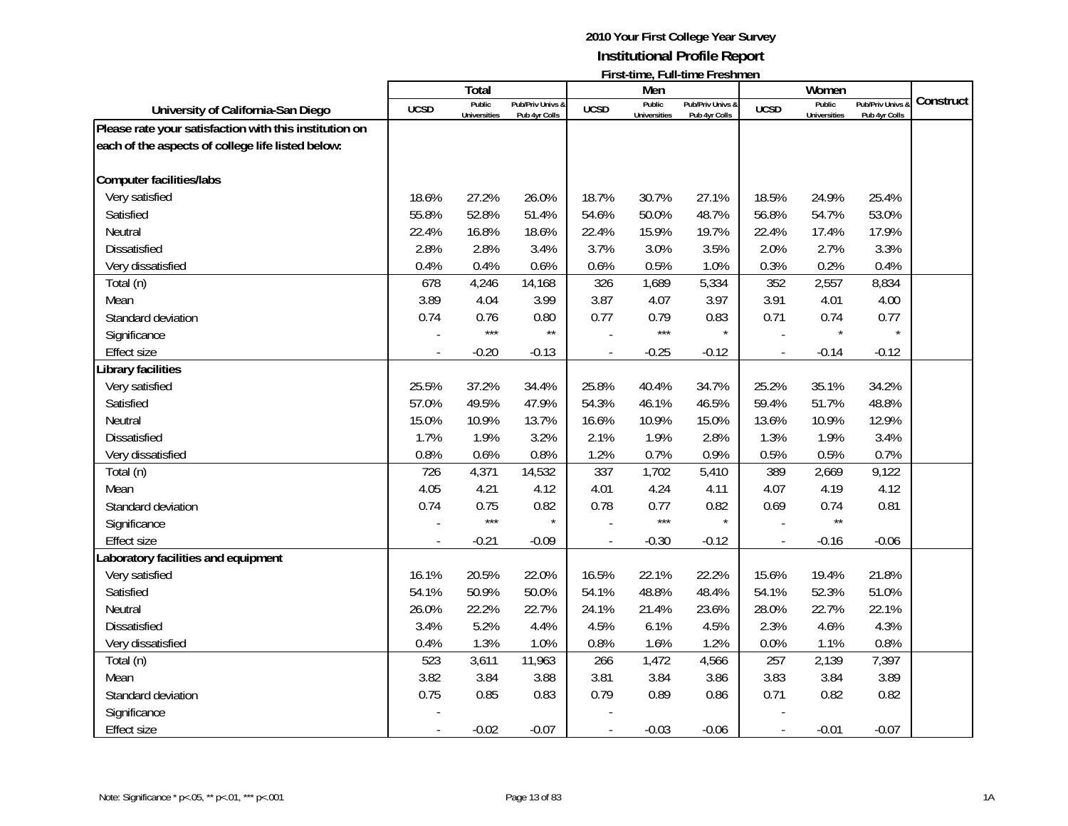|                                                        |             | <b>Total</b>                  |                                   |             | Men                           |                                   |                          | Women                         |                                 |           |
|--------------------------------------------------------|-------------|-------------------------------|-----------------------------------|-------------|-------------------------------|-----------------------------------|--------------------------|-------------------------------|---------------------------------|-----------|
| University of California-San Diego                     | <b>UCSD</b> | Public<br><b>Universities</b> | Pub/Priv Univs &<br>Pub 4yr Colls | <b>UCSD</b> | Public<br><b>Universities</b> | Pub/Priv Univs &<br>Pub 4yr Colls | <b>UCSD</b>              | Public<br><b>Universities</b> | Pub/Priv Univs<br>Pub 4yr Colls | Construct |
| Please rate your satisfaction with this institution on |             |                               |                                   |             |                               |                                   |                          |                               |                                 |           |
| each of the aspects of college life listed below:      |             |                               |                                   |             |                               |                                   |                          |                               |                                 |           |
|                                                        |             |                               |                                   |             |                               |                                   |                          |                               |                                 |           |
| <b>Computer facilities/labs</b>                        |             |                               |                                   |             |                               |                                   |                          |                               |                                 |           |
| Very satisfied                                         | 18.6%       | 27.2%                         | 26.0%                             | 18.7%       | 30.7%                         | 27.1%                             | 18.5%                    | 24.9%                         | 25.4%                           |           |
| Satisfied                                              | 55.8%       | 52.8%                         | 51.4%                             | 54.6%       | 50.0%                         | 48.7%                             | 56.8%                    | 54.7%                         | 53.0%                           |           |
| Neutral                                                | 22.4%       | 16.8%                         | 18.6%                             | 22.4%       | 15.9%                         | 19.7%                             | 22.4%                    | 17.4%                         | 17.9%                           |           |
| <b>Dissatisfied</b>                                    | 2.8%        | 2.8%                          | 3.4%                              | 3.7%        | 3.0%                          | 3.5%                              | 2.0%                     | 2.7%                          | 3.3%                            |           |
| Very dissatisfied                                      | 0.4%        | 0.4%                          | 0.6%                              | 0.6%        | 0.5%                          | 1.0%                              | 0.3%                     | 0.2%                          | 0.4%                            |           |
| Total (n)                                              | 678         | 4,246                         | 14,168                            | 326         | 1,689                         | 5,334                             | 352                      | 2,557                         | 8,834                           |           |
| Mean                                                   | 3.89        | 4.04                          | 3.99                              | 3.87        | 4.07                          | 3.97                              | 3.91                     | 4.01                          | 4.00                            |           |
| Standard deviation                                     | 0.74        | 0.76                          | 0.80                              | 0.77        | 0.79                          | 0.83                              | 0.71                     | 0.74                          | 0.77                            |           |
| Significance                                           |             | $***$                         | $\star\star$                      |             | $***$                         | $\star$                           |                          |                               | $\star$                         |           |
| <b>Effect size</b>                                     |             | $-0.20$                       | $-0.13$                           |             | $-0.25$                       | $-0.12$                           | $\blacksquare$           | $-0.14$                       | $-0.12$                         |           |
| Library facilities                                     |             |                               |                                   |             |                               |                                   |                          |                               |                                 |           |
| Very satisfied                                         | 25.5%       | 37.2%                         | 34.4%                             | 25.8%       | 40.4%                         | 34.7%                             | 25.2%                    | 35.1%                         | 34.2%                           |           |
| Satisfied                                              | 57.0%       | 49.5%                         | 47.9%                             | 54.3%       | 46.1%                         | 46.5%                             | 59.4%                    | 51.7%                         | 48.8%                           |           |
| Neutral                                                | 15.0%       | 10.9%                         | 13.7%                             | 16.6%       | 10.9%                         | 15.0%                             | 13.6%                    | 10.9%                         | 12.9%                           |           |
| <b>Dissatisfied</b>                                    | 1.7%        | 1.9%                          | 3.2%                              | 2.1%        | 1.9%                          | 2.8%                              | 1.3%                     | 1.9%                          | 3.4%                            |           |
| Very dissatisfied                                      | 0.8%        | 0.6%                          | 0.8%                              | 1.2%        | 0.7%                          | 0.9%                              | 0.5%                     | 0.5%                          | 0.7%                            |           |
| Total (n)                                              | 726         | 4,371                         | 14,532                            | 337         | 1,702                         | 5,410                             | 389                      | 2,669                         | 9,122                           |           |
| Mean                                                   | 4.05        | 4.21                          | 4.12                              | 4.01        | 4.24                          | 4.11                              | 4.07                     | 4.19                          | 4.12                            |           |
| Standard deviation                                     | 0.74        | 0.75                          | 0.82                              | 0.78        | 0.77                          | 0.82                              | 0.69                     | 0.74                          | 0.81                            |           |
| Significance                                           |             | $***$                         | $\star$                           |             | $***$                         | $\star$                           |                          | $\star\star$                  |                                 |           |
| <b>Effect size</b>                                     |             | $-0.21$                       | $-0.09$                           |             | $-0.30$                       | $-0.12$                           |                          | $-0.16$                       | $-0.06$                         |           |
| aboratory facilities and equipment                     |             |                               |                                   |             |                               |                                   |                          |                               |                                 |           |
| Very satisfied                                         | 16.1%       | 20.5%                         | 22.0%                             | 16.5%       | 22.1%                         | 22.2%                             | 15.6%                    | 19.4%                         | 21.8%                           |           |
| Satisfied                                              | 54.1%       | 50.9%                         | 50.0%                             | 54.1%       | 48.8%                         | 48.4%                             | 54.1%                    | 52.3%                         | 51.0%                           |           |
| Neutral                                                | 26.0%       | 22.2%                         | 22.7%                             | 24.1%       | 21.4%                         | 23.6%                             | 28.0%                    | 22.7%                         | 22.1%                           |           |
| <b>Dissatisfied</b>                                    | 3.4%        | 5.2%                          | 4.4%                              | 4.5%        | 6.1%                          | 4.5%                              | 2.3%                     | 4.6%                          | 4.3%                            |           |
| Very dissatisfied                                      | 0.4%        | 1.3%                          | 1.0%                              | 0.8%        | 1.6%                          | 1.2%                              | 0.0%                     | 1.1%                          | 0.8%                            |           |
| Total (n)                                              | 523         | 3,611                         | 11,963                            | 266         | 1,472                         | 4,566                             | 257                      | 2,139                         | 7,397                           |           |
| Mean                                                   | 3.82        | 3.84                          | 3.88                              | 3.81        | 3.84                          | 3.86                              | 3.83                     | 3.84                          | 3.89                            |           |
| Standard deviation                                     | 0.75        | 0.85                          | 0.83                              | 0.79        | 0.89                          | 0.86                              | 0.71                     | 0.82                          | 0.82                            |           |
| Significance                                           |             |                               |                                   |             |                               |                                   |                          |                               |                                 |           |
| Effect size                                            |             | $-0.02$                       | $-0.07$                           |             | $-0.03$                       | $-0.06$                           | $\overline{\phantom{a}}$ | $-0.01$                       | $-0.07$                         |           |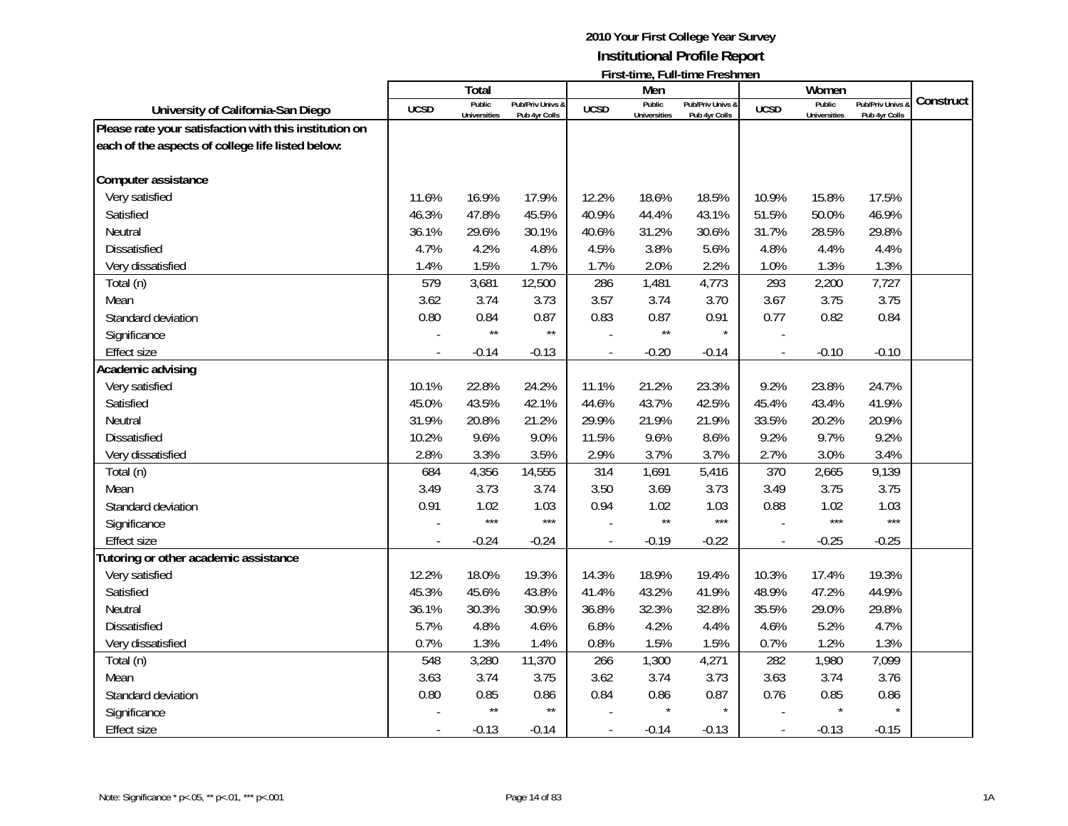|                                                        |             | <b>Total</b>                  |                                   |                | Men                           |                                   |                          | Women                         |                                 |           |
|--------------------------------------------------------|-------------|-------------------------------|-----------------------------------|----------------|-------------------------------|-----------------------------------|--------------------------|-------------------------------|---------------------------------|-----------|
| University of California-San Diego                     | <b>UCSD</b> | Public<br><b>Universities</b> | Pub/Priv Univs &<br>Pub 4yr Colls | <b>UCSD</b>    | Public<br><b>Universities</b> | Pub/Priv Univs &<br>Pub 4yr Colls | <b>UCSD</b>              | Public<br><b>Universities</b> | Pub/Priv Univs<br>Pub 4yr Colls | Construct |
| Please rate your satisfaction with this institution on |             |                               |                                   |                |                               |                                   |                          |                               |                                 |           |
| each of the aspects of college life listed below:      |             |                               |                                   |                |                               |                                   |                          |                               |                                 |           |
|                                                        |             |                               |                                   |                |                               |                                   |                          |                               |                                 |           |
| Computer assistance                                    |             |                               |                                   |                |                               |                                   |                          |                               |                                 |           |
| Very satisfied                                         | 11.6%       | 16.9%                         | 17.9%                             | 12.2%          | 18.6%                         | 18.5%                             | 10.9%                    | 15.8%                         | 17.5%                           |           |
| Satisfied                                              | 46.3%       | 47.8%                         | 45.5%                             | 40.9%          | 44.4%                         | 43.1%                             | 51.5%                    | 50.0%                         | 46.9%                           |           |
| Neutral                                                | 36.1%       | 29.6%                         | 30.1%                             | 40.6%          | 31.2%                         | 30.6%                             | 31.7%                    | 28.5%                         | 29.8%                           |           |
| <b>Dissatisfied</b>                                    | 4.7%        | 4.2%                          | 4.8%                              | 4.5%           | 3.8%                          | 5.6%                              | 4.8%                     | 4.4%                          | 4.4%                            |           |
| Very dissatisfied                                      | 1.4%        | 1.5%                          | 1.7%                              | 1.7%           | 2.0%                          | 2.2%                              | 1.0%                     | 1.3%                          | 1.3%                            |           |
| Total (n)                                              | 579         | 3,681                         | 12,500                            | 286            | 1,481                         | 4,773                             | 293                      | 2,200                         | 7,727                           |           |
| Mean                                                   | 3.62        | 3.74                          | 3.73                              | 3.57           | 3.74                          | 3.70                              | 3.67                     | 3.75                          | 3.75                            |           |
| Standard deviation                                     | 0.80        | 0.84                          | 0.87                              | 0.83           | 0.87                          | 0.91                              | 0.77                     | 0.82                          | 0.84                            |           |
| Significance                                           |             | $\star\star$                  | $\star\star$                      |                | $\star\star$                  | $\star$                           |                          |                               |                                 |           |
| <b>Effect size</b>                                     |             | $-0.14$                       | $-0.13$                           |                | $-0.20$                       | $-0.14$                           | $\overline{a}$           | $-0.10$                       | $-0.10$                         |           |
| Academic advising                                      |             |                               |                                   |                |                               |                                   |                          |                               |                                 |           |
| Very satisfied                                         | 10.1%       | 22.8%                         | 24.2%                             | 11.1%          | 21.2%                         | 23.3%                             | 9.2%                     | 23.8%                         | 24.7%                           |           |
| Satisfied                                              | 45.0%       | 43.5%                         | 42.1%                             | 44.6%          | 43.7%                         | 42.5%                             | 45.4%                    | 43.4%                         | 41.9%                           |           |
| Neutral                                                | 31.9%       | 20.8%                         | 21.2%                             | 29.9%          | 21.9%                         | 21.9%                             | 33.5%                    | 20.2%                         | 20.9%                           |           |
| Dissatisfied                                           | 10.2%       | 9.6%                          | 9.0%                              | 11.5%          | 9.6%                          | 8.6%                              | 9.2%                     | 9.7%                          | 9.2%                            |           |
| Very dissatisfied                                      | 2.8%        | 3.3%                          | 3.5%                              | 2.9%           | 3.7%                          | 3.7%                              | 2.7%                     | 3.0%                          | 3.4%                            |           |
| Total (n)                                              | 684         | 4,356                         | 14,555                            | 314            | 1,691                         | 5,416                             | 370                      | 2,665                         | 9,139                           |           |
| Mean                                                   | 3.49        | 3.73                          | 3.74                              | 3.50           | 3.69                          | 3.73                              | 3.49                     | 3.75                          | 3.75                            |           |
| Standard deviation                                     | 0.91        | 1.02                          | 1.03                              | 0.94           | 1.02                          | 1.03                              | 0.88                     | 1.02                          | 1.03                            |           |
| Significance                                           |             | $***$                         | $***$                             |                | $\star\star$                  | $***$                             |                          | $***$                         | $***$                           |           |
| <b>Effect size</b>                                     |             | $-0.24$                       | $-0.24$                           |                | $-0.19$                       | $-0.22$                           |                          | $-0.25$                       | $-0.25$                         |           |
| Tutoring or other academic assistance                  |             |                               |                                   |                |                               |                                   |                          |                               |                                 |           |
| Very satisfied                                         | 12.2%       | 18.0%                         | 19.3%                             | 14.3%          | 18.9%                         | 19.4%                             | 10.3%                    | 17.4%                         | 19.3%                           |           |
| Satisfied                                              | 45.3%       | 45.6%                         | 43.8%                             | 41.4%          | 43.2%                         | 41.9%                             | 48.9%                    | 47.2%                         | 44.9%                           |           |
| Neutral                                                | 36.1%       | 30.3%                         | 30.9%                             | 36.8%          | 32.3%                         | 32.8%                             | 35.5%                    | 29.0%                         | 29.8%                           |           |
| <b>Dissatisfied</b>                                    | 5.7%        | 4.8%                          | 4.6%                              | 6.8%           | 4.2%                          | 4.4%                              | 4.6%                     | 5.2%                          | 4.7%                            |           |
| Very dissatisfied                                      | 0.7%        | 1.3%                          | 1.4%                              | 0.8%           | 1.5%                          | 1.5%                              | 0.7%                     | 1.2%                          | 1.3%                            |           |
| Total (n)                                              | 548         | 3,280                         | 11,370                            | 266            | 1,300                         | 4,271                             | 282                      | 1,980                         | 7,099                           |           |
| Mean                                                   | 3.63        | 3.74                          | 3.75                              | 3.62           | 3.74                          | 3.73                              | 3.63                     | 3.74                          | 3.76                            |           |
| Standard deviation                                     | 0.80        | 0.85                          | 0.86                              | 0.84           | 0.86                          | 0.87                              | 0.76                     | 0.85                          | 0.86                            |           |
| Significance                                           |             | $\star\star$                  | $\star\star$                      |                |                               | $\star$                           |                          |                               |                                 |           |
| <b>Effect size</b>                                     |             | $-0.13$                       | $-0.14$                           | $\overline{a}$ | $-0.14$                       | $-0.13$                           | $\overline{\phantom{a}}$ | $-0.13$                       | $-0.15$                         |           |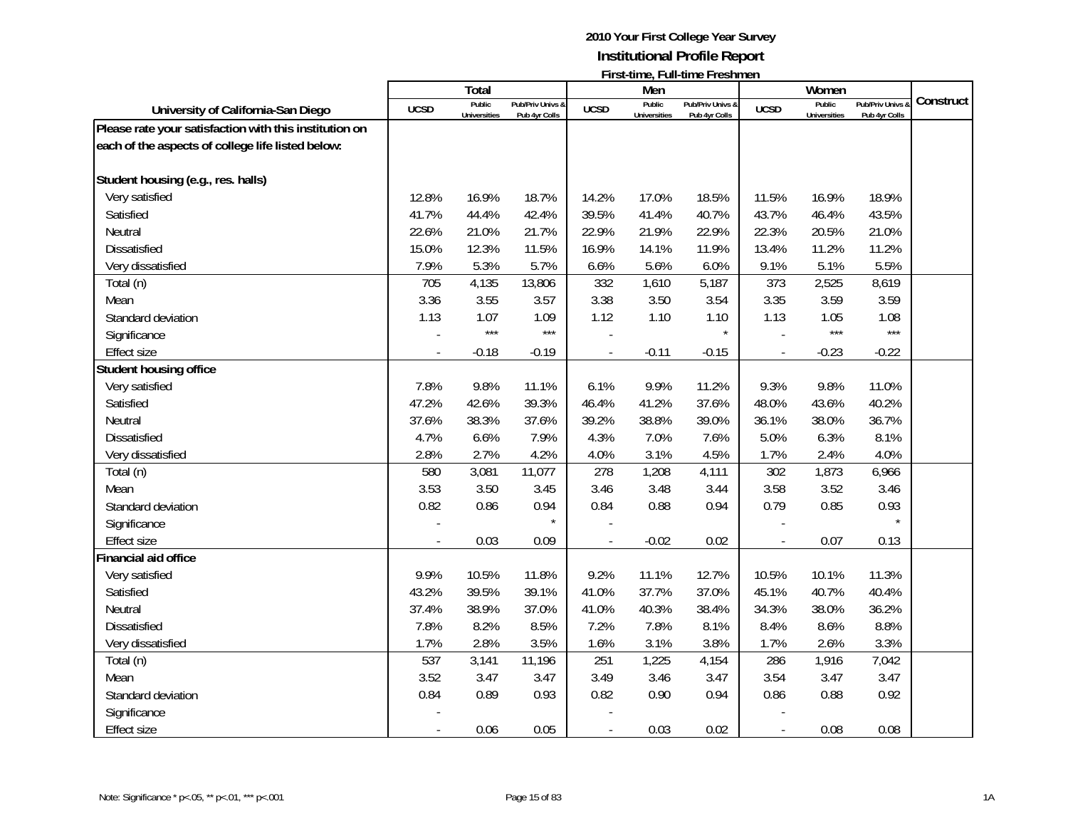|                                                        |                          | <b>Total</b>                  |                                   |             | Men                           |                                   |                          | Women                         |                                 |           |
|--------------------------------------------------------|--------------------------|-------------------------------|-----------------------------------|-------------|-------------------------------|-----------------------------------|--------------------------|-------------------------------|---------------------------------|-----------|
| University of California-San Diego                     | <b>UCSD</b>              | Public<br><b>Universities</b> | Pub/Priv Univs &<br>Pub 4yr Colls | <b>UCSD</b> | Public<br><b>Universities</b> | Pub/Priv Univs &<br>Pub 4yr Colls | <b>UCSD</b>              | Public<br><b>Universities</b> | Pub/Priv Univs<br>Pub 4yr Colls | Construct |
| Please rate your satisfaction with this institution on |                          |                               |                                   |             |                               |                                   |                          |                               |                                 |           |
| each of the aspects of college life listed below:      |                          |                               |                                   |             |                               |                                   |                          |                               |                                 |           |
|                                                        |                          |                               |                                   |             |                               |                                   |                          |                               |                                 |           |
| Student housing (e.g., res. halls)                     |                          |                               |                                   |             |                               |                                   |                          |                               |                                 |           |
| Very satisfied                                         | 12.8%                    | 16.9%                         | 18.7%                             | 14.2%       | 17.0%                         | 18.5%                             | 11.5%                    | 16.9%                         | 18.9%                           |           |
| Satisfied                                              | 41.7%                    | 44.4%                         | 42.4%                             | 39.5%       | 41.4%                         | 40.7%                             | 43.7%                    | 46.4%                         | 43.5%                           |           |
| Neutral                                                | 22.6%                    | 21.0%                         | 21.7%                             | 22.9%       | 21.9%                         | 22.9%                             | 22.3%                    | 20.5%                         | 21.0%                           |           |
| <b>Dissatisfied</b>                                    | 15.0%                    | 12.3%                         | 11.5%                             | 16.9%       | 14.1%                         | 11.9%                             | 13.4%                    | 11.2%                         | 11.2%                           |           |
| Very dissatisfied                                      | 7.9%                     | 5.3%                          | 5.7%                              | 6.6%        | 5.6%                          | 6.0%                              | 9.1%                     | 5.1%                          | 5.5%                            |           |
| Total (n)                                              | 705                      | 4,135                         | 13,806                            | 332         | 1,610                         | 5,187                             | 373                      | 2,525                         | 8,619                           |           |
| Mean                                                   | 3.36                     | 3.55                          | 3.57                              | 3.38        | 3.50                          | 3.54                              | 3.35                     | 3.59                          | 3.59                            |           |
| Standard deviation                                     | 1.13                     | 1.07                          | 1.09                              | 1.12        | 1.10                          | 1.10                              | 1.13                     | 1.05                          | 1.08                            |           |
| Significance                                           |                          | $***$                         | $***$                             |             |                               | $\star$                           |                          | $***$                         | $***$                           |           |
| <b>Effect size</b>                                     | $\overline{\phantom{a}}$ | $-0.18$                       | $-0.19$                           |             | $-0.11$                       | $-0.15$                           | $\overline{\phantom{a}}$ | $-0.23$                       | $-0.22$                         |           |
| Student housing office                                 |                          |                               |                                   |             |                               |                                   |                          |                               |                                 |           |
| Very satisfied                                         | 7.8%                     | 9.8%                          | 11.1%                             | 6.1%        | 9.9%                          | 11.2%                             | 9.3%                     | 9.8%                          | 11.0%                           |           |
| Satisfied                                              | 47.2%                    | 42.6%                         | 39.3%                             | 46.4%       | 41.2%                         | 37.6%                             | 48.0%                    | 43.6%                         | 40.2%                           |           |
| Neutral                                                | 37.6%                    | 38.3%                         | 37.6%                             | 39.2%       | 38.8%                         | 39.0%                             | 36.1%                    | 38.0%                         | 36.7%                           |           |
| Dissatisfied                                           | 4.7%                     | 6.6%                          | 7.9%                              | 4.3%        | 7.0%                          | 7.6%                              | 5.0%                     | 6.3%                          | 8.1%                            |           |
| Very dissatisfied                                      | 2.8%                     | 2.7%                          | 4.2%                              | 4.0%        | 3.1%                          | 4.5%                              | 1.7%                     | 2.4%                          | 4.0%                            |           |
| Total (n)                                              | 580                      | 3,081                         | 11,077                            | 278         | 1,208                         | 4,111                             | 302                      | 1,873                         | 6,966                           |           |
| Mean                                                   | 3.53                     | 3.50                          | 3.45                              | 3.46        | 3.48                          | 3.44                              | 3.58                     | 3.52                          | 3.46                            |           |
| Standard deviation                                     | 0.82                     | 0.86                          | 0.94                              | 0.84        | 0.88                          | 0.94                              | 0.79                     | 0.85                          | 0.93                            |           |
| Significance                                           |                          |                               | $\star$                           |             |                               |                                   |                          |                               | $\star$                         |           |
| <b>Effect size</b>                                     |                          | 0.03                          | 0.09                              |             | $-0.02$                       | 0.02                              |                          | 0.07                          | 0.13                            |           |
| Financial aid office                                   |                          |                               |                                   |             |                               |                                   |                          |                               |                                 |           |
| Very satisfied                                         | 9.9%                     | 10.5%                         | 11.8%                             | 9.2%        | 11.1%                         | 12.7%                             | 10.5%                    | 10.1%                         | 11.3%                           |           |
| Satisfied                                              | 43.2%                    | 39.5%                         | 39.1%                             | 41.0%       | 37.7%                         | 37.0%                             | 45.1%                    | 40.7%                         | 40.4%                           |           |
| Neutral                                                | 37.4%                    | 38.9%                         | 37.0%                             | 41.0%       | 40.3%                         | 38.4%                             | 34.3%                    | 38.0%                         | 36.2%                           |           |
| <b>Dissatisfied</b>                                    | 7.8%                     | 8.2%                          | 8.5%                              | 7.2%        | 7.8%                          | 8.1%                              | 8.4%                     | 8.6%                          | 8.8%                            |           |
| Very dissatisfied                                      | 1.7%                     | 2.8%                          | 3.5%                              | 1.6%        | 3.1%                          | 3.8%                              | 1.7%                     | 2.6%                          | 3.3%                            |           |
| Total (n)                                              | 537                      | 3,141                         | 11,196                            | 251         | 1,225                         | 4,154                             | 286                      | 1,916                         | 7,042                           |           |
| Mean                                                   | 3.52                     | 3.47                          | 3.47                              | 3.49        | 3.46                          | 3.47                              | 3.54                     | 3.47                          | 3.47                            |           |
| Standard deviation                                     | 0.84                     | 0.89                          | 0.93                              | 0.82        | 0.90                          | 0.94                              | 0.86                     | 0.88                          | 0.92                            |           |
| Significance                                           |                          |                               |                                   |             |                               |                                   |                          |                               |                                 |           |
| <b>Effect size</b>                                     |                          | 0.06                          | 0.05                              |             | 0.03                          | 0.02                              |                          | 0.08                          | 0.08                            |           |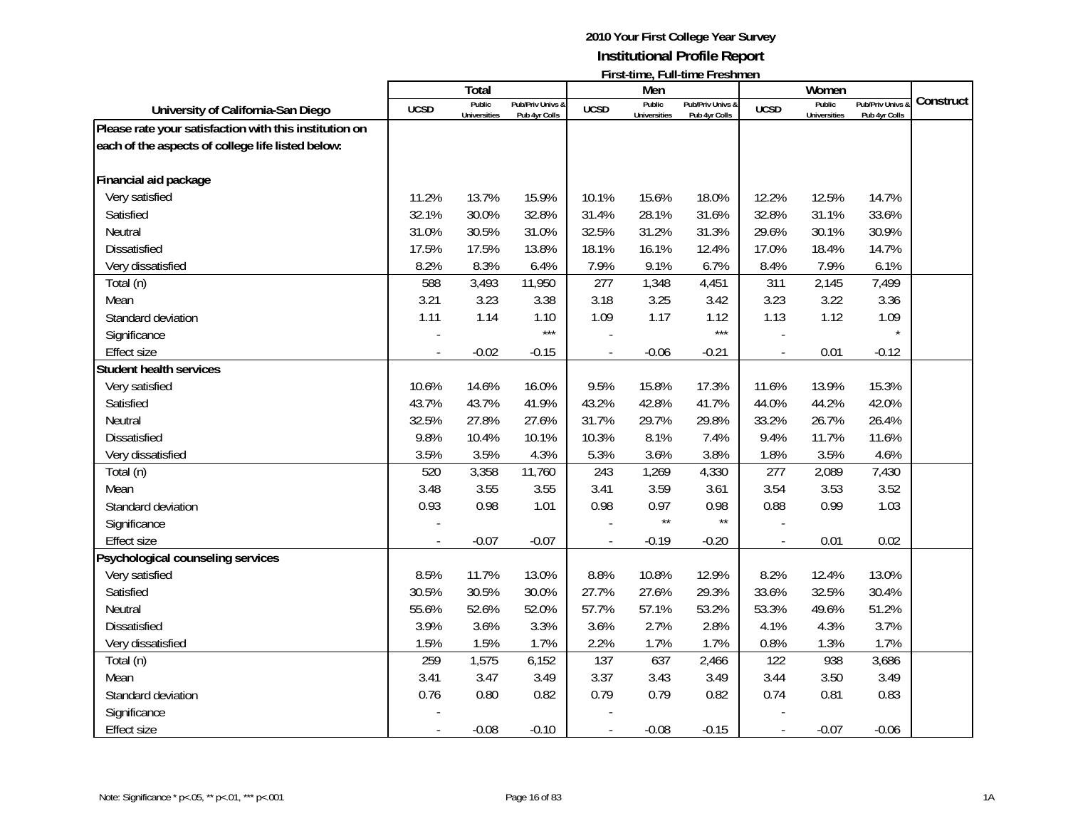|                                                        |             | <b>Total</b>                  |                                   |             | Men                           | <u> 1 11 Julie – Milia III ali culture i i comune i i</u> |                          | Women                         |                                 |           |
|--------------------------------------------------------|-------------|-------------------------------|-----------------------------------|-------------|-------------------------------|-----------------------------------------------------------|--------------------------|-------------------------------|---------------------------------|-----------|
| University of California-San Diego                     | <b>UCSD</b> | Public<br><b>Universities</b> | Pub/Priv Univs &<br>Pub 4yr Colls | <b>UCSD</b> | Public<br><b>Universities</b> | Pub/Priv Univs &<br>Pub 4yr Colls                         | <b>UCSD</b>              | Public<br><b>Universities</b> | Pub/Priv Univs<br>Pub 4yr Colls | Construct |
| Please rate your satisfaction with this institution on |             |                               |                                   |             |                               |                                                           |                          |                               |                                 |           |
| each of the aspects of college life listed below:      |             |                               |                                   |             |                               |                                                           |                          |                               |                                 |           |
|                                                        |             |                               |                                   |             |                               |                                                           |                          |                               |                                 |           |
| Financial aid package                                  |             |                               |                                   |             |                               |                                                           |                          |                               |                                 |           |
| Very satisfied                                         | 11.2%       | 13.7%                         | 15.9%                             | 10.1%       | 15.6%                         | 18.0%                                                     | 12.2%                    | 12.5%                         | 14.7%                           |           |
| Satisfied                                              | 32.1%       | 30.0%                         | 32.8%                             | 31.4%       | 28.1%                         | 31.6%                                                     | 32.8%                    | 31.1%                         | 33.6%                           |           |
| Neutral                                                | 31.0%       | 30.5%                         | 31.0%                             | 32.5%       | 31.2%                         | 31.3%                                                     | 29.6%                    | 30.1%                         | 30.9%                           |           |
| <b>Dissatisfied</b>                                    | 17.5%       | 17.5%                         | 13.8%                             | 18.1%       | 16.1%                         | 12.4%                                                     | 17.0%                    | 18.4%                         | 14.7%                           |           |
| Very dissatisfied                                      | 8.2%        | 8.3%                          | 6.4%                              | 7.9%        | 9.1%                          | 6.7%                                                      | 8.4%                     | 7.9%                          | 6.1%                            |           |
| Total (n)                                              | 588         | 3,493                         | 11,950                            | 277         | 1,348                         | 4,451                                                     | 311                      | 2,145                         | 7,499                           |           |
| Mean                                                   | 3.21        | 3.23                          | 3.38                              | 3.18        | 3.25                          | 3.42                                                      | 3.23                     | 3.22                          | 3.36                            |           |
| Standard deviation                                     | 1.11        | 1.14                          | 1.10                              | 1.09        | 1.17                          | 1.12                                                      | 1.13                     | 1.12                          | 1.09                            |           |
| Significance                                           |             |                               | $***$                             |             |                               | $***$                                                     |                          |                               | $\star$                         |           |
| <b>Effect size</b>                                     |             | $-0.02$                       | $-0.15$                           |             | $-0.06$                       | $-0.21$                                                   | $\blacksquare$           | 0.01                          | $-0.12$                         |           |
| <b>Student health services</b>                         |             |                               |                                   |             |                               |                                                           |                          |                               |                                 |           |
| Very satisfied                                         | 10.6%       | 14.6%                         | 16.0%                             | 9.5%        | 15.8%                         | 17.3%                                                     | 11.6%                    | 13.9%                         | 15.3%                           |           |
| Satisfied                                              | 43.7%       | 43.7%                         | 41.9%                             | 43.2%       | 42.8%                         | 41.7%                                                     | 44.0%                    | 44.2%                         | 42.0%                           |           |
| Neutral                                                | 32.5%       | 27.8%                         | 27.6%                             | 31.7%       | 29.7%                         | 29.8%                                                     | 33.2%                    | 26.7%                         | 26.4%                           |           |
| Dissatisfied                                           | 9.8%        | 10.4%                         | 10.1%                             | 10.3%       | 8.1%                          | 7.4%                                                      | 9.4%                     | 11.7%                         | 11.6%                           |           |
| Very dissatisfied                                      | 3.5%        | 3.5%                          | 4.3%                              | 5.3%        | 3.6%                          | 3.8%                                                      | 1.8%                     | 3.5%                          | 4.6%                            |           |
| Total (n)                                              | 520         | 3,358                         | 11,760                            | 243         | 1,269                         | 4,330                                                     | 277                      | 2,089                         | 7,430                           |           |
| Mean                                                   | 3.48        | 3.55                          | 3.55                              | 3.41        | 3.59                          | 3.61                                                      | 3.54                     | 3.53                          | 3.52                            |           |
| Standard deviation                                     | 0.93        | 0.98                          | 1.01                              | 0.98        | 0.97                          | 0.98                                                      | 0.88                     | 0.99                          | 1.03                            |           |
| Significance                                           |             |                               |                                   |             | $\star\star$                  | $\star\star$                                              |                          |                               |                                 |           |
| <b>Effect size</b>                                     |             | $-0.07$                       | $-0.07$                           |             | $-0.19$                       | $-0.20$                                                   |                          | 0.01                          | 0.02                            |           |
| Psychological counseling services                      |             |                               |                                   |             |                               |                                                           |                          |                               |                                 |           |
| Very satisfied                                         | 8.5%        | 11.7%                         | 13.0%                             | 8.8%        | 10.8%                         | 12.9%                                                     | 8.2%                     | 12.4%                         | 13.0%                           |           |
| Satisfied                                              | 30.5%       | 30.5%                         | 30.0%                             | 27.7%       | 27.6%                         | 29.3%                                                     | 33.6%                    | 32.5%                         | 30.4%                           |           |
| Neutral                                                | 55.6%       | 52.6%                         | 52.0%                             | 57.7%       | 57.1%                         | 53.2%                                                     | 53.3%                    | 49.6%                         | 51.2%                           |           |
| <b>Dissatisfied</b>                                    | 3.9%        | 3.6%                          | 3.3%                              | 3.6%        | 2.7%                          | 2.8%                                                      | 4.1%                     | 4.3%                          | 3.7%                            |           |
| Very dissatisfied                                      | 1.5%        | 1.5%                          | 1.7%                              | 2.2%        | 1.7%                          | 1.7%                                                      | 0.8%                     | 1.3%                          | 1.7%                            |           |
| Total (n)                                              | 259         | 1,575                         | 6,152                             | 137         | 637                           | 2,466                                                     | 122                      | 938                           | 3,686                           |           |
| Mean                                                   | 3.41        | 3.47                          | 3.49                              | 3.37        | 3.43                          | 3.49                                                      | 3.44                     | 3.50                          | 3.49                            |           |
| Standard deviation                                     | 0.76        | 0.80                          | 0.82                              | 0.79        | 0.79                          | 0.82                                                      | 0.74                     | 0.81                          | 0.83                            |           |
| Significance                                           |             |                               |                                   |             |                               |                                                           |                          |                               |                                 |           |
| <b>Effect size</b>                                     |             | $-0.08$                       | $-0.10$                           |             | $-0.08$                       | $-0.15$                                                   | $\overline{\phantom{a}}$ | $-0.07$                       | $-0.06$                         |           |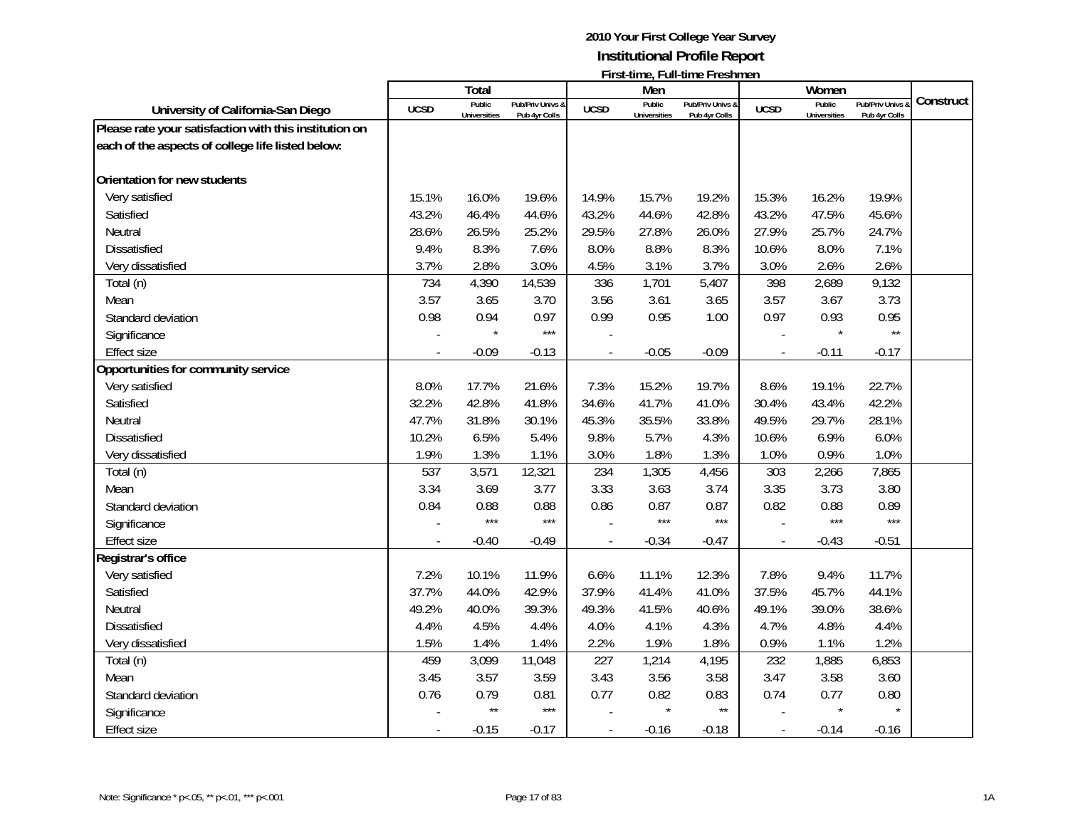|                                                        |             | <b>Total</b>                  |                                   |                | Men                           | <u> 1 11 Julie – Milia III ali culture i i comune i i</u> |                          | Women                         |                                 |           |
|--------------------------------------------------------|-------------|-------------------------------|-----------------------------------|----------------|-------------------------------|-----------------------------------------------------------|--------------------------|-------------------------------|---------------------------------|-----------|
| University of California-San Diego                     | <b>UCSD</b> | Public<br><b>Universities</b> | Pub/Priv Univs &<br>Pub 4yr Colls | <b>UCSD</b>    | Public<br><b>Universities</b> | Pub/Priv Univs &<br>Pub 4yr Colls                         | <b>UCSD</b>              | Public<br><b>Universities</b> | Pub/Priv Univs<br>Pub 4yr Colls | Construct |
| Please rate your satisfaction with this institution on |             |                               |                                   |                |                               |                                                           |                          |                               |                                 |           |
| each of the aspects of college life listed below:      |             |                               |                                   |                |                               |                                                           |                          |                               |                                 |           |
|                                                        |             |                               |                                   |                |                               |                                                           |                          |                               |                                 |           |
| Orientation for new students                           |             |                               |                                   |                |                               |                                                           |                          |                               |                                 |           |
| Very satisfied                                         | 15.1%       | 16.0%                         | 19.6%                             | 14.9%          | 15.7%                         | 19.2%                                                     | 15.3%                    | 16.2%                         | 19.9%                           |           |
| Satisfied                                              | 43.2%       | 46.4%                         | 44.6%                             | 43.2%          | 44.6%                         | 42.8%                                                     | 43.2%                    | 47.5%                         | 45.6%                           |           |
| Neutral                                                | 28.6%       | 26.5%                         | 25.2%                             | 29.5%          | 27.8%                         | 26.0%                                                     | 27.9%                    | 25.7%                         | 24.7%                           |           |
| <b>Dissatisfied</b>                                    | 9.4%        | 8.3%                          | 7.6%                              | 8.0%           | 8.8%                          | 8.3%                                                      | 10.6%                    | 8.0%                          | 7.1%                            |           |
| Very dissatisfied                                      | 3.7%        | 2.8%                          | 3.0%                              | 4.5%           | 3.1%                          | 3.7%                                                      | 3.0%                     | 2.6%                          | 2.6%                            |           |
| Total (n)                                              | 734         | 4,390                         | 14,539                            | 336            | 1,701                         | 5,407                                                     | 398                      | 2,689                         | 9,132                           |           |
| Mean                                                   | 3.57        | 3.65                          | 3.70                              | 3.56           | 3.61                          | 3.65                                                      | 3.57                     | 3.67                          | 3.73                            |           |
| Standard deviation                                     | 0.98        | 0.94                          | 0.97                              | 0.99           | 0.95                          | 1.00                                                      | 0.97                     | 0.93                          | 0.95                            |           |
| Significance                                           |             |                               | $***$                             |                |                               |                                                           |                          | $\star$                       | $\star\star$                    |           |
| <b>Effect size</b>                                     |             | $-0.09$                       | $-0.13$                           |                | $-0.05$                       | $-0.09$                                                   | $\overline{\phantom{a}}$ | $-0.11$                       | $-0.17$                         |           |
| Opportunities for community service                    |             |                               |                                   |                |                               |                                                           |                          |                               |                                 |           |
| Very satisfied                                         | 8.0%        | 17.7%                         | 21.6%                             | 7.3%           | 15.2%                         | 19.7%                                                     | 8.6%                     | 19.1%                         | 22.7%                           |           |
| Satisfied                                              | 32.2%       | 42.8%                         | 41.8%                             | 34.6%          | 41.7%                         | 41.0%                                                     | 30.4%                    | 43.4%                         | 42.2%                           |           |
| Neutral                                                | 47.7%       | 31.8%                         | 30.1%                             | 45.3%          | 35.5%                         | 33.8%                                                     | 49.5%                    | 29.7%                         | 28.1%                           |           |
| Dissatisfied                                           | 10.2%       | 6.5%                          | 5.4%                              | 9.8%           | 5.7%                          | 4.3%                                                      | 10.6%                    | 6.9%                          | 6.0%                            |           |
| Very dissatisfied                                      | 1.9%        | 1.3%                          | 1.1%                              | 3.0%           | 1.8%                          | 1.3%                                                      | 1.0%                     | 0.9%                          | 1.0%                            |           |
| Total (n)                                              | 537         | 3,571                         | 12,321                            | 234            | 1,305                         | 4,456                                                     | 303                      | 2,266                         | 7,865                           |           |
| Mean                                                   | 3.34        | 3.69                          | 3.77                              | 3.33           | 3.63                          | 3.74                                                      | 3.35                     | 3.73                          | 3.80                            |           |
| Standard deviation                                     | 0.84        | 0.88                          | 0.88                              | 0.86           | 0.87                          | 0.87                                                      | 0.82                     | 0.88                          | 0.89                            |           |
| Significance                                           |             | $***$                         | $***$                             |                | $***$                         | $***$                                                     |                          | ***                           | $***$                           |           |
| <b>Effect size</b>                                     |             | $-0.40$                       | $-0.49$                           |                | $-0.34$                       | $-0.47$                                                   |                          | $-0.43$                       | $-0.51$                         |           |
| Registrar's office                                     |             |                               |                                   |                |                               |                                                           |                          |                               |                                 |           |
| Very satisfied                                         | 7.2%        | 10.1%                         | 11.9%                             | 6.6%           | 11.1%                         | 12.3%                                                     | 7.8%                     | 9.4%                          | 11.7%                           |           |
| Satisfied                                              | 37.7%       | 44.0%                         | 42.9%                             | 37.9%          | 41.4%                         | 41.0%                                                     | 37.5%                    | 45.7%                         | 44.1%                           |           |
| Neutral                                                | 49.2%       | 40.0%                         | 39.3%                             | 49.3%          | 41.5%                         | 40.6%                                                     | 49.1%                    | 39.0%                         | 38.6%                           |           |
| <b>Dissatisfied</b>                                    | 4.4%        | 4.5%                          | 4.4%                              | 4.0%           | 4.1%                          | 4.3%                                                      | 4.7%                     | 4.8%                          | 4.4%                            |           |
| Very dissatisfied                                      | 1.5%        | 1.4%                          | 1.4%                              | 2.2%           | 1.9%                          | 1.8%                                                      | 0.9%                     | 1.1%                          | 1.2%                            |           |
| Total (n)                                              | 459         | 3,099                         | 11,048                            | 227            | 1,214                         | 4,195                                                     | 232                      | 1,885                         | 6,853                           |           |
| Mean                                                   | 3.45        | 3.57                          | 3.59                              | 3.43           | 3.56                          | 3.58                                                      | 3.47                     | 3.58                          | 3.60                            |           |
| Standard deviation                                     | 0.76        | 0.79                          | 0.81                              | 0.77           | 0.82                          | 0.83                                                      | 0.74                     | 0.77                          | 0.80                            |           |
| Significance                                           |             | $\star\star$                  | $***$                             |                |                               | $\star\star$                                              |                          |                               |                                 |           |
| <b>Effect size</b>                                     |             | $-0.15$                       | $-0.17$                           | $\overline{a}$ | $-0.16$                       | $-0.18$                                                   | $\blacksquare$           | $-0.14$                       | $-0.16$                         |           |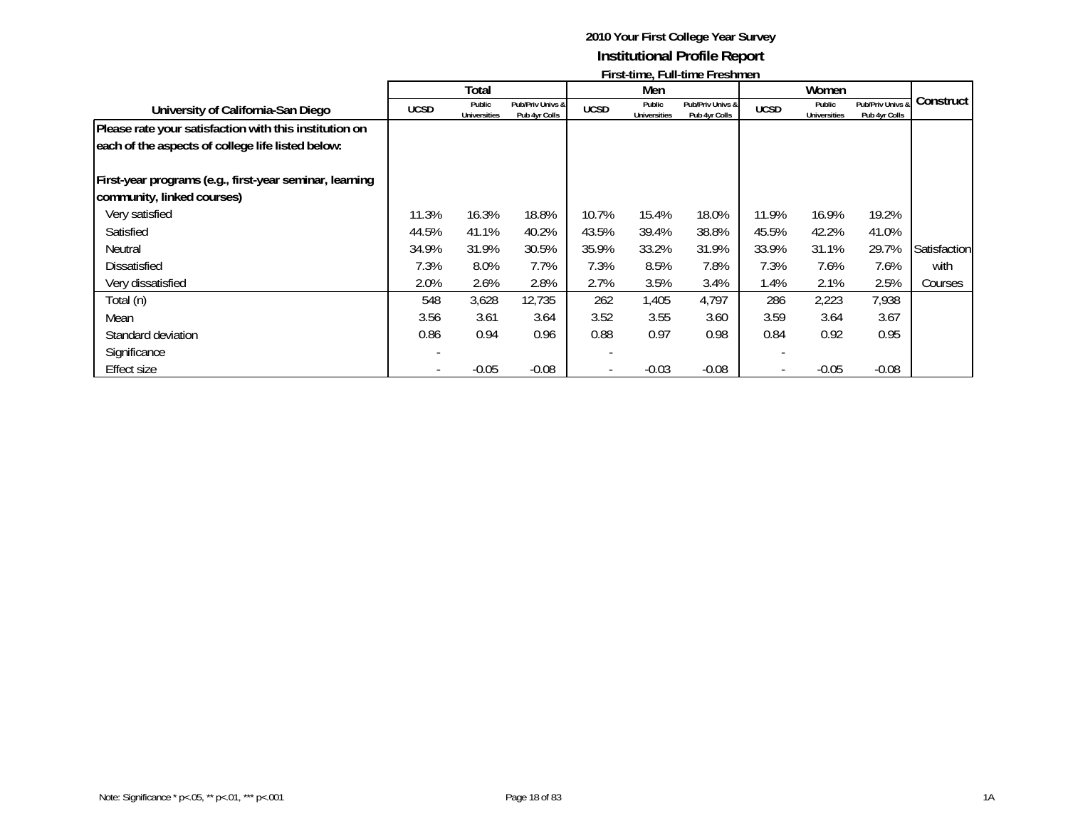|                                                         |             |                               |                                   |             |                        | $1.031$ and $7.1$ and and $1.031$ and $0.1$ |             |                               |                                   |              |
|---------------------------------------------------------|-------------|-------------------------------|-----------------------------------|-------------|------------------------|---------------------------------------------|-------------|-------------------------------|-----------------------------------|--------------|
|                                                         |             | Total                         |                                   |             | Men                    |                                             |             | Women                         |                                   |              |
| University of California-San Diego                      | <b>UCSD</b> | Public<br><b>Universities</b> | Pub/Priv Univs &<br>Pub 4yr Colls | <b>UCSD</b> | Public<br>Universities | Pub/Priv Univs &<br>Pub 4yr Colls           | <b>UCSD</b> | Public<br><b>Universities</b> | Pub/Priv Univs &<br>Pub 4yr Colls | Construct    |
| Please rate your satisfaction with this institution on  |             |                               |                                   |             |                        |                                             |             |                               |                                   |              |
| each of the aspects of college life listed below:       |             |                               |                                   |             |                        |                                             |             |                               |                                   |              |
| First-year programs (e.g., first-year seminar, learning |             |                               |                                   |             |                        |                                             |             |                               |                                   |              |
| community, linked courses)                              |             |                               |                                   |             |                        |                                             |             |                               |                                   |              |
| Very satisfied                                          | 11.3%       | 16.3%                         | 18.8%                             | 10.7%       | 15.4%                  | 18.0%                                       | 11.9%       | 16.9%                         | 19.2%                             |              |
| Satisfied                                               | 44.5%       | 41.1%                         | 40.2%                             | 43.5%       | 39.4%                  | 38.8%                                       | 45.5%       | 42.2%                         | 41.0%                             |              |
| Neutral                                                 | 34.9%       | 31.9%                         | 30.5%                             | 35.9%       | 33.2%                  | 31.9%                                       | 33.9%       | 31.1%                         | 29.7%                             | Satisfaction |
| <b>Dissatisfied</b>                                     | 7.3%        | 8.0%                          | 7.7%                              | 7.3%        | 8.5%                   | 7.8%                                        | 7.3%        | 7.6%                          | 7.6%                              | with         |
| Very dissatisfied                                       | 2.0%        | 2.6%                          | 2.8%                              | 2.7%        | 3.5%                   | 3.4%                                        | 1.4%        | 2.1%                          | 2.5%                              | Courses      |
| Total (n)                                               | 548         | 3,628                         | 12,735                            | 262         | 1,405                  | 4,797                                       | 286         | 2,223                         | 7,938                             |              |
| Mean                                                    | 3.56        | 3.61                          | 3.64                              | 3.52        | 3.55                   | 3.60                                        | 3.59        | 3.64                          | 3.67                              |              |
| Standard deviation                                      | 0.86        | 0.94                          | 0.96                              | 0.88        | 0.97                   | 0.98                                        | 0.84        | 0.92                          | 0.95                              |              |
| Significance                                            |             |                               |                                   |             |                        |                                             |             |                               |                                   |              |
| Effect size                                             |             | $-0.05$                       | $-0.08$                           |             | $-0.03$                | $-0.08$                                     |             | $-0.05$                       | $-0.08$                           |              |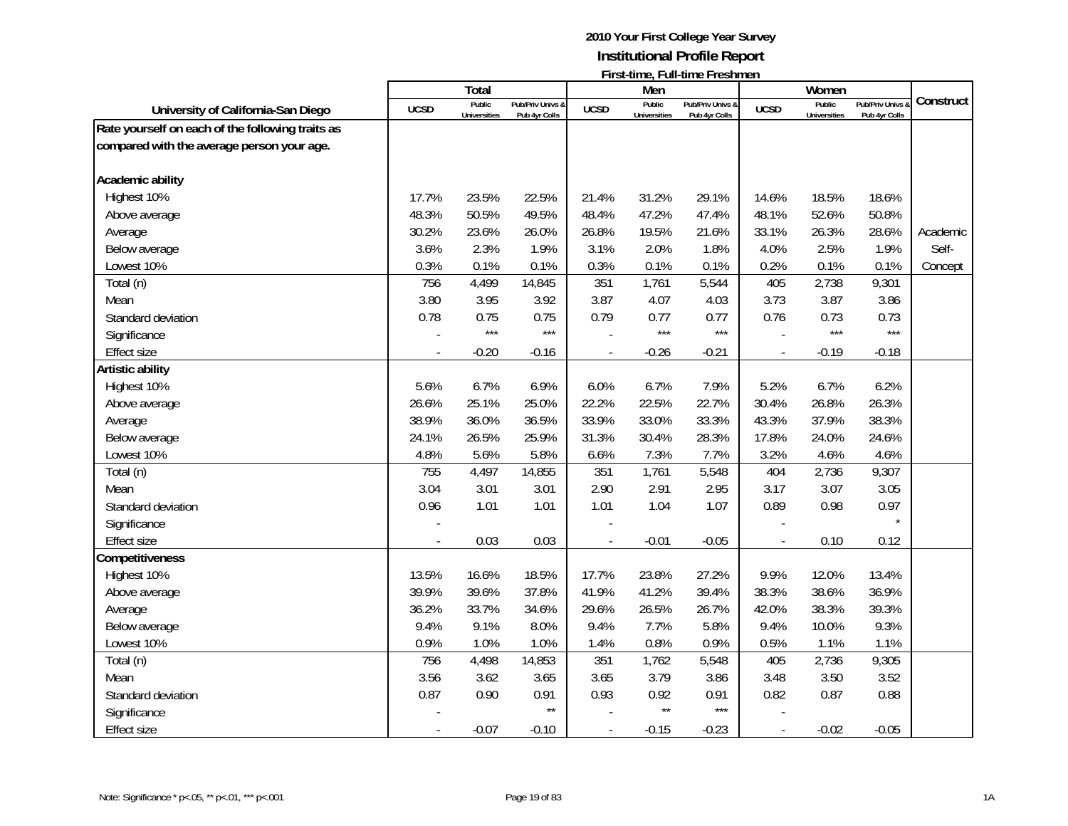|                                                  |             | Total               |                  |                          | Men                 | <u>ı il semne, Fun-mile Fleshineli</u> |                | Women               |                  |           |
|--------------------------------------------------|-------------|---------------------|------------------|--------------------------|---------------------|----------------------------------------|----------------|---------------------|------------------|-----------|
| University of California-San Diego               | <b>UCSD</b> | Public              | Pub/Priv Univs & | <b>UCSD</b>              | Public              | Pub/Priv Univs &                       | <b>UCSD</b>    | Public              | Pub/Priv Univs & | Construct |
| Rate yourself on each of the following traits as |             | <b>Universities</b> | Pub 4yr Colls    |                          | <b>Universities</b> | Pub 4yr Colls                          |                | <b>Universities</b> | Pub 4yr Colls    |           |
| compared with the average person your age.       |             |                     |                  |                          |                     |                                        |                |                     |                  |           |
|                                                  |             |                     |                  |                          |                     |                                        |                |                     |                  |           |
| Academic ability                                 |             |                     |                  |                          |                     |                                        |                |                     |                  |           |
| Highest 10%                                      | 17.7%       | 23.5%               | 22.5%            | 21.4%                    | 31.2%               | 29.1%                                  | 14.6%          | 18.5%               | 18.6%            |           |
| Above average                                    | 48.3%       | 50.5%               | 49.5%            | 48.4%                    | 47.2%               | 47.4%                                  | 48.1%          | 52.6%               | 50.8%            |           |
| Average                                          | 30.2%       | 23.6%               | 26.0%            | 26.8%                    | 19.5%               | 21.6%                                  | 33.1%          | 26.3%               | 28.6%            | Academic  |
| Below average                                    | 3.6%        | 2.3%                | 1.9%             | 3.1%                     | 2.0%                | 1.8%                                   | 4.0%           | 2.5%                | 1.9%             | Self-     |
| Lowest 10%                                       | 0.3%        | 0.1%                | 0.1%             | 0.3%                     | 0.1%                | 0.1%                                   | 0.2%           | 0.1%                | 0.1%             | Concept   |
| Total (n)                                        | 756         | 4,499               | 14,845           | 351                      | 1,761               | 5,544                                  | 405            | 2,738               | 9,301            |           |
| Mean                                             | 3.80        | 3.95                | 3.92             | 3.87                     | 4.07                | 4.03                                   | 3.73           | 3.87                | 3.86             |           |
| Standard deviation                               | 0.78        | 0.75                | 0.75             | 0.79                     | 0.77                | 0.77                                   | 0.76           | 0.73                | 0.73             |           |
| Significance                                     |             | $***$               | $***$            |                          | $***$               | $***$                                  |                | $***$               | $***$            |           |
| <b>Effect size</b>                               |             | $-0.20$             | $-0.16$          | $\blacksquare$           | $-0.26$             | $-0.21$                                | $\sim$         | $-0.19$             | $-0.18$          |           |
| Artistic ability                                 |             |                     |                  |                          |                     |                                        |                |                     |                  |           |
| Highest 10%                                      | 5.6%        | 6.7%                | 6.9%             | 6.0%                     | 6.7%                | 7.9%                                   | 5.2%           | 6.7%                | 6.2%             |           |
| Above average                                    | 26.6%       | 25.1%               | 25.0%            | 22.2%                    | 22.5%               | 22.7%                                  | 30.4%          | 26.8%               | 26.3%            |           |
| Average                                          | 38.9%       | 36.0%               | 36.5%            | 33.9%                    | 33.0%               | 33.3%                                  | 43.3%          | 37.9%               | 38.3%            |           |
| Below average                                    | 24.1%       | 26.5%               | 25.9%            | 31.3%                    | 30.4%               | 28.3%                                  | 17.8%          | 24.0%               | 24.6%            |           |
| Lowest 10%                                       | 4.8%        | 5.6%                | 5.8%             | 6.6%                     | 7.3%                | 7.7%                                   | 3.2%           | 4.6%                | 4.6%             |           |
| Total (n)                                        | 755         | 4,497               | 14,855           | 351                      | 1,761               | 5,548                                  | 404            | 2,736               | 9,307            |           |
| Mean                                             | 3.04        | 3.01                | 3.01             | 2.90                     | 2.91                | 2.95                                   | 3.17           | 3.07                | 3.05             |           |
| Standard deviation                               | 0.96        | 1.01                | 1.01             | 1.01                     | 1.04                | 1.07                                   | 0.89           | 0.98                | 0.97             |           |
| Significance                                     |             |                     |                  |                          |                     |                                        |                |                     | $\star$          |           |
| <b>Effect size</b>                               |             | 0.03                | 0.03             | $\overline{\phantom{a}}$ | $-0.01$             | $-0.05$                                | $\frac{1}{2}$  | 0.10                | 0.12             |           |
| Competitiveness                                  |             |                     |                  |                          |                     |                                        |                |                     |                  |           |
| Highest 10%                                      | 13.5%       | 16.6%               | 18.5%            | 17.7%                    | 23.8%               | 27.2%                                  | 9.9%           | 12.0%               | 13.4%            |           |
| Above average                                    | 39.9%       | 39.6%               | 37.8%            | 41.9%                    | 41.2%               | 39.4%                                  | 38.3%          | 38.6%               | 36.9%            |           |
| Average                                          | 36.2%       | 33.7%               | 34.6%            | 29.6%                    | 26.5%               | 26.7%                                  | 42.0%          | 38.3%               | 39.3%            |           |
| Below average                                    | 9.4%        | 9.1%                | 8.0%             | 9.4%                     | 7.7%                | 5.8%                                   | 9.4%           | 10.0%               | 9.3%             |           |
| Lowest 10%                                       | 0.9%        | 1.0%                | 1.0%             | 1.4%                     | 0.8%                | 0.9%                                   | 0.5%           | 1.1%                | 1.1%             |           |
| Total (n)                                        | 756         | 4,498               | 14,853           | 351                      | 1,762               | 5,548                                  | 405            | 2,736               | 9,305            |           |
| Mean                                             | 3.56        | 3.62                | 3.65             | 3.65                     | 3.79                | 3.86                                   | 3.48           | 3.50                | 3.52             |           |
| Standard deviation                               | 0.87        | 0.90                | 0.91             | 0.93                     | 0.92                | 0.91                                   | 0.82           | 0.87                | 0.88             |           |
| Significance                                     |             |                     | $\star\star$     |                          | $\star\star$        | $***$                                  |                |                     |                  |           |
| <b>Effect size</b>                               |             | $-0.07$             | $-0.10$          | $\blacksquare$           | $-0.15$             | $-0.23$                                | $\overline{a}$ | $-0.02$             | $-0.05$          |           |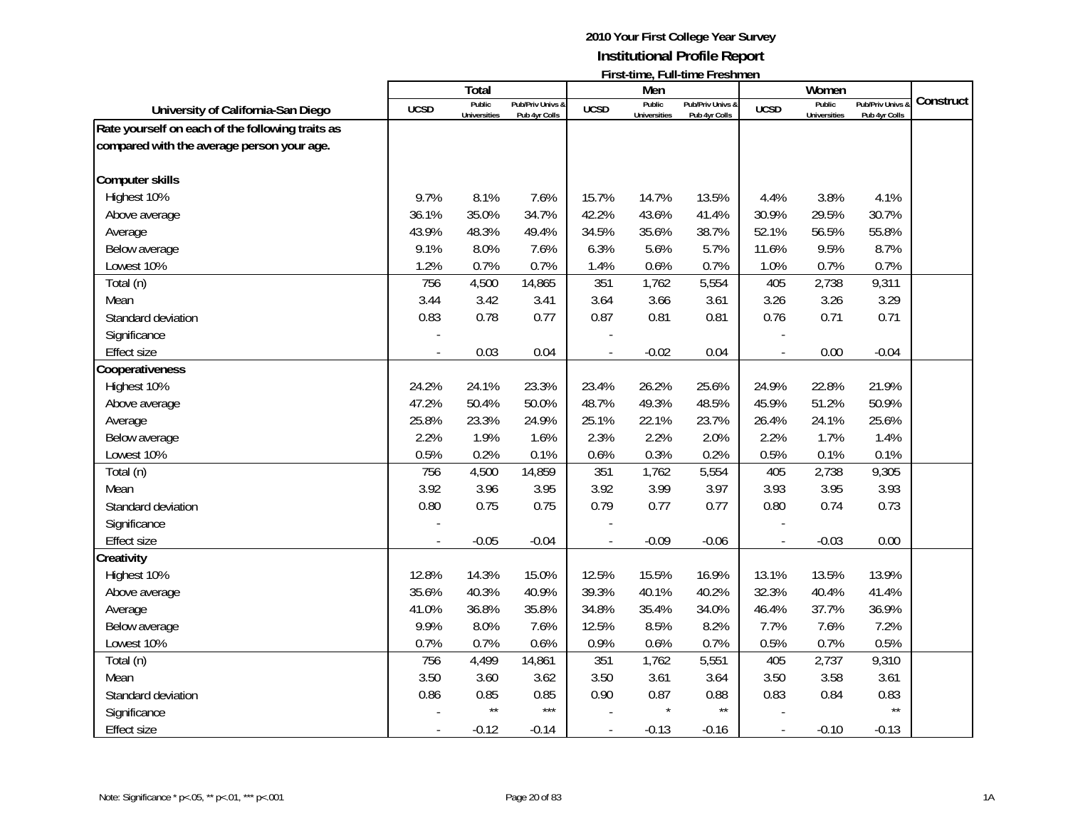|                                                  |             | Total                         |                                   |                | Men                           |                                   |                | Women                         |                                   |           |
|--------------------------------------------------|-------------|-------------------------------|-----------------------------------|----------------|-------------------------------|-----------------------------------|----------------|-------------------------------|-----------------------------------|-----------|
| University of California-San Diego               | <b>UCSD</b> | Public<br><b>Universities</b> | Pub/Priv Univs &<br>Pub 4yr Colls | <b>UCSD</b>    | Public<br><b>Universities</b> | Pub/Priv Univs &<br>Pub 4yr Colls | <b>UCSD</b>    | Public<br><b>Universities</b> | Pub/Priv Univs &<br>Pub 4yr Colls | Construct |
| Rate yourself on each of the following traits as |             |                               |                                   |                |                               |                                   |                |                               |                                   |           |
| compared with the average person your age.       |             |                               |                                   |                |                               |                                   |                |                               |                                   |           |
|                                                  |             |                               |                                   |                |                               |                                   |                |                               |                                   |           |
| <b>Computer skills</b>                           |             |                               |                                   |                |                               |                                   |                |                               |                                   |           |
| Highest 10%                                      | 9.7%        | 8.1%                          | 7.6%                              | 15.7%          | 14.7%                         | 13.5%                             | 4.4%           | 3.8%                          | 4.1%                              |           |
| Above average                                    | 36.1%       | 35.0%                         | 34.7%                             | 42.2%          | 43.6%                         | 41.4%                             | 30.9%          | 29.5%                         | 30.7%                             |           |
| Average                                          | 43.9%       | 48.3%                         | 49.4%                             | 34.5%          | 35.6%                         | 38.7%                             | 52.1%          | 56.5%                         | 55.8%                             |           |
| Below average                                    | 9.1%        | 8.0%                          | 7.6%                              | 6.3%           | 5.6%                          | 5.7%                              | 11.6%          | 9.5%                          | 8.7%                              |           |
| Lowest 10%                                       | 1.2%        | 0.7%                          | 0.7%                              | 1.4%           | 0.6%                          | 0.7%                              | 1.0%           | 0.7%                          | 0.7%                              |           |
| Total (n)                                        | 756         | 4,500                         | 14,865                            | 351            | 1,762                         | 5,554                             | 405            | 2,738                         | 9,311                             |           |
| Mean                                             | 3.44        | 3.42                          | 3.41                              | 3.64           | 3.66                          | 3.61                              | 3.26           | 3.26                          | 3.29                              |           |
| Standard deviation                               | 0.83        | 0.78                          | 0.77                              | 0.87           | 0.81                          | 0.81                              | 0.76           | 0.71                          | 0.71                              |           |
| Significance                                     |             |                               |                                   |                |                               |                                   |                |                               |                                   |           |
| <b>Effect size</b>                               |             | 0.03                          | 0.04                              |                | $-0.02$                       | 0.04                              | $\blacksquare$ | 0.00                          | $-0.04$                           |           |
| Cooperativeness                                  |             |                               |                                   |                |                               |                                   |                |                               |                                   |           |
| Highest 10%                                      | 24.2%       | 24.1%                         | 23.3%                             | 23.4%          | 26.2%                         | 25.6%                             | 24.9%          | 22.8%                         | 21.9%                             |           |
| Above average                                    | 47.2%       | 50.4%                         | 50.0%                             | 48.7%          | 49.3%                         | 48.5%                             | 45.9%          | 51.2%                         | 50.9%                             |           |
| Average                                          | 25.8%       | 23.3%                         | 24.9%                             | 25.1%          | 22.1%                         | 23.7%                             | 26.4%          | 24.1%                         | 25.6%                             |           |
| Below average                                    | 2.2%        | 1.9%                          | 1.6%                              | 2.3%           | 2.2%                          | 2.0%                              | 2.2%           | 1.7%                          | 1.4%                              |           |
| Lowest 10%                                       | 0.5%        | 0.2%                          | 0.1%                              | 0.6%           | 0.3%                          | 0.2%                              | 0.5%           | 0.1%                          | 0.1%                              |           |
| Total (n)                                        | 756         | 4,500                         | 14,859                            | 351            | 1,762                         | 5,554                             | 405            | 2,738                         | 9,305                             |           |
| Mean                                             | 3.92        | 3.96                          | 3.95                              | 3.92           | 3.99                          | 3.97                              | 3.93           | 3.95                          | 3.93                              |           |
| Standard deviation                               | 0.80        | 0.75                          | 0.75                              | 0.79           | 0.77                          | 0.77                              | 0.80           | 0.74                          | 0.73                              |           |
| Significance                                     |             |                               |                                   |                |                               |                                   |                |                               |                                   |           |
| <b>Effect size</b>                               |             | $-0.05$                       | $-0.04$                           |                | $-0.09$                       | $-0.06$                           |                | $-0.03$                       | 0.00                              |           |
| Creativity                                       |             |                               |                                   |                |                               |                                   |                |                               |                                   |           |
| Highest 10%                                      | 12.8%       | 14.3%                         | 15.0%                             | 12.5%          | 15.5%                         | 16.9%                             | 13.1%          | 13.5%                         | 13.9%                             |           |
| Above average                                    | 35.6%       | 40.3%                         | 40.9%                             | 39.3%          | 40.1%                         | 40.2%                             | 32.3%          | 40.4%                         | 41.4%                             |           |
| Average                                          | 41.0%       | 36.8%                         | 35.8%                             | 34.8%          | 35.4%                         | 34.0%                             | 46.4%          | 37.7%                         | 36.9%                             |           |
| Below average                                    | 9.9%        | 8.0%                          | 7.6%                              | 12.5%          | 8.5%                          | 8.2%                              | 7.7%           | 7.6%                          | 7.2%                              |           |
| Lowest 10%                                       | 0.7%        | 0.7%                          | 0.6%                              | 0.9%           | 0.6%                          | 0.7%                              | 0.5%           | 0.7%                          | 0.5%                              |           |
| Total (n)                                        | 756         | 4,499                         | 14,861                            | 351            | 1,762                         | 5,551                             | 405            | 2,737                         | 9,310                             |           |
| Mean                                             | 3.50        | 3.60                          | 3.62                              | 3.50           | 3.61                          | 3.64                              | 3.50           | 3.58                          | 3.61                              |           |
| Standard deviation                               | 0.86        | 0.85                          | 0.85                              | 0.90           | 0.87                          | 0.88                              | 0.83           | 0.84                          | 0.83                              |           |
| Significance                                     |             | $\star\star$                  | $***$                             |                | $\star$                       | $\star\star$                      |                |                               | $\star\star$                      |           |
| <b>Effect size</b>                               |             | $-0.12$                       | $-0.14$                           | $\overline{a}$ | $-0.13$                       | $-0.16$                           | $\blacksquare$ | $-0.10$                       | $-0.13$                           |           |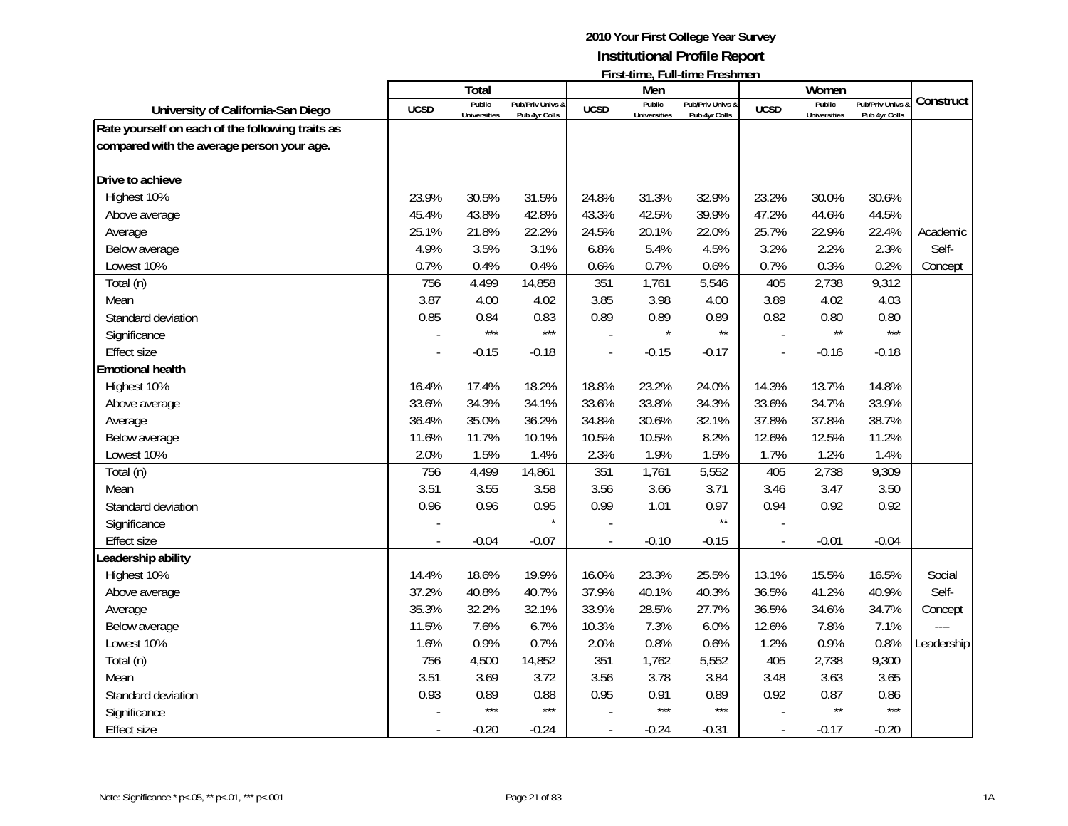|                                                  |             | Total                         |                                   |                          | Men                           |                                   |                          | Women                         |                                   |            |
|--------------------------------------------------|-------------|-------------------------------|-----------------------------------|--------------------------|-------------------------------|-----------------------------------|--------------------------|-------------------------------|-----------------------------------|------------|
| University of California-San Diego               | <b>UCSD</b> | Public<br><b>Universities</b> | Pub/Priv Univs &<br>Pub 4yr Colls | <b>UCSD</b>              | Public<br><b>Universities</b> | Pub/Priv Univs &<br>Pub 4yr Colls | <b>UCSD</b>              | Public<br><b>Universities</b> | Pub/Priv Univs &<br>Pub 4yr Colls | Construct  |
| Rate yourself on each of the following traits as |             |                               |                                   |                          |                               |                                   |                          |                               |                                   |            |
| compared with the average person your age.       |             |                               |                                   |                          |                               |                                   |                          |                               |                                   |            |
|                                                  |             |                               |                                   |                          |                               |                                   |                          |                               |                                   |            |
| Drive to achieve                                 |             |                               |                                   |                          |                               |                                   |                          |                               |                                   |            |
| Highest 10%                                      | 23.9%       | 30.5%                         | 31.5%                             | 24.8%                    | 31.3%                         | 32.9%                             | 23.2%                    | 30.0%                         | 30.6%                             |            |
| Above average                                    | 45.4%       | 43.8%                         | 42.8%                             | 43.3%                    | 42.5%                         | 39.9%                             | 47.2%                    | 44.6%                         | 44.5%                             |            |
| Average                                          | 25.1%       | 21.8%                         | 22.2%                             | 24.5%                    | 20.1%                         | 22.0%                             | 25.7%                    | 22.9%                         | 22.4%                             | Academic   |
| Below average                                    | 4.9%        | 3.5%                          | 3.1%                              | 6.8%                     | 5.4%                          | 4.5%                              | 3.2%                     | 2.2%                          | 2.3%                              | Self-      |
| Lowest 10%                                       | 0.7%        | 0.4%                          | 0.4%                              | 0.6%                     | 0.7%                          | 0.6%                              | 0.7%                     | 0.3%                          | 0.2%                              | Concept    |
| Total (n)                                        | 756         | 4,499                         | 14,858                            | 351                      | 1,761                         | 5,546                             | 405                      | 2,738                         | 9,312                             |            |
| Mean                                             | 3.87        | 4.00                          | 4.02                              | 3.85                     | 3.98                          | 4.00                              | 3.89                     | 4.02                          | 4.03                              |            |
| Standard deviation                               | 0.85        | 0.84<br>$***$                 | 0.83<br>$***$                     | 0.89                     | 0.89                          | 0.89<br>$\star\star$              | 0.82                     | 0.80<br>$\star\star$          | 0.80<br>$***$                     |            |
| Significance                                     |             |                               |                                   |                          |                               |                                   | $\sim$                   |                               |                                   |            |
| Effect size                                      |             | $-0.15$                       | $-0.18$                           |                          | $-0.15$                       | $-0.17$                           | $\overline{\phantom{a}}$ | $-0.16$                       | $-0.18$                           |            |
| <b>Emotional health</b>                          |             |                               |                                   |                          |                               |                                   |                          |                               |                                   |            |
| Highest 10%                                      | 16.4%       | 17.4%                         | 18.2%                             | 18.8%                    | 23.2%                         | 24.0%                             | 14.3%                    | 13.7%                         | 14.8%                             |            |
| Above average                                    | 33.6%       | 34.3%                         | 34.1%                             | 33.6%                    | 33.8%                         | 34.3%                             | 33.6%                    | 34.7%                         | 33.9%                             |            |
| Average                                          | 36.4%       | 35.0%                         | 36.2%                             | 34.8%                    | 30.6%                         | 32.1%                             | 37.8%                    | 37.8%                         | 38.7%                             |            |
| Below average                                    | 11.6%       | 11.7%                         | 10.1%                             | 10.5%                    | 10.5%                         | 8.2%                              | 12.6%                    | 12.5%                         | 11.2%                             |            |
| Lowest 10%                                       | 2.0%        | 1.5%                          | 1.4%                              | 2.3%                     | 1.9%                          | 1.5%                              | 1.7%                     | 1.2%                          | 1.4%                              |            |
| Total (n)                                        | 756         | 4,499                         | 14,861                            | 351                      | 1,761                         | 5,552                             | 405                      | 2,738                         | 9,309                             |            |
| Mean                                             | 3.51        | 3.55                          | 3.58                              | 3.56                     | 3.66                          | 3.71                              | 3.46                     | 3.47                          | 3.50                              |            |
| Standard deviation                               | 0.96        | 0.96                          | 0.95                              | 0.99                     | 1.01                          | 0.97                              | 0.94                     | 0.92                          | 0.92                              |            |
| Significance                                     |             |                               | $\star$                           |                          |                               | $\star\star$                      |                          |                               |                                   |            |
| <b>Effect size</b>                               |             | $-0.04$                       | $-0.07$                           |                          | $-0.10$                       | $-0.15$                           | $\overline{\phantom{a}}$ | $-0.01$                       | $-0.04$                           |            |
| Leadership ability                               |             |                               |                                   |                          |                               |                                   |                          |                               |                                   |            |
| Highest 10%                                      | 14.4%       | 18.6%                         | 19.9%                             | 16.0%                    | 23.3%                         | 25.5%                             | 13.1%                    | 15.5%                         | 16.5%                             | Social     |
| Above average                                    | 37.2%       | 40.8%                         | 40.7%                             | 37.9%                    | 40.1%                         | 40.3%                             | 36.5%                    | 41.2%                         | 40.9%                             | Self-      |
| Average                                          | 35.3%       | 32.2%                         | 32.1%                             | 33.9%                    | 28.5%                         | 27.7%                             | 36.5%                    | 34.6%                         | 34.7%                             | Concept    |
| Below average                                    | 11.5%       | 7.6%                          | 6.7%                              | 10.3%                    | 7.3%                          | 6.0%                              | 12.6%                    | 7.8%                          | 7.1%                              |            |
| Lowest 10%                                       | 1.6%        | 0.9%                          | 0.7%                              | 2.0%                     | 0.8%                          | 0.6%                              | 1.2%                     | 0.9%                          | 0.8%                              | Leadership |
| Total (n)                                        | 756         | 4,500                         | 14,852                            | 351                      | 1,762                         | 5,552                             | 405                      | 2,738                         | 9,300                             |            |
| Mean                                             | 3.51        | 3.69                          | 3.72                              | 3.56                     | 3.78                          | 3.84                              | 3.48                     | 3.63                          | 3.65                              |            |
| Standard deviation                               | 0.93        | 0.89                          | 0.88                              | 0.95                     | 0.91                          | 0.89                              | 0.92                     | 0.87                          | 0.86                              |            |
| Significance                                     |             | $***$                         | $***$                             |                          | $***$                         | $***$                             |                          | $\star\star$                  | $***$                             |            |
| Effect size                                      |             | $-0.20$                       | $-0.24$                           | $\overline{\phantom{a}}$ | $-0.24$                       | $-0.31$                           | $\overline{\phantom{a}}$ | $-0.17$                       | $-0.20$                           |            |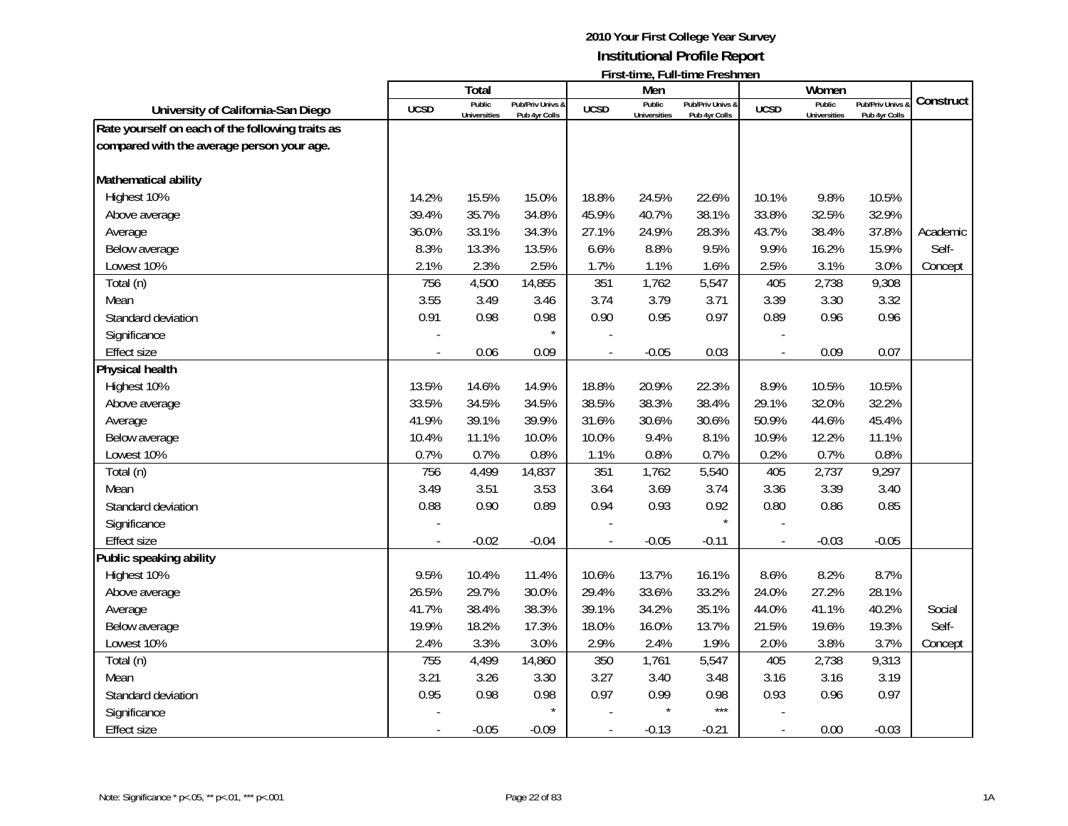|                                                  |             | Total               |                  |                          | Men                 |                  |             | Women               |                  |           |
|--------------------------------------------------|-------------|---------------------|------------------|--------------------------|---------------------|------------------|-------------|---------------------|------------------|-----------|
| University of California-San Diego               | <b>UCSD</b> | Public              | Pub/Priv Univs & | <b>UCSD</b>              | Public              | Pub/Priv Univs & | <b>UCSD</b> | Public              | Pub/Priv Univs & | Construct |
| Rate yourself on each of the following traits as |             | <b>Universities</b> | Pub 4yr Colls    |                          | <b>Universities</b> | Pub 4yr Colls    |             | <b>Universities</b> | Pub 4yr Colls    |           |
| compared with the average person your age.       |             |                     |                  |                          |                     |                  |             |                     |                  |           |
|                                                  |             |                     |                  |                          |                     |                  |             |                     |                  |           |
| Mathematical ability                             |             |                     |                  |                          |                     |                  |             |                     |                  |           |
| Highest 10%                                      | 14.2%       | 15.5%               | 15.0%            | 18.8%                    | 24.5%               | 22.6%            | 10.1%       | 9.8%                | 10.5%            |           |
| Above average                                    | 39.4%       | 35.7%               | 34.8%            | 45.9%                    | 40.7%               | 38.1%            | 33.8%       | 32.5%               | 32.9%            |           |
| Average                                          | 36.0%       | 33.1%               | 34.3%            | 27.1%                    | 24.9%               | 28.3%            | 43.7%       | 38.4%               | 37.8%            | Academic  |
| Below average                                    | 8.3%        | 13.3%               | 13.5%            | 6.6%                     | 8.8%                | 9.5%             | 9.9%        | 16.2%               | 15.9%            | Self-     |
| Lowest 10%                                       | 2.1%        | 2.3%                | 2.5%             | 1.7%                     | 1.1%                | 1.6%             | 2.5%        | 3.1%                | 3.0%             | Concept   |
| Total (n)                                        | 756         | 4,500               | 14,855           | 351                      | 1,762               | 5,547            | 405         | 2,738               | 9,308            |           |
| Mean                                             | 3.55        | 3.49                | 3.46             | 3.74                     | 3.79                | 3.71             | 3.39        | 3.30                | 3.32             |           |
| Standard deviation                               | 0.91        | 0.98                | 0.98             | 0.90                     | 0.95                | 0.97             | 0.89        | 0.96                | 0.96             |           |
| Significance                                     |             |                     |                  |                          |                     |                  |             |                     |                  |           |
| <b>Effect size</b>                               |             | 0.06                | 0.09             |                          | $-0.05$             | 0.03             |             | 0.09                | 0.07             |           |
| <b>Physical health</b>                           |             |                     |                  |                          |                     |                  |             |                     |                  |           |
| Highest 10%                                      | 13.5%       | 14.6%               | 14.9%            | 18.8%                    | 20.9%               | 22.3%            | 8.9%        | 10.5%               | 10.5%            |           |
| Above average                                    | 33.5%       | 34.5%               | 34.5%            | 38.5%                    | 38.3%               | 38.4%            | 29.1%       | 32.0%               | 32.2%            |           |
| Average                                          | 41.9%       | 39.1%               | 39.9%            | 31.6%                    | 30.6%               | 30.6%            | 50.9%       | 44.6%               | 45.4%            |           |
| Below average                                    | 10.4%       | 11.1%               | 10.0%            | 10.0%                    | 9.4%                | 8.1%             | 10.9%       | 12.2%               | 11.1%            |           |
| Lowest 10%                                       | 0.7%        | 0.7%                | 0.8%             | 1.1%                     | 0.8%                | 0.7%             | 0.2%        | 0.7%                | 0.8%             |           |
| Total (n)                                        | 756         | 4,499               | 14,837           | 351                      | 1,762               | 5,540            | 405         | 2,737               | 9,297            |           |
| Mean                                             | 3.49        | 3.51                | 3.53             | 3.64                     | 3.69                | 3.74             | 3.36        | 3.39                | 3.40             |           |
| Standard deviation                               | 0.88        | 0.90                | 0.89             | 0.94                     | 0.93                | 0.92             | 0.80        | 0.86                | 0.85             |           |
| Significance                                     |             |                     |                  |                          |                     | $\star$          |             |                     |                  |           |
| <b>Effect size</b>                               |             | $-0.02$             | $-0.04$          |                          | $-0.05$             | $-0.11$          |             | $-0.03$             | $-0.05$          |           |
| Public speaking ability                          |             |                     |                  |                          |                     |                  |             |                     |                  |           |
| Highest 10%                                      | 9.5%        | 10.4%               | 11.4%            | 10.6%                    | 13.7%               | 16.1%            | 8.6%        | 8.2%                | 8.7%             |           |
| Above average                                    | 26.5%       | 29.7%               | 30.0%            | 29.4%                    | 33.6%               | 33.2%            | 24.0%       | 27.2%               | 28.1%            |           |
| Average                                          | 41.7%       | 38.4%               | 38.3%            | 39.1%                    | 34.2%               | 35.1%            | 44.0%       | 41.1%               | 40.2%            | Social    |
| Below average                                    | 19.9%       | 18.2%               | 17.3%            | 18.0%                    | 16.0%               | 13.7%            | 21.5%       | 19.6%               | 19.3%            | Self-     |
| Lowest 10%                                       | 2.4%        | 3.3%                | 3.0%             | 2.9%                     | 2.4%                | 1.9%             | 2.0%        | 3.8%                | 3.7%             | Concept   |
| Total (n)                                        | 755         | 4,499               | 14,860           | 350                      | 1,761               | 5,547            | 405         | 2,738               | 9,313            |           |
| Mean                                             | 3.21        | 3.26                | 3.30             | 3.27                     | 3.40                | 3.48             | 3.16        | 3.16                | 3.19             |           |
| Standard deviation                               | 0.95        | 0.98                | 0.98             | 0.97                     | 0.99                | 0.98             | 0.93        | 0.96                | 0.97             |           |
| Significance                                     |             |                     |                  |                          | $\star$             | $***$            |             |                     |                  |           |
| <b>Effect size</b>                               |             | $-0.05$             | $-0.09$          | $\overline{\phantom{a}}$ | $-0.13$             | $-0.21$          |             | 0.00                | $-0.03$          |           |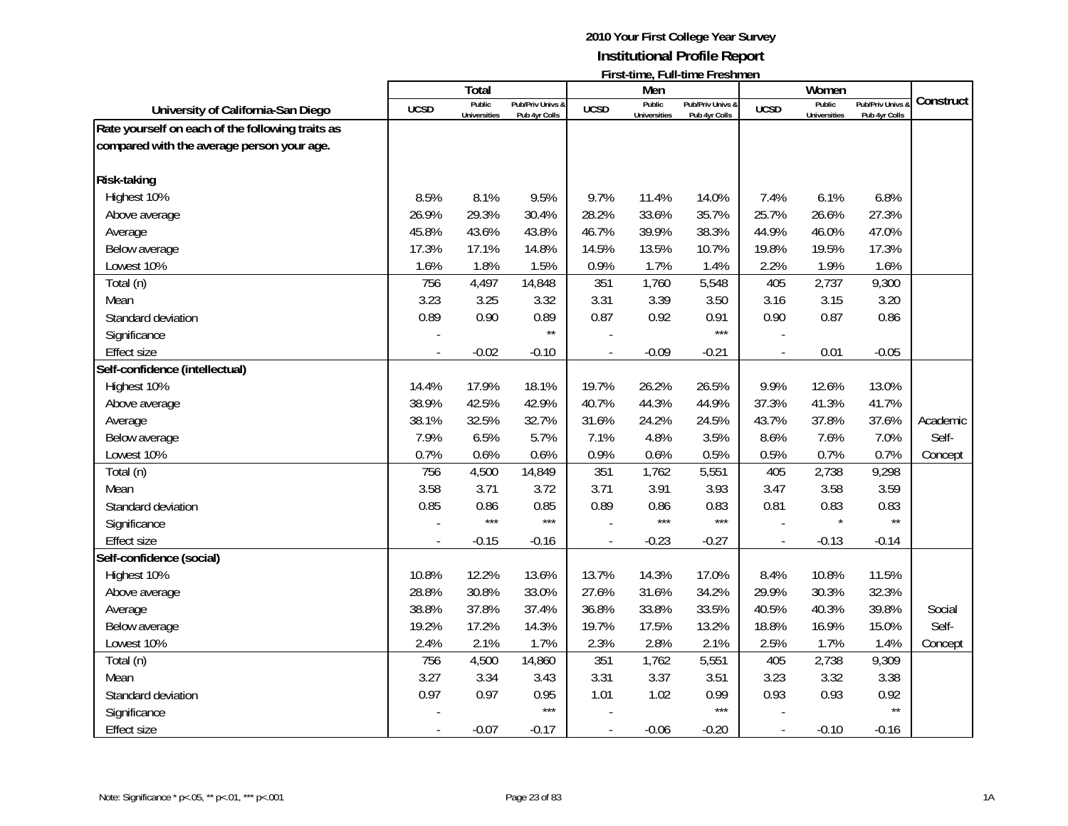|                                                  |             | Total                         |                                   |                          | Men                           |                                   |                          | Women                         |                                   |           |
|--------------------------------------------------|-------------|-------------------------------|-----------------------------------|--------------------------|-------------------------------|-----------------------------------|--------------------------|-------------------------------|-----------------------------------|-----------|
| University of California-San Diego               | <b>UCSD</b> | Public<br><b>Universities</b> | Pub/Priv Univs &<br>Pub 4yr Colls | <b>UCSD</b>              | Public<br><b>Universities</b> | Pub/Priv Univs &<br>Pub 4yr Colls | <b>UCSD</b>              | Public<br><b>Universities</b> | Pub/Priv Univs &<br>Pub 4yr Colls | Construct |
| Rate yourself on each of the following traits as |             |                               |                                   |                          |                               |                                   |                          |                               |                                   |           |
| compared with the average person your age.       |             |                               |                                   |                          |                               |                                   |                          |                               |                                   |           |
| <b>Risk-taking</b>                               |             |                               |                                   |                          |                               |                                   |                          |                               |                                   |           |
| Highest 10%                                      | 8.5%        | 8.1%                          | 9.5%                              | 9.7%                     | 11.4%                         | 14.0%                             | 7.4%                     | 6.1%                          | 6.8%                              |           |
| Above average                                    | 26.9%       | 29.3%                         | 30.4%                             | 28.2%                    | 33.6%                         | 35.7%                             | 25.7%                    | 26.6%                         | 27.3%                             |           |
| Average                                          | 45.8%       | 43.6%                         | 43.8%                             | 46.7%                    | 39.9%                         | 38.3%                             | 44.9%                    | 46.0%                         | 47.0%                             |           |
| Below average                                    | 17.3%       | 17.1%                         | 14.8%                             | 14.5%                    | 13.5%                         | 10.7%                             | 19.8%                    | 19.5%                         | 17.3%                             |           |
| Lowest 10%                                       | 1.6%        | 1.8%                          | 1.5%                              | 0.9%                     | 1.7%                          | 1.4%                              | 2.2%                     | 1.9%                          | 1.6%                              |           |
| Total (n)                                        | 756         | 4,497                         | 14,848                            | 351                      | 1,760                         | 5,548                             | 405                      | 2,737                         | 9,300                             |           |
| Mean                                             | 3.23        | 3.25                          | 3.32                              | 3.31                     | 3.39                          | 3.50                              | 3.16                     | 3.15                          | 3.20                              |           |
| Standard deviation                               | 0.89        | 0.90                          | 0.89                              | 0.87                     | 0.92                          | 0.91                              | 0.90                     | 0.87                          | 0.86                              |           |
| Significance                                     |             |                               | $\star\star$                      |                          |                               | $***$                             |                          |                               |                                   |           |
| Effect size                                      |             | $-0.02$                       | $-0.10$                           |                          | $-0.09$                       | $-0.21$                           | $\overline{\phantom{a}}$ | 0.01                          | $-0.05$                           |           |
| Self-confidence (intellectual)                   |             |                               |                                   |                          |                               |                                   |                          |                               |                                   |           |
| Highest 10%                                      | 14.4%       | 17.9%                         | 18.1%                             | 19.7%                    | 26.2%                         | 26.5%                             | 9.9%                     | 12.6%                         | 13.0%                             |           |
| Above average                                    | 38.9%       | 42.5%                         | 42.9%                             | 40.7%                    | 44.3%                         | 44.9%                             | 37.3%                    | 41.3%                         | 41.7%                             |           |
| Average                                          | 38.1%       | 32.5%                         | 32.7%                             | 31.6%                    | 24.2%                         | 24.5%                             | 43.7%                    | 37.8%                         | 37.6%                             | Academic  |
| Below average                                    | 7.9%        | 6.5%                          | 5.7%                              | 7.1%                     | 4.8%                          | 3.5%                              | 8.6%                     | 7.6%                          | 7.0%                              | Self-     |
| Lowest 10%                                       | 0.7%        | 0.6%                          | 0.6%                              | 0.9%                     | 0.6%                          | 0.5%                              | 0.5%                     | 0.7%                          | 0.7%                              |           |
| Total (n)                                        | 756         | 4,500                         | 14,849                            | 351                      | 1,762                         | 5,551                             | 405                      | 2,738                         | 9,298                             | Concept   |
| Mean                                             | 3.58        | 3.71                          | 3.72                              | 3.71                     | 3.91                          | 3.93                              | 3.47                     | 3.58                          | 3.59                              |           |
| Standard deviation                               | 0.85        | 0.86                          | 0.85                              | 0.89                     | 0.86                          | 0.83                              | 0.81                     | 0.83                          | 0.83                              |           |
| Significance                                     |             | $***$                         | $***$                             |                          | $***$                         | $***$                             |                          |                               | $\star\star$                      |           |
| <b>Effect size</b>                               |             | $-0.15$                       | $-0.16$                           |                          | $-0.23$                       | $-0.27$                           | $\overline{\phantom{a}}$ | $-0.13$                       | $-0.14$                           |           |
| Self-confidence (social)                         |             |                               |                                   |                          |                               |                                   |                          |                               |                                   |           |
| Highest 10%                                      | 10.8%       | 12.2%                         | 13.6%                             | 13.7%                    | 14.3%                         | 17.0%                             | 8.4%                     | 10.8%                         | 11.5%                             |           |
| Above average                                    | 28.8%       | 30.8%                         | 33.0%                             | 27.6%                    | 31.6%                         | 34.2%                             | 29.9%                    | 30.3%                         | 32.3%                             |           |
| Average                                          | 38.8%       | 37.8%                         | 37.4%                             | 36.8%                    | 33.8%                         | 33.5%                             | 40.5%                    | 40.3%                         | 39.8%                             | Social    |
| Below average                                    | 19.2%       | 17.2%                         | 14.3%                             | 19.7%                    | 17.5%                         | 13.2%                             | 18.8%                    | 16.9%                         | 15.0%                             | Self-     |
| Lowest 10%                                       | 2.4%        | 2.1%                          | 1.7%                              | 2.3%                     | 2.8%                          | 2.1%                              | 2.5%                     | 1.7%                          | 1.4%                              | Concept   |
| Total (n)                                        | 756         | 4,500                         | 14,860                            | 351                      | 1,762                         | 5,551                             | 405                      | 2,738                         | 9,309                             |           |
| Mean                                             | 3.27        | 3.34                          | 3.43                              | 3.31                     | 3.37                          | 3.51                              | 3.23                     | 3.32                          | 3.38                              |           |
| Standard deviation                               | 0.97        | 0.97                          | 0.95                              | 1.01                     | 1.02                          | 0.99                              | 0.93                     | 0.93                          | 0.92                              |           |
| Significance                                     |             |                               | $***$                             |                          |                               | $***$                             |                          |                               | $\star\star$                      |           |
| Effect size                                      |             | $-0.07$                       | $-0.17$                           | $\overline{\phantom{a}}$ | $-0.06$                       | $-0.20$                           | $\blacksquare$           | $-0.10$                       | $-0.16$                           |           |
|                                                  |             |                               |                                   |                          |                               |                                   |                          |                               |                                   |           |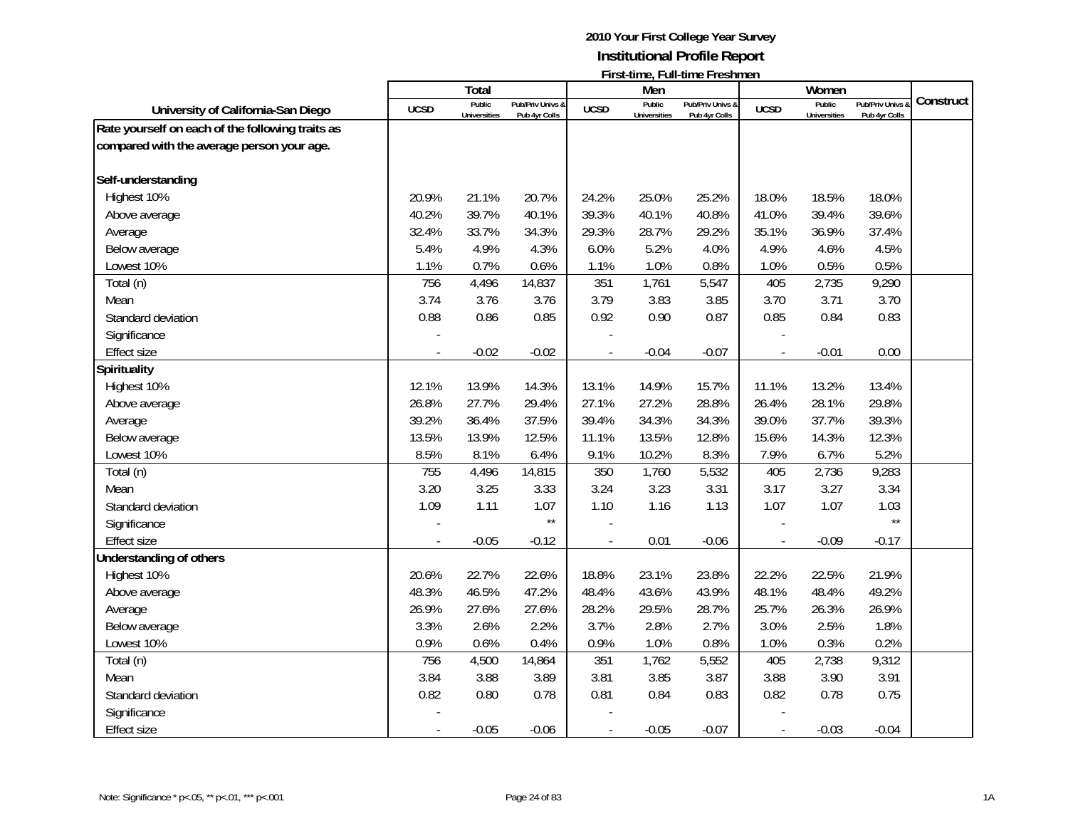|                                                  |             | Total               |                  |             | Men                 |                  |                          | Women               |                  |           |
|--------------------------------------------------|-------------|---------------------|------------------|-------------|---------------------|------------------|--------------------------|---------------------|------------------|-----------|
| University of California-San Diego               | <b>UCSD</b> | Public              | Pub/Priv Univs & | <b>UCSD</b> | Public              | Pub/Priv Univs & | <b>UCSD</b>              | Public              | Pub/Priv Univs & | Construct |
|                                                  |             | <b>Universities</b> | Pub 4yr Colls    |             | <b>Universities</b> | Pub 4yr Colls    |                          | <b>Universities</b> | Pub 4yr Colls    |           |
| Rate yourself on each of the following traits as |             |                     |                  |             |                     |                  |                          |                     |                  |           |
| compared with the average person your age.       |             |                     |                  |             |                     |                  |                          |                     |                  |           |
| Self-understanding                               |             |                     |                  |             |                     |                  |                          |                     |                  |           |
| Highest 10%                                      | 20.9%       | 21.1%               | 20.7%            | 24.2%       | 25.0%               | 25.2%            | 18.0%                    | 18.5%               | 18.0%            |           |
| Above average                                    | 40.2%       | 39.7%               | 40.1%            | 39.3%       | 40.1%               | 40.8%            | 41.0%                    | 39.4%               | 39.6%            |           |
| Average                                          | 32.4%       | 33.7%               | 34.3%            | 29.3%       | 28.7%               | 29.2%            | 35.1%                    | 36.9%               | 37.4%            |           |
| Below average                                    | 5.4%        | 4.9%                | 4.3%             | 6.0%        | 5.2%                | 4.0%             | 4.9%                     | 4.6%                | 4.5%             |           |
| Lowest 10%                                       | 1.1%        | 0.7%                | 0.6%             | 1.1%        | 1.0%                | 0.8%             | 1.0%                     | 0.5%                | 0.5%             |           |
| Total (n)                                        | 756         | 4,496               | 14,837           | 351         | 1,761               | 5,547            | 405                      | 2,735               | 9,290            |           |
| Mean                                             | 3.74        | 3.76                | 3.76             | 3.79        | 3.83                | 3.85             | 3.70                     | 3.71                | 3.70             |           |
| Standard deviation                               | 0.88        | 0.86                | 0.85             | 0.92        | 0.90                | 0.87             | 0.85                     | 0.84                | 0.83             |           |
| Significance                                     |             |                     |                  |             |                     |                  |                          |                     |                  |           |
| <b>Effect size</b>                               |             | $-0.02$             | $-0.02$          |             | $-0.04$             | $-0.07$          |                          | $-0.01$             | 0.00             |           |
| Spirituality                                     |             |                     |                  |             |                     |                  |                          |                     |                  |           |
| Highest 10%                                      | 12.1%       | 13.9%               | 14.3%            | 13.1%       | 14.9%               | 15.7%            | 11.1%                    | 13.2%               | 13.4%            |           |
| Above average                                    | 26.8%       | 27.7%               | 29.4%            | 27.1%       | 27.2%               | 28.8%            | 26.4%                    | 28.1%               | 29.8%            |           |
| Average                                          | 39.2%       | 36.4%               | 37.5%            | 39.4%       | 34.3%               | 34.3%            | 39.0%                    | 37.7%               | 39.3%            |           |
| Below average                                    | 13.5%       | 13.9%               | 12.5%            | 11.1%       | 13.5%               | 12.8%            | 15.6%                    | 14.3%               | 12.3%            |           |
| Lowest 10%                                       | 8.5%        | 8.1%                | 6.4%             | 9.1%        | 10.2%               | 8.3%             | 7.9%                     | 6.7%                | 5.2%             |           |
| Total (n)                                        | 755         | 4,496               | 14,815           | 350         | 1,760               | 5,532            | 405                      | 2,736               | 9,283            |           |
| Mean                                             | 3.20        | 3.25                | 3.33             | 3.24        | 3.23                | 3.31             | 3.17                     | 3.27                | 3.34             |           |
| Standard deviation                               | 1.09        | 1.11                | 1.07             | 1.10        | 1.16                | 1.13             | 1.07                     | 1.07                | 1.03             |           |
| Significance                                     |             |                     | $\star\star$     |             |                     |                  |                          |                     | $\star\star$     |           |
| <b>Effect size</b>                               |             | $-0.05$             | $-0.12$          |             | 0.01                | $-0.06$          |                          | $-0.09$             | $-0.17$          |           |
| Understanding of others                          |             |                     |                  |             |                     |                  |                          |                     |                  |           |
| Highest 10%                                      | 20.6%       | 22.7%               | 22.6%            | 18.8%       | 23.1%               | 23.8%            | 22.2%                    | 22.5%               | 21.9%            |           |
| Above average                                    | 48.3%       | 46.5%               | 47.2%            | 48.4%       | 43.6%               | 43.9%            | 48.1%                    | 48.4%               | 49.2%            |           |
| Average                                          | 26.9%       | 27.6%               | 27.6%            | 28.2%       | 29.5%               | 28.7%            | 25.7%                    | 26.3%               | 26.9%            |           |
| Below average                                    | 3.3%        | 2.6%                | 2.2%             | 3.7%        | 2.8%                | 2.7%             | 3.0%                     | 2.5%                | 1.8%             |           |
| Lowest 10%                                       | 0.9%        | 0.6%                | 0.4%             | 0.9%        | 1.0%                | 0.8%             | 1.0%                     | 0.3%                | 0.2%             |           |
| Total (n)                                        | 756         | 4,500               | 14,864           | 351         | 1,762               | 5,552            | 405                      | 2,738               | 9,312            |           |
| Mean                                             | 3.84        | 3.88                | 3.89             | 3.81        | 3.85                | 3.87             | 3.88                     | 3.90                | 3.91             |           |
| Standard deviation                               | 0.82        | 0.80                | 0.78             | 0.81        | 0.84                | 0.83             | 0.82                     | 0.78                | 0.75             |           |
| Significance                                     |             |                     |                  |             |                     |                  |                          |                     |                  |           |
| Effect size                                      |             | $-0.05$             | $-0.06$          |             | $-0.05$             | $-0.07$          | $\overline{\phantom{a}}$ | $-0.03$             | $-0.04$          |           |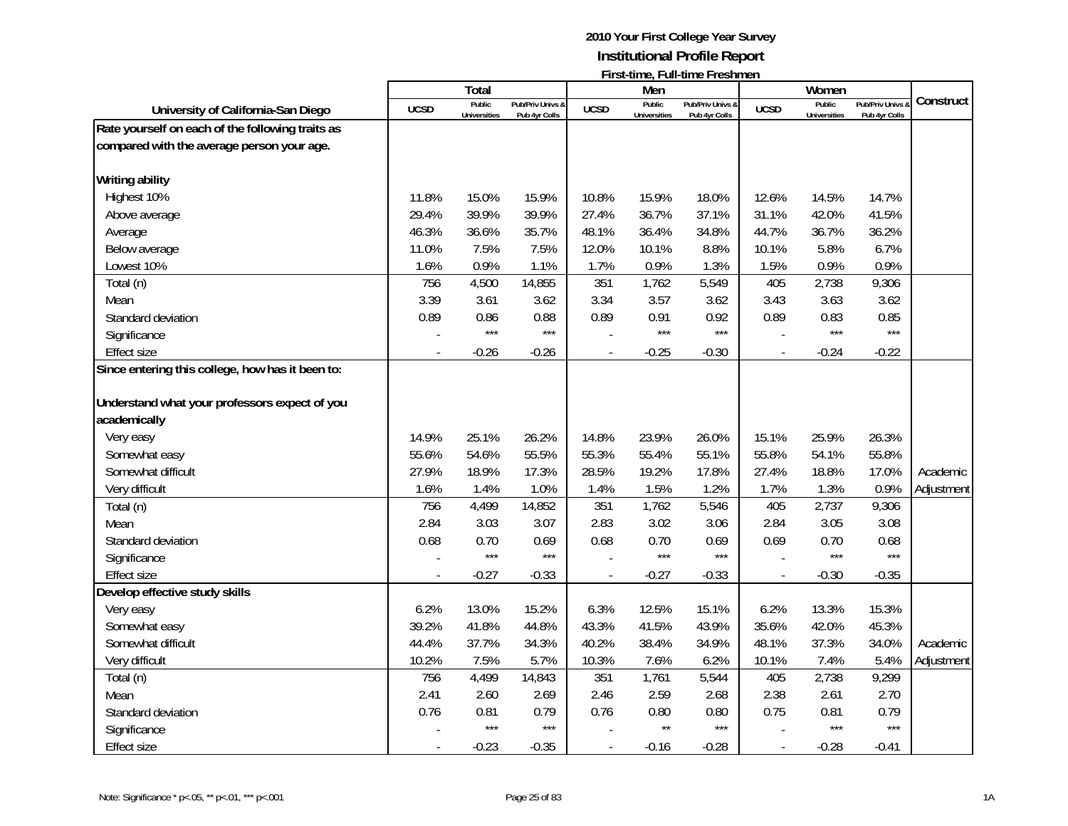|                                                  |             | Total               |                  |                | Men                 |                  |                | Women               |                  |            |
|--------------------------------------------------|-------------|---------------------|------------------|----------------|---------------------|------------------|----------------|---------------------|------------------|------------|
|                                                  | <b>UCSD</b> | Public              | Pub/Priv Univs & | <b>UCSD</b>    | Public              | Pub/Priv Univs & | <b>UCSD</b>    | Public              | Pub/Priv Univs & | Construct  |
| University of California-San Diego               |             | <b>Universities</b> | Pub 4yr Colls    |                | <b>Universities</b> | Pub 4yr Colls    |                | <b>Universities</b> | Pub 4yr Colls    |            |
| Rate yourself on each of the following traits as |             |                     |                  |                |                     |                  |                |                     |                  |            |
| compared with the average person your age.       |             |                     |                  |                |                     |                  |                |                     |                  |            |
| <b>Writing ability</b>                           |             |                     |                  |                |                     |                  |                |                     |                  |            |
| Highest 10%                                      | 11.8%       | 15.0%               | 15.9%            | 10.8%          | 15.9%               | 18.0%            | 12.6%          | 14.5%               | 14.7%            |            |
| Above average                                    | 29.4%       | 39.9%               | 39.9%            | 27.4%          | 36.7%               | 37.1%            | 31.1%          | 42.0%               | 41.5%            |            |
| Average                                          | 46.3%       | 36.6%               | 35.7%            | 48.1%          | 36.4%               | 34.8%            | 44.7%          | 36.7%               | 36.2%            |            |
| Below average                                    | 11.0%       | 7.5%                | 7.5%             | 12.0%          | 10.1%               | 8.8%             | 10.1%          | 5.8%                | 6.7%             |            |
| Lowest 10%                                       | 1.6%        | 0.9%                | 1.1%             | 1.7%           | 0.9%                | 1.3%             | 1.5%           | 0.9%                | 0.9%             |            |
| Total (n)                                        | 756         | 4,500               | 14,855           | 351            | 1,762               | 5,549            | 405            | 2,738               | 9,306            |            |
| Mean                                             | 3.39        | 3.61                | 3.62             | 3.34           | 3.57                | 3.62             | 3.43           | 3.63                | 3.62             |            |
| Standard deviation                               | 0.89        | 0.86                | 0.88             | 0.89           | 0.91                | 0.92             | 0.89           | 0.83                | 0.85             |            |
| Significance                                     |             | $***$               | $***$            |                | $***$               | $***$            |                | $***$               | ***              |            |
| <b>Effect size</b>                               |             | $-0.26$             | $-0.26$          |                | $-0.25$             | $-0.30$          | $\overline{a}$ | $-0.24$             | $-0.22$          |            |
| Since entering this college, how has it been to: |             |                     |                  |                |                     |                  |                |                     |                  |            |
| Understand what your professors expect of you    |             |                     |                  |                |                     |                  |                |                     |                  |            |
| academically                                     |             |                     |                  |                |                     |                  |                |                     |                  |            |
| Very easy                                        | 14.9%       | 25.1%               | 26.2%            | 14.8%          | 23.9%               | 26.0%            | 15.1%          | 25.9%               | 26.3%            |            |
| Somewhat easy                                    | 55.6%       | 54.6%               | 55.5%            | 55.3%          | 55.4%               | 55.1%            | 55.8%          | 54.1%               | 55.8%            |            |
| Somewhat difficult                               | 27.9%       | 18.9%               | 17.3%            | 28.5%          | 19.2%               | 17.8%            | 27.4%          | 18.8%               | 17.0%            | Academic   |
| Very difficult                                   | 1.6%        | 1.4%                | 1.0%             | 1.4%           | 1.5%                | 1.2%             | 1.7%           | 1.3%                | 0.9%             | Adjustment |
| Total (n)                                        | 756         | 4,499               | 14,852           | 351            | 1,762               | 5,546            | 405            | 2,737               | 9,306            |            |
| Mean                                             | 2.84        | 3.03                | 3.07             | 2.83           | 3.02                | 3.06             | 2.84           | 3.05                | 3.08             |            |
| Standard deviation                               | 0.68        | 0.70                | 0.69             | 0.68           | 0.70                | 0.69             | 0.69           | 0.70                | 0.68             |            |
| Significance                                     |             | $***$               | $***$            |                | $***$               | $***$            |                | $***$               | $***$            |            |
| <b>Effect size</b>                               |             | $-0.27$             | $-0.33$          | $\overline{a}$ | $-0.27$             | $-0.33$          | $\overline{a}$ | $-0.30$             | $-0.35$          |            |
| Develop effective study skills                   |             |                     |                  |                |                     |                  |                |                     |                  |            |
| Very easy                                        | 6.2%        | 13.0%               | 15.2%            | 6.3%           | 12.5%               | 15.1%            | 6.2%           | 13.3%               | 15.3%            |            |
| Somewhat easy                                    | 39.2%       | 41.8%               | 44.8%            | 43.3%          | 41.5%               | 43.9%            | 35.6%          | 42.0%               | 45.3%            |            |
| Somewhat difficult                               | 44.4%       | 37.7%               | 34.3%            | 40.2%          | 38.4%               | 34.9%            | 48.1%          | 37.3%               | 34.0%            | Academic   |
| Very difficult                                   | 10.2%       | 7.5%                | 5.7%             | 10.3%          | 7.6%                | 6.2%             | 10.1%          | 7.4%                | 5.4%             | Adjustment |
| Total (n)                                        | 756         | 4,499               | 14,843           | 351            | 1,761               | 5,544            | 405            | 2,738               | 9,299            |            |
| Mean                                             | 2.41        | 2.60                | 2.69             | 2.46           | 2.59                | 2.68             | 2.38           | 2.61                | 2.70             |            |
| Standard deviation                               | 0.76        | 0.81                | 0.79             | 0.76           | 0.80                | 0.80             | 0.75           | 0.81                | 0.79             |            |
| Significance                                     |             | $***$               | $***$            |                | $***$               | $***$            |                | $***$               | $***$            |            |
| <b>Effect size</b>                               |             | $-0.23$             | $-0.35$          |                | $-0.16$             | $-0.28$          |                | $-0.28$             | $-0.41$          |            |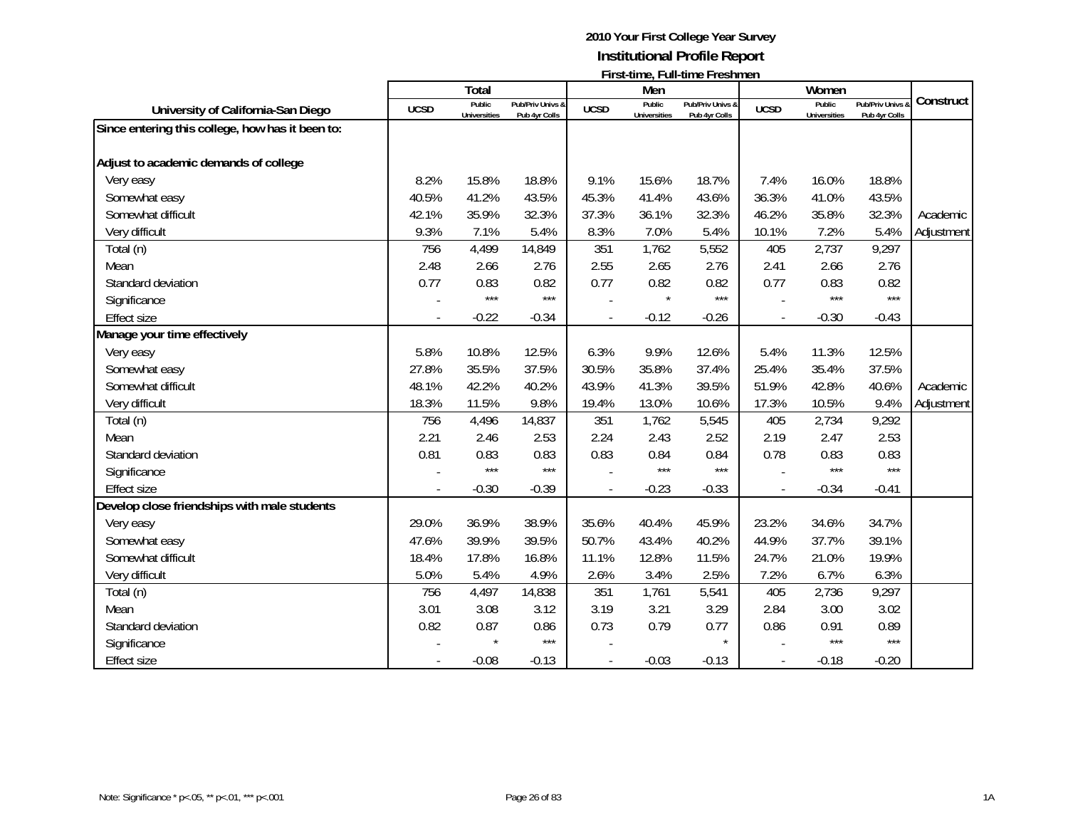|                                                  |             | Total                         |                                   |             | Men                    | $\mathbf{1}$ ii st-time, i un-time i resument |                | Women                         |                                 |            |
|--------------------------------------------------|-------------|-------------------------------|-----------------------------------|-------------|------------------------|-----------------------------------------------|----------------|-------------------------------|---------------------------------|------------|
| University of California-San Diego               | <b>UCSD</b> | Public<br><b>Universities</b> | Pub/Priv Univs &<br>Pub 4yr Colls | <b>UCSD</b> | Public<br>Universities | Pub/Priv Univs &<br>Pub 4yr Colls             | <b>UCSD</b>    | Public<br><b>Universities</b> | Pub/Priv Univs<br>Pub 4yr Colls | Construct  |
| Since entering this college, how has it been to: |             |                               |                                   |             |                        |                                               |                |                               |                                 |            |
| Adjust to academic demands of college            |             |                               |                                   |             |                        |                                               |                |                               |                                 |            |
| Very easy                                        | 8.2%        | 15.8%                         | 18.8%                             | 9.1%        | 15.6%                  | 18.7%                                         | 7.4%           | 16.0%                         | 18.8%                           |            |
| Somewhat easy                                    | 40.5%       | 41.2%                         | 43.5%                             | 45.3%       | 41.4%                  | 43.6%                                         | 36.3%          | 41.0%                         | 43.5%                           |            |
| Somewhat difficult                               | 42.1%       | 35.9%                         | 32.3%                             | 37.3%       | 36.1%                  | 32.3%                                         | 46.2%          | 35.8%                         | 32.3%                           | Academic   |
| Very difficult                                   | 9.3%        | 7.1%                          | 5.4%                              | 8.3%        | 7.0%                   | 5.4%                                          | 10.1%          | 7.2%                          | 5.4%                            | Adjustment |
| Total (n)                                        | 756         | 4,499                         | 14,849                            | 351         | 1,762                  | 5,552                                         | 405            | 2,737                         | 9,297                           |            |
| Mean                                             | 2.48        | 2.66                          | 2.76                              | 2.55        | 2.65                   | 2.76                                          | 2.41           | 2.66                          | 2.76                            |            |
| Standard deviation                               | 0.77        | 0.83                          | 0.82                              | 0.77        | 0.82                   | 0.82                                          | 0.77           | 0.83                          | 0.82                            |            |
| Significance                                     |             | $***$                         | $***$                             |             | $\star$                | $***$                                         |                | $***$                         | $***$                           |            |
| <b>Effect size</b>                               |             | $-0.22$                       | $-0.34$                           |             | $-0.12$                | $-0.26$                                       | $\overline{a}$ | $-0.30$                       | $-0.43$                         |            |
| Manage your time effectively                     |             |                               |                                   |             |                        |                                               |                |                               |                                 |            |
| Very easy                                        | 5.8%        | 10.8%                         | 12.5%                             | 6.3%        | 9.9%                   | 12.6%                                         | 5.4%           | 11.3%                         | 12.5%                           |            |
| Somewhat easy                                    | 27.8%       | 35.5%                         | 37.5%                             | 30.5%       | 35.8%                  | 37.4%                                         | 25.4%          | 35.4%                         | 37.5%                           |            |
| Somewhat difficult                               | 48.1%       | 42.2%                         | 40.2%                             | 43.9%       | 41.3%                  | 39.5%                                         | 51.9%          | 42.8%                         | 40.6%                           | Academic   |
| Very difficult                                   | 18.3%       | 11.5%                         | 9.8%                              | 19.4%       | 13.0%                  | 10.6%                                         | 17.3%          | 10.5%                         | 9.4%                            | Adjustment |
| Total (n)                                        | 756         | 4,496                         | 14,837                            | 351         | 1,762                  | 5,545                                         | 405            | 2,734                         | 9,292                           |            |
| Mean                                             | 2.21        | 2.46                          | 2.53                              | 2.24        | 2.43                   | 2.52                                          | 2.19           | 2.47                          | 2.53                            |            |
| Standard deviation                               | 0.81        | 0.83                          | 0.83                              | 0.83        | 0.84                   | 0.84                                          | 0.78           | 0.83                          | 0.83                            |            |
| Significance                                     |             | $***$                         | $***$                             |             | $***$                  | $***$                                         |                | $***$                         | $***$                           |            |
| <b>Effect size</b>                               |             | $-0.30$                       | $-0.39$                           |             | $-0.23$                | $-0.33$                                       |                | $-0.34$                       | $-0.41$                         |            |
| Develop close friendships with male students     |             |                               |                                   |             |                        |                                               |                |                               |                                 |            |
| Very easy                                        | 29.0%       | 36.9%                         | 38.9%                             | 35.6%       | 40.4%                  | 45.9%                                         | 23.2%          | 34.6%                         | 34.7%                           |            |
| Somewhat easy                                    | 47.6%       | 39.9%                         | 39.5%                             | 50.7%       | 43.4%                  | 40.2%                                         | 44.9%          | 37.7%                         | 39.1%                           |            |
| Somewhat difficult                               | 18.4%       | 17.8%                         | 16.8%                             | 11.1%       | 12.8%                  | 11.5%                                         | 24.7%          | 21.0%                         | 19.9%                           |            |
| Very difficult                                   | 5.0%        | 5.4%                          | 4.9%                              | 2.6%        | 3.4%                   | 2.5%                                          | 7.2%           | 6.7%                          | 6.3%                            |            |
| Total (n)                                        | 756         | 4,497                         | 14,838                            | 351         | 1,761                  | 5,541                                         | 405            | 2,736                         | 9,297                           |            |
| Mean                                             | 3.01        | 3.08                          | 3.12                              | 3.19        | 3.21                   | 3.29                                          | 2.84           | 3.00                          | 3.02                            |            |
| Standard deviation                               | 0.82        | 0.87                          | 0.86                              | 0.73        | 0.79                   | 0.77                                          | 0.86           | 0.91                          | 0.89                            |            |
| Significance                                     |             |                               | $***$                             |             |                        |                                               |                | $***$                         | $***$                           |            |
| <b>Effect size</b>                               |             | $-0.08$                       | $-0.13$                           |             | $-0.03$                | $-0.13$                                       |                | $-0.18$                       | $-0.20$                         |            |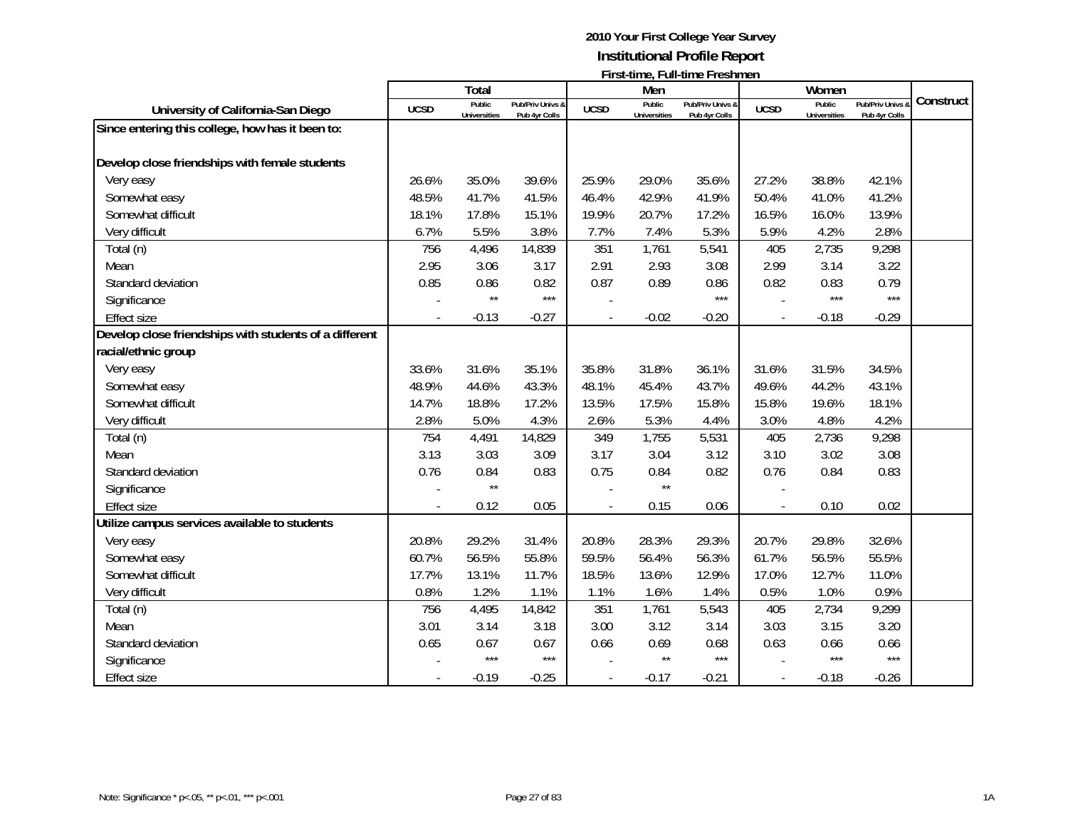|                                                        |             | <b>Total</b>                  |                                   |             | Men                           | $\cdots$                          |                | Women                         |                                 |           |
|--------------------------------------------------------|-------------|-------------------------------|-----------------------------------|-------------|-------------------------------|-----------------------------------|----------------|-------------------------------|---------------------------------|-----------|
| University of California-San Diego                     | <b>UCSD</b> | Public<br><b>Universities</b> | Pub/Priv Univs &<br>Pub 4yr Colls | <b>UCSD</b> | Public<br><b>Universities</b> | Pub/Priv Univs &<br>Pub 4yr Colls | <b>UCSD</b>    | Public<br><b>Universities</b> | Pub/Priv Univs<br>Pub 4yr Colls | Construct |
| Since entering this college, how has it been to:       |             |                               |                                   |             |                               |                                   |                |                               |                                 |           |
| Develop close friendships with female students         |             |                               |                                   |             |                               |                                   |                |                               |                                 |           |
|                                                        | 26.6%       | 35.0%                         |                                   |             | 29.0%                         |                                   |                |                               |                                 |           |
| Very easy                                              | 48.5%       |                               | 39.6%                             | 25.9%       |                               | 35.6%                             | 27.2%          | 38.8%                         | 42.1%                           |           |
| Somewhat easy                                          |             | 41.7%                         | 41.5%                             | 46.4%       | 42.9%                         | 41.9%                             | 50.4%          | 41.0%                         | 41.2%                           |           |
| Somewhat difficult                                     | 18.1%       | 17.8%                         | 15.1%                             | 19.9%       | 20.7%                         | 17.2%                             | 16.5%          | 16.0%                         | 13.9%                           |           |
| Very difficult                                         | 6.7%        | 5.5%                          | 3.8%                              | 7.7%        | 7.4%                          | 5.3%                              | 5.9%           | 4.2%                          | 2.8%                            |           |
| Total (n)                                              | 756         | 4,496                         | 14,839                            | 351         | 1,761                         | 5,541                             | 405            | 2,735                         | 9,298                           |           |
| Mean                                                   | 2.95        | 3.06                          | 3.17                              | 2.91        | 2.93                          | 3.08                              | 2.99           | 3.14                          | 3.22                            |           |
| Standard deviation                                     | 0.85        | 0.86<br>$\star\star$          | 0.82<br>$***$                     | 0.87        | 0.89                          | 0.86<br>***                       | 0.82           | 0.83<br>$***$                 | 0.79<br>$***$                   |           |
| Significance                                           |             |                               |                                   |             |                               |                                   |                |                               |                                 |           |
| <b>Effect size</b>                                     |             | $-0.13$                       | $-0.27$                           |             | $-0.02$                       | $-0.20$                           | $\blacksquare$ | $-0.18$                       | $-0.29$                         |           |
| Develop close friendships with students of a different |             |                               |                                   |             |                               |                                   |                |                               |                                 |           |
| racial/ethnic group                                    |             |                               |                                   |             |                               |                                   |                |                               |                                 |           |
| Very easy                                              | 33.6%       | 31.6%                         | 35.1%                             | 35.8%       | 31.8%                         | 36.1%                             | 31.6%          | 31.5%                         | 34.5%                           |           |
| Somewhat easy                                          | 48.9%       | 44.6%                         | 43.3%                             | 48.1%       | 45.4%                         | 43.7%                             | 49.6%          | 44.2%                         | 43.1%                           |           |
| Somewhat difficult                                     | 14.7%       | 18.8%                         | 17.2%                             | 13.5%       | 17.5%                         | 15.8%                             | 15.8%          | 19.6%                         | 18.1%                           |           |
| Very difficult                                         | 2.8%        | 5.0%                          | 4.3%                              | 2.6%        | 5.3%                          | 4.4%                              | 3.0%           | 4.8%                          | 4.2%                            |           |
| Total (n)                                              | 754         | 4,491                         | 14,829                            | 349         | 1,755                         | 5,531                             | 405            | 2,736                         | 9,298                           |           |
| Mean                                                   | 3.13        | 3.03                          | 3.09                              | 3.17        | 3.04                          | 3.12                              | 3.10           | 3.02                          | 3.08                            |           |
| Standard deviation                                     | 0.76        | 0.84                          | 0.83                              | 0.75        | 0.84                          | 0.82                              | 0.76           | 0.84                          | 0.83                            |           |
| Significance                                           |             | $\star\star$                  |                                   |             | $\star\star$                  |                                   |                |                               |                                 |           |
| <b>Effect size</b>                                     |             | 0.12                          | 0.05                              |             | 0.15                          | 0.06                              | ÷,             | 0.10                          | 0.02                            |           |
| Utilize campus services available to students          |             |                               |                                   |             |                               |                                   |                |                               |                                 |           |
| Very easy                                              | 20.8%       | 29.2%                         | 31.4%                             | 20.8%       | 28.3%                         | 29.3%                             | 20.7%          | 29.8%                         | 32.6%                           |           |
| Somewhat easy                                          | 60.7%       | 56.5%                         | 55.8%                             | 59.5%       | 56.4%                         | 56.3%                             | 61.7%          | 56.5%                         | 55.5%                           |           |
| Somewhat difficult                                     | 17.7%       | 13.1%                         | 11.7%                             | 18.5%       | 13.6%                         | 12.9%                             | 17.0%          | 12.7%                         | 11.0%                           |           |
| Very difficult                                         | 0.8%        | 1.2%                          | 1.1%                              | 1.1%        | 1.6%                          | 1.4%                              | 0.5%           | 1.0%                          | 0.9%                            |           |
| Total (n)                                              | 756         | 4,495                         | 14,842                            | 351         | 1,761                         | 5,543                             | 405            | 2,734                         | 9,299                           |           |
| Mean                                                   | 3.01        | 3.14                          | 3.18                              | 3.00        | 3.12                          | 3.14                              | 3.03           | 3.15                          | 3.20                            |           |
| Standard deviation                                     | 0.65        | 0.67                          | 0.67                              | 0.66        | 0.69                          | 0.68                              | 0.63           | 0.66                          | 0.66                            |           |
| Significance                                           |             | $***$                         | $***$                             |             | $\star\star$                  | $***$                             |                | $***$                         | $***$                           |           |
| <b>Effect size</b>                                     |             | $-0.19$                       | $-0.25$                           |             | $-0.17$                       | $-0.21$                           |                | $-0.18$                       | $-0.26$                         |           |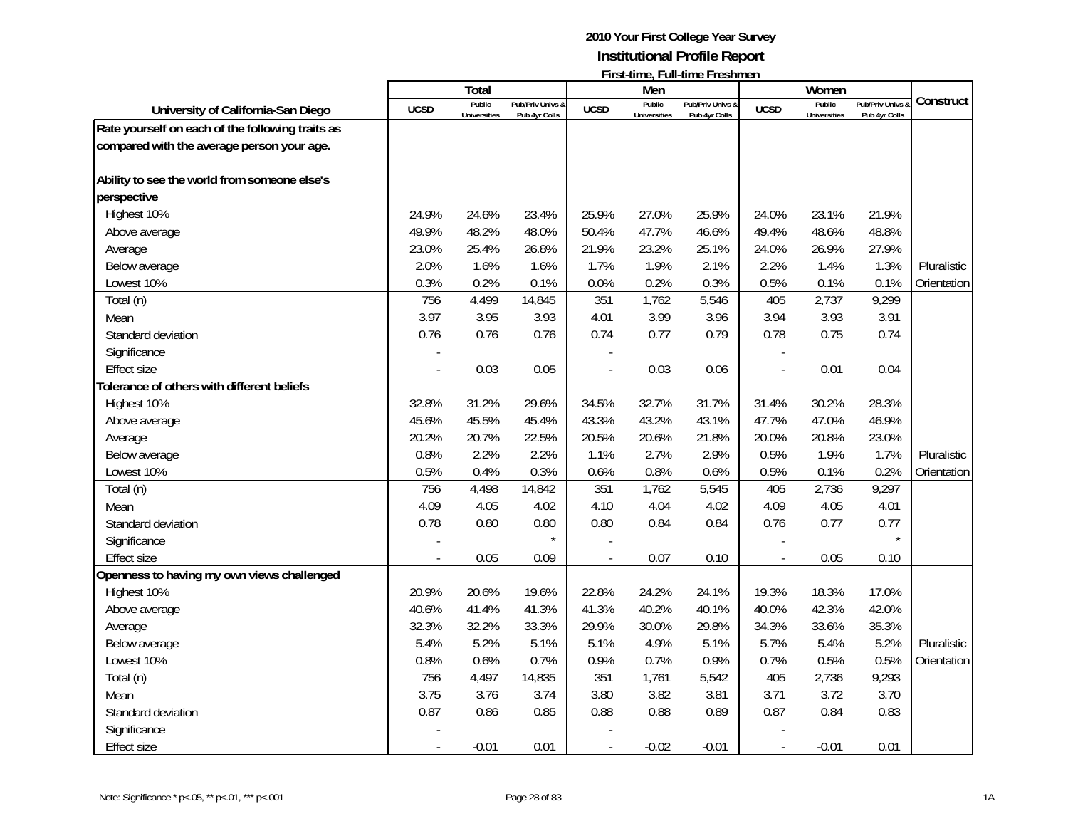|                                                  |             | Total                         |                                   |                | Men                           |                                   |                          | Women                         |                                 |             |
|--------------------------------------------------|-------------|-------------------------------|-----------------------------------|----------------|-------------------------------|-----------------------------------|--------------------------|-------------------------------|---------------------------------|-------------|
| University of California-San Diego               | <b>UCSD</b> | Public<br><b>Universities</b> | Pub/Priv Univs &<br>Pub 4yr Colls | <b>UCSD</b>    | Public<br><b>Universities</b> | Pub/Priv Univs &<br>Pub 4yr Colls | <b>UCSD</b>              | Public<br><b>Universities</b> | Pub/Priv Univs<br>Pub 4yr Colls | Construct   |
| Rate yourself on each of the following traits as |             |                               |                                   |                |                               |                                   |                          |                               |                                 |             |
| compared with the average person your age.       |             |                               |                                   |                |                               |                                   |                          |                               |                                 |             |
|                                                  |             |                               |                                   |                |                               |                                   |                          |                               |                                 |             |
| Ability to see the world from someone else's     |             |                               |                                   |                |                               |                                   |                          |                               |                                 |             |
| perspective                                      |             |                               |                                   |                |                               |                                   |                          |                               |                                 |             |
| Highest 10%                                      | 24.9%       | 24.6%                         | 23.4%                             | 25.9%          | 27.0%                         | 25.9%                             | 24.0%                    | 23.1%                         | 21.9%                           |             |
| Above average                                    | 49.9%       | 48.2%                         | 48.0%                             | 50.4%          | 47.7%                         | 46.6%                             | 49.4%                    | 48.6%                         | 48.8%                           |             |
| Average                                          | 23.0%       | 25.4%                         | 26.8%                             | 21.9%          | 23.2%                         | 25.1%                             | 24.0%                    | 26.9%                         | 27.9%                           |             |
| Below average                                    | 2.0%        | 1.6%                          | 1.6%                              | 1.7%           | 1.9%                          | 2.1%                              | 2.2%                     | 1.4%                          | 1.3%                            | Pluralistic |
| Lowest 10%                                       | 0.3%        | 0.2%                          | 0.1%                              | 0.0%           | 0.2%                          | 0.3%                              | 0.5%                     | 0.1%                          | 0.1%                            | Orientation |
| Total (n)                                        | 756         | 4,499                         | 14,845                            | 351            | 1,762                         | 5,546                             | 405                      | 2,737                         | 9,299                           |             |
| Mean                                             | 3.97        | 3.95                          | 3.93                              | 4.01           | 3.99                          | 3.96                              | 3.94                     | 3.93                          | 3.91                            |             |
| Standard deviation                               | 0.76        | 0.76                          | 0.76                              | 0.74           | 0.77                          | 0.79                              | 0.78                     | 0.75                          | 0.74                            |             |
| Significance                                     |             |                               |                                   |                |                               |                                   |                          |                               |                                 |             |
| <b>Effect size</b>                               |             | 0.03                          | 0.05                              | $\overline{a}$ | 0.03                          | 0.06                              | $\overline{\phantom{a}}$ | 0.01                          | 0.04                            |             |
| Tolerance of others with different beliefs       |             |                               |                                   |                |                               |                                   |                          |                               |                                 |             |
| Highest 10%                                      | 32.8%       | 31.2%                         | 29.6%                             | 34.5%          | 32.7%                         | 31.7%                             | 31.4%                    | 30.2%                         | 28.3%                           |             |
| Above average                                    | 45.6%       | 45.5%                         | 45.4%                             | 43.3%          | 43.2%                         | 43.1%                             | 47.7%                    | 47.0%                         | 46.9%                           |             |
| Average                                          | 20.2%       | 20.7%                         | 22.5%                             | 20.5%          | 20.6%                         | 21.8%                             | 20.0%                    | 20.8%                         | 23.0%                           |             |
| Below average                                    | 0.8%        | 2.2%                          | 2.2%                              | 1.1%           | 2.7%                          | 2.9%                              | 0.5%                     | 1.9%                          | 1.7%                            | Pluralistic |
| Lowest 10%                                       | 0.5%        | 0.4%                          | 0.3%                              | 0.6%           | 0.8%                          | 0.6%                              | 0.5%                     | 0.1%                          | 0.2%                            | Orientation |
| Total (n)                                        | 756         | 4,498                         | 14,842                            | 351            | 1,762                         | 5,545                             | 405                      | 2,736                         | 9,297                           |             |
| Mean                                             | 4.09        | 4.05                          | 4.02                              | 4.10           | 4.04                          | 4.02                              | 4.09                     | 4.05                          | 4.01                            |             |
| Standard deviation                               | 0.78        | 0.80                          | 0.80                              | 0.80           | 0.84                          | 0.84                              | 0.76                     | 0.77                          | 0.77                            |             |
| Significance                                     |             |                               | $\star$                           |                |                               |                                   |                          |                               |                                 |             |
| <b>Effect size</b>                               |             | 0.05                          | 0.09                              |                | 0.07                          | 0.10                              |                          | 0.05                          | 0.10                            |             |
| Openness to having my own views challenged       |             |                               |                                   |                |                               |                                   |                          |                               |                                 |             |
| Highest 10%                                      | 20.9%       | 20.6%                         | 19.6%                             | 22.8%          | 24.2%                         | 24.1%                             | 19.3%                    | 18.3%                         | 17.0%                           |             |
| Above average                                    | 40.6%       | 41.4%                         | 41.3%                             | 41.3%          | 40.2%                         | 40.1%                             | 40.0%                    | 42.3%                         | 42.0%                           |             |
| Average                                          | 32.3%       | 32.2%                         | 33.3%                             | 29.9%          | 30.0%                         | 29.8%                             | 34.3%                    | 33.6%                         | 35.3%                           |             |
| Below average                                    | 5.4%        | 5.2%                          | 5.1%                              | 5.1%           | 4.9%                          | 5.1%                              | 5.7%                     | 5.4%                          | 5.2%                            | Pluralistic |
| Lowest 10%                                       | 0.8%        | 0.6%                          | 0.7%                              | 0.9%           | 0.7%                          | 0.9%                              | 0.7%                     | 0.5%                          | 0.5%                            | Orientation |
| Total (n)                                        | 756         | 4,497                         | 14,835                            | 351            | 1,761                         | 5,542                             | 405                      | 2,736                         | 9,293                           |             |
| Mean                                             | 3.75        | 3.76                          | 3.74                              | 3.80           | 3.82                          | 3.81                              | 3.71                     | 3.72                          | 3.70                            |             |
| Standard deviation                               | 0.87        | 0.86                          | 0.85                              | 0.88           | 0.88                          | 0.89                              | 0.87                     | 0.84                          | 0.83                            |             |
| Significance                                     |             |                               |                                   |                |                               |                                   |                          |                               |                                 |             |
| <b>Effect size</b>                               |             | $-0.01$                       | 0.01                              |                | $-0.02$                       | $-0.01$                           | $\overline{\phantom{a}}$ | $-0.01$                       | 0.01                            |             |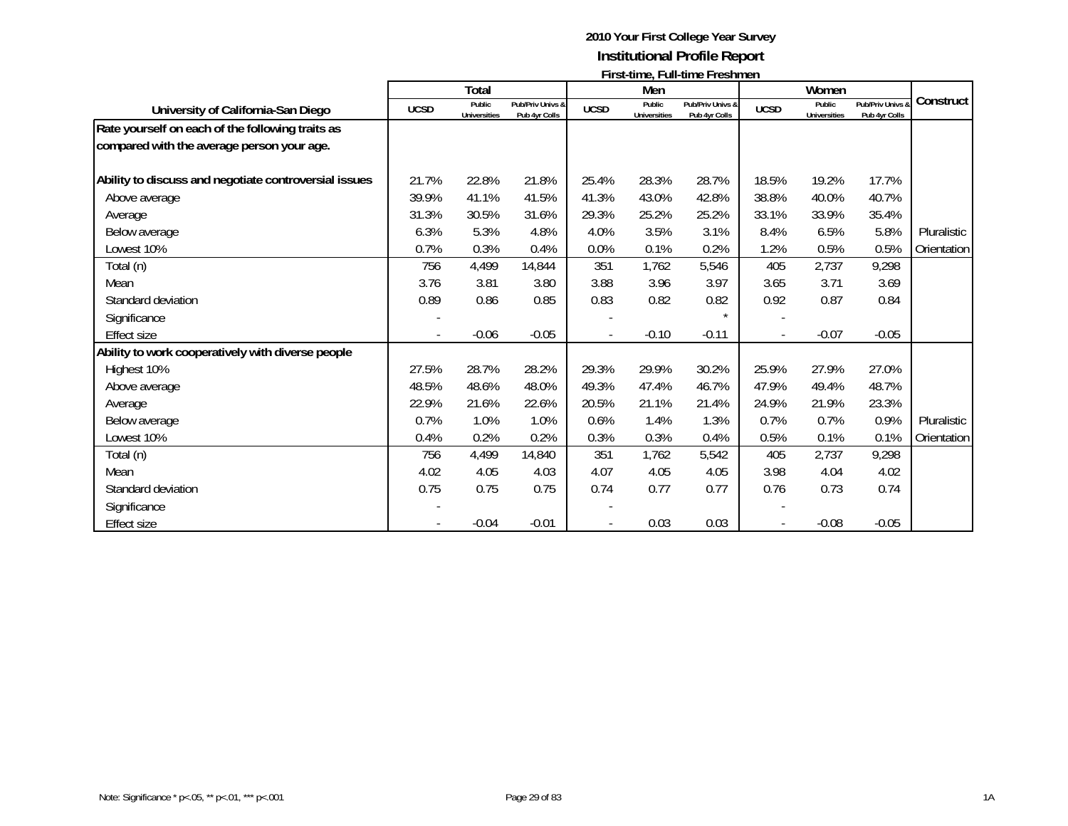|                                                       | $\overline{1}$ ii st-unic, I un-unic Ficsilincii |                               |                                   |             |                               |                                   |                |                               |                                   |             |
|-------------------------------------------------------|--------------------------------------------------|-------------------------------|-----------------------------------|-------------|-------------------------------|-----------------------------------|----------------|-------------------------------|-----------------------------------|-------------|
|                                                       |                                                  | <b>Total</b>                  |                                   |             | Men                           |                                   |                | Women                         |                                   |             |
| University of California-San Diego                    | <b>UCSD</b>                                      | Public<br><b>Universities</b> | Pub/Priv Univs &<br>Pub 4yr Colls | <b>UCSD</b> | Public<br><b>Universities</b> | Pub/Priv Univs &<br>Pub 4yr Colls | <b>UCSD</b>    | Public<br><b>Universities</b> | Pub/Priv Univs &<br>Pub 4yr Colls | Construct   |
| Rate yourself on each of the following traits as      |                                                  |                               |                                   |             |                               |                                   |                |                               |                                   |             |
| compared with the average person your age.            |                                                  |                               |                                   |             |                               |                                   |                |                               |                                   |             |
| Ability to discuss and negotiate controversial issues | 21.7%                                            | 22.8%                         | 21.8%                             | 25.4%       | 28.3%                         | 28.7%                             | 18.5%          | 19.2%                         | 17.7%                             |             |
| Above average                                         | 39.9%                                            | 41.1%                         | 41.5%                             | 41.3%       | 43.0%                         | 42.8%                             | 38.8%          | 40.0%                         | 40.7%                             |             |
| Average                                               | 31.3%                                            | 30.5%                         | 31.6%                             | 29.3%       | 25.2%                         | 25.2%                             | 33.1%          | 33.9%                         | 35.4%                             |             |
| Below average                                         | 6.3%                                             | 5.3%                          | 4.8%                              | 4.0%        | 3.5%                          | 3.1%                              | 8.4%           | 6.5%                          | 5.8%                              | Pluralistic |
| Lowest 10%                                            | 0.7%                                             | 0.3%                          | 0.4%                              | 0.0%        | 0.1%                          | 0.2%                              | 1.2%           | 0.5%                          | 0.5%                              | Orientation |
| Total (n)                                             | 756                                              | 4,499                         | 14,844                            | 351         | 1,762                         | 5,546                             | 405            | 2,737                         | 9,298                             |             |
| Mean                                                  | 3.76                                             | 3.81                          | 3.80                              | 3.88        | 3.96                          | 3.97                              | 3.65           | 3.71                          | 3.69                              |             |
| Standard deviation                                    | 0.89                                             | 0.86                          | 0.85                              | 0.83        | 0.82                          | 0.82                              | 0.92           | 0.87                          | 0.84                              |             |
| Significance                                          |                                                  |                               |                                   |             |                               |                                   |                |                               |                                   |             |
| <b>Effect size</b>                                    |                                                  | $-0.06$                       | $-0.05$                           |             | $-0.10$                       | $-0.11$                           | $\overline{a}$ | $-0.07$                       | $-0.05$                           |             |
| Ability to work cooperatively with diverse people     |                                                  |                               |                                   |             |                               |                                   |                |                               |                                   |             |
| Highest 10%                                           | 27.5%                                            | 28.7%                         | 28.2%                             | 29.3%       | 29.9%                         | 30.2%                             | 25.9%          | 27.9%                         | 27.0%                             |             |
| Above average                                         | 48.5%                                            | 48.6%                         | 48.0%                             | 49.3%       | 47.4%                         | 46.7%                             | 47.9%          | 49.4%                         | 48.7%                             |             |
| Average                                               | 22.9%                                            | 21.6%                         | 22.6%                             | 20.5%       | 21.1%                         | 21.4%                             | 24.9%          | 21.9%                         | 23.3%                             |             |
| Below average                                         | 0.7%                                             | 1.0%                          | 1.0%                              | 0.6%        | 1.4%                          | 1.3%                              | 0.7%           | 0.7%                          | 0.9%                              | Pluralistic |
| Lowest 10%                                            | 0.4%                                             | 0.2%                          | 0.2%                              | 0.3%        | 0.3%                          | 0.4%                              | 0.5%           | 0.1%                          | 0.1%                              | Orientation |
| Total (n)                                             | 756                                              | 4,499                         | 14,840                            | 351         | 1,762                         | 5,542                             | 405            | 2,737                         | 9,298                             |             |
| Mean                                                  | 4.02                                             | 4.05                          | 4.03                              | 4.07        | 4.05                          | 4.05                              | 3.98           | 4.04                          | 4.02                              |             |
| Standard deviation                                    | 0.75                                             | 0.75                          | 0.75                              | 0.74        | 0.77                          | 0.77                              | 0.76           | 0.73                          | 0.74                              |             |
| Significance                                          |                                                  |                               |                                   |             |                               |                                   |                |                               |                                   |             |
| <b>Effect size</b>                                    |                                                  | $-0.04$                       | $-0.01$                           |             | 0.03                          | 0.03                              |                | $-0.08$                       | $-0.05$                           |             |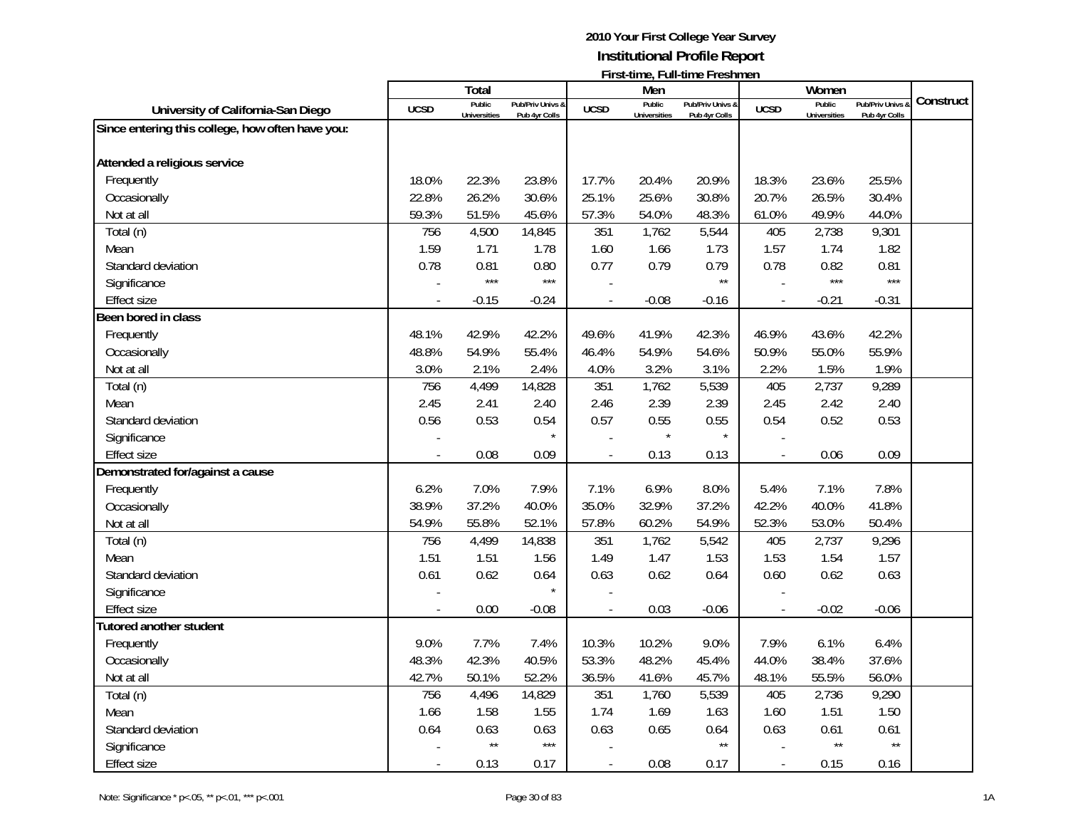|                                                  |                | Total               |                   |                | Men                 | $\mathbf{1}$ ii st-time, i un-time i resument |                          | Women               |                  |           |
|--------------------------------------------------|----------------|---------------------|-------------------|----------------|---------------------|-----------------------------------------------|--------------------------|---------------------|------------------|-----------|
|                                                  | <b>UCSD</b>    | Public              | Pub/Priv Univs &  |                | Public              | Pub/Priv Univs &                              |                          | Public              | Pub/Priv Univs & | Construct |
| University of California-San Diego               |                | <b>Universities</b> | Pub 4yr Colls     | <b>UCSD</b>    | <b>Universities</b> | Pub 4yr Colls                                 | <b>UCSD</b>              | <b>Universities</b> | Pub 4yr Colls    |           |
| Since entering this college, how often have you: |                |                     |                   |                |                     |                                               |                          |                     |                  |           |
| Attended a religious service                     |                |                     |                   |                |                     |                                               |                          |                     |                  |           |
| Frequently                                       | 18.0%          | 22.3%               | 23.8%             | 17.7%          | 20.4%               | 20.9%                                         | 18.3%                    | 23.6%               | 25.5%            |           |
| Occasionally                                     | 22.8%          | 26.2%               | 30.6%             | 25.1%          | 25.6%               | 30.8%                                         | 20.7%                    | 26.5%               | 30.4%            |           |
| Not at all                                       | 59.3%          | 51.5%               | 45.6%             | 57.3%          | 54.0%               | 48.3%                                         | 61.0%                    | 49.9%               | 44.0%            |           |
| Total (n)                                        | 756            | 4,500               | 14,845            | 351            | 1,762               | 5,544                                         | 405                      | 2,738               | 9,301            |           |
| Mean                                             | 1.59           | 1.71                | 1.78              | 1.60           | 1.66                | 1.73                                          | 1.57                     | 1.74                | 1.82             |           |
| Standard deviation                               | 0.78           | 0.81                | 0.80              | 0.77           | 0.79                | 0.79                                          | 0.78                     | 0.82                | 0.81             |           |
| Significance                                     |                | $***$               | $***$             |                |                     | $\star\star$                                  |                          | $***$               | $***$            |           |
| <b>Effect size</b>                               | $\overline{a}$ | $-0.15$             | $-0.24$           | $\overline{a}$ | $-0.08$             | $-0.16$                                       | $\blacksquare$           | $-0.21$             | $-0.31$          |           |
| Been bored in class                              |                |                     |                   |                |                     |                                               |                          |                     |                  |           |
| Frequently                                       | 48.1%          | 42.9%               | 42.2%             | 49.6%          | 41.9%               | 42.3%                                         | 46.9%                    | 43.6%               | 42.2%            |           |
| Occasionally                                     | 48.8%          | 54.9%               | 55.4%             | 46.4%          | 54.9%               | 54.6%                                         | 50.9%                    | 55.0%               | 55.9%            |           |
| Not at all                                       | 3.0%           | 2.1%                | 2.4%              | 4.0%           | 3.2%                | 3.1%                                          | 2.2%                     | 1.5%                | 1.9%             |           |
| Total (n)                                        | 756            | 4,499               | 14,828            | 351            | 1,762               | 5,539                                         | 405                      | 2,737               | 9,289            |           |
| Mean                                             | 2.45           | 2.41                | 2.40              | 2.46           | 2.39                | 2.39                                          | 2.45                     | 2.42                | 2.40             |           |
| Standard deviation                               | 0.56           | 0.53                | 0.54              | 0.57           | 0.55                | 0.55                                          | 0.54                     | 0.52                | 0.53             |           |
|                                                  |                |                     |                   |                |                     | $\star$                                       |                          |                     |                  |           |
| Significance                                     |                |                     |                   |                |                     |                                               |                          | 0.06                |                  |           |
| <b>Effect size</b>                               |                | 0.08                | 0.09              | $\mathbf{r}$   | 0.13                | 0.13                                          | $\overline{\phantom{a}}$ |                     | 0.09             |           |
| Demonstrated for/against a cause                 | 6.2%           | 7.0%                | 7.9%              | 7.1%           | 6.9%                | 8.0%                                          | 5.4%                     | 7.1%                | 7.8%             |           |
| Frequently                                       |                |                     |                   |                |                     |                                               |                          |                     |                  |           |
| Occasionally                                     | 38.9%          | 37.2%               | 40.0%             | 35.0%          | 32.9%               | 37.2%                                         | 42.2%                    | 40.0%               | 41.8%            |           |
| Not at all                                       | 54.9%          | 55.8%               | 52.1%             | 57.8%          | 60.2%               | 54.9%                                         | 52.3%                    | 53.0%               | 50.4%            |           |
| Total (n)                                        | 756            | 4,499               | 14,838            | 351            | 1,762               | 5,542                                         | 405                      | 2,737               | 9,296            |           |
| Mean                                             | 1.51           | 1.51                | 1.56              | 1.49           | 1.47                | 1.53                                          | 1.53                     | 1.54                | 1.57             |           |
| Standard deviation                               | 0.61           | 0.62                | 0.64              | 0.63           | 0.62                | 0.64                                          | 0.60                     | 0.62                | 0.63             |           |
| Significance                                     |                |                     |                   |                |                     |                                               |                          |                     |                  |           |
| <b>Effect size</b>                               |                | 0.00                | $-0.08$           | $\overline{a}$ | 0.03                | $-0.06$                                       | $\overline{a}$           | $-0.02$             | $-0.06$          |           |
| Tutored another student                          |                |                     |                   |                |                     |                                               |                          |                     |                  |           |
| Frequently                                       | 9.0%           | 7.7%                | 7.4%              | 10.3%          | 10.2%               | 9.0%                                          | 7.9%                     | 6.1%                | 6.4%             |           |
| Occasionally                                     | 48.3%          | 42.3%               | 40.5%             | 53.3%          | 48.2%               | 45.4%                                         | 44.0%                    | 38.4%               | 37.6%            |           |
| Not at all                                       | 42.7%          | 50.1%               | 52.2%             | 36.5%          | 41.6%               | 45.7%                                         | 48.1%                    | 55.5%               | 56.0%            |           |
| Total (n)                                        | 756            | 4,496               | 14,829            | 351            | 1,760               | 5,539                                         | 405                      | 2,736               | 9,290            |           |
| Mean                                             | 1.66           | 1.58                | 1.55              | 1.74           | 1.69                | 1.63                                          | 1.60                     | 1.51                | 1.50             |           |
| Standard deviation                               | 0.64           | 0.63                | 0.63              | 0.63           | 0.65                | 0.64                                          | 0.63                     | 0.61                | 0.61             |           |
| Significance                                     |                | $\star\star$        | $\star\star\star$ |                |                     | $\star\star$                                  |                          | $\star\star$        | $\star\star$     |           |
| <b>Effect size</b>                               | $\overline{a}$ | 0.13                | 0.17              | $\overline{a}$ | 0.08                | 0.17                                          | $\overline{\phantom{a}}$ | 0.15                | 0.16             |           |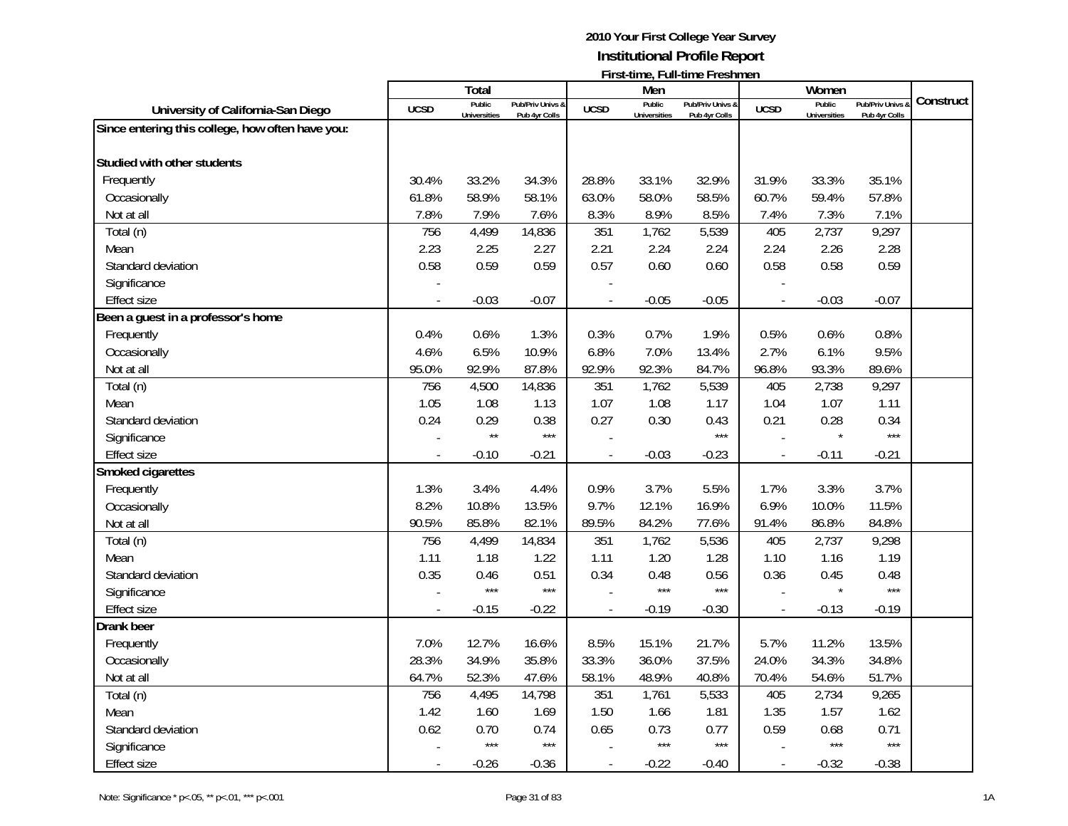| Total<br>Women<br>Men<br>Construct<br>Public<br>Public<br>Public<br>Pub/Priv Univs &<br>Pub/Priv Univs &<br>Pub/Priv Univs &<br><b>UCSD</b><br><b>UCSD</b><br><b>UCSD</b><br>University of California-San Diego<br><b>Universities</b><br>Pub 4yr Colls<br><b>Universities</b><br>Pub 4yr Colls<br><b>Universities</b><br>Pub 4yr Colls<br>Since entering this college, how often have you:<br>Studied with other students<br>Frequently<br>33.2%<br>31.9%<br>30.4%<br>34.3%<br>28.8%<br>33.1%<br>32.9%<br>33.3%<br>35.1%<br>58.9%<br>63.0%<br>60.7%<br>61.8%<br>58.1%<br>58.0%<br>58.5%<br>59.4%<br>57.8%<br>Occasionally<br>7.8%<br>7.9%<br>7.6%<br>8.3%<br>8.9%<br>8.5%<br>7.3%<br>7.1%<br>Not at all<br>7.4%<br>9,297<br>756<br>4,499<br>351<br>5,539<br>405<br>2,737<br>Total (n)<br>14,836<br>1,762 |
|-----------------------------------------------------------------------------------------------------------------------------------------------------------------------------------------------------------------------------------------------------------------------------------------------------------------------------------------------------------------------------------------------------------------------------------------------------------------------------------------------------------------------------------------------------------------------------------------------------------------------------------------------------------------------------------------------------------------------------------------------------------------------------------------------------------|
|                                                                                                                                                                                                                                                                                                                                                                                                                                                                                                                                                                                                                                                                                                                                                                                                           |
|                                                                                                                                                                                                                                                                                                                                                                                                                                                                                                                                                                                                                                                                                                                                                                                                           |
|                                                                                                                                                                                                                                                                                                                                                                                                                                                                                                                                                                                                                                                                                                                                                                                                           |
|                                                                                                                                                                                                                                                                                                                                                                                                                                                                                                                                                                                                                                                                                                                                                                                                           |
|                                                                                                                                                                                                                                                                                                                                                                                                                                                                                                                                                                                                                                                                                                                                                                                                           |
|                                                                                                                                                                                                                                                                                                                                                                                                                                                                                                                                                                                                                                                                                                                                                                                                           |
|                                                                                                                                                                                                                                                                                                                                                                                                                                                                                                                                                                                                                                                                                                                                                                                                           |
|                                                                                                                                                                                                                                                                                                                                                                                                                                                                                                                                                                                                                                                                                                                                                                                                           |
|                                                                                                                                                                                                                                                                                                                                                                                                                                                                                                                                                                                                                                                                                                                                                                                                           |
| 2.23<br>2.25<br>2.27<br>2.21<br>2.24<br>2.24<br>2.24<br>2.26<br>2.28<br>Mean                                                                                                                                                                                                                                                                                                                                                                                                                                                                                                                                                                                                                                                                                                                              |
| 0.57<br>0.58<br>0.59<br>0.59<br>0.60<br>0.60<br>0.58<br>0.58<br>0.59<br>Standard deviation                                                                                                                                                                                                                                                                                                                                                                                                                                                                                                                                                                                                                                                                                                                |
| Significance                                                                                                                                                                                                                                                                                                                                                                                                                                                                                                                                                                                                                                                                                                                                                                                              |
| $-0.05$<br>$-0.03$<br>$-0.07$<br>$-0.05$<br>$-0.03$<br>$-0.07$<br><b>Effect size</b><br>$\overline{a}$<br>$\overline{\phantom{a}}$<br>$\overline{\phantom{a}}$                                                                                                                                                                                                                                                                                                                                                                                                                                                                                                                                                                                                                                            |
| Been a guest in a professor's home                                                                                                                                                                                                                                                                                                                                                                                                                                                                                                                                                                                                                                                                                                                                                                        |
| 1.9%<br>0.5%<br>0.8%<br>Frequently<br>0.4%<br>0.6%<br>1.3%<br>0.3%<br>0.7%<br>0.6%                                                                                                                                                                                                                                                                                                                                                                                                                                                                                                                                                                                                                                                                                                                        |
| 6.5%<br>6.8%<br>2.7%<br>9.5%<br>Occasionally<br>4.6%<br>10.9%<br>7.0%<br>13.4%<br>6.1%                                                                                                                                                                                                                                                                                                                                                                                                                                                                                                                                                                                                                                                                                                                    |
| 92.9%<br>92.9%<br>Not at all<br>95.0%<br>87.8%<br>92.3%<br>84.7%<br>96.8%<br>93.3%<br>89.6%                                                                                                                                                                                                                                                                                                                                                                                                                                                                                                                                                                                                                                                                                                               |
| 351<br>9,297<br>Total (n)<br>756<br>4,500<br>14,836<br>1,762<br>5,539<br>405<br>2,738                                                                                                                                                                                                                                                                                                                                                                                                                                                                                                                                                                                                                                                                                                                     |
| 1.05<br>1.07<br>1.08<br>1.07<br>1.08<br>1.13<br>1.17<br>1.04<br>1.11<br>Mean                                                                                                                                                                                                                                                                                                                                                                                                                                                                                                                                                                                                                                                                                                                              |
| 0.27<br>Standard deviation<br>0.24<br>0.29<br>0.38<br>0.30<br>0.43<br>0.21<br>0.28<br>0.34                                                                                                                                                                                                                                                                                                                                                                                                                                                                                                                                                                                                                                                                                                                |
| $***$<br>$\star\star$<br>$***$<br>$***$<br>Significance                                                                                                                                                                                                                                                                                                                                                                                                                                                                                                                                                                                                                                                                                                                                                   |
| <b>Effect size</b><br>$-0.03$<br>$-0.23$<br>$-0.21$<br>$-0.10$<br>$-0.21$<br>$-0.11$<br>$\overline{a}$                                                                                                                                                                                                                                                                                                                                                                                                                                                                                                                                                                                                                                                                                                    |
| Smoked cigarettes                                                                                                                                                                                                                                                                                                                                                                                                                                                                                                                                                                                                                                                                                                                                                                                         |
| 0.9%<br>3.7%<br>1.3%<br>3.4%<br>4.4%<br>3.7%<br>5.5%<br>1.7%<br>3.3%<br>Frequently                                                                                                                                                                                                                                                                                                                                                                                                                                                                                                                                                                                                                                                                                                                        |
| 8.2%<br>10.8%<br>13.5%<br>9.7%<br>12.1%<br>16.9%<br>6.9%<br>10.0%<br>11.5%<br>Occasionally                                                                                                                                                                                                                                                                                                                                                                                                                                                                                                                                                                                                                                                                                                                |
| 84.8%<br>90.5%<br>85.8%<br>82.1%<br>89.5%<br>84.2%<br>77.6%<br>91.4%<br>86.8%<br>Not at all                                                                                                                                                                                                                                                                                                                                                                                                                                                                                                                                                                                                                                                                                                               |
| 4,499<br>351<br>1,762<br>5,536<br>405<br>2,737<br>9,298<br>Total (n)<br>756<br>14,834                                                                                                                                                                                                                                                                                                                                                                                                                                                                                                                                                                                                                                                                                                                     |
| Mean<br>1.11<br>1.18<br>1.22<br>1.11<br>1.20<br>1.28<br>1.10<br>1.16<br>1.19                                                                                                                                                                                                                                                                                                                                                                                                                                                                                                                                                                                                                                                                                                                              |
| Standard deviation<br>0.35<br>0.46<br>0.51<br>0.34<br>0.48<br>0.56<br>0.36<br>0.45<br>0.48                                                                                                                                                                                                                                                                                                                                                                                                                                                                                                                                                                                                                                                                                                                |
| $***$<br>$***$<br>$***$<br>$***$<br>$***$<br>Significance                                                                                                                                                                                                                                                                                                                                                                                                                                                                                                                                                                                                                                                                                                                                                 |
| $-0.22$<br>$-0.19$<br>$-0.19$<br><b>Effect size</b><br>$-0.15$<br>$-0.30$<br>$-0.13$<br>$\overline{a}$                                                                                                                                                                                                                                                                                                                                                                                                                                                                                                                                                                                                                                                                                                    |
| <b>Drank beer</b>                                                                                                                                                                                                                                                                                                                                                                                                                                                                                                                                                                                                                                                                                                                                                                                         |
| 12.7%<br>8.5%<br>15.1%<br>5.7%<br>7.0%<br>16.6%<br>21.7%<br>11.2%<br>13.5%<br>Frequently                                                                                                                                                                                                                                                                                                                                                                                                                                                                                                                                                                                                                                                                                                                  |
| 28.3%<br>34.9%<br>35.8%<br>33.3%<br>36.0%<br>37.5%<br>24.0%<br>34.3%<br>34.8%<br>Occasionally                                                                                                                                                                                                                                                                                                                                                                                                                                                                                                                                                                                                                                                                                                             |
| Not at all<br>64.7%<br>52.3%<br>47.6%<br>58.1%<br>48.9%<br>40.8%<br>70.4%<br>54.6%<br>51.7%                                                                                                                                                                                                                                                                                                                                                                                                                                                                                                                                                                                                                                                                                                               |
| 756<br>4,495<br>351<br>5,533<br>405<br>2,734<br>9,265<br>14,798<br>1,761<br>Total (n)                                                                                                                                                                                                                                                                                                                                                                                                                                                                                                                                                                                                                                                                                                                     |
| 1.66<br>1.42<br>1.60<br>1.69<br>1.50<br>1.81<br>1.57<br>1.62<br>1.35<br>Mean                                                                                                                                                                                                                                                                                                                                                                                                                                                                                                                                                                                                                                                                                                                              |
| 0.62<br>0.70<br>0.65<br>0.73<br>0.77<br>0.59<br>0.74<br>0.68<br>0.71<br>Standard deviation                                                                                                                                                                                                                                                                                                                                                                                                                                                                                                                                                                                                                                                                                                                |
| $***$<br>$***$<br>$***$<br>$***$<br>$***$<br>$***$<br>Significance                                                                                                                                                                                                                                                                                                                                                                                                                                                                                                                                                                                                                                                                                                                                        |
| Effect size<br>$-0.26$<br>$-0.36$<br>$-0.22$<br>$-0.32$<br>$-0.38$<br>$-0.40$<br>$\overline{\phantom{a}}$<br>$\blacksquare$                                                                                                                                                                                                                                                                                                                                                                                                                                                                                                                                                                                                                                                                               |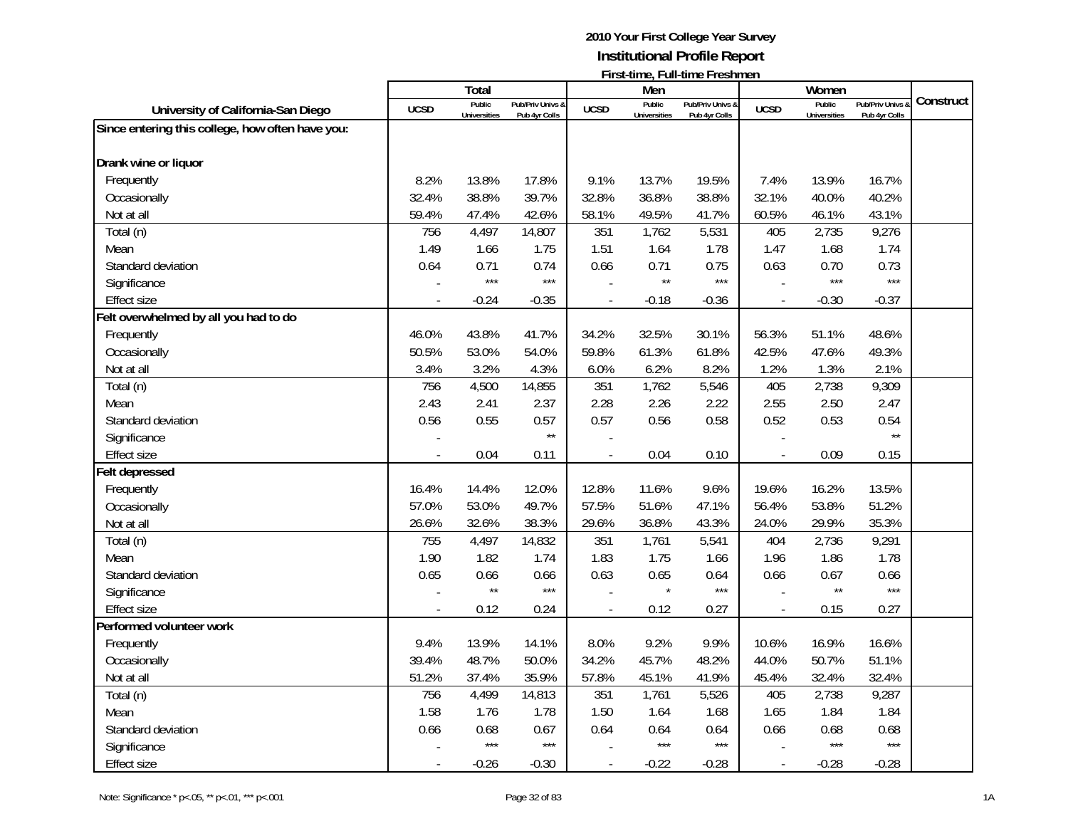|                                                  |                | Total               |                  |                | Men                 | $\mathbf{1}$ ii st-time, i un-time i resument |                | Women               |                  |           |
|--------------------------------------------------|----------------|---------------------|------------------|----------------|---------------------|-----------------------------------------------|----------------|---------------------|------------------|-----------|
|                                                  | <b>UCSD</b>    | Public              | Pub/Priv Univs & | <b>UCSD</b>    | Public              | Pub/Priv Univs &                              | <b>UCSD</b>    | Public              | Pub/Priv Univs & | Construct |
| University of California-San Diego               |                | <b>Universities</b> | Pub 4yr Colls    |                | <b>Universities</b> | Pub 4yr Colls                                 |                | <b>Universities</b> | Pub 4yr Colls    |           |
| Since entering this college, how often have you: |                |                     |                  |                |                     |                                               |                |                     |                  |           |
| Drank wine or liquor                             |                |                     |                  |                |                     |                                               |                |                     |                  |           |
| Frequently                                       | 8.2%           | 13.8%               | 17.8%            | 9.1%           | 13.7%               | 19.5%                                         | 7.4%           | 13.9%               | 16.7%            |           |
| Occasionally                                     | 32.4%          | 38.8%               | 39.7%            | 32.8%          | 36.8%               | 38.8%                                         | 32.1%          | 40.0%               | 40.2%            |           |
| Not at all                                       | 59.4%          | 47.4%               | 42.6%            | 58.1%          | 49.5%               | 41.7%                                         | 60.5%          | 46.1%               | 43.1%            |           |
| Total (n)                                        | 756            | 4,497               | 14,807           | 351            | 1,762               | 5,531                                         | 405            | 2,735               | 9,276            |           |
| Mean                                             | 1.49           | 1.66                | 1.75             | 1.51           | 1.64                | 1.78                                          | 1.47           | 1.68                | 1.74             |           |
| Standard deviation                               | 0.64           | 0.71                | 0.74             | 0.66           | 0.71                | 0.75                                          | 0.63           | 0.70                | 0.73             |           |
| Significance                                     |                | $***$               | $***$            |                | $\star\star$        | $***$                                         |                | $***$               | $***$            |           |
| <b>Effect size</b>                               | $\overline{a}$ | $-0.24$             | $-0.35$          | $\blacksquare$ | $-0.18$             | $-0.36$                                       | $\blacksquare$ | $-0.30$             | $-0.37$          |           |
| Felt overwhelmed by all you had to do            |                |                     |                  |                |                     |                                               |                |                     |                  |           |
| Frequently                                       | 46.0%          | 43.8%               | 41.7%            | 34.2%          | 32.5%               | 30.1%                                         | 56.3%          | 51.1%               | 48.6%            |           |
| Occasionally                                     | 50.5%          | 53.0%               | 54.0%            | 59.8%          | 61.3%               | 61.8%                                         | 42.5%          | 47.6%               | 49.3%            |           |
| Not at all                                       | 3.4%           | 3.2%                | 4.3%             | 6.0%           | 6.2%                | 8.2%                                          | 1.2%           | 1.3%                | 2.1%             |           |
| Total (n)                                        | 756            | 4,500               | 14,855           | 351            | 1,762               | 5,546                                         | 405            | 2,738               | 9,309            |           |
| Mean                                             | 2.43           | 2.41                | 2.37             | 2.28           | 2.26                | 2.22                                          | 2.55           | 2.50                | 2.47             |           |
| Standard deviation                               | 0.56           | 0.55                | 0.57             | 0.57           | 0.56                | 0.58                                          | 0.52           | 0.53                | 0.54             |           |
| Significance                                     |                |                     | $\star\star$     |                |                     |                                               |                |                     | $\star\star$     |           |
| <b>Effect size</b>                               |                | 0.04                | 0.11             |                | 0.04                | 0.10                                          | $\overline{a}$ | 0.09                | 0.15             |           |
| Felt depressed                                   |                |                     |                  |                |                     |                                               |                |                     |                  |           |
| Frequently                                       | 16.4%          | 14.4%               | 12.0%            | 12.8%          | 11.6%               | 9.6%                                          | 19.6%          | 16.2%               | 13.5%            |           |
| Occasionally                                     | 57.0%          | 53.0%               | 49.7%            | 57.5%          | 51.6%               | 47.1%                                         | 56.4%          | 53.8%               | 51.2%            |           |
| Not at all                                       | 26.6%          | 32.6%               | 38.3%            | 29.6%          | 36.8%               | 43.3%                                         | 24.0%          | 29.9%               | 35.3%            |           |
| Total (n)                                        | 755            | 4,497               | 14,832           | 351            | 1,761               | 5,541                                         | 404            | 2,736               | 9,291            |           |
| Mean                                             | 1.90           | 1.82                | 1.74             | 1.83           | 1.75                | 1.66                                          | 1.96           | 1.86                | 1.78             |           |
| Standard deviation                               | 0.65           | 0.66                | 0.66             | 0.63           | 0.65                | 0.64                                          | 0.66           | 0.67                | 0.66             |           |
| Significance                                     |                | $\star\star$        | $***$            |                |                     | $***$                                         |                | $\star\star$        | $***$            |           |
| Effect size                                      |                | 0.12                | 0.24             | $\overline{a}$ | 0.12                | 0.27                                          | $\overline{a}$ | 0.15                | 0.27             |           |
| Performed volunteer work                         |                |                     |                  |                |                     |                                               |                |                     |                  |           |
| Frequently                                       | 9.4%           | 13.9%               | 14.1%            | 8.0%           | 9.2%                | 9.9%                                          | 10.6%          | 16.9%               | 16.6%            |           |
| Occasionally                                     | 39.4%          | 48.7%               | 50.0%            | 34.2%          | 45.7%               | 48.2%                                         | 44.0%          | 50.7%               | 51.1%            |           |
| Not at all                                       | 51.2%          | 37.4%               | 35.9%            | 57.8%          | 45.1%               | 41.9%                                         | 45.4%          | 32.4%               | 32.4%            |           |
| Total (n)                                        | 756            | 4,499               | 14,813           | 351            | 1,761               | 5,526                                         | 405            | 2,738               | 9,287            |           |
| Mean                                             | 1.58           | 1.76                | 1.78             | 1.50           | 1.64                | 1.68                                          | 1.65           | 1.84                | 1.84             |           |
| Standard deviation                               | 0.66           | 0.68                | 0.67             | 0.64           | 0.64                | 0.64                                          | 0.66           | 0.68                | 0.68             |           |
| Significance                                     |                | $***$               | $***$            |                | $***$               | $***$                                         |                | $***$               | $***$            |           |
| Effect size                                      |                | $-0.26$             | $-0.30$          |                | $-0.22$             | $-0.28$                                       |                | $-0.28$             | $-0.28$          |           |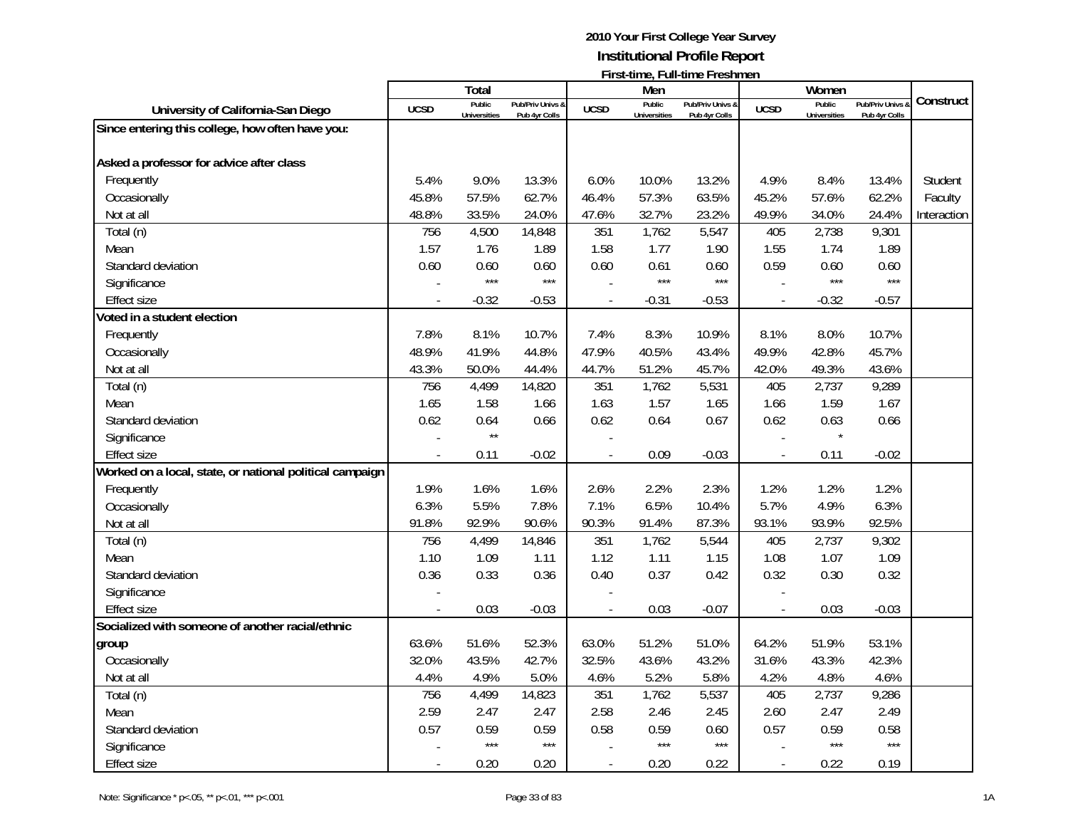|                                                          |                          | Total               |                  |                          | Men                 | L II SUULIIII G, L UIII UILIIG L LGSHIHGH |                          | Women               |                  |             |
|----------------------------------------------------------|--------------------------|---------------------|------------------|--------------------------|---------------------|-------------------------------------------|--------------------------|---------------------|------------------|-------------|
|                                                          |                          | Public              | Pub/Priv Univs & |                          | Public              | Pub/Priv Univs &                          |                          | Public              | Pub/Priv Univs & | Construct   |
| University of California-San Diego                       | <b>UCSD</b>              | <b>Universities</b> | Pub 4yr Colls    | <b>UCSD</b>              | <b>Universities</b> | Pub 4yr Colls                             | <b>UCSD</b>              | <b>Universities</b> | Pub 4yr Colls    |             |
| Since entering this college, how often have you:         |                          |                     |                  |                          |                     |                                           |                          |                     |                  |             |
| Asked a professor for advice after class                 |                          |                     |                  |                          |                     |                                           |                          |                     |                  |             |
| Frequently                                               | 5.4%                     | 9.0%                | 13.3%            | 6.0%                     | 10.0%               | 13.2%                                     | 4.9%                     | 8.4%                | 13.4%            | Student     |
|                                                          | 45.8%                    |                     | 62.7%            | 46.4%                    | 57.3%               | 63.5%                                     |                          |                     |                  |             |
| Occasionally                                             |                          | 57.5%               |                  |                          |                     |                                           | 45.2%                    | 57.6%               | 62.2%            | Faculty     |
| Not at all                                               | 48.8%                    | 33.5%               | 24.0%            | 47.6%                    | 32.7%               | 23.2%                                     | 49.9%                    | 34.0%               | 24.4%            | Interaction |
| Total (n)                                                | 756<br>1.57              | 4,500               | 14,848           | 351<br>1.58              | 1,762<br>1.77       | 5,547                                     | 405<br>1.55              | 2,738               | 9,301<br>1.89    |             |
| Mean                                                     |                          | 1.76                | 1.89             |                          |                     | 1.90                                      |                          | 1.74                |                  |             |
| Standard deviation                                       | 0.60                     | 0.60<br>$***$       | 0.60<br>$***$    | 0.60                     | 0.61<br>$***$       | 0.60<br>$***$                             | 0.59                     | 0.60<br>$***$       | 0.60<br>$***$    |             |
| Significance                                             |                          |                     |                  |                          |                     |                                           |                          |                     |                  |             |
| <b>Effect size</b>                                       | $\overline{a}$           | $-0.32$             | $-0.53$          | $\overline{\phantom{a}}$ | $-0.31$             | $-0.53$                                   | $\overline{\phantom{a}}$ | $-0.32$             | $-0.57$          |             |
| Voted in a student election                              |                          |                     |                  |                          |                     |                                           |                          |                     |                  |             |
| Frequently                                               | 7.8%                     | 8.1%                | 10.7%            | 7.4%                     | 8.3%                | 10.9%                                     | 8.1%                     | 8.0%                | 10.7%            |             |
| Occasionally                                             | 48.9%                    | 41.9%               | 44.8%            | 47.9%                    | 40.5%               | 43.4%                                     | 49.9%                    | 42.8%               | 45.7%            |             |
| Not at all                                               | 43.3%                    | 50.0%               | 44.4%            | 44.7%                    | 51.2%               | 45.7%                                     | 42.0%                    | 49.3%               | 43.6%            |             |
| Total (n)                                                | 756                      | 4,499               | 14,820           | 351                      | 1,762               | 5,531                                     | 405                      | 2,737               | 9,289            |             |
| Mean                                                     | 1.65                     | 1.58                | 1.66             | 1.63                     | 1.57                | 1.65                                      | 1.66                     | 1.59                | 1.67             |             |
| Standard deviation                                       | 0.62                     | 0.64                | 0.66             | 0.62                     | 0.64                | 0.67                                      | 0.62                     | 0.63                | 0.66             |             |
| Significance                                             |                          | $\star\star$        |                  |                          |                     |                                           |                          | $\star$             |                  |             |
| <b>Effect size</b>                                       | $\overline{a}$           | 0.11                | $-0.02$          |                          | 0.09                | $-0.03$                                   | $\blacksquare$           | 0.11                | $-0.02$          |             |
| Worked on a local, state, or national political campaign |                          |                     |                  |                          |                     |                                           |                          |                     |                  |             |
| Frequently                                               | 1.9%                     | 1.6%                | 1.6%             | 2.6%                     | 2.2%                | 2.3%                                      | 1.2%                     | 1.2%                | 1.2%             |             |
| Occasionally                                             | 6.3%                     | 5.5%                | 7.8%             | 7.1%                     | 6.5%                | 10.4%                                     | 5.7%                     | 4.9%                | 6.3%             |             |
| Not at all                                               | 91.8%                    | 92.9%               | 90.6%            | 90.3%                    | 91.4%               | 87.3%                                     | 93.1%                    | 93.9%               | 92.5%            |             |
| Total (n)                                                | 756                      | 4,499               | 14,846           | 351                      | 1,762               | 5,544                                     | 405                      | 2,737               | 9,302            |             |
| Mean                                                     | 1.10                     | 1.09                | 1.11             | 1.12                     | 1.11                | 1.15                                      | 1.08                     | 1.07                | 1.09             |             |
| Standard deviation                                       | 0.36                     | 0.33                | 0.36             | 0.40                     | 0.37                | 0.42                                      | 0.32                     | 0.30                | 0.32             |             |
| Significance                                             |                          |                     |                  |                          |                     |                                           |                          |                     |                  |             |
| <b>Effect size</b>                                       |                          | 0.03                | $-0.03$          |                          | 0.03                | $-0.07$                                   | $\overline{a}$           | 0.03                | $-0.03$          |             |
| Socialized with someone of another racial/ethnic         |                          |                     |                  |                          |                     |                                           |                          |                     |                  |             |
| group                                                    | 63.6%                    | 51.6%               | 52.3%            | 63.0%                    | 51.2%               | 51.0%                                     | 64.2%                    | 51.9%               | 53.1%            |             |
| Occasionally                                             | 32.0%                    | 43.5%               | 42.7%            | 32.5%                    | 43.6%               | 43.2%                                     | 31.6%                    | 43.3%               | 42.3%            |             |
| Not at all                                               | 4.4%                     | 4.9%                | 5.0%             | 4.6%                     | 5.2%                | 5.8%                                      | 4.2%                     | 4.8%                | 4.6%             |             |
| Total (n)                                                | 756                      | 4,499               | 14,823           | 351                      | 1,762               | 5,537                                     | 405                      | 2,737               | 9,286            |             |
| Mean                                                     | 2.59                     | 2.47                | 2.47             | 2.58                     | 2.46                | 2.45                                      | 2.60                     | 2.47                | 2.49             |             |
| Standard deviation                                       | 0.57                     | 0.59                | 0.59             | 0.58                     | 0.59                | 0.60                                      | 0.57                     | 0.59                | 0.58             |             |
| Significance                                             |                          | $***$               | $***$            |                          | $***$               | $***$                                     |                          | $***$               | $***$            |             |
| <b>Effect size</b>                                       | $\overline{\phantom{a}}$ | 0.20                | 0.20             | $\mathbf{r}$             | 0.20                | 0.22                                      | $\overline{\phantom{a}}$ | 0.22                | 0.19             |             |
|                                                          |                          |                     |                  |                          |                     |                                           |                          |                     |                  |             |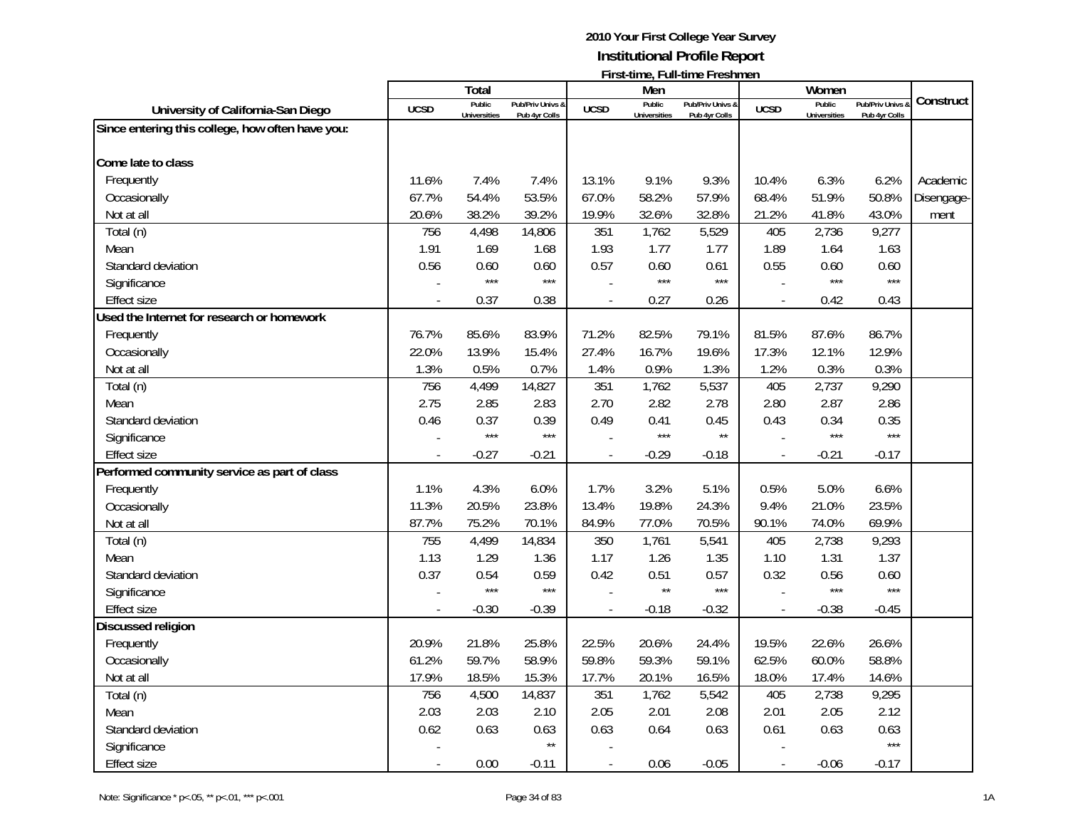|                                                  |             | Total                         |                                   |             | Men                           | FII SUUIIIIC, FUII-UIIIIC FI CSIIIIICII |                | Women                         |                                   |            |
|--------------------------------------------------|-------------|-------------------------------|-----------------------------------|-------------|-------------------------------|-----------------------------------------|----------------|-------------------------------|-----------------------------------|------------|
| University of California-San Diego               | <b>UCSD</b> | Public<br><b>Universities</b> | Pub/Priv Univs &<br>Pub 4yr Colls | <b>UCSD</b> | Public<br><b>Universities</b> | Pub/Priv Univs &<br>Pub 4yr Colls       | <b>UCSD</b>    | Public<br><b>Universities</b> | Pub/Priv Univs &<br>Pub 4yr Colls | Construct  |
| Since entering this college, how often have you: |             |                               |                                   |             |                               |                                         |                |                               |                                   |            |
|                                                  |             |                               |                                   |             |                               |                                         |                |                               |                                   |            |
| Come late to class                               |             |                               |                                   |             |                               |                                         |                |                               |                                   |            |
| Frequently                                       | 11.6%       | 7.4%                          | 7.4%                              | 13.1%       | 9.1%                          | 9.3%                                    | 10.4%          | 6.3%                          | 6.2%                              | Academic   |
| Occasionally                                     | 67.7%       | 54.4%                         | 53.5%                             | 67.0%       | 58.2%                         | 57.9%                                   | 68.4%          | 51.9%                         | 50.8%                             | Disengage- |
| Not at all                                       | 20.6%       | 38.2%                         | 39.2%                             | 19.9%       | 32.6%                         | 32.8%                                   | 21.2%          | 41.8%                         | 43.0%                             | ment       |
| Total (n)                                        | 756         | 4,498                         | 14,806                            | 351         | 1,762                         | 5,529                                   | 405            | 2,736                         | 9,277                             |            |
| Mean                                             | 1.91        | 1.69                          | 1.68                              | 1.93        | 1.77                          | 1.77                                    | 1.89           | 1.64                          | 1.63                              |            |
| Standard deviation                               | 0.56        | 0.60                          | 0.60                              | 0.57        | 0.60                          | 0.61                                    | 0.55           | 0.60                          | 0.60                              |            |
| Significance                                     |             | $***$                         | $***$                             |             | $***$                         | $***$                                   |                | $***$                         | $***$                             |            |
| <b>Effect size</b>                               |             | 0.37                          | 0.38                              |             | 0.27                          | 0.26                                    | $\overline{a}$ | 0.42                          | 0.43                              |            |
| Used the Internet for research or homework       |             |                               |                                   |             |                               |                                         |                |                               |                                   |            |
| Frequently                                       | 76.7%       | 85.6%                         | 83.9%                             | 71.2%       | 82.5%                         | 79.1%                                   | 81.5%          | 87.6%                         | 86.7%                             |            |
| Occasionally                                     | 22.0%       | 13.9%                         | 15.4%                             | 27.4%       | 16.7%                         | 19.6%                                   | 17.3%          | 12.1%                         | 12.9%                             |            |
| Not at all                                       | 1.3%        | 0.5%                          | 0.7%                              | 1.4%        | 0.9%                          | 1.3%                                    | 1.2%           | 0.3%                          | 0.3%                              |            |
| Total (n)                                        | 756         | 4,499                         | 14,827                            | 351         | 1,762                         | 5,537                                   | 405            | 2,737                         | 9,290                             |            |
| Mean                                             | 2.75        | 2.85                          | 2.83                              | 2.70        | 2.82                          | 2.78                                    | 2.80           | 2.87                          | 2.86                              |            |
| Standard deviation                               | 0.46        | 0.37                          | 0.39                              | 0.49        | 0.41                          | 0.45                                    | 0.43           | 0.34                          | 0.35                              |            |
| Significance                                     |             | $***$                         | $***$                             |             | $***$                         | $\star\star$                            |                | $***$                         | $***$                             |            |
| <b>Effect size</b>                               |             | $-0.27$                       | $-0.21$                           |             | $-0.29$                       | $-0.18$                                 | $\overline{a}$ | $-0.21$                       | $-0.17$                           |            |
| Performed community service as part of class     |             |                               |                                   |             |                               |                                         |                |                               |                                   |            |
| Frequently                                       | 1.1%        | 4.3%                          | 6.0%                              | 1.7%        | 3.2%                          | 5.1%                                    | 0.5%           | 5.0%                          | 6.6%                              |            |
| Occasionally                                     | 11.3%       | 20.5%                         | 23.8%                             | 13.4%       | 19.8%                         | 24.3%                                   | 9.4%           | 21.0%                         | 23.5%                             |            |
| Not at all                                       | 87.7%       | 75.2%                         | 70.1%                             | 84.9%       | 77.0%                         | 70.5%                                   | 90.1%          | 74.0%                         | 69.9%                             |            |
| Total (n)                                        | 755         | 4,499                         | 14,834                            | 350         | 1,761                         | 5,541                                   | 405            | 2,738                         | 9,293                             |            |
| Mean                                             | 1.13        | 1.29                          | 1.36                              | 1.17        | 1.26                          | 1.35                                    | 1.10           | 1.31                          | 1.37                              |            |
| Standard deviation                               | 0.37        | 0.54                          | 0.59                              | 0.42        | 0.51                          | 0.57                                    | 0.32           | 0.56                          | 0.60                              |            |
| Significance                                     |             | $***$                         | $***$                             |             | $\star\star$                  | $***$                                   |                | $***$                         | $***$                             |            |
| <b>Effect size</b>                               |             | $-0.30$                       | $-0.39$                           |             | $-0.18$                       | $-0.32$                                 |                | $-0.38$                       | $-0.45$                           |            |
| Discussed religion                               |             |                               |                                   |             |                               |                                         |                |                               |                                   |            |
| Frequently                                       | 20.9%       | 21.8%                         | 25.8%                             | 22.5%       | 20.6%                         | 24.4%                                   | 19.5%          | 22.6%                         | 26.6%                             |            |
| Occasionally                                     | 61.2%       | 59.7%                         | 58.9%                             | 59.8%       | 59.3%                         | 59.1%                                   | 62.5%          | 60.0%                         | 58.8%                             |            |
| Not at all                                       | 17.9%       | 18.5%                         | 15.3%                             | 17.7%       | 20.1%                         | 16.5%                                   | 18.0%          | 17.4%                         | 14.6%                             |            |
| Total (n)                                        | 756         | 4,500                         | 14,837                            | 351         | 1,762                         | 5,542                                   | 405            | 2,738                         | 9,295                             |            |
| Mean                                             | 2.03        | 2.03                          | 2.10                              | 2.05        | 2.01                          | 2.08                                    | 2.01           | 2.05                          | 2.12                              |            |
| Standard deviation                               | 0.62        | 0.63                          | 0.63                              | 0.63        | 0.64                          | 0.63                                    | 0.61           | 0.63                          | 0.63                              |            |
| Significance                                     |             |                               | $\star\star$                      |             |                               |                                         |                |                               | $***$                             |            |
| <b>Effect size</b>                               |             | 0.00                          | $-0.11$                           |             | 0.06                          | $-0.05$                                 |                | $-0.06$                       | $-0.17$                           |            |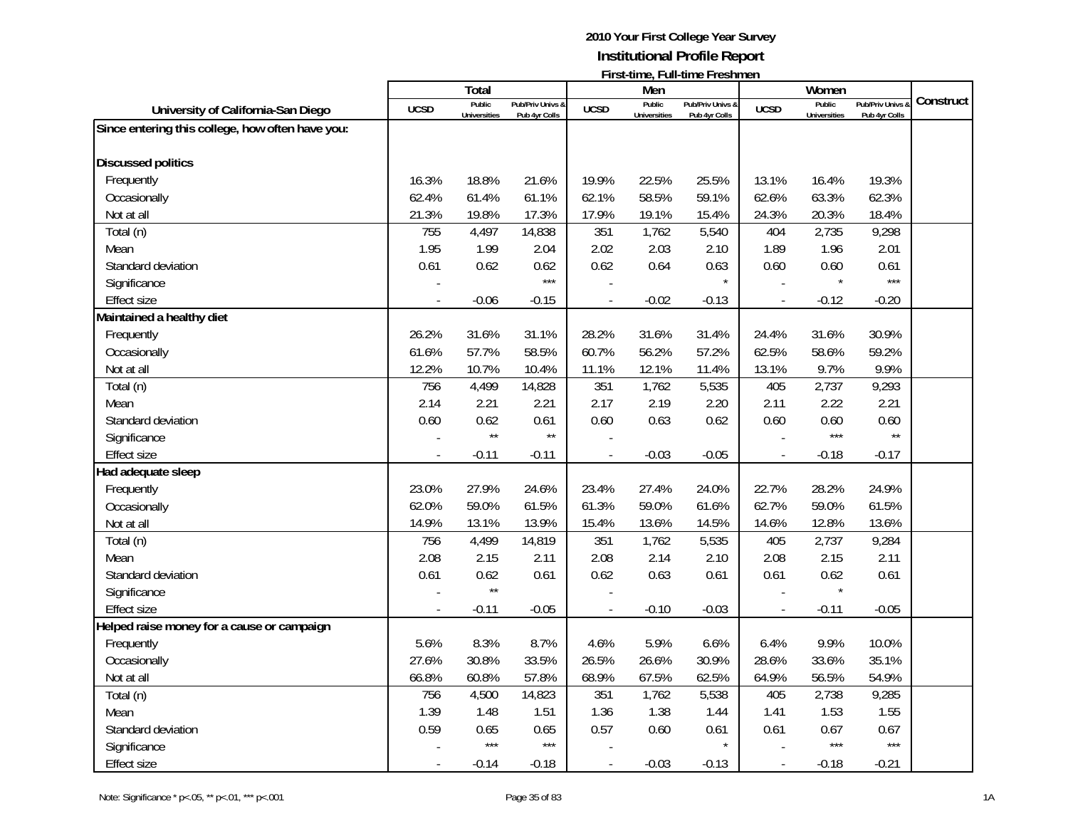|                                                  |                          | Total               |                  |                | Men                 | ו וואנימוווק, בעווימוווק ברקאווווקוב |                          | Women               |                  |           |
|--------------------------------------------------|--------------------------|---------------------|------------------|----------------|---------------------|--------------------------------------|--------------------------|---------------------|------------------|-----------|
|                                                  |                          | Public              | Pub/Priv Univs & |                | Public              | Pub/Priv Univs &                     | <b>UCSD</b>              | Public              | Pub/Priv Univs & | Construct |
| University of California-San Diego               | <b>UCSD</b>              | <b>Universities</b> | Pub 4yr Colls    | <b>UCSD</b>    | <b>Universities</b> | Pub 4yr Colls                        |                          | <b>Universities</b> | Pub 4yr Colls    |           |
| Since entering this college, how often have you: |                          |                     |                  |                |                     |                                      |                          |                     |                  |           |
|                                                  |                          |                     |                  |                |                     |                                      |                          |                     |                  |           |
| <b>Discussed politics</b>                        |                          |                     |                  |                |                     |                                      |                          |                     |                  |           |
| Frequently                                       | 16.3%                    | 18.8%               | 21.6%            | 19.9%          | 22.5%               | 25.5%                                | 13.1%                    | 16.4%               | 19.3%            |           |
| Occasionally                                     | 62.4%                    | 61.4%               | 61.1%            | 62.1%          | 58.5%               | 59.1%                                | 62.6%                    | 63.3%               | 62.3%            |           |
| Not at all                                       | 21.3%                    | 19.8%               | 17.3%            | 17.9%          | 19.1%               | 15.4%                                | 24.3%                    | 20.3%               | 18.4%            |           |
| Total (n)                                        | 755                      | 4,497               | 14,838           | 351            | 1,762               | 5,540                                | 404                      | 2,735               | 9,298            |           |
| Mean                                             | 1.95                     | 1.99                | 2.04             | 2.02           | 2.03                | 2.10                                 | 1.89                     | 1.96                | 2.01             |           |
| Standard deviation                               | 0.61                     | 0.62                | 0.62             | 0.62           | 0.64                | 0.63                                 | 0.60                     | 0.60                | 0.61             |           |
| Significance                                     |                          |                     | $***$            |                |                     |                                      |                          |                     | $***$            |           |
| <b>Effect size</b>                               | $\overline{a}$           | $-0.06$             | $-0.15$          | $\mathbf{r}$   | $-0.02$             | $-0.13$                              | $\overline{\phantom{a}}$ | $-0.12$             | $-0.20$          |           |
| Maintained a healthy diet                        |                          |                     |                  |                |                     |                                      |                          |                     |                  |           |
| Frequently                                       | 26.2%                    | 31.6%               | 31.1%            | 28.2%          | 31.6%               | 31.4%                                | 24.4%                    | 31.6%               | 30.9%            |           |
| Occasionally                                     | 61.6%                    | 57.7%               | 58.5%            | 60.7%          | 56.2%               | 57.2%                                | 62.5%                    | 58.6%               | 59.2%            |           |
| Not at all                                       | 12.2%                    | 10.7%               | 10.4%            | 11.1%          | 12.1%               | 11.4%                                | 13.1%                    | 9.7%                | 9.9%             |           |
| Total (n)                                        | 756                      | 4,499               | 14,828           | 351            | 1,762               | 5,535                                | 405                      | 2,737               | 9,293            |           |
| Mean                                             | 2.14                     | 2.21                | 2.21             | 2.17           | 2.19                | 2.20                                 | 2.11                     | 2.22                | 2.21             |           |
| Standard deviation                               | 0.60                     | 0.62                | 0.61             | 0.60           | 0.63                | 0.62                                 | 0.60                     | 0.60                | 0.60             |           |
| Significance                                     |                          | $\star\star$        | $\star\star$     |                |                     |                                      |                          | $***$               | $\star\star$     |           |
| <b>Effect size</b>                               |                          | $-0.11$             | $-0.11$          | $\overline{a}$ | $-0.03$             | $-0.05$                              | $\overline{a}$           | $-0.18$             | $-0.17$          |           |
| Had adequate sleep                               |                          |                     |                  |                |                     |                                      |                          |                     |                  |           |
| Frequently                                       | 23.0%                    | 27.9%               | 24.6%            | 23.4%          | 27.4%               | 24.0%                                | 22.7%                    | 28.2%               | 24.9%            |           |
| Occasionally                                     | 62.0%                    | 59.0%               | 61.5%            | 61.3%          | 59.0%               | 61.6%                                | 62.7%                    | 59.0%               | 61.5%            |           |
| Not at all                                       | 14.9%                    | 13.1%               | 13.9%            | 15.4%          | 13.6%               | 14.5%                                | 14.6%                    | 12.8%               | 13.6%            |           |
| Total (n)                                        | 756                      | 4,499               | 14,819           | 351            | 1,762               | 5,535                                | 405                      | 2,737               | 9,284            |           |
| Mean                                             | 2.08                     | 2.15                | 2.11             | 2.08           | 2.14                | 2.10                                 | 2.08                     | 2.15                | 2.11             |           |
| Standard deviation                               | 0.61                     | 0.62                | 0.61             | 0.62           | 0.63                | 0.61                                 | 0.61                     | 0.62                | 0.61             |           |
| Significance                                     |                          | $\star\star$        |                  |                |                     |                                      |                          |                     |                  |           |
| <b>Effect size</b>                               |                          | $-0.11$             | $-0.05$          | $\overline{a}$ | $-0.10$             | $-0.03$                              | $\overline{a}$           | $-0.11$             | $-0.05$          |           |
| Helped raise money for a cause or campaign       |                          |                     |                  |                |                     |                                      |                          |                     |                  |           |
| Frequently                                       | 5.6%                     | 8.3%                | 8.7%             | 4.6%           | 5.9%                | 6.6%                                 | 6.4%                     | 9.9%                | 10.0%            |           |
| Occasionally                                     | 27.6%                    | 30.8%               | 33.5%            | 26.5%          | 26.6%               | 30.9%                                | 28.6%                    | 33.6%               | 35.1%            |           |
| Not at all                                       | 66.8%                    | 60.8%               | 57.8%            | 68.9%          | 67.5%               | 62.5%                                | 64.9%                    | 56.5%               | 54.9%            |           |
| Total (n)                                        | 756                      | 4,500               | 14,823           | 351            | 1,762               | 5,538                                | 405                      | 2,738               | 9,285            |           |
| Mean                                             | 1.39                     | 1.48                | 1.51             | 1.36           | 1.38                | 1.44                                 | 1.41                     | 1.53                | 1.55             |           |
| Standard deviation                               | 0.59                     | 0.65                | 0.65             | 0.57           | 0.60                | 0.61                                 | 0.61                     | 0.67                | 0.67             |           |
|                                                  |                          | $***$               | $***$            |                |                     |                                      |                          | $***$               | $***$            |           |
| Significance                                     |                          |                     |                  |                |                     |                                      |                          |                     |                  |           |
| <b>Effect size</b>                               | $\overline{\phantom{a}}$ | $-0.14$             | $-0.18$          | $\overline{a}$ | $-0.03$             | $-0.13$                              | $\overline{\phantom{a}}$ | $-0.18$             | $-0.21$          |           |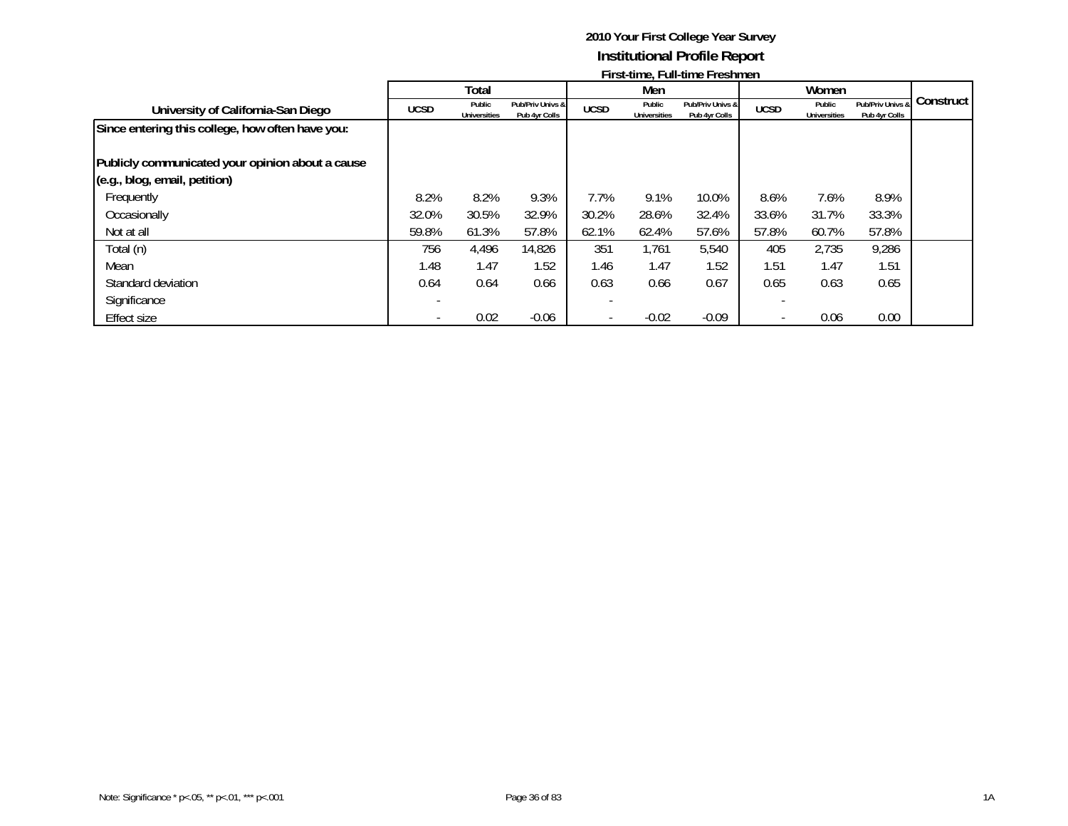|                                                  | <b>THE SCRIPTION LIGHT</b> |                               |                                   |             |                               |                                   |             |                               |                                   |           |
|--------------------------------------------------|----------------------------|-------------------------------|-----------------------------------|-------------|-------------------------------|-----------------------------------|-------------|-------------------------------|-----------------------------------|-----------|
|                                                  |                            | Total                         |                                   |             | Men                           |                                   |             | Women                         |                                   |           |
| University of California-San Diego               | <b>UCSD</b>                | Public<br><b>Universities</b> | Pub/Priv Univs &<br>Pub 4yr Colls | <b>UCSD</b> | Public<br><b>Universities</b> | Pub/Priv Univs &<br>Pub 4yr Colls | <b>UCSD</b> | Public<br><b>Universities</b> | Pub/Priv Univs &<br>Pub 4yr Colls | Construct |
| Since entering this college, how often have you: |                            |                               |                                   |             |                               |                                   |             |                               |                                   |           |
|                                                  |                            |                               |                                   |             |                               |                                   |             |                               |                                   |           |
| Publicly communicated your opinion about a cause |                            |                               |                                   |             |                               |                                   |             |                               |                                   |           |
| (e.g., blog, email, petition)                    |                            |                               |                                   |             |                               |                                   |             |                               |                                   |           |
| Frequently                                       | 8.2%                       | 8.2%                          | 9.3%                              | 7.7%        | 9.1%                          | 10.0%                             | 8.6%        | 7.6%                          | 8.9%                              |           |
| Occasionally                                     | 32.0%                      | 30.5%                         | 32.9%                             | 30.2%       | 28.6%                         | 32.4%                             | 33.6%       | 31.7%                         | 33.3%                             |           |
| Not at all                                       | 59.8%                      | 61.3%                         | 57.8%                             | 62.1%       | 62.4%                         | 57.6%                             | 57.8%       | 60.7%                         | 57.8%                             |           |
| Total (n)                                        | 756                        | 4,496                         | 14,826                            | 351         | 1,761                         | 5,540                             | 405         | 2,735                         | 9,286                             |           |
| Mean                                             | 1.48                       | 1.47                          | 1.52                              | 1.46        | 1.47                          | 1.52                              | 1.51        | 1.47                          | 1.51                              |           |
| Standard deviation                               | 0.64                       | 0.64                          | 0.66                              | 0.63        | 0.66                          | 0.67                              | 0.65        | 0.63                          | 0.65                              |           |
| Significance                                     |                            |                               |                                   |             |                               |                                   |             |                               |                                   |           |
| Effect size                                      |                            | 0.02                          | $-0.06$                           |             | $-0.02$                       | $-0.09$                           |             | 0.06                          | 0.00                              |           |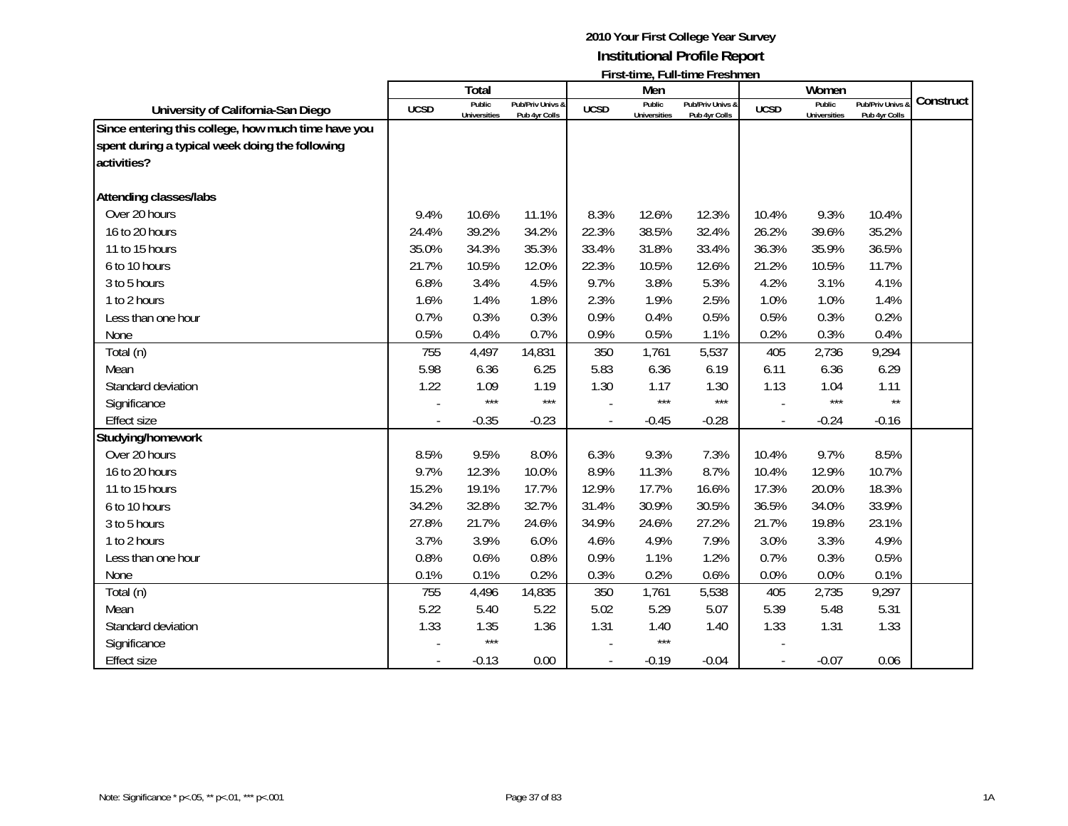|                                                                                                                       |                          | Total                         |                                   |                | Men                           | ו וואנינווווכ, ו עווינווווכ ו וכאווווכוו |                | Women                         |                                 |           |
|-----------------------------------------------------------------------------------------------------------------------|--------------------------|-------------------------------|-----------------------------------|----------------|-------------------------------|------------------------------------------|----------------|-------------------------------|---------------------------------|-----------|
| University of California-San Diego                                                                                    | <b>UCSD</b>              | Public<br><b>Universities</b> | Pub/Priv Univs &<br>Pub 4yr Colls | <b>UCSD</b>    | Public<br><b>Universities</b> | Pub/Priv Univs &<br>Pub 4yr Colls        | <b>UCSD</b>    | Public<br><b>Universities</b> | Pub/Priv Univs<br>Pub 4yr Colls | Construct |
| Since entering this college, how much time have you<br>spent during a typical week doing the following<br>activities? |                          |                               |                                   |                |                               |                                          |                |                               |                                 |           |
| <b>Attending classes/labs</b>                                                                                         |                          |                               |                                   |                |                               |                                          |                |                               |                                 |           |
| Over 20 hours                                                                                                         | 9.4%                     | 10.6%                         | 11.1%                             | 8.3%           | 12.6%                         | 12.3%                                    | 10.4%          | 9.3%                          | 10.4%                           |           |
| 16 to 20 hours                                                                                                        | 24.4%                    | 39.2%                         | 34.2%                             | 22.3%          | 38.5%                         | 32.4%                                    | 26.2%          | 39.6%                         | 35.2%                           |           |
| 11 to 15 hours                                                                                                        | 35.0%                    | 34.3%                         | 35.3%                             | 33.4%          | 31.8%                         | 33.4%                                    | 36.3%          | 35.9%                         | 36.5%                           |           |
| 6 to 10 hours                                                                                                         | 21.7%                    | 10.5%                         | 12.0%                             | 22.3%          | 10.5%                         | 12.6%                                    | 21.2%          | 10.5%                         | 11.7%                           |           |
| 3 to 5 hours                                                                                                          | 6.8%                     | 3.4%                          | 4.5%                              | 9.7%           | 3.8%                          | 5.3%                                     | 4.2%           | 3.1%                          | 4.1%                            |           |
| 1 to 2 hours                                                                                                          | 1.6%                     | 1.4%                          | 1.8%                              | 2.3%           | 1.9%                          | 2.5%                                     | 1.0%           | 1.0%                          | 1.4%                            |           |
| Less than one hour                                                                                                    | 0.7%                     | 0.3%                          | 0.3%                              | 0.9%           | 0.4%                          | 0.5%                                     | 0.5%           | 0.3%                          | 0.2%                            |           |
| None                                                                                                                  | 0.5%                     | 0.4%                          | 0.7%                              | 0.9%           | 0.5%                          | 1.1%                                     | 0.2%           | 0.3%                          | 0.4%                            |           |
| Total (n)                                                                                                             | 755                      | 4,497                         | 14,831                            | 350            | 1,761                         | 5,537                                    | 405            | 2,736                         | 9,294                           |           |
| Mean                                                                                                                  | 5.98                     | 6.36                          | 6.25                              | 5.83           | 6.36                          | 6.19                                     | 6.11           | 6.36                          | 6.29                            |           |
| Standard deviation                                                                                                    | 1.22                     | 1.09                          | 1.19                              | 1.30           | 1.17                          | 1.30                                     | 1.13           | 1.04                          | 1.11                            |           |
| Significance                                                                                                          |                          | $***$                         | $***$                             |                | $***$                         | $***$                                    |                | ***                           | $\star\star$                    |           |
| <b>Effect size</b>                                                                                                    | $\overline{\phantom{a}}$ | $-0.35$                       | $-0.23$                           |                | $-0.45$                       | $-0.28$                                  |                | $-0.24$                       | $-0.16$                         |           |
| Studying/homework                                                                                                     |                          |                               |                                   |                |                               |                                          |                |                               |                                 |           |
| Over 20 hours                                                                                                         | 8.5%                     | 9.5%                          | 8.0%                              | 6.3%           | 9.3%                          | 7.3%                                     | 10.4%          | 9.7%                          | 8.5%                            |           |
| 16 to 20 hours                                                                                                        | 9.7%                     | 12.3%                         | 10.0%                             | 8.9%           | 11.3%                         | 8.7%                                     | 10.4%          | 12.9%                         | 10.7%                           |           |
| 11 to 15 hours                                                                                                        | 15.2%                    | 19.1%                         | 17.7%                             | 12.9%          | 17.7%                         | 16.6%                                    | 17.3%          | 20.0%                         | 18.3%                           |           |
| 6 to 10 hours                                                                                                         | 34.2%                    | 32.8%                         | 32.7%                             | 31.4%          | 30.9%                         | 30.5%                                    | 36.5%          | 34.0%                         | 33.9%                           |           |
| 3 to 5 hours                                                                                                          | 27.8%                    | 21.7%                         | 24.6%                             | 34.9%          | 24.6%                         | 27.2%                                    | 21.7%          | 19.8%                         | 23.1%                           |           |
| 1 to 2 hours                                                                                                          | 3.7%                     | 3.9%                          | 6.0%                              | 4.6%           | 4.9%                          | 7.9%                                     | 3.0%           | 3.3%                          | 4.9%                            |           |
| Less than one hour                                                                                                    | 0.8%                     | 0.6%                          | 0.8%                              | 0.9%           | 1.1%                          | 1.2%                                     | 0.7%           | 0.3%                          | 0.5%                            |           |
| None                                                                                                                  | 0.1%                     | 0.1%                          | 0.2%                              | 0.3%           | 0.2%                          | 0.6%                                     | 0.0%           | 0.0%                          | 0.1%                            |           |
| Total (n)                                                                                                             | 755                      | 4,496                         | 14,835                            | 350            | 1,761                         | 5,538                                    | 405            | 2,735                         | 9,297                           |           |
| Mean                                                                                                                  | 5.22                     | 5.40                          | 5.22                              | 5.02           | 5.29                          | 5.07                                     | 5.39           | 5.48                          | 5.31                            |           |
| Standard deviation                                                                                                    | 1.33                     | 1.35                          | 1.36                              | 1.31           | 1.40                          | 1.40                                     | 1.33           | 1.31                          | 1.33                            |           |
| Significance                                                                                                          |                          | $***$                         |                                   |                | $***$                         |                                          |                |                               |                                 |           |
| Effect size                                                                                                           | $\overline{\phantom{a}}$ | $-0.13$                       | 0.00                              | $\blacksquare$ | $-0.19$                       | $-0.04$                                  | $\blacksquare$ | $-0.07$                       | 0.06                            |           |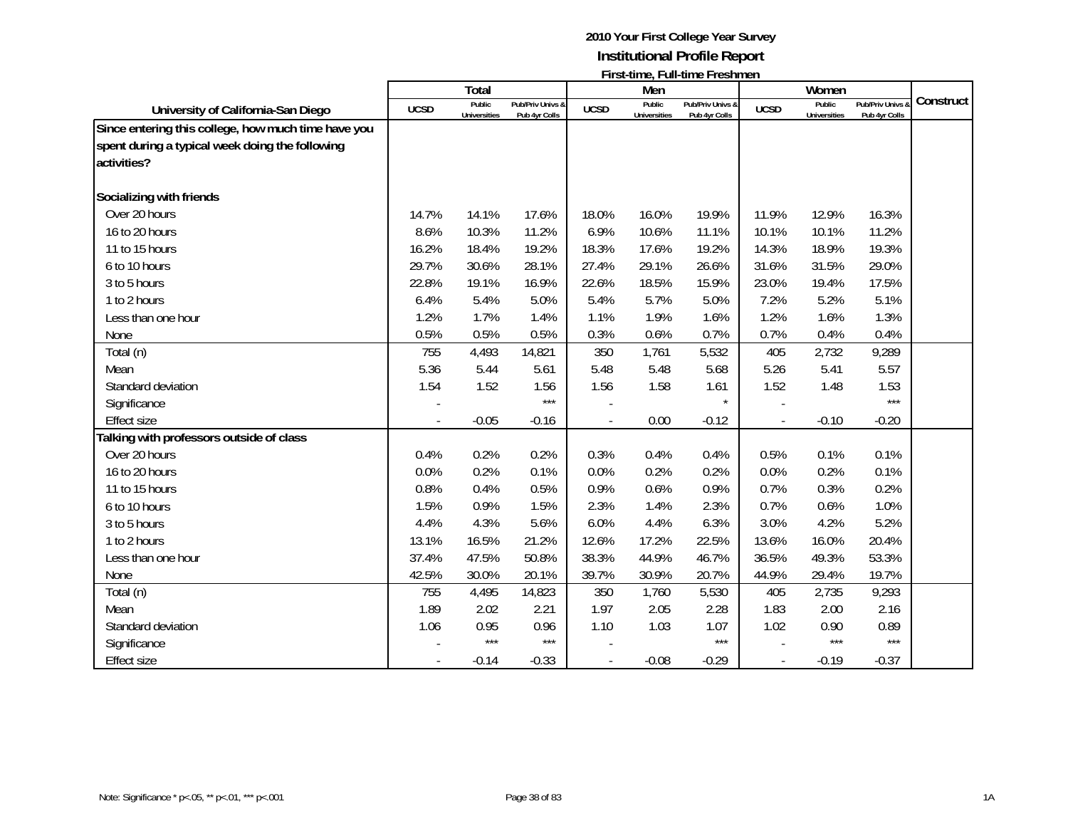|                                                                                                                       |                          | Total                         |                                   |             | Men                           | ו וואנינווווכ, ו עווינווווכ ו וכאווווכוו |             | Women                         |                                 |           |
|-----------------------------------------------------------------------------------------------------------------------|--------------------------|-------------------------------|-----------------------------------|-------------|-------------------------------|------------------------------------------|-------------|-------------------------------|---------------------------------|-----------|
| University of California-San Diego                                                                                    | <b>UCSD</b>              | Public<br><b>Universities</b> | Pub/Priv Univs &<br>Pub 4yr Colls | <b>UCSD</b> | Public<br><b>Universities</b> | Pub/Priv Univs &<br>Pub 4yr Colls        | <b>UCSD</b> | Public<br><b>Universities</b> | Pub/Priv Univs<br>Pub 4yr Colls | Construct |
| Since entering this college, how much time have you<br>spent during a typical week doing the following<br>activities? |                          |                               |                                   |             |                               |                                          |             |                               |                                 |           |
| Socializing with friends                                                                                              |                          |                               |                                   |             |                               |                                          |             |                               |                                 |           |
| Over 20 hours                                                                                                         | 14.7%                    | 14.1%                         | 17.6%                             | 18.0%       | 16.0%                         | 19.9%                                    | 11.9%       | 12.9%                         | 16.3%                           |           |
| 16 to 20 hours                                                                                                        | 8.6%                     | 10.3%                         | 11.2%                             | 6.9%        | 10.6%                         | 11.1%                                    | 10.1%       | 10.1%                         | 11.2%                           |           |
| 11 to 15 hours                                                                                                        | 16.2%                    | 18.4%                         | 19.2%                             | 18.3%       | 17.6%                         | 19.2%                                    | 14.3%       | 18.9%                         | 19.3%                           |           |
| 6 to 10 hours                                                                                                         | 29.7%                    | 30.6%                         | 28.1%                             | 27.4%       | 29.1%                         | 26.6%                                    | 31.6%       | 31.5%                         | 29.0%                           |           |
| 3 to 5 hours                                                                                                          | 22.8%                    | 19.1%                         | 16.9%                             | 22.6%       | 18.5%                         | 15.9%                                    | 23.0%       | 19.4%                         | 17.5%                           |           |
| 1 to 2 hours                                                                                                          | 6.4%                     | 5.4%                          | 5.0%                              | 5.4%        | 5.7%                          | 5.0%                                     | 7.2%        | 5.2%                          | 5.1%                            |           |
| Less than one hour                                                                                                    | 1.2%                     | 1.7%                          | 1.4%                              | 1.1%        | 1.9%                          | 1.6%                                     | 1.2%        | 1.6%                          | 1.3%                            |           |
| None                                                                                                                  | 0.5%                     | 0.5%                          | 0.5%                              | 0.3%        | 0.6%                          | 0.7%                                     | 0.7%        | 0.4%                          | 0.4%                            |           |
| Total (n)                                                                                                             | 755                      | 4,493                         | 14,821                            | 350         | 1,761                         | 5,532                                    | 405         | 2,732                         | 9,289                           |           |
| Mean                                                                                                                  | 5.36                     | 5.44                          | 5.61                              | 5.48        | 5.48                          | 5.68                                     | 5.26        | 5.41                          | 5.57                            |           |
| Standard deviation                                                                                                    | 1.54                     | 1.52                          | 1.56                              | 1.56        | 1.58                          | 1.61                                     | 1.52        | 1.48                          | 1.53                            |           |
| Significance                                                                                                          |                          |                               | $***$                             |             |                               | $\star$                                  |             |                               | $***$                           |           |
| <b>Effect size</b>                                                                                                    | $\overline{\phantom{a}}$ | $-0.05$                       | $-0.16$                           |             | 0.00                          | $-0.12$                                  |             | $-0.10$                       | $-0.20$                         |           |
| Talking with professors outside of class                                                                              |                          |                               |                                   |             |                               |                                          |             |                               |                                 |           |
| Over 20 hours                                                                                                         | 0.4%                     | 0.2%                          | 0.2%                              | 0.3%        | 0.4%                          | 0.4%                                     | 0.5%        | 0.1%                          | 0.1%                            |           |
| 16 to 20 hours                                                                                                        | 0.0%                     | 0.2%                          | 0.1%                              | 0.0%        | 0.2%                          | 0.2%                                     | 0.0%        | 0.2%                          | 0.1%                            |           |
| 11 to 15 hours                                                                                                        | 0.8%                     | 0.4%                          | 0.5%                              | 0.9%        | 0.6%                          | 0.9%                                     | 0.7%        | 0.3%                          | 0.2%                            |           |
| 6 to 10 hours                                                                                                         | 1.5%                     | 0.9%                          | 1.5%                              | 2.3%        | 1.4%                          | 2.3%                                     | 0.7%        | 0.6%                          | 1.0%                            |           |
| 3 to 5 hours                                                                                                          | 4.4%                     | 4.3%                          | 5.6%                              | 6.0%        | 4.4%                          | 6.3%                                     | 3.0%        | 4.2%                          | 5.2%                            |           |
| 1 to 2 hours                                                                                                          | 13.1%                    | 16.5%                         | 21.2%                             | 12.6%       | 17.2%                         | 22.5%                                    | 13.6%       | 16.0%                         | 20.4%                           |           |
| Less than one hour                                                                                                    | 37.4%                    | 47.5%                         | 50.8%                             | 38.3%       | 44.9%                         | 46.7%                                    | 36.5%       | 49.3%                         | 53.3%                           |           |
| None                                                                                                                  | 42.5%                    | 30.0%                         | 20.1%                             | 39.7%       | 30.9%                         | 20.7%                                    | 44.9%       | 29.4%                         | 19.7%                           |           |
| Total (n)                                                                                                             | 755                      | 4,495                         | 14,823                            | 350         | 1,760                         | 5,530                                    | 405         | 2,735                         | 9,293                           |           |
| Mean                                                                                                                  | 1.89                     | 2.02                          | 2.21                              | 1.97        | 2.05                          | 2.28                                     | 1.83        | 2.00                          | 2.16                            |           |
| Standard deviation                                                                                                    | 1.06                     | 0.95                          | 0.96                              | 1.10        | 1.03                          | 1.07                                     | 1.02        | 0.90                          | 0.89                            |           |
| Significance                                                                                                          |                          | $***$                         | $***$                             |             |                               | $***$                                    |             | $***$                         | $***$                           |           |
| <b>Effect size</b>                                                                                                    | $\overline{\phantom{a}}$ | $-0.14$                       | $-0.33$                           |             | $-0.08$                       | $-0.29$                                  | $\sim$      | $-0.19$                       | $-0.37$                         |           |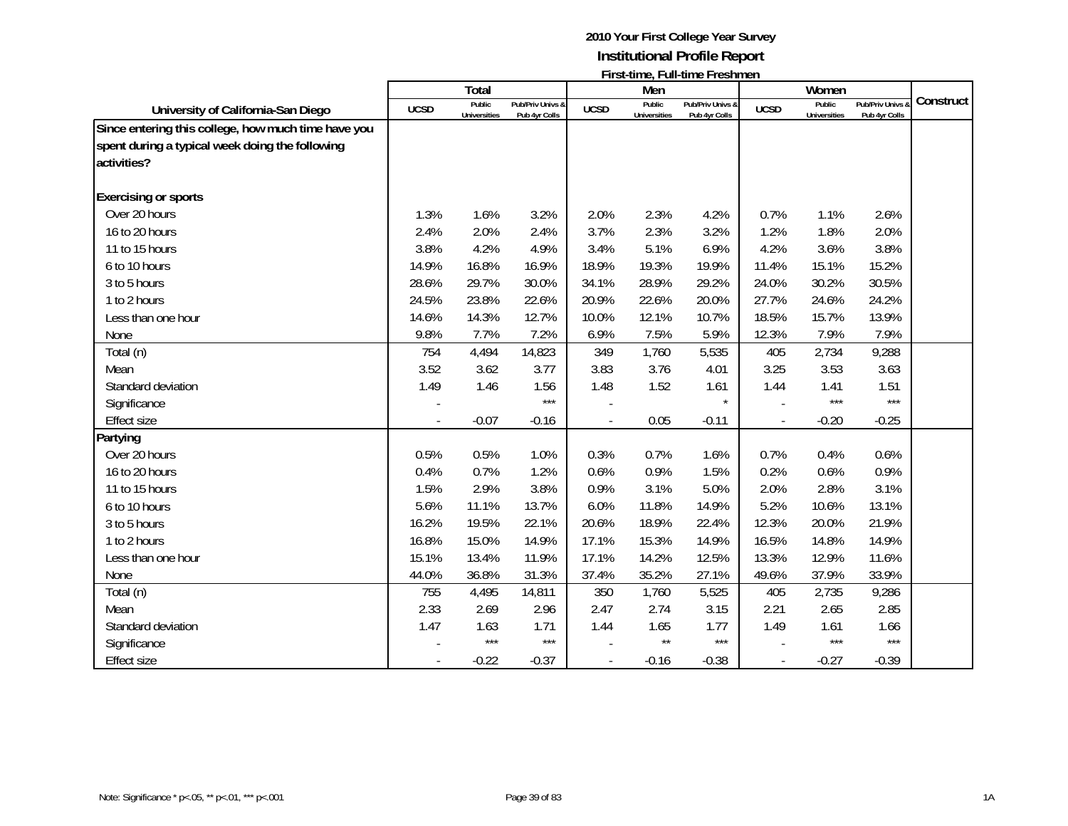|                                                                                                                       |             | Total                         |                                   |             | Men                           | $\mathsf{L}$ is a set of $\mathsf{L}$ . The set of $\mathsf{L}$ is a set of $\mathsf{L}$ |             | Women                         |                                 |           |
|-----------------------------------------------------------------------------------------------------------------------|-------------|-------------------------------|-----------------------------------|-------------|-------------------------------|------------------------------------------------------------------------------------------|-------------|-------------------------------|---------------------------------|-----------|
| University of California-San Diego                                                                                    | <b>UCSD</b> | Public<br><b>Universities</b> | Pub/Priv Univs &<br>Pub 4yr Colls | <b>UCSD</b> | Public<br><b>Universities</b> | Pub/Priv Univs &<br>Pub 4yr Colls                                                        | <b>UCSD</b> | Public<br><b>Universities</b> | Pub/Priv Univs<br>Pub 4yr Colls | Construct |
| Since entering this college, how much time have you<br>spent during a typical week doing the following<br>activities? |             |                               |                                   |             |                               |                                                                                          |             |                               |                                 |           |
| <b>Exercising or sports</b>                                                                                           |             |                               |                                   |             |                               |                                                                                          |             |                               |                                 |           |
| Over 20 hours                                                                                                         | 1.3%        | 1.6%                          | 3.2%                              | 2.0%        | 2.3%                          | 4.2%                                                                                     | 0.7%        | 1.1%                          | 2.6%                            |           |
| 16 to 20 hours                                                                                                        | 2.4%        | 2.0%                          | 2.4%                              | 3.7%        | 2.3%                          | 3.2%                                                                                     | 1.2%        | 1.8%                          | 2.0%                            |           |
| 11 to 15 hours                                                                                                        | 3.8%        | 4.2%                          | 4.9%                              | 3.4%        | 5.1%                          | 6.9%                                                                                     | 4.2%        | 3.6%                          | 3.8%                            |           |
| 6 to 10 hours                                                                                                         | 14.9%       | 16.8%                         | 16.9%                             | 18.9%       | 19.3%                         | 19.9%                                                                                    | 11.4%       | 15.1%                         | 15.2%                           |           |
| 3 to 5 hours                                                                                                          | 28.6%       | 29.7%                         | 30.0%                             | 34.1%       | 28.9%                         | 29.2%                                                                                    | 24.0%       | 30.2%                         | 30.5%                           |           |
| 1 to 2 hours                                                                                                          | 24.5%       | 23.8%                         | 22.6%                             | 20.9%       | 22.6%                         | 20.0%                                                                                    | 27.7%       | 24.6%                         | 24.2%                           |           |
| Less than one hour                                                                                                    | 14.6%       | 14.3%                         | 12.7%                             | 10.0%       | 12.1%                         | 10.7%                                                                                    | 18.5%       | 15.7%                         | 13.9%                           |           |
| None                                                                                                                  | 9.8%        | 7.7%                          | 7.2%                              | 6.9%        | 7.5%                          | 5.9%                                                                                     | 12.3%       | 7.9%                          | 7.9%                            |           |
| Total (n)                                                                                                             | 754         | 4,494                         | 14,823                            | 349         | 1,760                         | 5,535                                                                                    | 405         | 2,734                         | 9,288                           |           |
| Mean                                                                                                                  | 3.52        | 3.62                          | 3.77                              | 3.83        | 3.76                          | 4.01                                                                                     | 3.25        | 3.53                          | 3.63                            |           |
| Standard deviation                                                                                                    | 1.49        | 1.46                          | 1.56                              | 1.48        | 1.52                          | 1.61                                                                                     | 1.44        | 1.41                          | 1.51                            |           |
| Significance                                                                                                          |             |                               | $***$                             |             |                               | $\star$                                                                                  |             | $***$                         | $***$                           |           |
| <b>Effect size</b>                                                                                                    |             | $-0.07$                       | $-0.16$                           |             | 0.05                          | $-0.11$                                                                                  |             | $-0.20$                       | $-0.25$                         |           |
| Partying                                                                                                              |             |                               |                                   |             |                               |                                                                                          |             |                               |                                 |           |
| Over 20 hours                                                                                                         | 0.5%        | 0.5%                          | 1.0%                              | 0.3%        | 0.7%                          | 1.6%                                                                                     | 0.7%        | 0.4%                          | 0.6%                            |           |
| 16 to 20 hours                                                                                                        | 0.4%        | 0.7%                          | 1.2%                              | 0.6%        | 0.9%                          | 1.5%                                                                                     | 0.2%        | 0.6%                          | 0.9%                            |           |
| 11 to 15 hours                                                                                                        | 1.5%        | 2.9%                          | 3.8%                              | 0.9%        | 3.1%                          | 5.0%                                                                                     | 2.0%        | 2.8%                          | 3.1%                            |           |
| 6 to 10 hours                                                                                                         | 5.6%        | 11.1%                         | 13.7%                             | 6.0%        | 11.8%                         | 14.9%                                                                                    | 5.2%        | 10.6%                         | 13.1%                           |           |
| 3 to 5 hours                                                                                                          | 16.2%       | 19.5%                         | 22.1%                             | 20.6%       | 18.9%                         | 22.4%                                                                                    | 12.3%       | 20.0%                         | 21.9%                           |           |
| 1 to 2 hours                                                                                                          | 16.8%       | 15.0%                         | 14.9%                             | 17.1%       | 15.3%                         | 14.9%                                                                                    | 16.5%       | 14.8%                         | 14.9%                           |           |
| Less than one hour                                                                                                    | 15.1%       | 13.4%                         | 11.9%                             | 17.1%       | 14.2%                         | 12.5%                                                                                    | 13.3%       | 12.9%                         | 11.6%                           |           |
| None                                                                                                                  | 44.0%       | 36.8%                         | 31.3%                             | 37.4%       | 35.2%                         | 27.1%                                                                                    | 49.6%       | 37.9%                         | 33.9%                           |           |
| Total (n)                                                                                                             | 755         | 4,495                         | 14,811                            | 350         | 1,760                         | 5,525                                                                                    | 405         | 2,735                         | 9,286                           |           |
| Mean                                                                                                                  | 2.33        | 2.69                          | 2.96                              | 2.47        | 2.74                          | 3.15                                                                                     | 2.21        | 2.65                          | 2.85                            |           |
| Standard deviation                                                                                                    | 1.47        | 1.63                          | 1.71                              | 1.44        | 1.65                          | 1.77                                                                                     | 1.49        | 1.61                          | 1.66                            |           |
| Significance                                                                                                          |             | $***$                         | $***$                             |             | $\star\star$                  | $***$                                                                                    |             | $***$                         | $***$                           |           |
| <b>Effect size</b>                                                                                                    |             | $-0.22$                       | $-0.37$                           |             | $-0.16$                       | $-0.38$                                                                                  |             | $-0.27$                       | $-0.39$                         |           |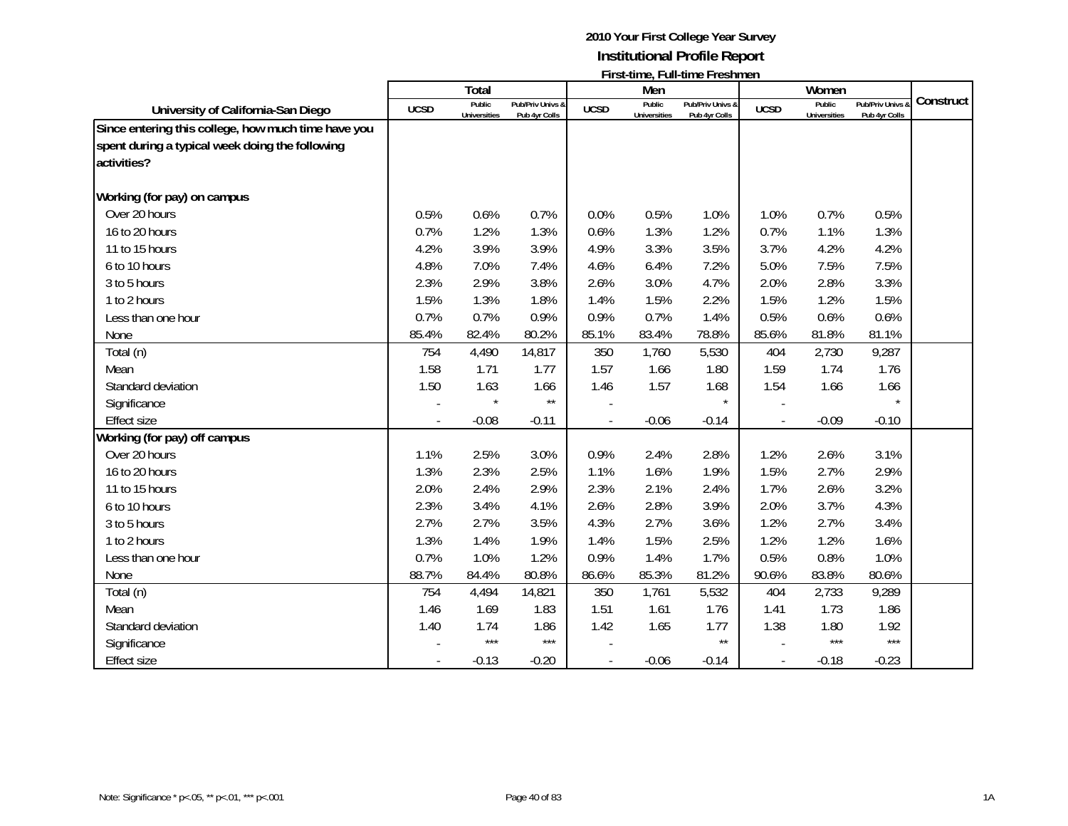|                                                                                                                       |             | Total                         |                                   |             | Men                           | $\mathsf{L}$ is a set of $\mathsf{L}$ . The set of $\mathsf{L}$ is a set of $\mathsf{L}$ |             | Women                         |                                              |           |
|-----------------------------------------------------------------------------------------------------------------------|-------------|-------------------------------|-----------------------------------|-------------|-------------------------------|------------------------------------------------------------------------------------------|-------------|-------------------------------|----------------------------------------------|-----------|
| University of California-San Diego                                                                                    | <b>UCSD</b> | Public<br><b>Universities</b> | Pub/Priv Univs &<br>Pub 4yr Colls | <b>UCSD</b> | Public<br><b>Universities</b> | Pub/Priv Univs &<br>Pub 4yr Colls                                                        | <b>UCSD</b> | Public<br><b>Universities</b> | <b>Pub/Priv Univs &amp;</b><br>Pub 4yr Colls | Construct |
| Since entering this college, how much time have you<br>spent during a typical week doing the following<br>activities? |             |                               |                                   |             |                               |                                                                                          |             |                               |                                              |           |
| Working (for pay) on campus                                                                                           |             |                               |                                   |             |                               |                                                                                          |             |                               |                                              |           |
| Over 20 hours                                                                                                         | 0.5%        | 0.6%                          | 0.7%                              | 0.0%        | 0.5%                          | 1.0%                                                                                     | 1.0%        | 0.7%                          | 0.5%                                         |           |
| 16 to 20 hours                                                                                                        | 0.7%        | 1.2%                          | 1.3%                              | 0.6%        | 1.3%                          | 1.2%                                                                                     | 0.7%        | 1.1%                          | 1.3%                                         |           |
| 11 to 15 hours                                                                                                        | 4.2%        | 3.9%                          | 3.9%                              | 4.9%        | 3.3%                          | 3.5%                                                                                     | 3.7%        | 4.2%                          | 4.2%                                         |           |
| 6 to 10 hours                                                                                                         | 4.8%        | 7.0%                          | 7.4%                              | 4.6%        | 6.4%                          | 7.2%                                                                                     | 5.0%        | 7.5%                          | 7.5%                                         |           |
| 3 to 5 hours                                                                                                          | 2.3%        | 2.9%                          | 3.8%                              | 2.6%        | 3.0%                          | 4.7%                                                                                     | 2.0%        | 2.8%                          | 3.3%                                         |           |
| 1 to 2 hours                                                                                                          | 1.5%        | 1.3%                          | 1.8%                              | 1.4%        | 1.5%                          | 2.2%                                                                                     | 1.5%        | 1.2%                          | 1.5%                                         |           |
| Less than one hour                                                                                                    | 0.7%        | 0.7%                          | 0.9%                              | 0.9%        | 0.7%                          | 1.4%                                                                                     | 0.5%        | 0.6%                          | 0.6%                                         |           |
| None                                                                                                                  | 85.4%       | 82.4%                         | 80.2%                             | 85.1%       | 83.4%                         | 78.8%                                                                                    | 85.6%       | 81.8%                         | 81.1%                                        |           |
| Total (n)                                                                                                             | 754         | 4,490                         | 14,817                            | 350         | 1,760                         | 5,530                                                                                    | 404         | 2,730                         | 9,287                                        |           |
| Mean                                                                                                                  | 1.58        | 1.71                          | 1.77                              | 1.57        | 1.66                          | 1.80                                                                                     | 1.59        | 1.74                          | 1.76                                         |           |
| Standard deviation                                                                                                    | 1.50        | 1.63                          | 1.66                              | 1.46        | 1.57                          | 1.68                                                                                     | 1.54        | 1.66                          | 1.66                                         |           |
| Significance                                                                                                          |             |                               | $\star\star$                      |             |                               |                                                                                          |             |                               |                                              |           |
| <b>Effect size</b>                                                                                                    |             | $-0.08$                       | $-0.11$                           |             | $-0.06$                       | $-0.14$                                                                                  |             | $-0.09$                       | $-0.10$                                      |           |
| Working (for pay) off campus                                                                                          |             |                               |                                   |             |                               |                                                                                          |             |                               |                                              |           |
| Over 20 hours                                                                                                         | 1.1%        | 2.5%                          | 3.0%                              | 0.9%        | 2.4%                          | 2.8%                                                                                     | 1.2%        | 2.6%                          | 3.1%                                         |           |
| 16 to 20 hours                                                                                                        | 1.3%        | 2.3%                          | 2.5%                              | 1.1%        | 1.6%                          | 1.9%                                                                                     | 1.5%        | 2.7%                          | 2.9%                                         |           |
| 11 to 15 hours                                                                                                        | 2.0%        | 2.4%                          | 2.9%                              | 2.3%        | 2.1%                          | 2.4%                                                                                     | 1.7%        | 2.6%                          | 3.2%                                         |           |
| 6 to 10 hours                                                                                                         | 2.3%        | 3.4%                          | 4.1%                              | 2.6%        | 2.8%                          | 3.9%                                                                                     | 2.0%        | 3.7%                          | 4.3%                                         |           |
| 3 to 5 hours                                                                                                          | 2.7%        | 2.7%                          | 3.5%                              | 4.3%        | 2.7%                          | 3.6%                                                                                     | 1.2%        | 2.7%                          | 3.4%                                         |           |
| 1 to 2 hours                                                                                                          | 1.3%        | 1.4%                          | 1.9%                              | 1.4%        | 1.5%                          | 2.5%                                                                                     | 1.2%        | 1.2%                          | 1.6%                                         |           |
| Less than one hour                                                                                                    | 0.7%        | 1.0%                          | 1.2%                              | 0.9%        | 1.4%                          | 1.7%                                                                                     | 0.5%        | 0.8%                          | 1.0%                                         |           |
| None                                                                                                                  | 88.7%       | 84.4%                         | 80.8%                             | 86.6%       | 85.3%                         | 81.2%                                                                                    | 90.6%       | 83.8%                         | 80.6%                                        |           |
| Total (n)                                                                                                             | 754         | 4,494                         | 14,821                            | 350         | 1,761                         | 5,532                                                                                    | 404         | 2,733                         | 9,289                                        |           |
| Mean                                                                                                                  | 1.46        | 1.69                          | 1.83                              | 1.51        | 1.61                          | 1.76                                                                                     | 1.41        | 1.73                          | 1.86                                         |           |
| Standard deviation                                                                                                    | 1.40        | 1.74                          | 1.86                              | 1.42        | 1.65                          | 1.77                                                                                     | 1.38        | 1.80                          | 1.92                                         |           |
| Significance                                                                                                          |             | $***$                         | $***$                             |             |                               | $\star\star$                                                                             |             | $***$                         | $***$                                        |           |
| <b>Effect size</b>                                                                                                    |             | $-0.13$                       | $-0.20$                           |             | $-0.06$                       | $-0.14$                                                                                  |             | $-0.18$                       | $-0.23$                                      |           |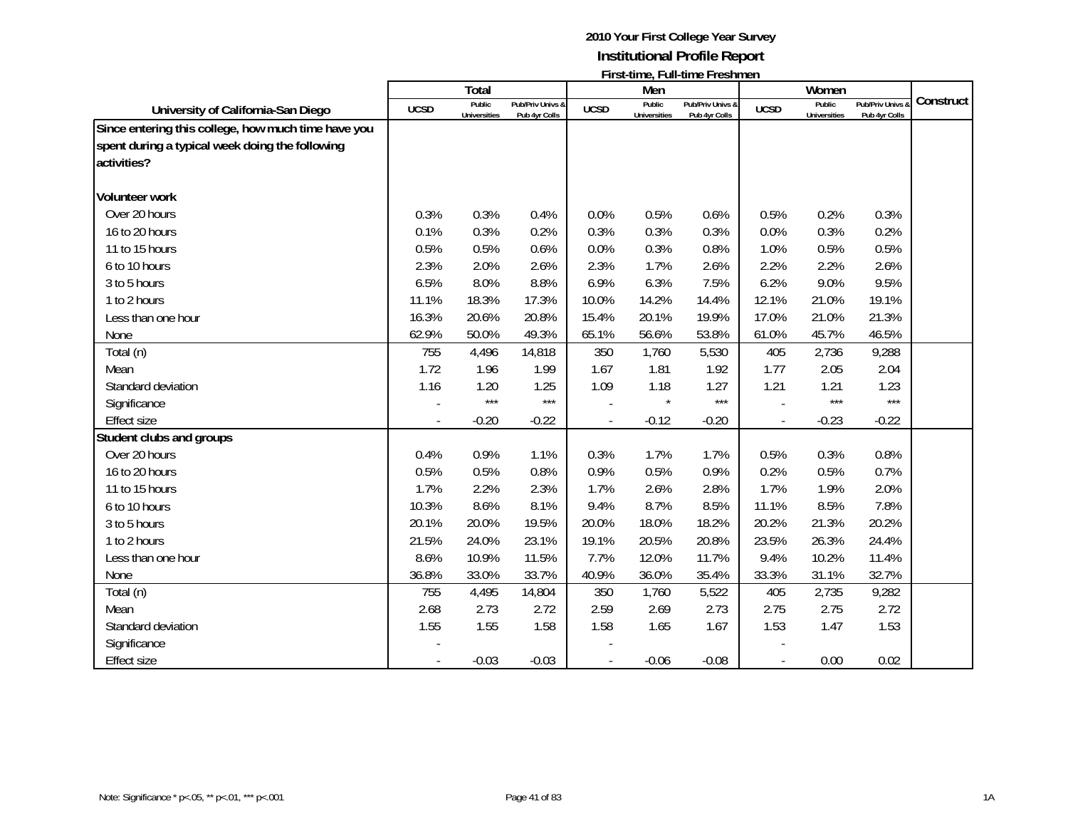|                                                                                                                       |                          | Total                  |                                   |             | Men                           | ו וואנינווווכ, ו עווינווווכ ו וכאווווכוו |             | Women                         |                                 |           |
|-----------------------------------------------------------------------------------------------------------------------|--------------------------|------------------------|-----------------------------------|-------------|-------------------------------|------------------------------------------|-------------|-------------------------------|---------------------------------|-----------|
| University of California-San Diego                                                                                    | <b>UCSD</b>              | Public<br>Universities | Pub/Priv Univs &<br>Pub 4yr Colls | <b>UCSD</b> | Public<br><b>Universities</b> | Pub/Priv Univs &<br>Pub 4yr Colls        | <b>UCSD</b> | Public<br><b>Universities</b> | Pub/Priv Univs<br>Pub 4yr Colls | Construct |
| Since entering this college, how much time have you<br>spent during a typical week doing the following<br>activities? |                          |                        |                                   |             |                               |                                          |             |                               |                                 |           |
| <b>Volunteer work</b>                                                                                                 |                          |                        |                                   |             |                               |                                          |             |                               |                                 |           |
| Over 20 hours                                                                                                         | 0.3%                     | 0.3%                   | 0.4%                              | 0.0%        | 0.5%                          | 0.6%                                     | 0.5%        | 0.2%                          | 0.3%                            |           |
| 16 to 20 hours                                                                                                        | 0.1%                     | 0.3%                   | 0.2%                              | 0.3%        | 0.3%                          | 0.3%                                     | 0.0%        | 0.3%                          | 0.2%                            |           |
| 11 to 15 hours                                                                                                        | 0.5%                     | 0.5%                   | 0.6%                              | 0.0%        | 0.3%                          | 0.8%                                     | 1.0%        | 0.5%                          | 0.5%                            |           |
| 6 to 10 hours                                                                                                         | 2.3%                     | 2.0%                   | 2.6%                              | 2.3%        | 1.7%                          | 2.6%                                     | 2.2%        | 2.2%                          | 2.6%                            |           |
| 3 to 5 hours                                                                                                          | 6.5%                     | 8.0%                   | 8.8%                              | 6.9%        | 6.3%                          | 7.5%                                     | 6.2%        | 9.0%                          | 9.5%                            |           |
| 1 to 2 hours                                                                                                          | 11.1%                    | 18.3%                  | 17.3%                             | 10.0%       | 14.2%                         | 14.4%                                    | 12.1%       | 21.0%                         | 19.1%                           |           |
| Less than one hour                                                                                                    | 16.3%                    | 20.6%                  | 20.8%                             | 15.4%       | 20.1%                         | 19.9%                                    | 17.0%       | 21.0%                         | 21.3%                           |           |
| None                                                                                                                  | 62.9%                    | 50.0%                  | 49.3%                             | 65.1%       | 56.6%                         | 53.8%                                    | 61.0%       | 45.7%                         | 46.5%                           |           |
| Total (n)                                                                                                             | 755                      | 4,496                  | 14,818                            | 350         | 1,760                         | 5,530                                    | 405         | 2,736                         | 9,288                           |           |
| Mean                                                                                                                  | 1.72                     | 1.96                   | 1.99                              | 1.67        | 1.81                          | 1.92                                     | 1.77        | 2.05                          | 2.04                            |           |
| Standard deviation                                                                                                    | 1.16                     | 1.20                   | 1.25                              | 1.09        | 1.18                          | 1.27                                     | 1.21        | 1.21                          | 1.23                            |           |
| Significance                                                                                                          |                          | $***$                  | $***$                             |             | $\star$                       | $***$                                    |             | ***                           | $***$                           |           |
| <b>Effect size</b>                                                                                                    |                          | $-0.20$                | $-0.22$                           |             | $-0.12$                       | $-0.20$                                  |             | $-0.23$                       | $-0.22$                         |           |
| Student clubs and groups                                                                                              |                          |                        |                                   |             |                               |                                          |             |                               |                                 |           |
| Over 20 hours                                                                                                         | 0.4%                     | 0.9%                   | 1.1%                              | 0.3%        | 1.7%                          | 1.7%                                     | 0.5%        | 0.3%                          | 0.8%                            |           |
| 16 to 20 hours                                                                                                        | 0.5%                     | 0.5%                   | 0.8%                              | 0.9%        | 0.5%                          | 0.9%                                     | 0.2%        | 0.5%                          | 0.7%                            |           |
| 11 to 15 hours                                                                                                        | 1.7%                     | 2.2%                   | 2.3%                              | 1.7%        | 2.6%                          | 2.8%                                     | 1.7%        | 1.9%                          | 2.0%                            |           |
| 6 to 10 hours                                                                                                         | 10.3%                    | 8.6%                   | 8.1%                              | 9.4%        | 8.7%                          | 8.5%                                     | 11.1%       | 8.5%                          | 7.8%                            |           |
| 3 to 5 hours                                                                                                          | 20.1%                    | 20.0%                  | 19.5%                             | 20.0%       | 18.0%                         | 18.2%                                    | 20.2%       | 21.3%                         | 20.2%                           |           |
| 1 to 2 hours                                                                                                          | 21.5%                    | 24.0%                  | 23.1%                             | 19.1%       | 20.5%                         | 20.8%                                    | 23.5%       | 26.3%                         | 24.4%                           |           |
| Less than one hour                                                                                                    | 8.6%                     | 10.9%                  | 11.5%                             | 7.7%        | 12.0%                         | 11.7%                                    | 9.4%        | 10.2%                         | 11.4%                           |           |
| None                                                                                                                  | 36.8%                    | 33.0%                  | 33.7%                             | 40.9%       | 36.0%                         | 35.4%                                    | 33.3%       | 31.1%                         | 32.7%                           |           |
| Total (n)                                                                                                             | 755                      | 4,495                  | 14,804                            | 350         | 1,760                         | 5,522                                    | 405         | 2,735                         | 9,282                           |           |
| Mean                                                                                                                  | 2.68                     | 2.73                   | 2.72                              | 2.59        | 2.69                          | 2.73                                     | 2.75        | 2.75                          | 2.72                            |           |
| Standard deviation                                                                                                    | 1.55                     | 1.55                   | 1.58                              | 1.58        | 1.65                          | 1.67                                     | 1.53        | 1.47                          | 1.53                            |           |
| Significance                                                                                                          |                          |                        |                                   |             |                               |                                          |             |                               |                                 |           |
| <b>Effect size</b>                                                                                                    | $\overline{\phantom{a}}$ | $-0.03$                | $-0.03$                           |             | $-0.06$                       | $-0.08$                                  |             | 0.00                          | 0.02                            |           |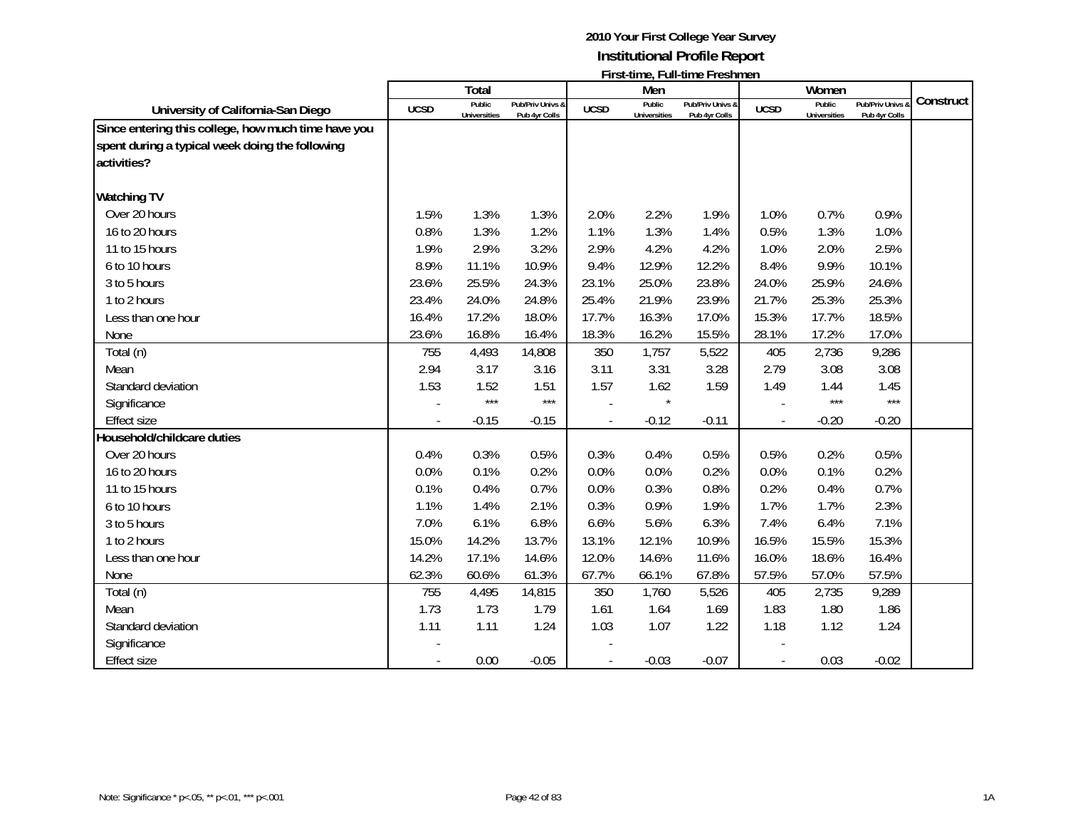|                                                                                                                       |                          | Total                         |                                   |             | Men                           | ו ווארעונוכ, בעווימונוס ברסאוונוסוג |             | Women                         |                                 |           |
|-----------------------------------------------------------------------------------------------------------------------|--------------------------|-------------------------------|-----------------------------------|-------------|-------------------------------|-------------------------------------|-------------|-------------------------------|---------------------------------|-----------|
| University of California-San Diego                                                                                    | <b>UCSD</b>              | Public<br><b>Universities</b> | Pub/Priv Univs &<br>Pub 4yr Colls | <b>UCSD</b> | Public<br><b>Universities</b> | Pub/Priv Univs &<br>Pub 4yr Colls   | <b>UCSD</b> | Public<br><b>Universities</b> | Pub/Priv Univs<br>Pub 4yr Colls | Construct |
| Since entering this college, how much time have you<br>spent during a typical week doing the following<br>activities? |                          |                               |                                   |             |                               |                                     |             |                               |                                 |           |
| <b>Watching TV</b>                                                                                                    |                          |                               |                                   |             |                               |                                     |             |                               |                                 |           |
| Over 20 hours                                                                                                         | 1.5%                     | 1.3%                          | 1.3%                              | 2.0%        | 2.2%                          | 1.9%                                | 1.0%        | 0.7%                          | 0.9%                            |           |
| 16 to 20 hours                                                                                                        | 0.8%                     | 1.3%                          | 1.2%                              | 1.1%        | 1.3%                          | 1.4%                                | 0.5%        | 1.3%                          | 1.0%                            |           |
| 11 to 15 hours                                                                                                        | 1.9%                     | 2.9%                          | 3.2%                              | 2.9%        | 4.2%                          | 4.2%                                | 1.0%        | 2.0%                          | 2.5%                            |           |
| 6 to 10 hours                                                                                                         | 8.9%                     | 11.1%                         | 10.9%                             | 9.4%        | 12.9%                         | 12.2%                               | 8.4%        | 9.9%                          | 10.1%                           |           |
| 3 to 5 hours                                                                                                          | 23.6%                    | 25.5%                         | 24.3%                             | 23.1%       | 25.0%                         | 23.8%                               | 24.0%       | 25.9%                         | 24.6%                           |           |
| 1 to 2 hours                                                                                                          | 23.4%                    | 24.0%                         | 24.8%                             | 25.4%       | 21.9%                         | 23.9%                               | 21.7%       | 25.3%                         | 25.3%                           |           |
| Less than one hour                                                                                                    | 16.4%                    | 17.2%                         | 18.0%                             | 17.7%       | 16.3%                         | 17.0%                               | 15.3%       | 17.7%                         | 18.5%                           |           |
| None                                                                                                                  | 23.6%                    | 16.8%                         | 16.4%                             | 18.3%       | 16.2%                         | 15.5%                               | 28.1%       | 17.2%                         | 17.0%                           |           |
| Total (n)                                                                                                             | 755                      | 4,493                         | 14,808                            | 350         | 1,757                         | 5,522                               | 405         | 2,736                         | 9,286                           |           |
| Mean                                                                                                                  | 2.94                     | 3.17                          | 3.16                              | 3.11        | 3.31                          | 3.28                                | 2.79        | 3.08                          | 3.08                            |           |
| Standard deviation                                                                                                    | 1.53                     | 1.52                          | 1.51                              | 1.57        | 1.62                          | 1.59                                | 1.49        | 1.44                          | 1.45                            |           |
| Significance                                                                                                          |                          | $***$                         | ***                               |             |                               |                                     |             | $***$                         | $***$                           |           |
| <b>Effect size</b>                                                                                                    |                          | $-0.15$                       | $-0.15$                           |             | $-0.12$                       | $-0.11$                             |             | $-0.20$                       | $-0.20$                         |           |
| Household/childcare duties                                                                                            |                          |                               |                                   |             |                               |                                     |             |                               |                                 |           |
| Over 20 hours                                                                                                         | 0.4%                     | 0.3%                          | 0.5%                              | 0.3%        | 0.4%                          | 0.5%                                | 0.5%        | 0.2%                          | 0.5%                            |           |
| 16 to 20 hours                                                                                                        | 0.0%                     | 0.1%                          | 0.2%                              | 0.0%        | 0.0%                          | 0.2%                                | 0.0%        | 0.1%                          | 0.2%                            |           |
| 11 to 15 hours                                                                                                        | 0.1%                     | 0.4%                          | 0.7%                              | 0.0%        | 0.3%                          | 0.8%                                | 0.2%        | 0.4%                          | 0.7%                            |           |
| 6 to 10 hours                                                                                                         | 1.1%                     | 1.4%                          | 2.1%                              | 0.3%        | 0.9%                          | 1.9%                                | 1.7%        | 1.7%                          | 2.3%                            |           |
| 3 to 5 hours                                                                                                          | 7.0%                     | 6.1%                          | 6.8%                              | 6.6%        | 5.6%                          | 6.3%                                | 7.4%        | 6.4%                          | 7.1%                            |           |
| 1 to 2 hours                                                                                                          | 15.0%                    | 14.2%                         | 13.7%                             | 13.1%       | 12.1%                         | 10.9%                               | 16.5%       | 15.5%                         | 15.3%                           |           |
| Less than one hour                                                                                                    | 14.2%                    | 17.1%                         | 14.6%                             | 12.0%       | 14.6%                         | 11.6%                               | 16.0%       | 18.6%                         | 16.4%                           |           |
| None                                                                                                                  | 62.3%                    | 60.6%                         | 61.3%                             | 67.7%       | 66.1%                         | 67.8%                               | 57.5%       | 57.0%                         | 57.5%                           |           |
| Total (n)                                                                                                             | 755                      | 4,495                         | 14,815                            | 350         | 1,760                         | 5,526                               | 405         | 2,735                         | 9,289                           |           |
| Mean                                                                                                                  | 1.73                     | 1.73                          | 1.79                              | 1.61        | 1.64                          | 1.69                                | 1.83        | 1.80                          | 1.86                            |           |
| Standard deviation                                                                                                    | 1.11                     | 1.11                          | 1.24                              | 1.03        | 1.07                          | 1.22                                | 1.18        | 1.12                          | 1.24                            |           |
| Significance                                                                                                          |                          |                               |                                   |             |                               |                                     |             |                               |                                 |           |
| <b>Effect size</b>                                                                                                    | $\overline{\phantom{a}}$ | 0.00                          | $-0.05$                           |             | $-0.03$                       | $-0.07$                             |             | 0.03                          | $-0.02$                         |           |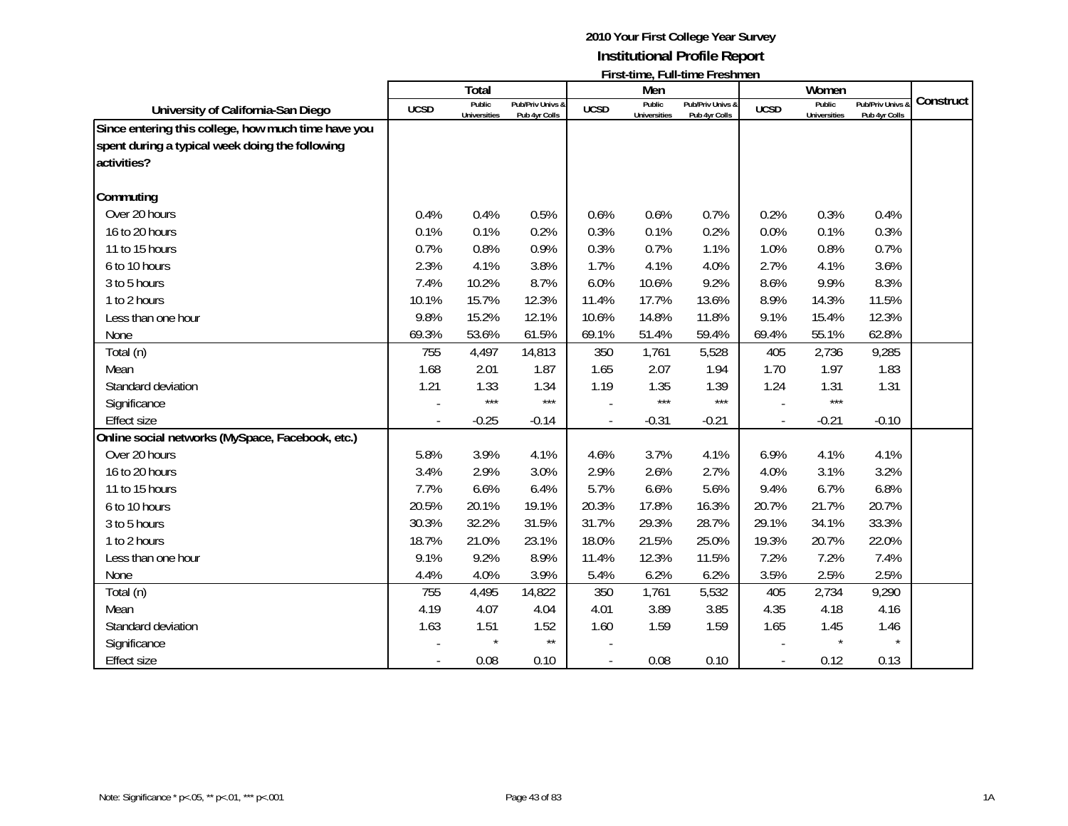|                                                                                                                       |             | Total                         |                                   |             | Men                           | $\mathsf{L}$ is a set of $\mathsf{L}$ . The set of $\mathsf{L}$ is a set of $\mathsf{L}$ |             | Women                         |                                              |           |
|-----------------------------------------------------------------------------------------------------------------------|-------------|-------------------------------|-----------------------------------|-------------|-------------------------------|------------------------------------------------------------------------------------------|-------------|-------------------------------|----------------------------------------------|-----------|
| University of California-San Diego                                                                                    | <b>UCSD</b> | Public<br><b>Universities</b> | Pub/Priv Univs &<br>Pub 4yr Colls | <b>UCSD</b> | Public<br><b>Universities</b> | <b>Pub/Priv Univs &amp;</b><br>Pub 4yr Colls                                             | <b>UCSD</b> | Public<br><b>Universities</b> | <b>Pub/Priv Univs &amp;</b><br>Pub 4yr Colls | Construct |
| Since entering this college, how much time have you<br>spent during a typical week doing the following<br>activities? |             |                               |                                   |             |                               |                                                                                          |             |                               |                                              |           |
| Commuting                                                                                                             |             |                               |                                   |             |                               |                                                                                          |             |                               |                                              |           |
| Over 20 hours                                                                                                         | 0.4%        | 0.4%                          | 0.5%                              | 0.6%        | 0.6%                          | 0.7%                                                                                     | 0.2%        | 0.3%                          | 0.4%                                         |           |
| 16 to 20 hours                                                                                                        | 0.1%        | 0.1%                          | 0.2%                              | 0.3%        | 0.1%                          | 0.2%                                                                                     | 0.0%        | 0.1%                          | 0.3%                                         |           |
| 11 to 15 hours                                                                                                        | 0.7%        | 0.8%                          | 0.9%                              | 0.3%        | 0.7%                          | 1.1%                                                                                     | 1.0%        | 0.8%                          | 0.7%                                         |           |
| 6 to 10 hours                                                                                                         | 2.3%        | 4.1%                          | 3.8%                              | 1.7%        | 4.1%                          | 4.0%                                                                                     | 2.7%        | 4.1%                          | 3.6%                                         |           |
| 3 to 5 hours                                                                                                          | 7.4%        | 10.2%                         | 8.7%                              | 6.0%        | 10.6%                         | 9.2%                                                                                     | 8.6%        | 9.9%                          | 8.3%                                         |           |
| 1 to 2 hours                                                                                                          | 10.1%       | 15.7%                         | 12.3%                             | 11.4%       | 17.7%                         | 13.6%                                                                                    | 8.9%        | 14.3%                         | 11.5%                                        |           |
| Less than one hour                                                                                                    | 9.8%        | 15.2%                         | 12.1%                             | 10.6%       | 14.8%                         | 11.8%                                                                                    | 9.1%        | 15.4%                         | 12.3%                                        |           |
| None                                                                                                                  | 69.3%       | 53.6%                         | 61.5%                             | 69.1%       | 51.4%                         | 59.4%                                                                                    | 69.4%       | 55.1%                         | 62.8%                                        |           |
| Total (n)                                                                                                             | 755         | 4,497                         | 14,813                            | 350         | 1,761                         | 5,528                                                                                    | 405         | 2,736                         | 9,285                                        |           |
| Mean                                                                                                                  | 1.68        | 2.01                          | 1.87                              | 1.65        | 2.07                          | 1.94                                                                                     | 1.70        | 1.97                          | 1.83                                         |           |
| Standard deviation                                                                                                    | 1.21        | 1.33                          | 1.34                              | 1.19        | 1.35                          | 1.39                                                                                     | 1.24        | 1.31                          | 1.31                                         |           |
| Significance                                                                                                          |             | $***$                         | $***$                             |             | $***$                         | $***$                                                                                    |             | $***$                         |                                              |           |
| <b>Effect size</b>                                                                                                    |             | $-0.25$                       | $-0.14$                           |             | $-0.31$                       | $-0.21$                                                                                  |             | $-0.21$                       | $-0.10$                                      |           |
| Online social networks (MySpace, Facebook, etc.)                                                                      |             |                               |                                   |             |                               |                                                                                          |             |                               |                                              |           |
| Over 20 hours                                                                                                         | 5.8%        | 3.9%                          | 4.1%                              | 4.6%        | 3.7%                          | 4.1%                                                                                     | 6.9%        | 4.1%                          | 4.1%                                         |           |
| 16 to 20 hours                                                                                                        | 3.4%        | 2.9%                          | 3.0%                              | 2.9%        | 2.6%                          | 2.7%                                                                                     | 4.0%        | 3.1%                          | 3.2%                                         |           |
| 11 to 15 hours                                                                                                        | 7.7%        | 6.6%                          | 6.4%                              | 5.7%        | 6.6%                          | 5.6%                                                                                     | 9.4%        | 6.7%                          | 6.8%                                         |           |
| 6 to 10 hours                                                                                                         | 20.5%       | 20.1%                         | 19.1%                             | 20.3%       | 17.8%                         | 16.3%                                                                                    | 20.7%       | 21.7%                         | 20.7%                                        |           |
| 3 to 5 hours                                                                                                          | 30.3%       | 32.2%                         | 31.5%                             | 31.7%       | 29.3%                         | 28.7%                                                                                    | 29.1%       | 34.1%                         | 33.3%                                        |           |
| 1 to 2 hours                                                                                                          | 18.7%       | 21.0%                         | 23.1%                             | 18.0%       | 21.5%                         | 25.0%                                                                                    | 19.3%       | 20.7%                         | 22.0%                                        |           |
| Less than one hour                                                                                                    | 9.1%        | 9.2%                          | 8.9%                              | 11.4%       | 12.3%                         | 11.5%                                                                                    | 7.2%        | 7.2%                          | 7.4%                                         |           |
| None                                                                                                                  | 4.4%        | 4.0%                          | 3.9%                              | 5.4%        | 6.2%                          | 6.2%                                                                                     | 3.5%        | 2.5%                          | 2.5%                                         |           |
| Total (n)                                                                                                             | 755         | 4,495                         | 14,822                            | 350         | 1,761                         | 5,532                                                                                    | 405         | 2,734                         | 9,290                                        |           |
| Mean                                                                                                                  | 4.19        | 4.07                          | 4.04                              | 4.01        | 3.89                          | 3.85                                                                                     | 4.35        | 4.18                          | 4.16                                         |           |
| Standard deviation                                                                                                    | 1.63        | 1.51                          | 1.52                              | 1.60        | 1.59                          | 1.59                                                                                     | 1.65        | 1.45                          | 1.46                                         |           |
| Significance                                                                                                          |             |                               | $\star\star$                      |             |                               |                                                                                          |             | $\star$                       | $\star$                                      |           |
| <b>Effect size</b>                                                                                                    |             | 0.08                          | 0.10                              |             | 0.08                          | 0.10                                                                                     |             | 0.12                          | 0.13                                         |           |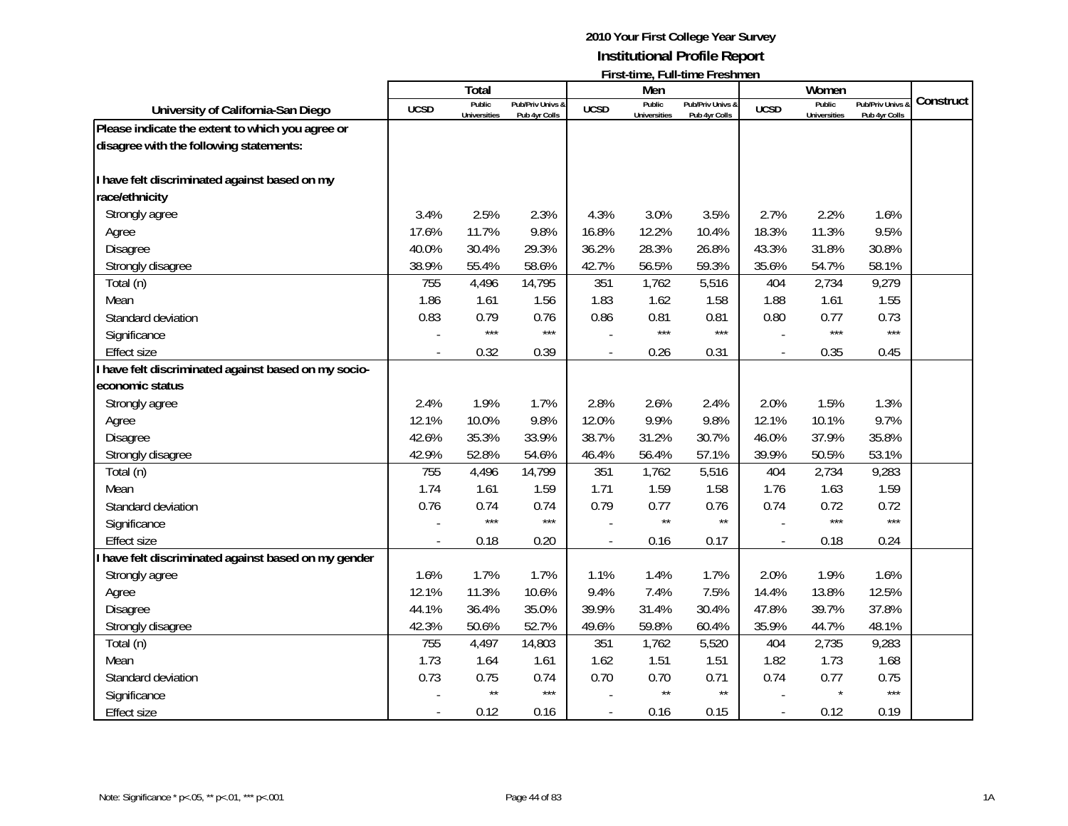|                                                    |             | Total                         |                                   |               | Men                           |                                   |                | Women                         |                                              |           |
|----------------------------------------------------|-------------|-------------------------------|-----------------------------------|---------------|-------------------------------|-----------------------------------|----------------|-------------------------------|----------------------------------------------|-----------|
| University of California-San Diego                 | <b>UCSD</b> | Public<br><b>Universities</b> | Pub/Priv Univs &<br>Pub 4yr Colls | <b>UCSD</b>   | Public<br><b>Universities</b> | Pub/Priv Univs &<br>Pub 4yr Colls | <b>UCSD</b>    | Public<br><b>Universities</b> | <b>Pub/Priv Univs &amp;</b><br>Pub 4yr Colls | Construct |
| Please indicate the extent to which you agree or   |             |                               |                                   |               |                               |                                   |                |                               |                                              |           |
| disagree with the following statements:            |             |                               |                                   |               |                               |                                   |                |                               |                                              |           |
| I have felt discriminated against based on my      |             |                               |                                   |               |                               |                                   |                |                               |                                              |           |
| race/ethnicity                                     |             |                               |                                   |               |                               |                                   |                |                               |                                              |           |
| Strongly agree                                     | 3.4%        | 2.5%                          | 2.3%                              | 4.3%          | 3.0%                          | 3.5%                              | 2.7%           | 2.2%                          | 1.6%                                         |           |
| Agree                                              | 17.6%       | 11.7%                         | 9.8%                              | 16.8%         | 12.2%                         | 10.4%                             | 18.3%          | 11.3%                         | 9.5%                                         |           |
| Disagree                                           | 40.0%       | 30.4%                         | 29.3%                             | 36.2%         | 28.3%                         | 26.8%                             | 43.3%          | 31.8%                         | 30.8%                                        |           |
| Strongly disagree                                  | 38.9%       | 55.4%                         | 58.6%                             | 42.7%         | 56.5%                         | 59.3%                             | 35.6%          | 54.7%                         | 58.1%                                        |           |
| Total (n)                                          | 755         | 4,496                         | 14,795                            | 351           | 1,762                         | 5,516                             | 404            | 2,734                         | 9,279                                        |           |
| Mean                                               | 1.86        | 1.61                          | 1.56                              | 1.83          | 1.62                          | 1.58                              | 1.88           | 1.61                          | 1.55                                         |           |
| Standard deviation                                 | 0.83        | 0.79                          | 0.76                              | 0.86          | 0.81                          | 0.81                              | 0.80           | 0.77                          | 0.73                                         |           |
| Significance                                       |             | $***$                         | $***$                             |               | $***$                         | $***$                             |                | $***$                         | $***$                                        |           |
| <b>Effect size</b>                                 |             | 0.32                          | 0.39                              |               | 0.26                          | 0.31                              |                | 0.35                          | 0.45                                         |           |
| have felt discriminated against based on my socio- |             |                               |                                   |               |                               |                                   |                |                               |                                              |           |
| economic status                                    |             |                               |                                   |               |                               |                                   |                |                               |                                              |           |
| Strongly agree                                     | 2.4%        | 1.9%                          | 1.7%                              | 2.8%          | 2.6%                          | 2.4%                              | 2.0%           | 1.5%                          | 1.3%                                         |           |
| Agree                                              | 12.1%       | 10.0%                         | 9.8%                              | 12.0%         | 9.9%                          | 9.8%                              | 12.1%          | 10.1%                         | 9.7%                                         |           |
| <b>Disagree</b>                                    | 42.6%       | 35.3%                         | 33.9%                             | 38.7%         | 31.2%                         | 30.7%                             | 46.0%          | 37.9%                         | 35.8%                                        |           |
| Strongly disagree                                  | 42.9%       | 52.8%                         | 54.6%                             | 46.4%         | 56.4%                         | 57.1%                             | 39.9%          | 50.5%                         | 53.1%                                        |           |
| Total (n)                                          | 755         | 4,496                         | 14,799                            | 351           | 1,762                         | 5,516                             | 404            | 2,734                         | 9,283                                        |           |
| Mean                                               | 1.74        | 1.61                          | 1.59                              | 1.71          | 1.59                          | 1.58                              | 1.76           | 1.63                          | 1.59                                         |           |
| Standard deviation                                 | 0.76        | 0.74                          | 0.74                              | 0.79          | 0.77                          | 0.76                              | 0.74           | 0.72                          | 0.72                                         |           |
| Significance                                       |             | $***$                         | $***$                             |               | $\star\star$                  | $\star\star$                      |                | $***$                         | $***$                                        |           |
| <b>Effect size</b>                                 |             | 0.18                          | 0.20                              | $\frac{1}{2}$ | 0.16                          | 0.17                              | $\overline{a}$ | 0.18                          | 0.24                                         |           |
| have felt discriminated against based on my gender |             |                               |                                   |               |                               |                                   |                |                               |                                              |           |
| Strongly agree                                     | 1.6%        | 1.7%                          | 1.7%                              | 1.1%          | 1.4%                          | 1.7%                              | 2.0%           | 1.9%                          | 1.6%                                         |           |
| Agree                                              | 12.1%       | 11.3%                         | 10.6%                             | 9.4%          | 7.4%                          | 7.5%                              | 14.4%          | 13.8%                         | 12.5%                                        |           |
| <b>Disagree</b>                                    | 44.1%       | 36.4%                         | 35.0%                             | 39.9%         | 31.4%                         | 30.4%                             | 47.8%          | 39.7%                         | 37.8%                                        |           |
| Strongly disagree                                  | 42.3%       | 50.6%                         | 52.7%                             | 49.6%         | 59.8%                         | 60.4%                             | 35.9%          | 44.7%                         | 48.1%                                        |           |
| Total (n)                                          | 755         | 4,497                         | 14,803                            | 351           | 1,762                         | 5,520                             | 404            | 2,735                         | 9,283                                        |           |
| Mean                                               | 1.73        | 1.64                          | 1.61                              | 1.62          | 1.51                          | 1.51                              | 1.82           | 1.73                          | 1.68                                         |           |
| Standard deviation                                 | 0.73        | 0.75                          | 0.74                              | 0.70          | 0.70                          | 0.71                              | 0.74           | 0.77                          | 0.75                                         |           |
| Significance                                       |             | $\star\star$                  | $***$                             |               | $\star\star$                  | $\star\star$                      |                |                               | $***$                                        |           |
| <b>Effect size</b>                                 |             | 0.12                          | 0.16                              |               | 0.16                          | 0.15                              | $\blacksquare$ | 0.12                          | 0.19                                         |           |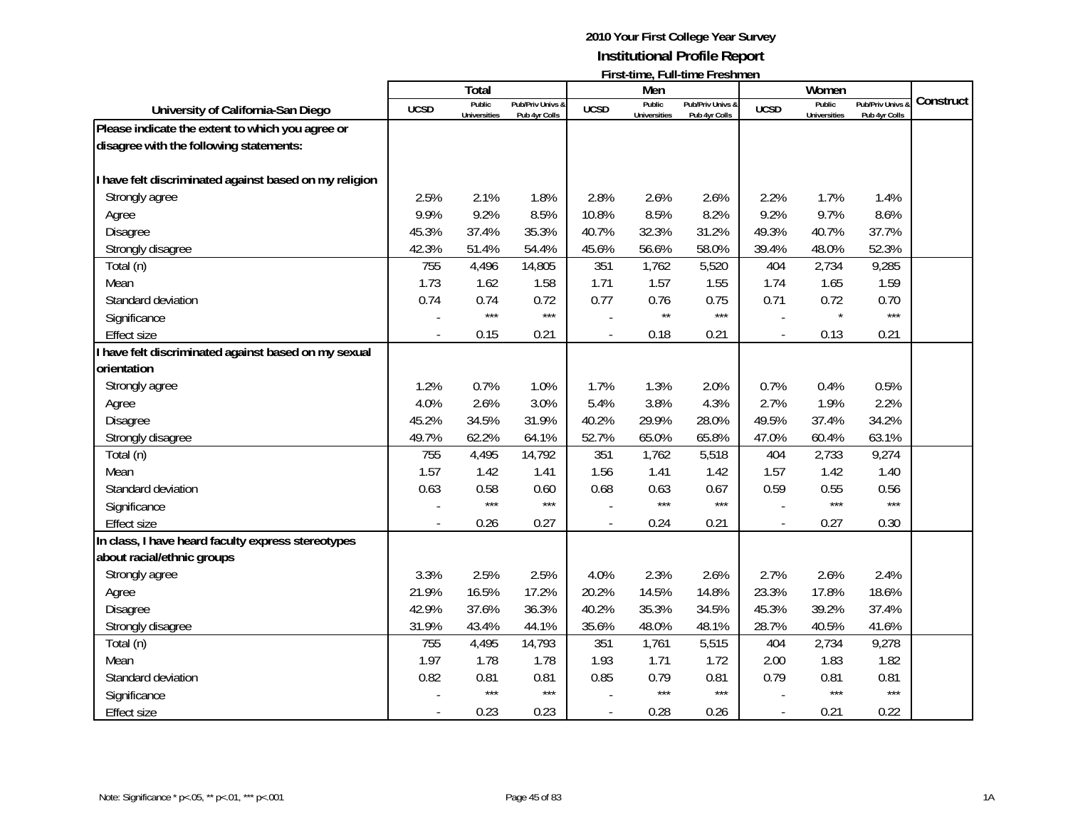|                                                        |             | <b>Total</b>                  |                                   |                          | Men                           |                                   |                          | Women                         |                                 |           |
|--------------------------------------------------------|-------------|-------------------------------|-----------------------------------|--------------------------|-------------------------------|-----------------------------------|--------------------------|-------------------------------|---------------------------------|-----------|
| University of California-San Diego                     | <b>UCSD</b> | Public<br><b>Universities</b> | Pub/Priv Univs &<br>Pub 4yr Colls | <b>UCSD</b>              | Public<br><b>Universities</b> | Pub/Priv Univs &<br>Pub 4yr Colls | <b>UCSD</b>              | Public<br><b>Universities</b> | Pub/Priv Univs<br>Pub 4yr Colls | Construct |
| Please indicate the extent to which you agree or       |             |                               |                                   |                          |                               |                                   |                          |                               |                                 |           |
| disagree with the following statements:                |             |                               |                                   |                          |                               |                                   |                          |                               |                                 |           |
|                                                        |             |                               |                                   |                          |                               |                                   |                          |                               |                                 |           |
| I have felt discriminated against based on my religion |             |                               |                                   |                          |                               |                                   |                          |                               |                                 |           |
| Strongly agree                                         | 2.5%        | 2.1%                          | 1.8%                              | 2.8%                     | 2.6%                          | 2.6%                              | 2.2%                     | 1.7%                          | 1.4%                            |           |
| Agree                                                  | 9.9%        | 9.2%                          | 8.5%                              | 10.8%                    | 8.5%                          | 8.2%                              | 9.2%                     | 9.7%                          | 8.6%                            |           |
| <b>Disagree</b>                                        | 45.3%       | 37.4%                         | 35.3%                             | 40.7%                    | 32.3%                         | 31.2%                             | 49.3%                    | 40.7%                         | 37.7%                           |           |
| Strongly disagree                                      | 42.3%       | 51.4%                         | 54.4%                             | 45.6%                    | 56.6%                         | 58.0%                             | 39.4%                    | 48.0%                         | 52.3%                           |           |
| Total (n)                                              | 755         | 4,496                         | 14,805                            | 351                      | 1,762                         | 5,520                             | 404                      | 2,734                         | 9,285                           |           |
| Mean                                                   | 1.73        | 1.62                          | 1.58                              | 1.71                     | 1.57                          | 1.55                              | 1.74                     | 1.65                          | 1.59                            |           |
| Standard deviation                                     | 0.74        | 0.74                          | 0.72                              | 0.77                     | 0.76                          | 0.75                              | 0.71                     | 0.72                          | 0.70                            |           |
| Significance                                           |             | $***$                         | $***$                             |                          | $\star\star$                  | $***$                             |                          | $\star$                       | $***$                           |           |
| <b>Effect size</b>                                     |             | 0.15                          | 0.21                              | $\overline{\phantom{a}}$ | 0.18                          | 0.21                              | $\overline{a}$           | 0.13                          | 0.21                            |           |
| I have felt discriminated against based on my sexual   |             |                               |                                   |                          |                               |                                   |                          |                               |                                 |           |
| orientation                                            |             |                               |                                   |                          |                               |                                   |                          |                               |                                 |           |
| Strongly agree                                         | 1.2%        | 0.7%                          | 1.0%                              | 1.7%                     | 1.3%                          | 2.0%                              | 0.7%                     | 0.4%                          | 0.5%                            |           |
| Agree                                                  | 4.0%        | 2.6%                          | 3.0%                              | 5.4%                     | 3.8%                          | 4.3%                              | 2.7%                     | 1.9%                          | 2.2%                            |           |
| Disagree                                               | 45.2%       | 34.5%                         | 31.9%                             | 40.2%                    | 29.9%                         | 28.0%                             | 49.5%                    | 37.4%                         | 34.2%                           |           |
| Strongly disagree                                      | 49.7%       | 62.2%                         | 64.1%                             | 52.7%                    | 65.0%                         | 65.8%                             | 47.0%                    | 60.4%                         | 63.1%                           |           |
| Total (n)                                              | 755         | 4,495                         | 14,792                            | 351                      | 1,762                         | 5,518                             | 404                      | 2,733                         | 9,274                           |           |
| Mean                                                   | 1.57        | 1.42                          | 1.41                              | 1.56                     | 1.41                          | 1.42                              | 1.57                     | 1.42                          | 1.40                            |           |
| Standard deviation                                     | 0.63        | 0.58                          | 0.60                              | 0.68                     | 0.63                          | 0.67                              | 0.59                     | 0.55                          | 0.56                            |           |
| Significance                                           |             | $***$                         | $***$                             |                          | $***$                         | $***$                             |                          | $***$                         | $***$                           |           |
| <b>Effect size</b>                                     |             | 0.26                          | 0.27                              | $\overline{a}$           | 0.24                          | 0.21                              | $\overline{\phantom{a}}$ | 0.27                          | 0.30                            |           |
| In class, I have heard faculty express stereotypes     |             |                               |                                   |                          |                               |                                   |                          |                               |                                 |           |
| about racial/ethnic groups                             |             |                               |                                   |                          |                               |                                   |                          |                               |                                 |           |
| Strongly agree                                         | 3.3%        | 2.5%                          | 2.5%                              | 4.0%                     | 2.3%                          | 2.6%                              | 2.7%                     | 2.6%                          | 2.4%                            |           |
| Agree                                                  | 21.9%       | 16.5%                         | 17.2%                             | 20.2%                    | 14.5%                         | 14.8%                             | 23.3%                    | 17.8%                         | 18.6%                           |           |
| <b>Disagree</b>                                        | 42.9%       | 37.6%                         | 36.3%                             | 40.2%                    | 35.3%                         | 34.5%                             | 45.3%                    | 39.2%                         | 37.4%                           |           |
| Strongly disagree                                      | 31.9%       | 43.4%                         | 44.1%                             | 35.6%                    | 48.0%                         | 48.1%                             | 28.7%                    | 40.5%                         | 41.6%                           |           |
| Total (n)                                              | 755         | 4,495                         | 14,793                            | 351                      | 1,761                         | 5,515                             | 404                      | 2,734                         | 9,278                           |           |
| Mean                                                   | 1.97        | 1.78                          | 1.78                              | 1.93                     | 1.71                          | 1.72                              | 2.00                     | 1.83                          | 1.82                            |           |
| Standard deviation                                     | 0.82        | 0.81                          | 0.81                              | 0.85                     | 0.79                          | 0.81                              | 0.79                     | 0.81                          | 0.81                            |           |
| Significance                                           |             | $***$                         | $***$                             |                          | $***$                         | $***$                             |                          | $***$                         | $***$                           |           |
| Effect size                                            |             | 0.23                          | 0.23                              |                          | 0.28                          | 0.26                              | $\overline{\phantom{a}}$ | 0.21                          | 0.22                            |           |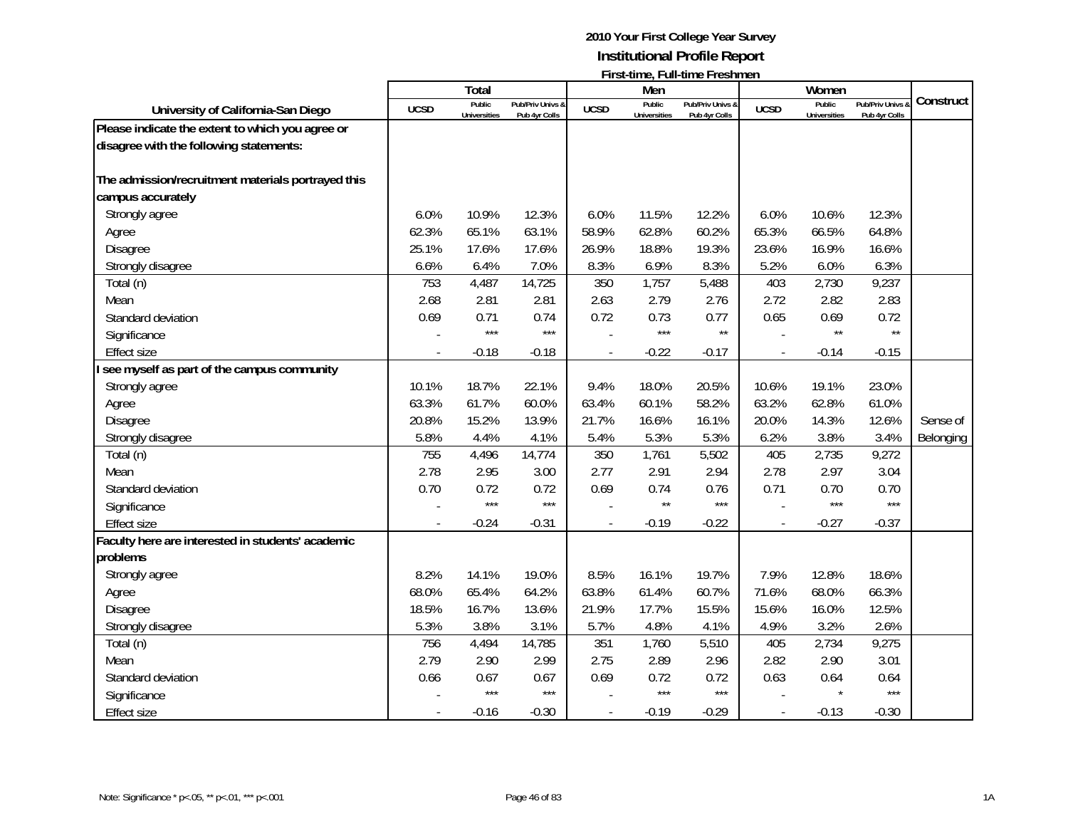|                                                                         |             | <b>Total</b>                  |                                   |             | Men                           | <b>I</b> HSC (HIR, I GIF (HIR TROSHING) |                          | Women                         |                                   |           |
|-------------------------------------------------------------------------|-------------|-------------------------------|-----------------------------------|-------------|-------------------------------|-----------------------------------------|--------------------------|-------------------------------|-----------------------------------|-----------|
| University of California-San Diego                                      | <b>UCSD</b> | Public<br><b>Universities</b> | Pub/Priv Univs &<br>Pub 4yr Colls | <b>UCSD</b> | Public<br><b>Universities</b> | Pub/Priv Univs &<br>Pub 4yr Colls       | <b>UCSD</b>              | Public<br><b>Universities</b> | Pub/Priv Univs &<br>Pub 4yr Colls | Construct |
| Please indicate the extent to which you agree or                        |             |                               |                                   |             |                               |                                         |                          |                               |                                   |           |
| disagree with the following statements:                                 |             |                               |                                   |             |                               |                                         |                          |                               |                                   |           |
| The admission/recruitment materials portrayed this<br>campus accurately |             |                               |                                   |             |                               |                                         |                          |                               |                                   |           |
| Strongly agree                                                          | 6.0%        | 10.9%                         | 12.3%                             | 6.0%        | 11.5%                         | 12.2%                                   | 6.0%                     | 10.6%                         | 12.3%                             |           |
| Agree                                                                   | 62.3%       | 65.1%                         | 63.1%                             | 58.9%       | 62.8%                         | 60.2%                                   | 65.3%                    | 66.5%                         | 64.8%                             |           |
| Disagree                                                                | 25.1%       | 17.6%                         | 17.6%                             | 26.9%       | 18.8%                         | 19.3%                                   | 23.6%                    | 16.9%                         | 16.6%                             |           |
| Strongly disagree                                                       | 6.6%        | 6.4%                          | 7.0%                              | 8.3%        | 6.9%                          | 8.3%                                    | 5.2%                     | 6.0%                          | 6.3%                              |           |
| Total (n)                                                               | 753         | 4,487                         | 14,725                            | 350         | 1,757                         | 5,488                                   | 403                      | 2,730                         | 9,237                             |           |
| Mean                                                                    | 2.68        | 2.81                          | 2.81                              | 2.63        | 2.79                          | 2.76                                    | 2.72                     | 2.82                          | 2.83                              |           |
| Standard deviation                                                      | 0.69        | 0.71                          | 0.74                              | 0.72        | 0.73                          | 0.77                                    | 0.65                     | 0.69                          | 0.72                              |           |
| Significance                                                            |             | $***$                         | $***$                             |             | $***$                         | $\star\star$                            |                          | $\star\star$                  | $\star\star$                      |           |
| <b>Effect size</b>                                                      |             | $-0.18$                       | $-0.18$                           |             | $-0.22$                       | $-0.17$                                 | $\overline{\phantom{a}}$ | $-0.14$                       | $-0.15$                           |           |
| I see myself as part of the campus community                            |             |                               |                                   |             |                               |                                         |                          |                               |                                   |           |
| Strongly agree                                                          | 10.1%       | 18.7%                         | 22.1%                             | 9.4%        | 18.0%                         | 20.5%                                   | 10.6%                    | 19.1%                         | 23.0%                             |           |
| Agree                                                                   | 63.3%       | 61.7%                         | 60.0%                             | 63.4%       | 60.1%                         | 58.2%                                   | 63.2%                    | 62.8%                         | 61.0%                             |           |
| Disagree                                                                | 20.8%       | 15.2%                         | 13.9%                             | 21.7%       | 16.6%                         | 16.1%                                   | 20.0%                    | 14.3%                         | 12.6%                             | Sense of  |
| Strongly disagree                                                       | 5.8%        | 4.4%                          | 4.1%                              | 5.4%        | 5.3%                          | 5.3%                                    | 6.2%                     | 3.8%                          | 3.4%                              | Belonging |
| Total (n)                                                               | 755         | 4,496                         | 14,774                            | 350         | 1,761                         | 5,502                                   | 405                      | 2,735                         | 9,272                             |           |
| Mean                                                                    | 2.78        | 2.95                          | 3.00                              | 2.77        | 2.91                          | 2.94                                    | 2.78                     | 2.97                          | 3.04                              |           |
| Standard deviation                                                      | 0.70        | 0.72                          | 0.72                              | 0.69        | 0.74                          | 0.76                                    | 0.71                     | 0.70                          | 0.70                              |           |
| Significance                                                            |             | $***$                         | $***$                             |             | $\star\star$                  | $***$                                   |                          | $***$                         | $***$                             |           |
| <b>Effect size</b>                                                      |             | $-0.24$                       | $-0.31$                           |             | $-0.19$                       | $-0.22$                                 |                          | $-0.27$                       | $-0.37$                           |           |
| Faculty here are interested in students' academic                       |             |                               |                                   |             |                               |                                         |                          |                               |                                   |           |
| problems                                                                |             |                               |                                   |             |                               |                                         |                          |                               |                                   |           |
| Strongly agree                                                          | 8.2%        | 14.1%                         | 19.0%                             | 8.5%        | 16.1%                         | 19.7%                                   | 7.9%                     | 12.8%                         | 18.6%                             |           |
| Agree                                                                   | 68.0%       | 65.4%                         | 64.2%                             | 63.8%       | 61.4%                         | 60.7%                                   | 71.6%                    | 68.0%                         | 66.3%                             |           |
| <b>Disagree</b>                                                         | 18.5%       | 16.7%                         | 13.6%                             | 21.9%       | 17.7%                         | 15.5%                                   | 15.6%                    | 16.0%                         | 12.5%                             |           |
| Strongly disagree                                                       | 5.3%        | 3.8%                          | 3.1%                              | 5.7%        | 4.8%                          | 4.1%                                    | 4.9%                     | 3.2%                          | 2.6%                              |           |
| Total (n)                                                               | 756         | 4,494                         | 14,785                            | 351         | 1,760                         | 5,510                                   | 405                      | 2,734                         | 9,275                             |           |
| Mean                                                                    | 2.79        | 2.90                          | 2.99                              | 2.75        | 2.89                          | 2.96                                    | 2.82                     | 2.90                          | 3.01                              |           |
| Standard deviation                                                      | 0.66        | 0.67                          | 0.67                              | 0.69        | 0.72                          | 0.72                                    | 0.63                     | 0.64                          | 0.64                              |           |
| Significance                                                            |             | $***$                         | $***$                             |             | $***$                         | $***$                                   |                          |                               | $***$                             |           |
| <b>Effect size</b>                                                      |             | $-0.16$                       | $-0.30$                           |             | $-0.19$                       | $-0.29$                                 | $\overline{a}$           | $-0.13$                       | $-0.30$                           |           |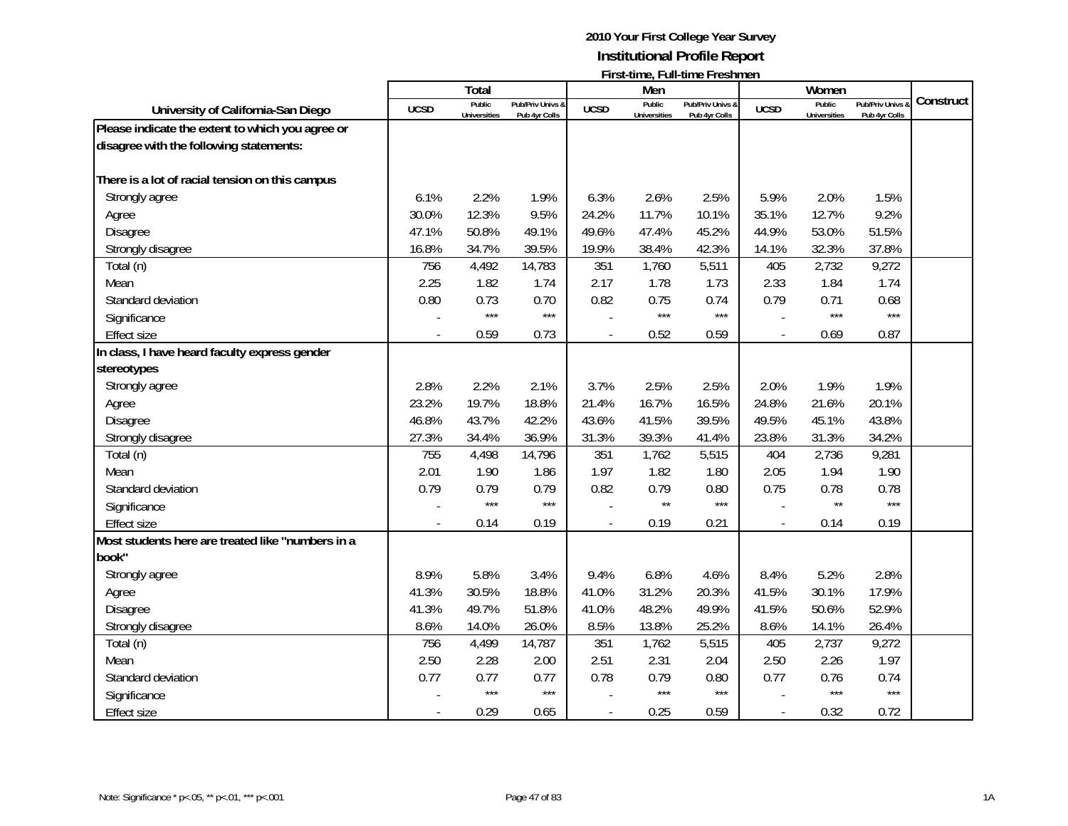|                                                   |             | <b>Total</b>                  |                                   |                | Men                           |                                   |                          | Women                         |                                 |           |
|---------------------------------------------------|-------------|-------------------------------|-----------------------------------|----------------|-------------------------------|-----------------------------------|--------------------------|-------------------------------|---------------------------------|-----------|
| University of California-San Diego                | <b>UCSD</b> | Public<br><b>Universities</b> | Pub/Priv Univs &<br>Pub 4yr Colls | <b>UCSD</b>    | Public<br><b>Universities</b> | Pub/Priv Univs &<br>Pub 4yr Colls | <b>UCSD</b>              | Public<br><b>Universities</b> | Pub/Priv Univs<br>Pub 4yr Colls | Construct |
| Please indicate the extent to which you agree or  |             |                               |                                   |                |                               |                                   |                          |                               |                                 |           |
| disagree with the following statements:           |             |                               |                                   |                |                               |                                   |                          |                               |                                 |           |
| There is a lot of racial tension on this campus   |             |                               |                                   |                |                               |                                   |                          |                               |                                 |           |
| Strongly agree                                    | 6.1%        | 2.2%                          | 1.9%                              | 6.3%           | 2.6%                          | 2.5%                              | 5.9%                     | 2.0%                          | 1.5%                            |           |
| Agree                                             | 30.0%       | 12.3%                         | 9.5%                              | 24.2%          | 11.7%                         | 10.1%                             | 35.1%                    | 12.7%                         | 9.2%                            |           |
| <b>Disagree</b>                                   | 47.1%       | 50.8%                         | 49.1%                             | 49.6%          | 47.4%                         | 45.2%                             | 44.9%                    | 53.0%                         | 51.5%                           |           |
| Strongly disagree                                 | 16.8%       | 34.7%                         | 39.5%                             | 19.9%          | 38.4%                         | 42.3%                             | 14.1%                    | 32.3%                         | 37.8%                           |           |
| Total (n)                                         | 756         | 4,492                         | 14,783                            | 351            | 1,760                         | 5,511                             | 405                      | 2,732                         | 9,272                           |           |
| Mean                                              | 2.25        | 1.82                          | 1.74                              | 2.17           | 1.78                          | 1.73                              | 2.33                     | 1.84                          | 1.74                            |           |
| Standard deviation                                | 0.80        | 0.73                          | 0.70                              | 0.82           | 0.75                          | 0.74                              | 0.79                     | 0.71                          | 0.68                            |           |
| Significance                                      |             | $***$                         | $***$                             |                | $***$                         | $***$                             |                          | $***$                         | $***$                           |           |
| <b>Effect size</b>                                |             | 0.59                          | 0.73                              |                | 0.52                          | 0.59                              | $\overline{\phantom{a}}$ | 0.69                          | 0.87                            |           |
| In class, I have heard faculty express gender     |             |                               |                                   |                |                               |                                   |                          |                               |                                 |           |
| stereotypes                                       |             |                               |                                   |                |                               |                                   |                          |                               |                                 |           |
| Strongly agree                                    | 2.8%        | 2.2%                          | 2.1%                              | 3.7%           | 2.5%                          | 2.5%                              | 2.0%                     | 1.9%                          | 1.9%                            |           |
| Agree                                             | 23.2%       | 19.7%                         | 18.8%                             | 21.4%          | 16.7%                         | 16.5%                             | 24.8%                    | 21.6%                         | 20.1%                           |           |
| Disagree                                          | 46.8%       | 43.7%                         | 42.2%                             | 43.6%          | 41.5%                         | 39.5%                             | 49.5%                    | 45.1%                         | 43.8%                           |           |
| Strongly disagree                                 | 27.3%       | 34.4%                         | 36.9%                             | 31.3%          | 39.3%                         | 41.4%                             | 23.8%                    | 31.3%                         | 34.2%                           |           |
| Total (n)                                         | 755         | 4,498                         | 14,796                            | 351            | 1,762                         | 5,515                             | 404                      | 2,736                         | 9,281                           |           |
| Mean                                              | 2.01        | 1.90                          | 1.86                              | 1.97           | 1.82                          | 1.80                              | 2.05                     | 1.94                          | 1.90                            |           |
| Standard deviation                                | 0.79        | 0.79                          | 0.79                              | 0.82           | 0.79                          | 0.80                              | 0.75                     | 0.78                          | 0.78                            |           |
| Significance                                      |             | $***$                         | $***$                             |                | $\star\star$                  | $***$                             |                          | $\star\star$                  | $***$                           |           |
| <b>Effect size</b>                                |             | 0.14                          | 0.19                              |                | 0.19                          | 0.21                              |                          | 0.14                          | 0.19                            |           |
| Most students here are treated like "numbers in a |             |                               |                                   |                |                               |                                   |                          |                               |                                 |           |
| book"                                             |             |                               |                                   |                |                               |                                   |                          |                               |                                 |           |
| Strongly agree                                    | 8.9%        | 5.8%                          | 3.4%                              | 9.4%           | 6.8%                          | 4.6%                              | 8.4%                     | 5.2%                          | 2.8%                            |           |
| Agree                                             | 41.3%       | 30.5%                         | 18.8%                             | 41.0%          | 31.2%                         | 20.3%                             | 41.5%                    | 30.1%                         | 17.9%                           |           |
| <b>Disagree</b>                                   | 41.3%       | 49.7%                         | 51.8%                             | 41.0%          | 48.2%                         | 49.9%                             | 41.5%                    | 50.6%                         | 52.9%                           |           |
| Strongly disagree                                 | 8.6%        | 14.0%                         | 26.0%                             | 8.5%           | 13.8%                         | 25.2%                             | 8.6%                     | 14.1%                         | 26.4%                           |           |
| Total (n)                                         | 756         | 4,499                         | 14,787                            | 351            | 1,762                         | 5,515                             | 405                      | 2,737                         | 9,272                           |           |
| Mean                                              | 2.50        | 2.28                          | 2.00                              | 2.51           | 2.31                          | 2.04                              | 2.50                     | 2.26                          | 1.97                            |           |
| Standard deviation                                | 0.77        | 0.77                          | 0.77                              | 0.78           | 0.79                          | 0.80                              | 0.77                     | 0.76                          | 0.74                            |           |
| Significance                                      |             | $***$                         | $***$                             |                | $***$                         | $***$                             |                          | $***$                         | $***$                           |           |
| <b>Effect size</b>                                |             | 0.29                          | 0.65                              | $\overline{a}$ | 0.25                          | 0.59                              | $\overline{a}$           | 0.32                          | 0.72                            |           |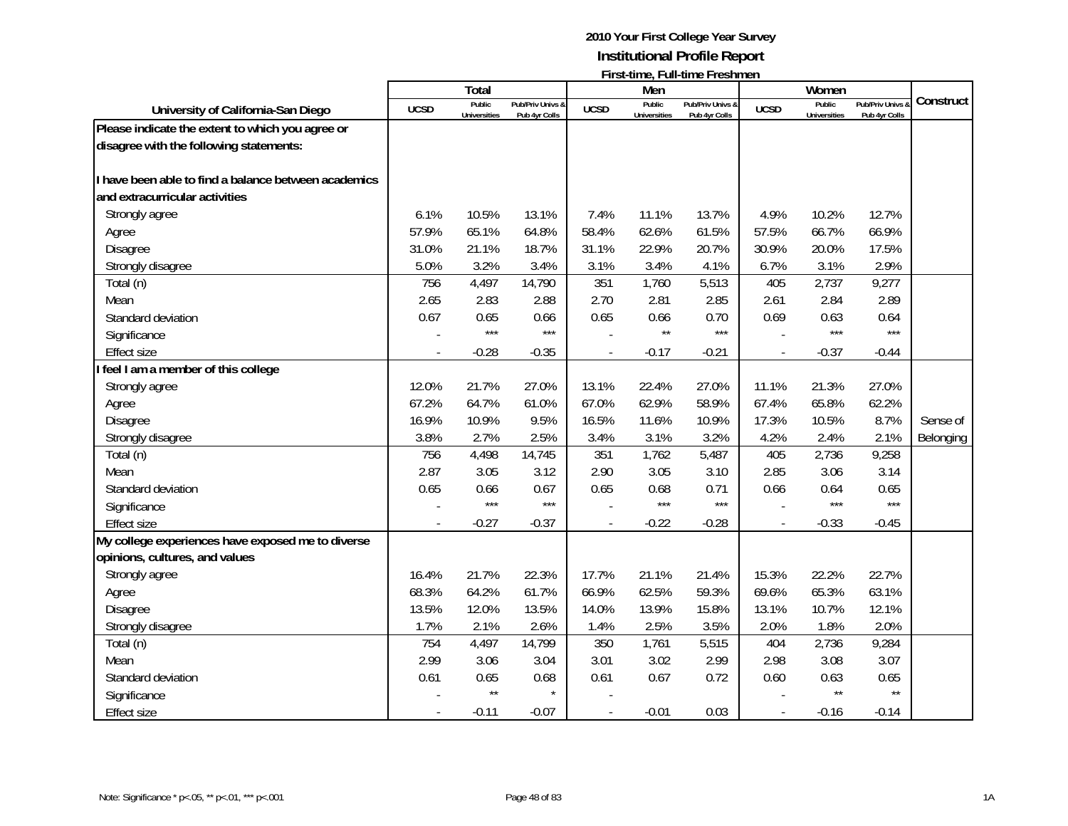|                                                      |             | <b>Total</b>                  |                                   |             | Men                           |                                   |                | Women                         |                                              |           |
|------------------------------------------------------|-------------|-------------------------------|-----------------------------------|-------------|-------------------------------|-----------------------------------|----------------|-------------------------------|----------------------------------------------|-----------|
| University of California-San Diego                   | <b>UCSD</b> | Public<br><b>Universities</b> | Pub/Priv Univs &<br>Pub 4yr Colls | <b>UCSD</b> | Public<br><b>Universities</b> | Pub/Priv Univs &<br>Pub 4yr Colls | <b>UCSD</b>    | Public<br><b>Universities</b> | <b>Pub/Priv Univs &amp;</b><br>Pub 4yr Colls | Construct |
| Please indicate the extent to which you agree or     |             |                               |                                   |             |                               |                                   |                |                               |                                              |           |
| disagree with the following statements:              |             |                               |                                   |             |                               |                                   |                |                               |                                              |           |
|                                                      |             |                               |                                   |             |                               |                                   |                |                               |                                              |           |
| I have been able to find a balance between academics |             |                               |                                   |             |                               |                                   |                |                               |                                              |           |
| and extracurricular activities                       |             |                               |                                   |             |                               |                                   |                |                               |                                              |           |
| Strongly agree                                       | 6.1%        | 10.5%                         | 13.1%                             | 7.4%        | 11.1%                         | 13.7%                             | 4.9%           | 10.2%                         | 12.7%                                        |           |
| Agree                                                | 57.9%       | 65.1%                         | 64.8%                             | 58.4%       | 62.6%                         | 61.5%                             | 57.5%          | 66.7%                         | 66.9%                                        |           |
| Disagree                                             | 31.0%       | 21.1%                         | 18.7%                             | 31.1%       | 22.9%                         | 20.7%                             | 30.9%          | 20.0%                         | 17.5%                                        |           |
| Strongly disagree                                    | 5.0%        | 3.2%                          | 3.4%                              | 3.1%        | 3.4%                          | 4.1%                              | 6.7%           | 3.1%                          | 2.9%                                         |           |
| Total (n)                                            | 756         | 4,497                         | 14,790                            | 351         | 1,760                         | 5,513                             | 405            | 2,737                         | 9,277                                        |           |
| Mean                                                 | 2.65        | 2.83                          | 2.88                              | 2.70        | 2.81                          | 2.85                              | 2.61           | 2.84                          | 2.89                                         |           |
| Standard deviation                                   | 0.67        | 0.65                          | 0.66                              | 0.65        | 0.66                          | 0.70                              | 0.69           | 0.63                          | 0.64                                         |           |
| Significance                                         |             | $***$                         | $***$                             |             | $\star\star$                  | $***$                             |                | $***$                         | $***$                                        |           |
| <b>Effect size</b>                                   |             | $-0.28$                       | $-0.35$                           |             | $-0.17$                       | $-0.21$                           | $\blacksquare$ | $-0.37$                       | $-0.44$                                      |           |
| feel I am a member of this college                   |             |                               |                                   |             |                               |                                   |                |                               |                                              |           |
| Strongly agree                                       | 12.0%       | 21.7%                         | 27.0%                             | 13.1%       | 22.4%                         | 27.0%                             | 11.1%          | 21.3%                         | 27.0%                                        |           |
| Agree                                                | 67.2%       | 64.7%                         | 61.0%                             | 67.0%       | 62.9%                         | 58.9%                             | 67.4%          | 65.8%                         | 62.2%                                        |           |
| Disagree                                             | 16.9%       | 10.9%                         | 9.5%                              | 16.5%       | 11.6%                         | 10.9%                             | 17.3%          | 10.5%                         | 8.7%                                         | Sense of  |
| Strongly disagree                                    | 3.8%        | 2.7%                          | 2.5%                              | 3.4%        | 3.1%                          | 3.2%                              | 4.2%           | 2.4%                          | 2.1%                                         | Belonging |
| Total (n)                                            | 756         | 4,498                         | 14,745                            | 351         | 1,762                         | 5,487                             | 405            | 2,736                         | 9,258                                        |           |
| Mean                                                 | 2.87        | 3.05                          | 3.12                              | 2.90        | 3.05                          | 3.10                              | 2.85           | 3.06                          | 3.14                                         |           |
| Standard deviation                                   | 0.65        | 0.66                          | 0.67                              | 0.65        | 0.68                          | 0.71                              | 0.66           | 0.64                          | 0.65                                         |           |
| Significance                                         |             | $***$                         | $***$                             |             | $***$                         | $***$                             |                | $***$                         | $***$                                        |           |
| <b>Effect size</b>                                   |             | $-0.27$                       | $-0.37$                           |             | $-0.22$                       | $-0.28$                           |                | $-0.33$                       | $-0.45$                                      |           |
| My college experiences have exposed me to diverse    |             |                               |                                   |             |                               |                                   |                |                               |                                              |           |
| opinions, cultures, and values                       |             |                               |                                   |             |                               |                                   |                |                               |                                              |           |
| Strongly agree                                       | 16.4%       | 21.7%                         | 22.3%                             | 17.7%       | 21.1%                         | 21.4%                             | 15.3%          | 22.2%                         | 22.7%                                        |           |
| Agree                                                | 68.3%       | 64.2%                         | 61.7%                             | 66.9%       | 62.5%                         | 59.3%                             | 69.6%          | 65.3%                         | 63.1%                                        |           |
| Disagree                                             | 13.5%       | 12.0%                         | 13.5%                             | 14.0%       | 13.9%                         | 15.8%                             | 13.1%          | 10.7%                         | 12.1%                                        |           |
| Strongly disagree                                    | 1.7%        | 2.1%                          | 2.6%                              | 1.4%        | 2.5%                          | 3.5%                              | 2.0%           | 1.8%                          | 2.0%                                         |           |
| Total (n)                                            | 754         | 4,497                         | 14,799                            | 350         | 1,761                         | 5,515                             | 404            | 2,736                         | 9,284                                        |           |
| Mean                                                 | 2.99        | 3.06                          | 3.04                              | 3.01        | 3.02                          | 2.99                              | 2.98           | 3.08                          | 3.07                                         |           |
| Standard deviation                                   | 0.61        | 0.65                          | 0.68                              | 0.61        | 0.67                          | 0.72                              | 0.60           | 0.63                          | 0.65                                         |           |
| Significance                                         |             | $\star\star$                  |                                   |             |                               |                                   |                | $\star\star$                  | $\star\star$                                 |           |
| <b>Effect size</b>                                   |             | $-0.11$                       | $-0.07$                           |             | $-0.01$                       | 0.03                              |                | $-0.16$                       | $-0.14$                                      |           |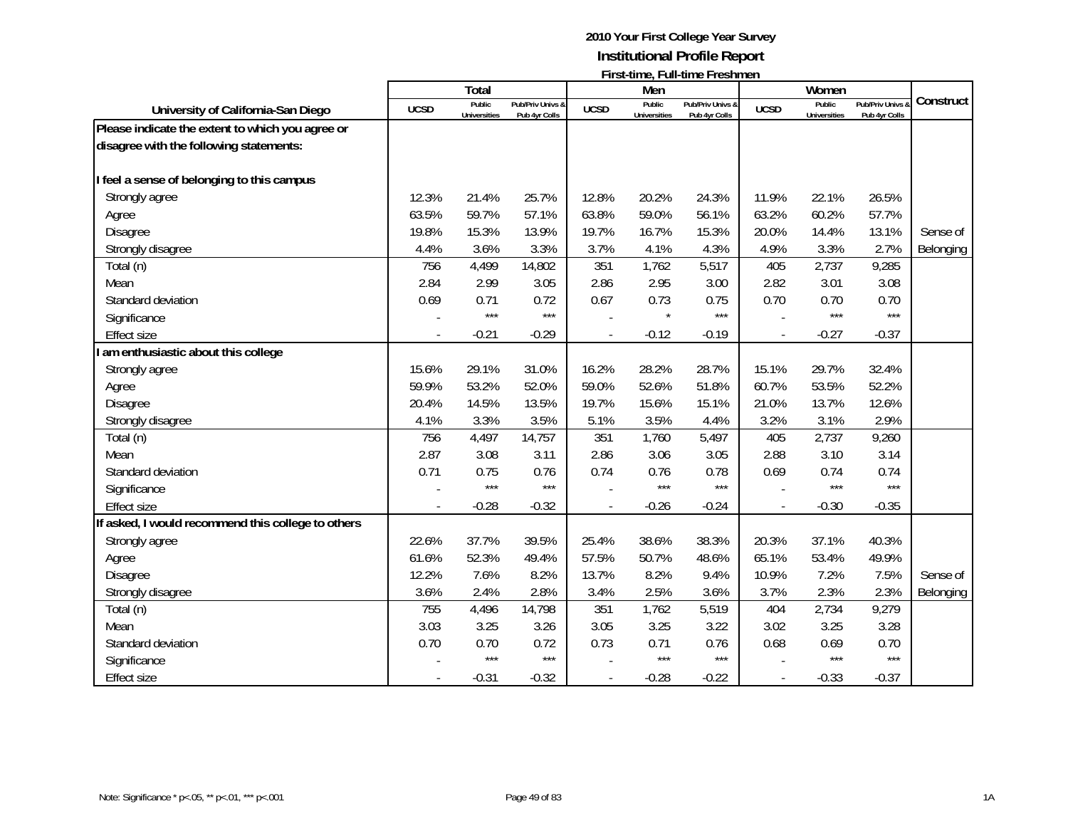|                                                    |             |                               |                                   |             |                               | 1 11 3 t-111 1 1 2 1 2 1 1 2 1 1 1 2 3 1 1 1 1 2 1 1 1 2 1 1 1 2 1 1 1 2 1 1 2 1 1 2 1 1 2 1 2 1 2 1 2 1 2 1 2 |             |                               |                                 |           |
|----------------------------------------------------|-------------|-------------------------------|-----------------------------------|-------------|-------------------------------|----------------------------------------------------------------------------------------------------------------|-------------|-------------------------------|---------------------------------|-----------|
|                                                    |             | Total                         |                                   |             | Men                           |                                                                                                                |             | Women                         |                                 | Construct |
| University of California-San Diego                 | <b>UCSD</b> | Public<br><b>Universities</b> | Pub/Priv Univs &<br>Pub 4yr Colls | <b>UCSD</b> | Public<br><b>Universities</b> | Pub/Priv Univs &<br>Pub 4yr Colls                                                                              | <b>UCSD</b> | Public<br><b>Universities</b> | Pub/Priv Univs<br>Pub 4yr Colls |           |
| Please indicate the extent to which you agree or   |             |                               |                                   |             |                               |                                                                                                                |             |                               |                                 |           |
| disagree with the following statements:            |             |                               |                                   |             |                               |                                                                                                                |             |                               |                                 |           |
|                                                    |             |                               |                                   |             |                               |                                                                                                                |             |                               |                                 |           |
| I feel a sense of belonging to this campus         |             |                               |                                   |             |                               |                                                                                                                |             |                               |                                 |           |
| Strongly agree                                     | 12.3%       | 21.4%                         | 25.7%                             | 12.8%       | 20.2%                         | 24.3%                                                                                                          | 11.9%       | 22.1%                         | 26.5%                           |           |
| Agree                                              | 63.5%       | 59.7%                         | 57.1%                             | 63.8%       | 59.0%                         | 56.1%                                                                                                          | 63.2%       | 60.2%                         | 57.7%                           |           |
| <b>Disagree</b>                                    | 19.8%       | 15.3%                         | 13.9%                             | 19.7%       | 16.7%                         | 15.3%                                                                                                          | 20.0%       | 14.4%                         | 13.1%                           | Sense of  |
| Strongly disagree                                  | 4.4%        | 3.6%                          | 3.3%                              | 3.7%        | 4.1%                          | 4.3%                                                                                                           | 4.9%        | 3.3%                          | 2.7%                            | Belonging |
| Total (n)                                          | 756         | 4,499                         | 14,802                            | 351         | 1,762                         | 5,517                                                                                                          | 405         | 2,737                         | 9,285                           |           |
| Mean                                               | 2.84        | 2.99                          | 3.05                              | 2.86        | 2.95                          | 3.00                                                                                                           | 2.82        | 3.01                          | 3.08                            |           |
| Standard deviation                                 | 0.69        | 0.71                          | 0.72                              | 0.67        | 0.73                          | 0.75                                                                                                           | 0.70        | 0.70                          | 0.70                            |           |
| Significance                                       |             | $***$                         | $***$                             |             | $\star$                       | $***$                                                                                                          |             | $***$                         | $***$                           |           |
| <b>Effect size</b>                                 |             | $-0.21$                       | $-0.29$                           |             | $-0.12$                       | $-0.19$                                                                                                        |             | $-0.27$                       | $-0.37$                         |           |
| I am enthusiastic about this college               |             |                               |                                   |             |                               |                                                                                                                |             |                               |                                 |           |
| Strongly agree                                     | 15.6%       | 29.1%                         | 31.0%                             | 16.2%       | 28.2%                         | 28.7%                                                                                                          | 15.1%       | 29.7%                         | 32.4%                           |           |
| Agree                                              | 59.9%       | 53.2%                         | 52.0%                             | 59.0%       | 52.6%                         | 51.8%                                                                                                          | 60.7%       | 53.5%                         | 52.2%                           |           |
| Disagree                                           | 20.4%       | 14.5%                         | 13.5%                             | 19.7%       | 15.6%                         | 15.1%                                                                                                          | 21.0%       | 13.7%                         | 12.6%                           |           |
| Strongly disagree                                  | 4.1%        | 3.3%                          | 3.5%                              | 5.1%        | 3.5%                          | 4.4%                                                                                                           | 3.2%        | 3.1%                          | 2.9%                            |           |
| Total (n)                                          | 756         | 4,497                         | 14,757                            | 351         | 1,760                         | 5,497                                                                                                          | 405         | 2,737                         | 9,260                           |           |
| Mean                                               | 2.87        | 3.08                          | 3.11                              | 2.86        | 3.06                          | 3.05                                                                                                           | 2.88        | 3.10                          | 3.14                            |           |
| Standard deviation                                 | 0.71        | 0.75                          | 0.76                              | 0.74        | 0.76                          | 0.78                                                                                                           | 0.69        | 0.74                          | 0.74                            |           |
| Significance                                       |             | ***                           | $***$                             |             | $***$                         | ***                                                                                                            |             | $***$                         | $***$                           |           |
| <b>Effect size</b>                                 |             | $-0.28$                       | $-0.32$                           |             | $-0.26$                       | $-0.24$                                                                                                        |             | $-0.30$                       | $-0.35$                         |           |
| If asked, I would recommend this college to others |             |                               |                                   |             |                               |                                                                                                                |             |                               |                                 |           |
| Strongly agree                                     | 22.6%       | 37.7%                         | 39.5%                             | 25.4%       | 38.6%                         | 38.3%                                                                                                          | 20.3%       | 37.1%                         | 40.3%                           |           |
| Agree                                              | 61.6%       | 52.3%                         | 49.4%                             | 57.5%       | 50.7%                         | 48.6%                                                                                                          | 65.1%       | 53.4%                         | 49.9%                           |           |
| Disagree                                           | 12.2%       | 7.6%                          | 8.2%                              | 13.7%       | 8.2%                          | 9.4%                                                                                                           | 10.9%       | 7.2%                          | 7.5%                            | Sense of  |
| Strongly disagree                                  | 3.6%        | 2.4%                          | 2.8%                              | 3.4%        | 2.5%                          | 3.6%                                                                                                           | 3.7%        | 2.3%                          | 2.3%                            | Belonging |
| Total (n)                                          | 755         | 4,496                         | 14,798                            | 351         | 1,762                         | 5,519                                                                                                          | 404         | 2,734                         | 9,279                           |           |
| Mean                                               | 3.03        | 3.25                          | 3.26                              | 3.05        | 3.25                          | 3.22                                                                                                           | 3.02        | 3.25                          | 3.28                            |           |
| Standard deviation                                 | 0.70        | 0.70                          | 0.72                              | 0.73        | 0.71                          | 0.76                                                                                                           | 0.68        | 0.69                          | 0.70                            |           |
| Significance                                       |             | $***$                         | $***$                             |             | $***$                         | $***$                                                                                                          |             | $***$                         | $***$                           |           |
| Effect size                                        |             | $-0.31$                       | $-0.32$                           |             | $-0.28$                       | $-0.22$                                                                                                        |             | $-0.33$                       | $-0.37$                         |           |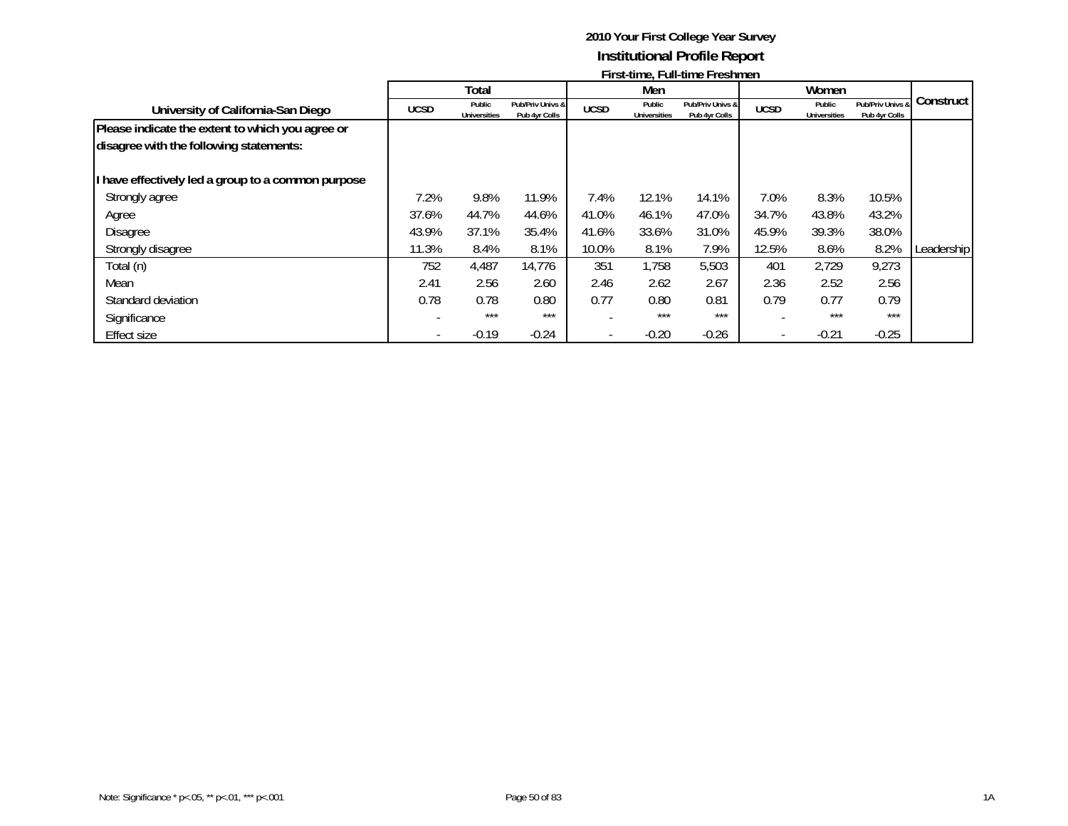|                                                                                             |             | Total                         |                                   |             | Men                           |                                   |                          | Women                         |                                   |              |
|---------------------------------------------------------------------------------------------|-------------|-------------------------------|-----------------------------------|-------------|-------------------------------|-----------------------------------|--------------------------|-------------------------------|-----------------------------------|--------------|
| University of California-San Diego                                                          | <b>UCSD</b> | Public<br><b>Universities</b> | Pub/Priv Univs &<br>Pub 4yr Colls | <b>UCSD</b> | Public<br><b>Universities</b> | Pub/Priv Univs &<br>Pub 4yr Colls | <b>UCSD</b>              | Public<br><b>Universities</b> | Pub/Priv Univs &<br>Pub 4yr Colls | Construct I  |
| Please indicate the extent to which you agree or<br>disagree with the following statements: |             |                               |                                   |             |                               |                                   |                          |                               |                                   |              |
| I have effectively led a group to a common purpose                                          |             |                               |                                   |             |                               |                                   |                          |                               |                                   |              |
| Strongly agree                                                                              | 7.2%        | 9.8%                          | 11.9%                             | 7.4%        | 12.1%                         | 14.1%                             | 7.0%                     | 8.3%                          | 10.5%                             |              |
| Agree                                                                                       | 37.6%       | 44.7%                         | 44.6%                             | 41.0%       | 46.1%                         | 47.0%                             | 34.7%                    | 43.8%                         | 43.2%                             |              |
| <b>Disagree</b>                                                                             | 43.9%       | 37.1%                         | 35.4%                             | 41.6%       | 33.6%                         | 31.0%                             | 45.9%                    | 39.3%                         | 38.0%                             |              |
| Strongly disagree                                                                           | 11.3%       | 8.4%                          | 8.1%                              | 10.0%       | 8.1%                          | 7.9%                              | 12.5%                    | 8.6%                          | 8.2%                              | Leadership I |
| Total (n)                                                                                   | 752         | 4,487                         | 14,776                            | 351         | 1,758                         | 5,503                             | 401                      | 2,729                         | 9,273                             |              |
| Mean                                                                                        | 2.41        | 2.56                          | 2.60                              | 2.46        | 2.62                          | 2.67                              | 2.36                     | 2.52                          | 2.56                              |              |
| Standard deviation                                                                          | 0.78        | 0.78                          | 0.80                              | 0.77        | 0.80                          | 0.81                              | 0.79                     | 0.77                          | 0.79                              |              |
| Significance                                                                                |             | ***                           | $***$                             |             | $***$                         | ***                               |                          | ***                           | $***$                             |              |
| <b>Effect size</b>                                                                          |             | $-0.19$                       | $-0.24$                           |             | $-0.20$                       | $-0.26$                           | $\overline{\phantom{0}}$ | $-0.21$                       | $-0.25$                           |              |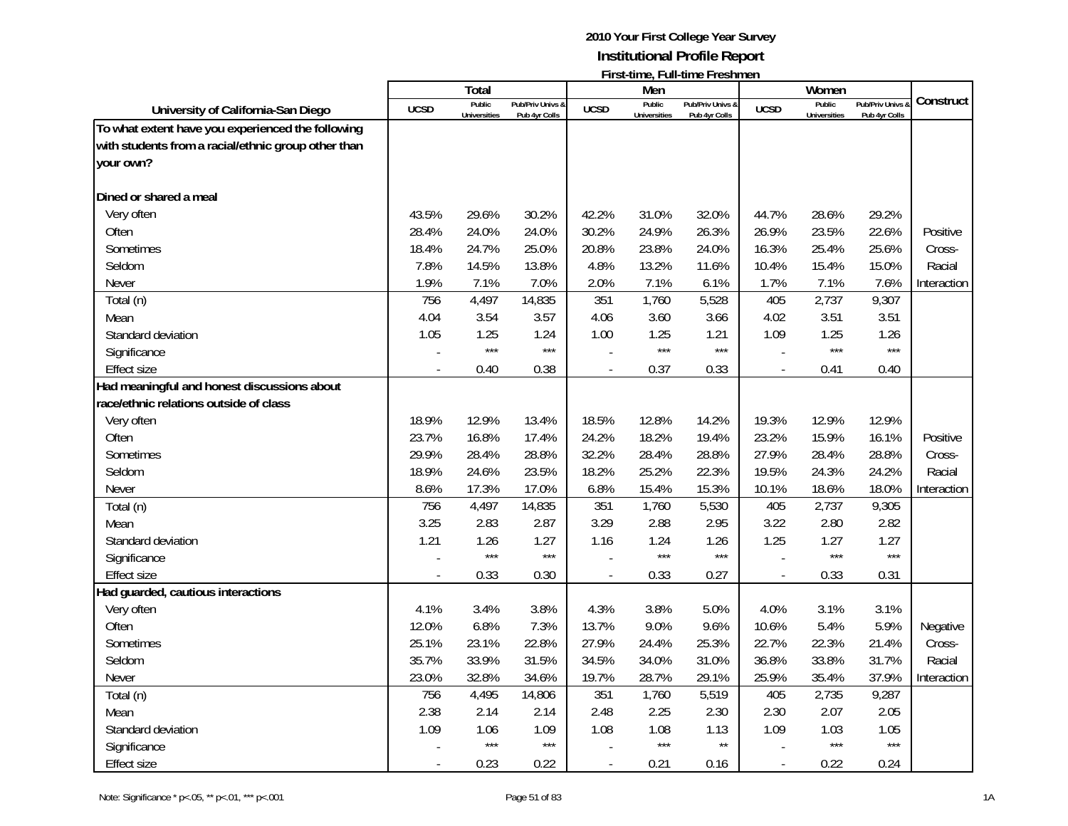|                                                     |             | Total               |                  |                          | Men                 | ו וואינוווכ, ו טווינוווכ ו וכאווווכח |                          | Women               |                  |             |
|-----------------------------------------------------|-------------|---------------------|------------------|--------------------------|---------------------|--------------------------------------|--------------------------|---------------------|------------------|-------------|
|                                                     |             | Public              | Pub/Priv Univs & |                          | Public              | Pub/Priv Univs &                     |                          | Public              | Pub/Priv Univs & | Construct   |
| University of California-San Diego                  | <b>UCSD</b> | <b>Universities</b> | Pub 4yr Colls    | <b>UCSD</b>              | <b>Universities</b> | Pub 4yr Colls                        | <b>UCSD</b>              | <b>Universities</b> | Pub 4yr Colls    |             |
| To what extent have you experienced the following   |             |                     |                  |                          |                     |                                      |                          |                     |                  |             |
| with students from a racial/ethnic group other than |             |                     |                  |                          |                     |                                      |                          |                     |                  |             |
| your own?                                           |             |                     |                  |                          |                     |                                      |                          |                     |                  |             |
|                                                     |             |                     |                  |                          |                     |                                      |                          |                     |                  |             |
| Dined or shared a meal                              |             |                     |                  |                          |                     |                                      |                          |                     |                  |             |
| Very often                                          | 43.5%       | 29.6%               | 30.2%            | 42.2%                    | 31.0%               | 32.0%                                | 44.7%                    | 28.6%               | 29.2%            |             |
| Often                                               | 28.4%       | 24.0%               | 24.0%            | 30.2%                    | 24.9%               | 26.3%                                | 26.9%                    | 23.5%               | 22.6%            | Positive    |
| Sometimes                                           | 18.4%       | 24.7%               | 25.0%            | 20.8%                    | 23.8%               | 24.0%                                | 16.3%                    | 25.4%               | 25.6%            | Cross-      |
| Seldom                                              | 7.8%        | 14.5%               | 13.8%            | 4.8%                     | 13.2%               | 11.6%                                | 10.4%                    | 15.4%               | 15.0%            | Racial      |
| Never                                               | 1.9%        | 7.1%                | 7.0%             | 2.0%                     | 7.1%                | 6.1%                                 | 1.7%                     | 7.1%                | 7.6%             | Interaction |
| Total (n)                                           | 756         | 4,497               | 14,835           | 351                      | 1,760               | 5,528                                | 405                      | 2,737               | 9,307            |             |
| Mean                                                | 4.04        | 3.54                | 3.57             | 4.06                     | 3.60                | 3.66                                 | 4.02                     | 3.51                | 3.51             |             |
| Standard deviation                                  | 1.05        | 1.25                | 1.24             | 1.00                     | 1.25                | 1.21                                 | 1.09                     | 1.25                | 1.26             |             |
| Significance                                        |             | $***$               | $***$            |                          | $***$               | $***$                                |                          | $***$               | $***$            |             |
| <b>Effect size</b>                                  |             | 0.40                | 0.38             | $\overline{a}$           | 0.37                | 0.33                                 | $\overline{\phantom{a}}$ | 0.41                | 0.40             |             |
| Had meaningful and honest discussions about         |             |                     |                  |                          |                     |                                      |                          |                     |                  |             |
| race/ethnic relations outside of class              |             |                     |                  |                          |                     |                                      |                          |                     |                  |             |
| Very often                                          | 18.9%       | 12.9%               | 13.4%            | 18.5%                    | 12.8%               | 14.2%                                | 19.3%                    | 12.9%               | 12.9%            |             |
| Often                                               | 23.7%       | 16.8%               | 17.4%            | 24.2%                    | 18.2%               | 19.4%                                | 23.2%                    | 15.9%               | 16.1%            | Positive    |
| Sometimes                                           | 29.9%       | 28.4%               | 28.8%            | 32.2%                    | 28.4%               | 28.8%                                | 27.9%                    | 28.4%               | 28.8%            | Cross-      |
| Seldom                                              | 18.9%       | 24.6%               | 23.5%            | 18.2%                    | 25.2%               | 22.3%                                | 19.5%                    | 24.3%               | 24.2%            | Racial      |
| Never                                               | 8.6%        | 17.3%               | 17.0%            | 6.8%                     | 15.4%               | 15.3%                                | 10.1%                    | 18.6%               | 18.0%            | Interaction |
| Total (n)                                           | 756         | 4,497               | 14,835           | 351                      | 1,760               | 5,530                                | 405                      | 2,737               | 9,305            |             |
| Mean                                                | 3.25        | 2.83                | 2.87             | 3.29                     | 2.88                | 2.95                                 | 3.22                     | 2.80                | 2.82             |             |
| Standard deviation                                  | 1.21        | 1.26                | 1.27             | 1.16                     | 1.24                | 1.26                                 | 1.25                     | 1.27                | 1.27             |             |
| Significance                                        |             | $***$               | $***$            |                          | $***$               | $***$                                |                          | $***$               | $***$            |             |
| <b>Effect size</b>                                  |             | 0.33                | 0.30             | $\overline{\phantom{a}}$ | 0.33                | 0.27                                 | $\overline{\phantom{a}}$ | 0.33                | 0.31             |             |
| Had guarded, cautious interactions                  |             |                     |                  |                          |                     |                                      |                          |                     |                  |             |
| Very often                                          | 4.1%        | 3.4%                | 3.8%             | 4.3%                     | 3.8%                | 5.0%                                 | 4.0%                     | 3.1%                | 3.1%             |             |
| Often                                               | 12.0%       | 6.8%                | 7.3%             | 13.7%                    | 9.0%                | 9.6%                                 | 10.6%                    | 5.4%                | 5.9%             | Negative    |
| Sometimes                                           | 25.1%       | 23.1%               | 22.8%            | 27.9%                    | 24.4%               | 25.3%                                | 22.7%                    | 22.3%               | 21.4%            | Cross-      |
| Seldom                                              | 35.7%       | 33.9%               | 31.5%            | 34.5%                    | 34.0%               | 31.0%                                | 36.8%                    | 33.8%               | 31.7%            | Racial      |
| Never                                               | 23.0%       | 32.8%               | 34.6%            | 19.7%                    | 28.7%               | 29.1%                                | 25.9%                    | 35.4%               | 37.9%            | Interaction |
| Total (n)                                           | 756         | 4,495               | 14,806           | 351                      | 1,760               | 5,519                                | 405                      | 2,735               | 9,287            |             |
| Mean                                                | 2.38        | 2.14                | 2.14             | 2.48                     | 2.25                | 2.30                                 | 2.30                     | 2.07                | 2.05             |             |
| Standard deviation                                  | 1.09        | 1.06                | 1.09             | 1.08                     | 1.08                | 1.13                                 | 1.09                     | 1.03                | 1.05             |             |
| Significance                                        |             | $***$               | $***$            |                          | $***$               | $\star\star$                         |                          | $***$               | $***$            |             |
| <b>Effect size</b>                                  |             | 0.23                | 0.22             |                          | 0.21                | 0.16                                 | $\overline{a}$           | 0.22                | 0.24             |             |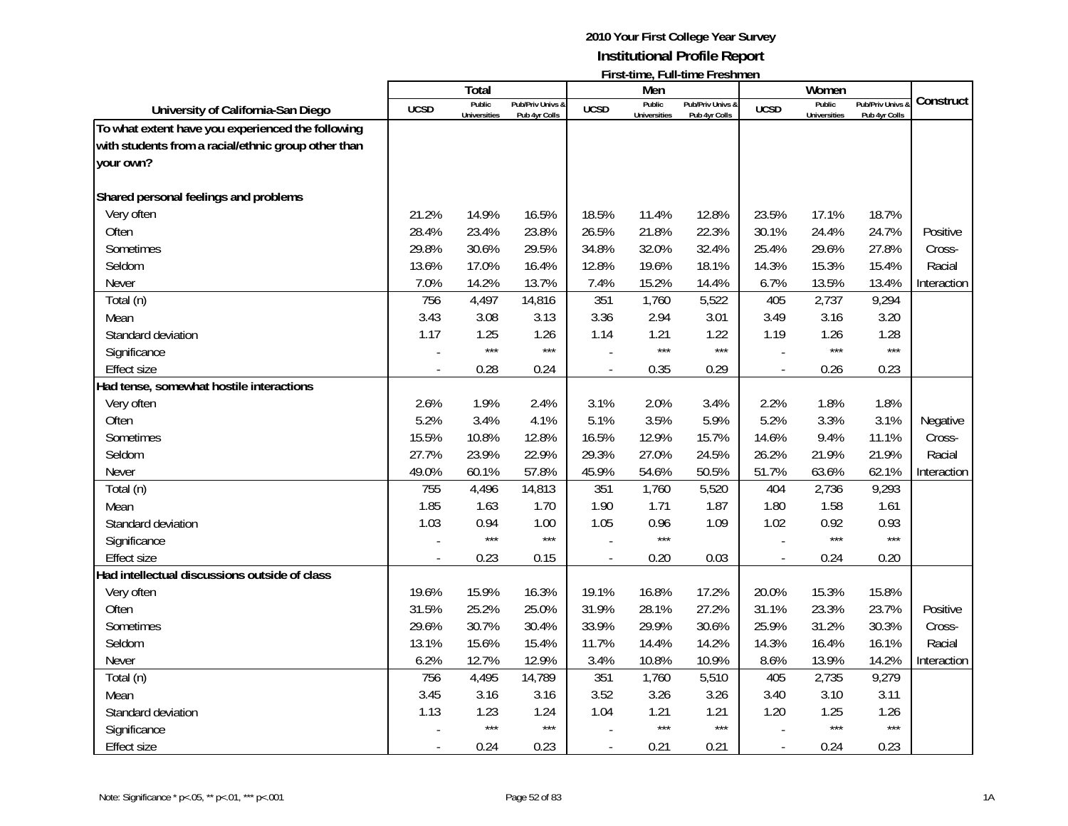|                                                     |                          | Total               |                  |                | Men                 | LILO CHILIC, LUILLIIIII CHI COLIIIICHI |                          | Women               |                  |             |
|-----------------------------------------------------|--------------------------|---------------------|------------------|----------------|---------------------|----------------------------------------|--------------------------|---------------------|------------------|-------------|
|                                                     | <b>UCSD</b>              | Public              | Pub/Priv Univs & | <b>UCSD</b>    | Public              | Pub/Priv Univs &                       | <b>UCSD</b>              | Public              | Pub/Priv Univs & | Construct   |
| University of California-San Diego                  |                          | <b>Universities</b> | Pub 4yr Colls    |                | <b>Universities</b> | Pub 4yr Colls                          |                          | <b>Universities</b> | Pub 4yr Colls    |             |
| To what extent have you experienced the following   |                          |                     |                  |                |                     |                                        |                          |                     |                  |             |
| with students from a racial/ethnic group other than |                          |                     |                  |                |                     |                                        |                          |                     |                  |             |
| your own?                                           |                          |                     |                  |                |                     |                                        |                          |                     |                  |             |
|                                                     |                          |                     |                  |                |                     |                                        |                          |                     |                  |             |
| Shared personal feelings and problems               |                          |                     |                  |                |                     |                                        |                          |                     |                  |             |
| Very often                                          | 21.2%                    | 14.9%               | 16.5%            | 18.5%          | 11.4%               | 12.8%                                  | 23.5%                    | 17.1%               | 18.7%            |             |
| Often                                               | 28.4%                    | 23.4%               | 23.8%            | 26.5%          | 21.8%               | 22.3%                                  | 30.1%                    | 24.4%               | 24.7%            | Positive    |
| Sometimes                                           | 29.8%                    | 30.6%               | 29.5%            | 34.8%          | 32.0%               | 32.4%                                  | 25.4%                    | 29.6%               | 27.8%            | Cross-      |
| Seldom                                              | 13.6%                    | 17.0%               | 16.4%            | 12.8%          | 19.6%               | 18.1%                                  | 14.3%                    | 15.3%               | 15.4%            | Racial      |
| <b>Never</b>                                        | 7.0%                     | 14.2%               | 13.7%            | 7.4%           | 15.2%               | 14.4%                                  | 6.7%                     | 13.5%               | 13.4%            | Interaction |
| Total (n)                                           | 756                      | 4,497               | 14,816           | 351            | 1,760               | 5,522                                  | 405                      | 2,737               | 9,294            |             |
| Mean                                                | 3.43                     | 3.08                | 3.13             | 3.36           | 2.94                | 3.01                                   | 3.49                     | 3.16                | 3.20             |             |
| Standard deviation                                  | 1.17                     | 1.25                | 1.26             | 1.14           | 1.21                | 1.22                                   | 1.19                     | 1.26                | 1.28             |             |
| Significance                                        |                          | $***$               | $***$            |                | $***$               | $***$                                  |                          | $***$               | $***$            |             |
| <b>Effect size</b>                                  |                          | 0.28                | 0.24             |                | 0.35                | 0.29                                   | $\overline{\phantom{a}}$ | 0.26                | 0.23             |             |
| Had tense, somewhat hostile interactions            |                          |                     |                  |                |                     |                                        |                          |                     |                  |             |
| Very often                                          | 2.6%                     | 1.9%                | 2.4%             | 3.1%           | 2.0%                | 3.4%                                   | 2.2%                     | 1.8%                | 1.8%             |             |
| Often                                               | 5.2%                     | 3.4%                | 4.1%             | 5.1%           | 3.5%                | 5.9%                                   | 5.2%                     | 3.3%                | 3.1%             | Negative    |
| Sometimes                                           | 15.5%                    | 10.8%               | 12.8%            | 16.5%          | 12.9%               | 15.7%                                  | 14.6%                    | 9.4%                | 11.1%            | Cross-      |
| Seldom                                              | 27.7%                    | 23.9%               | 22.9%            | 29.3%          | 27.0%               | 24.5%                                  | 26.2%                    | 21.9%               | 21.9%            | Racial      |
| Never                                               | 49.0%                    | 60.1%               | 57.8%            | 45.9%          | 54.6%               | 50.5%                                  | 51.7%                    | 63.6%               | 62.1%            | Interaction |
| Total (n)                                           | 755                      | 4,496               | 14,813           | 351            | 1,760               | 5,520                                  | 404                      | 2,736               | 9,293            |             |
| Mean                                                | 1.85                     | 1.63                | 1.70             | 1.90           | 1.71                | 1.87                                   | 1.80                     | 1.58                | 1.61             |             |
| Standard deviation                                  | 1.03                     | 0.94                | 1.00             | 1.05           | 0.96                | 1.09                                   | 1.02                     | 0.92                | 0.93             |             |
| Significance                                        |                          | $***$               | $***$            |                | $***$               |                                        |                          | ***                 | $***$            |             |
| <b>Effect size</b>                                  |                          | 0.23                | 0.15             |                | 0.20                | 0.03                                   |                          | 0.24                | 0.20             |             |
| Had intellectual discussions outside of class       |                          |                     |                  |                |                     |                                        |                          |                     |                  |             |
| Very often                                          | 19.6%                    | 15.9%               | 16.3%            | 19.1%          | 16.8%               | 17.2%                                  | 20.0%                    | 15.3%               | 15.8%            |             |
| Often                                               | 31.5%                    | 25.2%               | 25.0%            | 31.9%          | 28.1%               | 27.2%                                  | 31.1%                    | 23.3%               | 23.7%            | Positive    |
| Sometimes                                           | 29.6%                    | 30.7%               | 30.4%            | 33.9%          | 29.9%               | 30.6%                                  | 25.9%                    | 31.2%               | 30.3%            | Cross-      |
| Seldom                                              | 13.1%                    | 15.6%               | 15.4%            | 11.7%          | 14.4%               | 14.2%                                  | 14.3%                    | 16.4%               | 16.1%            | Racial      |
| Never                                               | 6.2%                     | 12.7%               | 12.9%            | 3.4%           | 10.8%               | 10.9%                                  | 8.6%                     | 13.9%               | 14.2%            | Interaction |
| Total (n)                                           | 756                      | 4,495               | 14,789           | 351            | 1,760               | 5,510                                  | 405                      | 2,735               | 9,279            |             |
| Mean                                                | 3.45                     | 3.16                | 3.16             | 3.52           | 3.26                | 3.26                                   | 3.40                     | 3.10                | 3.11             |             |
| Standard deviation                                  | 1.13                     | 1.23                | 1.24             | 1.04           | 1.21                | 1.21                                   | 1.20                     | 1.25                | 1.26             |             |
| Significance                                        |                          | $***$               | $***$            |                | $***$               | $***$                                  |                          | $***$               | $***$            |             |
| <b>Effect size</b>                                  | $\overline{\phantom{a}}$ | 0.24                | 0.23             | $\blacksquare$ | 0.21                | 0.21                                   | $\overline{\phantom{a}}$ | 0.24                | 0.23             |             |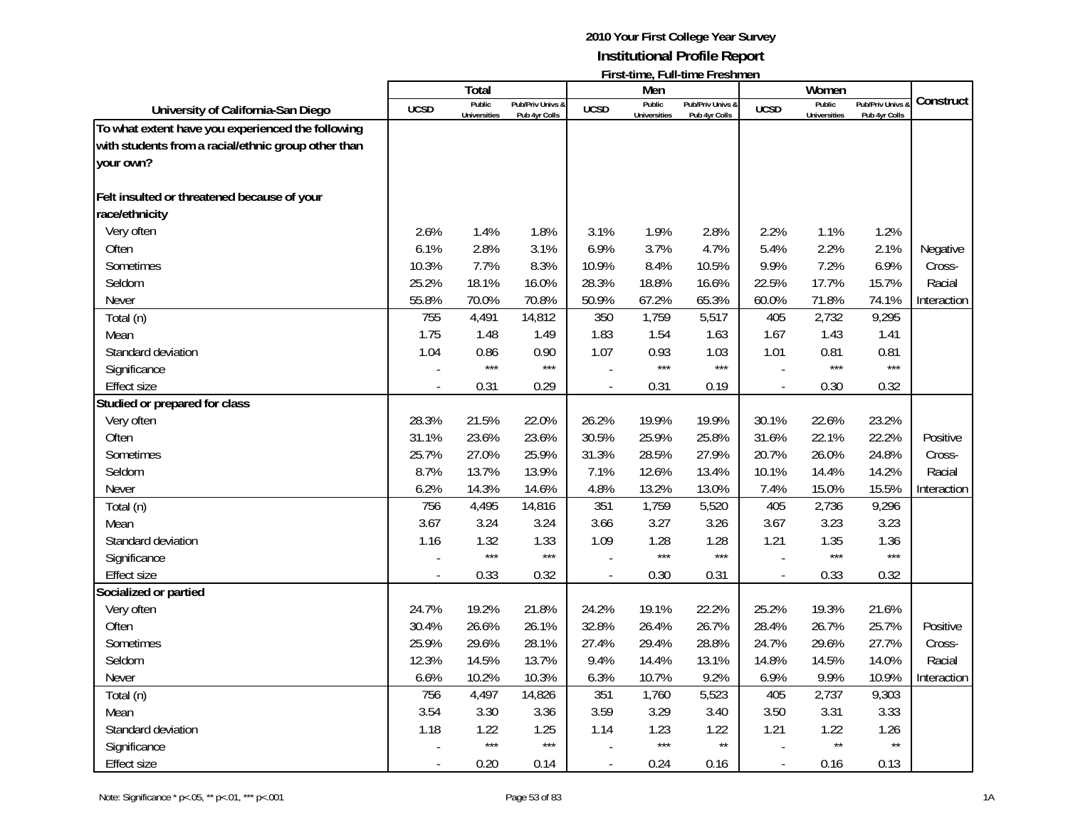|                                                     |             |                               |                                   |                          |                               | $\mathsf{L}$ is a control of $\mathsf{L}$ and $\mathsf{L}$ is controlled in the set of $\mathsf{L}$ |                          |                               |                                   |             |
|-----------------------------------------------------|-------------|-------------------------------|-----------------------------------|--------------------------|-------------------------------|-----------------------------------------------------------------------------------------------------|--------------------------|-------------------------------|-----------------------------------|-------------|
|                                                     |             | Total                         |                                   |                          | Men                           |                                                                                                     |                          | Women                         |                                   | Construct   |
| University of California-San Diego                  | <b>UCSD</b> | Public<br><b>Universities</b> | Pub/Priv Univs &<br>Pub 4yr Colls | <b>UCSD</b>              | Public<br><b>Universities</b> | Pub/Priv Univs &<br>Pub 4yr Colls                                                                   | <b>UCSD</b>              | Public<br><b>Universities</b> | Pub/Priv Univs &<br>Pub 4yr Colls |             |
| To what extent have you experienced the following   |             |                               |                                   |                          |                               |                                                                                                     |                          |                               |                                   |             |
| with students from a racial/ethnic group other than |             |                               |                                   |                          |                               |                                                                                                     |                          |                               |                                   |             |
| your own?                                           |             |                               |                                   |                          |                               |                                                                                                     |                          |                               |                                   |             |
|                                                     |             |                               |                                   |                          |                               |                                                                                                     |                          |                               |                                   |             |
| Felt insulted or threatened because of your         |             |                               |                                   |                          |                               |                                                                                                     |                          |                               |                                   |             |
| race/ethnicity                                      |             |                               |                                   |                          |                               |                                                                                                     |                          |                               |                                   |             |
| Very often                                          | 2.6%        | 1.4%                          | 1.8%                              | 3.1%                     | 1.9%                          | 2.8%                                                                                                | 2.2%                     | 1.1%                          | 1.2%                              |             |
| Often                                               | 6.1%        | 2.8%                          | 3.1%                              | 6.9%                     | 3.7%                          | 4.7%                                                                                                | 5.4%                     | 2.2%                          | 2.1%                              | Negative    |
| Sometimes                                           | 10.3%       | 7.7%                          | 8.3%                              | 10.9%                    | 8.4%                          | 10.5%                                                                                               | 9.9%                     | 7.2%                          | 6.9%                              | Cross-      |
| Seldom                                              | 25.2%       | 18.1%                         | 16.0%                             | 28.3%                    | 18.8%                         | 16.6%                                                                                               | 22.5%                    | 17.7%                         | 15.7%                             | Racial      |
| Never                                               | 55.8%       | 70.0%                         | 70.8%                             | 50.9%                    | 67.2%                         | 65.3%                                                                                               | 60.0%                    | 71.8%                         | 74.1%                             | Interaction |
| Total (n)                                           | 755         | 4,491                         | 14,812                            | 350                      | 1,759                         | 5,517                                                                                               | 405                      | 2,732                         | 9,295                             |             |
| Mean                                                | 1.75        | 1.48                          | 1.49                              | 1.83                     | 1.54                          | 1.63                                                                                                | 1.67                     | 1.43                          | 1.41                              |             |
| Standard deviation                                  | 1.04        | 0.86                          | 0.90                              | 1.07                     | 0.93                          | 1.03                                                                                                | 1.01                     | 0.81                          | 0.81                              |             |
| Significance                                        |             | $***$                         | $***$                             |                          | $***$                         | $***$                                                                                               |                          | $***$                         | $***$                             |             |
| <b>Effect size</b>                                  | ÷,          | 0.31                          | 0.29                              | $\overline{\phantom{a}}$ | 0.31                          | 0.19                                                                                                |                          | 0.30                          | 0.32                              |             |
| Studied or prepared for class                       |             |                               |                                   |                          |                               |                                                                                                     |                          |                               |                                   |             |
| Very often                                          | 28.3%       | 21.5%                         | 22.0%                             | 26.2%                    | 19.9%                         | 19.9%                                                                                               | 30.1%                    | 22.6%                         | 23.2%                             |             |
| Often                                               | 31.1%       | 23.6%                         | 23.6%                             | 30.5%                    | 25.9%                         | 25.8%                                                                                               | 31.6%                    | 22.1%                         | 22.2%                             | Positive    |
| Sometimes                                           | 25.7%       | 27.0%                         | 25.9%                             | 31.3%                    | 28.5%                         | 27.9%                                                                                               | 20.7%                    | 26.0%                         | 24.8%                             | Cross-      |
| Seldom                                              | 8.7%        | 13.7%                         | 13.9%                             | 7.1%                     | 12.6%                         | 13.4%                                                                                               | 10.1%                    | 14.4%                         | 14.2%                             | Racial      |
| Never                                               | 6.2%        | 14.3%                         | 14.6%                             | 4.8%                     | 13.2%                         | 13.0%                                                                                               | 7.4%                     | 15.0%                         | 15.5%                             | Interaction |
| Total (n)                                           | 756         | 4,495                         | 14,816                            | 351                      | 1,759                         | 5,520                                                                                               | 405                      | 2,736                         | 9,296                             |             |
| Mean                                                | 3.67        | 3.24                          | 3.24                              | 3.66                     | 3.27                          | 3.26                                                                                                | 3.67                     | 3.23                          | 3.23                              |             |
| Standard deviation                                  | 1.16        | 1.32                          | 1.33                              | 1.09                     | 1.28                          | 1.28                                                                                                | 1.21                     | 1.35                          | 1.36                              |             |
| Significance                                        |             | $***$                         | $***$                             |                          | $***$                         | $***$                                                                                               |                          | $***$                         | $***$                             |             |
| <b>Effect size</b>                                  |             | 0.33                          | 0.32                              | $\overline{\phantom{a}}$ | 0.30                          | 0.31                                                                                                | $\overline{\phantom{a}}$ | 0.33                          | 0.32                              |             |
| Socialized or partied                               |             |                               |                                   |                          |                               |                                                                                                     |                          |                               |                                   |             |
| Very often                                          | 24.7%       | 19.2%                         | 21.8%                             | 24.2%                    | 19.1%                         | 22.2%                                                                                               | 25.2%                    | 19.3%                         | 21.6%                             |             |
| Often                                               | 30.4%       | 26.6%                         | 26.1%                             | 32.8%                    | 26.4%                         | 26.7%                                                                                               | 28.4%                    | 26.7%                         | 25.7%                             | Positive    |
| Sometimes                                           | 25.9%       | 29.6%                         | 28.1%                             | 27.4%                    | 29.4%                         | 28.8%                                                                                               | 24.7%                    | 29.6%                         | 27.7%                             | Cross-      |
| Seldom                                              | 12.3%       | 14.5%                         | 13.7%                             | 9.4%                     | 14.4%                         | 13.1%                                                                                               | 14.8%                    | 14.5%                         | 14.0%                             | Racial      |
| Never                                               | 6.6%        | 10.2%                         | 10.3%                             | 6.3%                     | 10.7%                         | 9.2%                                                                                                | 6.9%                     | 9.9%                          | 10.9%                             | Interaction |
| Total (n)                                           | 756         | 4,497                         | 14,826                            | 351                      | 1,760                         | 5,523                                                                                               | 405                      | 2,737                         | 9,303                             |             |
| Mean                                                | 3.54        | 3.30                          | 3.36                              | 3.59                     | 3.29                          | 3.40                                                                                                | 3.50                     | 3.31                          | 3.33                              |             |
| Standard deviation                                  | 1.18        | 1.22                          | 1.25                              | 1.14                     | 1.23                          | 1.22                                                                                                | 1.21                     | 1.22                          | 1.26                              |             |
| Significance                                        |             | $***$                         | $***$                             |                          | $***$                         | $\star\star$                                                                                        |                          | $\star\star$                  | $\star\star$                      |             |
| <b>Effect size</b>                                  |             | 0.20                          | 0.14                              |                          | 0.24                          | 0.16                                                                                                | $\blacksquare$           | 0.16                          | 0.13                              |             |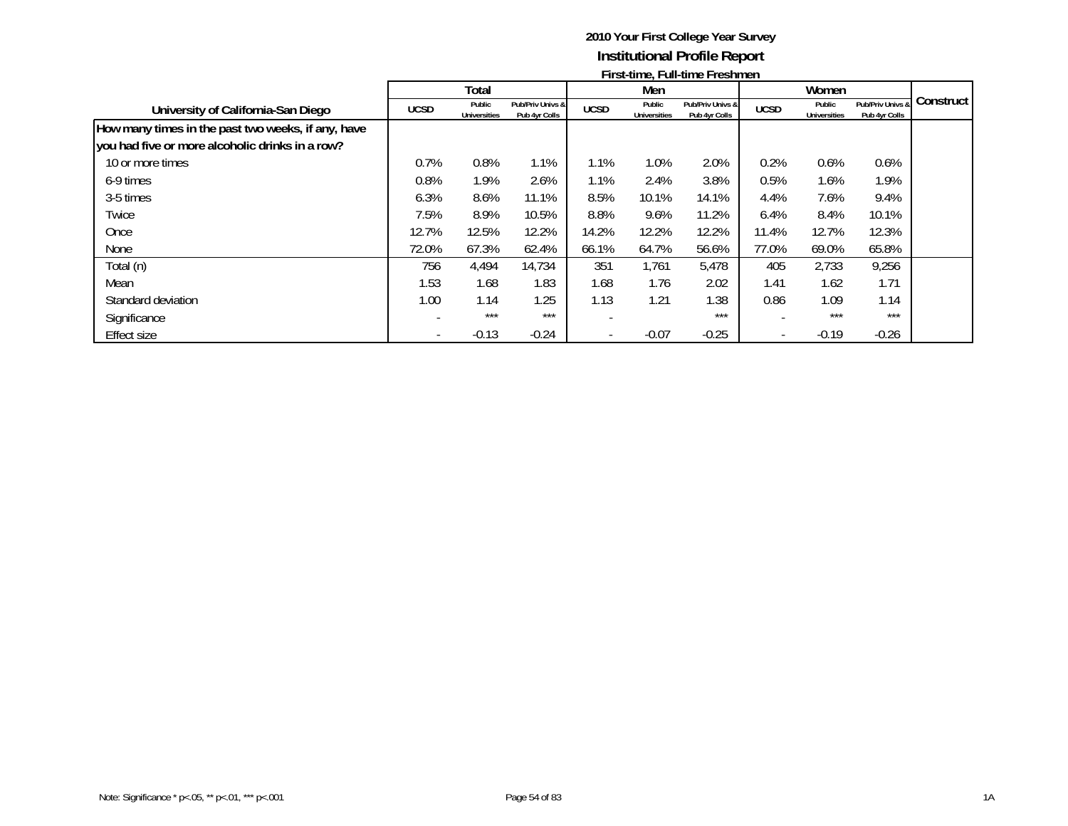|                                                    |             |                               |                                   |             |                               | <u>I II SUULIIG, FUILUITIG FESITINGIT</u> |                          |                               |                                   |             |
|----------------------------------------------------|-------------|-------------------------------|-----------------------------------|-------------|-------------------------------|-------------------------------------------|--------------------------|-------------------------------|-----------------------------------|-------------|
|                                                    |             | Total                         |                                   |             | Men                           |                                           |                          | Women                         |                                   |             |
| University of California-San Diego                 | <b>UCSD</b> | Public<br><b>Universities</b> | Pub/Priv Univs &<br>Pub 4yr Colls | <b>UCSD</b> | Public<br><b>Universities</b> | Pub/Priv Univs &<br>Pub 4yr Colls         | <b>UCSD</b>              | Public<br><b>Universities</b> | Pub/Priv Univs &<br>Pub 4yr Colls | Construct I |
| How many times in the past two weeks, if any, have |             |                               |                                   |             |                               |                                           |                          |                               |                                   |             |
| you had five or more alcoholic drinks in a row?    |             |                               |                                   |             |                               |                                           |                          |                               |                                   |             |
| 10 or more times                                   | 0.7%        | 0.8%                          | 1.1%                              | 1.1%        | 1.0%                          | 2.0%                                      | 0.2%                     | 0.6%                          | 0.6%                              |             |
| 6-9 times                                          | 0.8%        | 1.9%                          | 2.6%                              | 1.1%        | 2.4%                          | 3.8%                                      | 0.5%                     | 1.6%                          | 1.9%                              |             |
| 3-5 times                                          | 6.3%        | 8.6%                          | 11.1%                             | 8.5%        | 10.1%                         | 14.1%                                     | 4.4%                     | 7.6%                          | 9.4%                              |             |
| Twice                                              | 7.5%        | 8.9%                          | 10.5%                             | 8.8%        | 9.6%                          | 11.2%                                     | 6.4%                     | 8.4%                          | 10.1%                             |             |
| Once                                               | 12.7%       | 12.5%                         | 12.2%                             | 14.2%       | 12.2%                         | 12.2%                                     | 11.4%                    | 12.7%                         | 12.3%                             |             |
| None                                               | 72.0%       | 67.3%                         | 62.4%                             | 66.1%       | 64.7%                         | 56.6%                                     | 77.0%                    | 69.0%                         | 65.8%                             |             |
| Total (n)                                          | 756         | 4,494                         | 14,734                            | 351         | 1,761                         | 5,478                                     | 405                      | 2,733                         | 9,256                             |             |
| Mean                                               | 1.53        | 1.68                          | 1.83                              | 1.68        | 1.76                          | 2.02                                      | 1.41                     | 1.62                          | 1.71                              |             |
| Standard deviation                                 | 1.00        | 1.14                          | 1.25                              | 1.13        | 1.21                          | 1.38                                      | 0.86                     | 1.09                          | 1.14                              |             |
| Significance                                       |             | ***                           | $***$                             |             |                               | $***$                                     |                          | $***$                         | $***$                             |             |
| Effect size                                        |             | $-0.13$                       | $-0.24$                           |             | $-0.07$                       | $-0.25$                                   | $\overline{\phantom{a}}$ | $-0.19$                       | $-0.26$                           |             |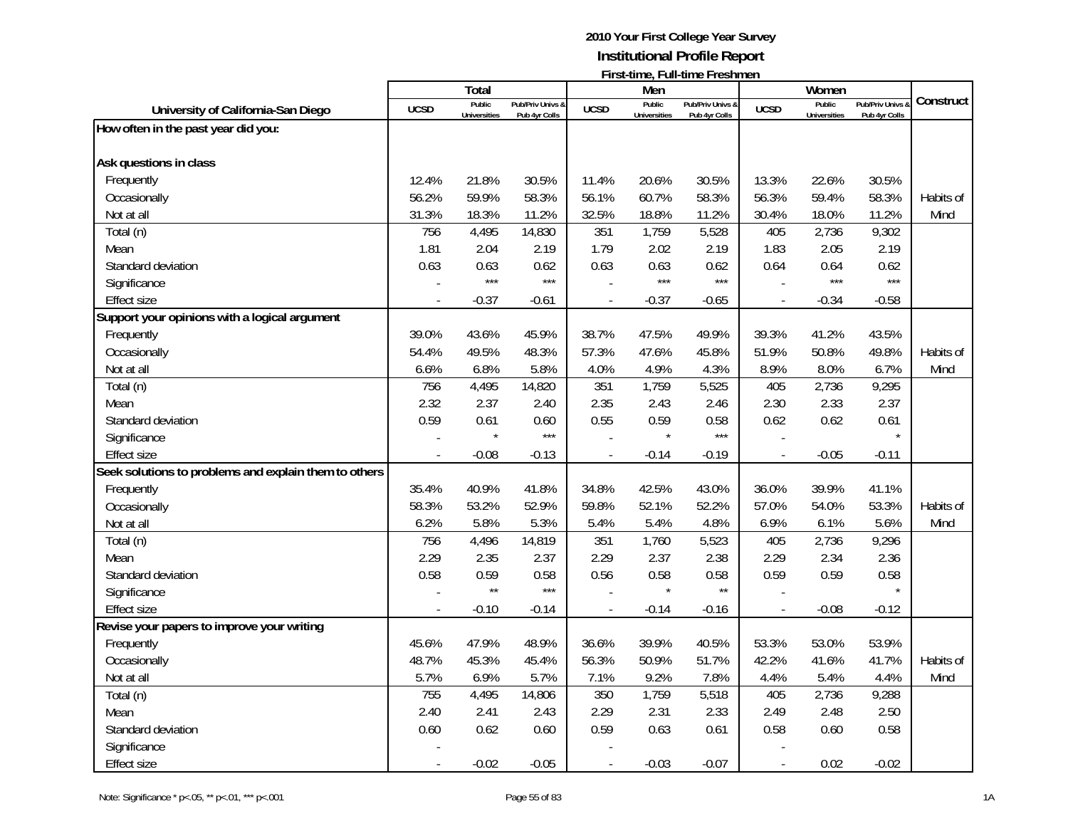|                                                       |             | <b>Total</b>        |                  |                | Men                 | FII SUUIIIIC, FUII-UIIIIC FI CSIIIIICII |                          | Women               |                  |           |
|-------------------------------------------------------|-------------|---------------------|------------------|----------------|---------------------|-----------------------------------------|--------------------------|---------------------|------------------|-----------|
| University of California-San Diego                    | <b>UCSD</b> | Public              | Pub/Priv Univs & | <b>UCSD</b>    | Public              | Pub/Priv Univs &                        | <b>UCSD</b>              | Public              | Pub/Priv Univs & | Construct |
| How often in the past year did you:                   |             | <b>Universities</b> | Pub 4yr Colls    |                | <b>Universities</b> | Pub 4yr Colls                           |                          | <b>Universities</b> | Pub 4yr Colls    |           |
|                                                       |             |                     |                  |                |                     |                                         |                          |                     |                  |           |
| Ask questions in class                                |             |                     |                  |                |                     |                                         |                          |                     |                  |           |
| Frequently                                            | 12.4%       | 21.8%               | 30.5%            | 11.4%          | 20.6%               | 30.5%                                   | 13.3%                    | 22.6%               | 30.5%            |           |
| Occasionally                                          | 56.2%       | 59.9%               | 58.3%            | 56.1%          | 60.7%               | 58.3%                                   | 56.3%                    | 59.4%               | 58.3%            | Habits of |
| Not at all                                            | 31.3%       | 18.3%               | 11.2%            | 32.5%          | 18.8%               | 11.2%                                   | 30.4%                    | 18.0%               | 11.2%            | Mind      |
| Total (n)                                             | 756         | 4,495               | 14,830           | 351            | 1,759               | 5,528                                   | 405                      | 2,736               | 9,302            |           |
| Mean                                                  | 1.81        | 2.04                | 2.19             | 1.79           | 2.02                | 2.19                                    | 1.83                     | 2.05                | 2.19             |           |
| Standard deviation                                    | 0.63        | 0.63                | 0.62             | 0.63           | 0.63                | 0.62                                    | 0.64                     | 0.64                | 0.62             |           |
| Significance                                          |             | $***$               | $***$            |                | $***$               | $***$                                   |                          | $***$               | $***$            |           |
| Effect size                                           |             | $-0.37$             | $-0.61$          | $\overline{a}$ | $-0.37$             | $-0.65$                                 | $\overline{\phantom{a}}$ | $-0.34$             | $-0.58$          |           |
| Support your opinions with a logical argument         |             |                     |                  |                |                     |                                         |                          |                     |                  |           |
| Frequently                                            | 39.0%       | 43.6%               | 45.9%            | 38.7%          | 47.5%               | 49.9%                                   | 39.3%                    | 41.2%               | 43.5%            |           |
| Occasionally                                          | 54.4%       | 49.5%               | 48.3%            | 57.3%          | 47.6%               | 45.8%                                   | 51.9%                    | 50.8%               | 49.8%            | Habits of |
| Not at all                                            | 6.6%        | 6.8%                | 5.8%             | 4.0%           | 4.9%                | 4.3%                                    | 8.9%                     | 8.0%                | 6.7%             | Mind      |
| Total (n)                                             | 756         | 4,495               | 14,820           | 351            | 1,759               | 5,525                                   | 405                      | 2,736               | 9,295            |           |
| Mean                                                  | 2.32        | 2.37                | 2.40             | 2.35           | 2.43                | 2.46                                    | 2.30                     | 2.33                | 2.37             |           |
| Standard deviation                                    | 0.59        | 0.61                | 0.60             | 0.55           | 0.59                | 0.58                                    | 0.62                     | 0.62                | 0.61             |           |
| Significance                                          |             |                     | $***$            |                | $\star$             | $***$                                   |                          |                     |                  |           |
| <b>Effect size</b>                                    |             | $-0.08$             | $-0.13$          |                | $-0.14$             | $-0.19$                                 | $\overline{a}$           | $-0.05$             | $-0.11$          |           |
| Seek solutions to problems and explain them to others |             |                     |                  |                |                     |                                         |                          |                     |                  |           |
| Frequently                                            | 35.4%       | 40.9%               | 41.8%            | 34.8%          | 42.5%               | 43.0%                                   | 36.0%                    | 39.9%               | 41.1%            |           |
| Occasionally                                          | 58.3%       | 53.2%               | 52.9%            | 59.8%          | 52.1%               | 52.2%                                   | 57.0%                    | 54.0%               | 53.3%            | Habits of |
| Not at all                                            | 6.2%        | 5.8%                | 5.3%             | 5.4%           | 5.4%                | 4.8%                                    | 6.9%                     | 6.1%                | 5.6%             | Mind      |
| Total (n)                                             | 756         | 4,496               | 14,819           | 351            | 1,760               | 5,523                                   | 405                      | 2,736               | 9,296            |           |
| Mean                                                  | 2.29        | 2.35                | 2.37             | 2.29           | 2.37                | 2.38                                    | 2.29                     | 2.34                | 2.36             |           |
| Standard deviation                                    | 0.58        | 0.59                | 0.58             | 0.56           | 0.58                | 0.58                                    | 0.59                     | 0.59                | 0.58             |           |
| Significance                                          |             | $\star\star$        | $***$            |                |                     | $\star\star$                            |                          |                     |                  |           |
| <b>Effect size</b>                                    |             | $-0.10$             | $-0.14$          |                | $-0.14$             | $-0.16$                                 | $\overline{a}$           | $-0.08$             | $-0.12$          |           |
| Revise your papers to improve your writing            |             |                     |                  |                |                     |                                         |                          |                     |                  |           |
| Frequently                                            | 45.6%       | 47.9%               | 48.9%            | 36.6%          | 39.9%               | 40.5%                                   | 53.3%                    | 53.0%               | 53.9%            |           |
| Occasionally                                          | 48.7%       | 45.3%               | 45.4%            | 56.3%          | 50.9%               | 51.7%                                   | 42.2%                    | 41.6%               | 41.7%            | Habits of |
| Not at all                                            | 5.7%        | 6.9%                | 5.7%             | 7.1%           | 9.2%                | 7.8%                                    | 4.4%                     | 5.4%                | 4.4%             | Mind      |
| Total (n)                                             | 755         | 4,495               | 14,806           | 350            | 1,759               | 5,518                                   | 405                      | 2,736               | 9,288            |           |
| Mean                                                  | 2.40        | 2.41                | 2.43             | 2.29           | 2.31                | 2.33                                    | 2.49                     | 2.48                | 2.50             |           |
| Standard deviation                                    | 0.60        | 0.62                | 0.60             | 0.59           | 0.63                | 0.61                                    | 0.58                     | 0.60                | 0.58             |           |
| Significance                                          |             |                     |                  |                |                     |                                         |                          |                     |                  |           |
| <b>Effect size</b>                                    |             | $-0.02$             | $-0.05$          |                | $-0.03$             | $-0.07$                                 | $\overline{a}$           | 0.02                | $-0.02$          |           |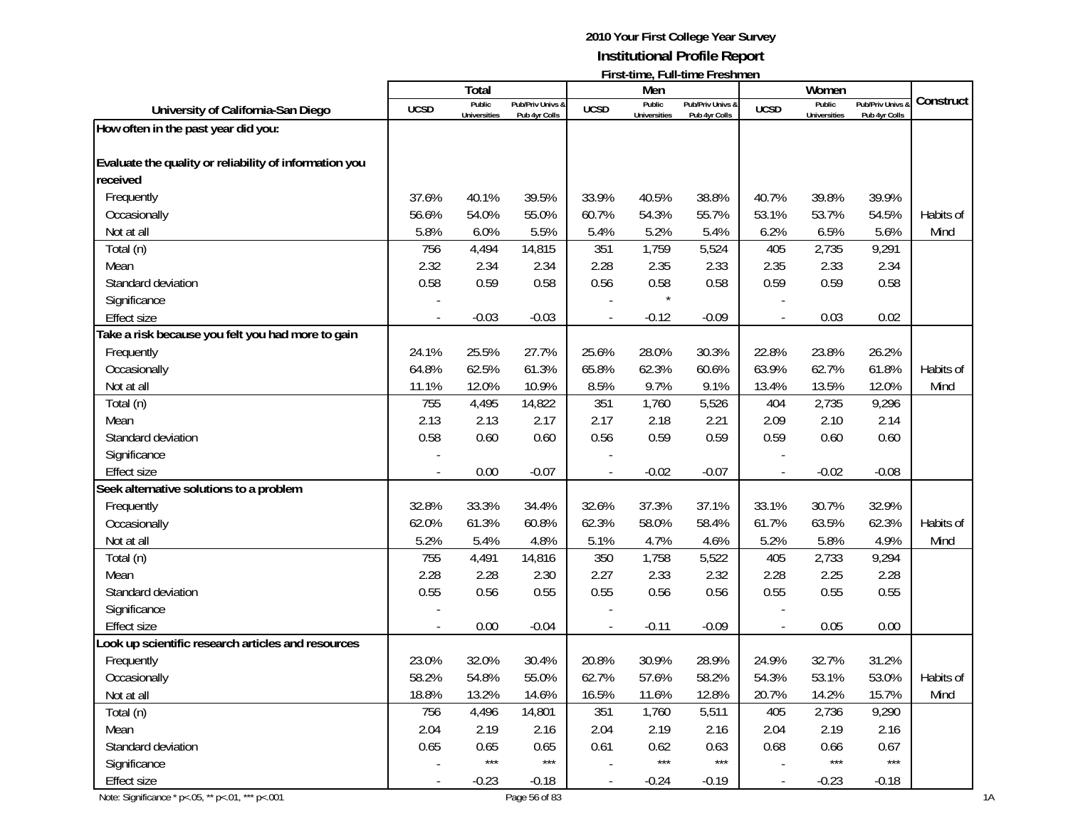|                                                        |                          | <b>Total</b>        |                  |                          | Men               | $\mathsf{L}$ is a set that $\mathsf{C}_i$ is a set that $\mathsf{C}$ is a set of $\mathsf{C}$ |                          | Women               |                |           |
|--------------------------------------------------------|--------------------------|---------------------|------------------|--------------------------|-------------------|-----------------------------------------------------------------------------------------------|--------------------------|---------------------|----------------|-----------|
|                                                        |                          | Public              | Pub/Priv Univs & |                          | Public            | Pub/Priv Univs &                                                                              |                          | Public              | Pub/Priv Univs | Construct |
| University of California-San Diego                     | <b>UCSD</b>              | <b>Universities</b> | Pub 4yr Colls    | <b>UCSD</b>              | Universities      | Pub 4yr Colls                                                                                 | <b>UCSD</b>              | <b>Universities</b> | Pub 4yr Colls  |           |
| How often in the past year did you:                    |                          |                     |                  |                          |                   |                                                                                               |                          |                     |                |           |
|                                                        |                          |                     |                  |                          |                   |                                                                                               |                          |                     |                |           |
| Evaluate the quality or reliability of information you |                          |                     |                  |                          |                   |                                                                                               |                          |                     |                |           |
| received                                               |                          |                     |                  |                          |                   |                                                                                               |                          |                     |                |           |
| Frequently                                             | 37.6%                    | 40.1%               | 39.5%            | 33.9%                    | 40.5%             | 38.8%                                                                                         | 40.7%                    | 39.8%               | 39.9%          |           |
| Occasionally                                           | 56.6%                    | 54.0%               | 55.0%            | 60.7%                    | 54.3%             | 55.7%                                                                                         | 53.1%                    | 53.7%               | 54.5%          | Habits of |
| Not at all                                             | 5.8%                     | 6.0%                | 5.5%             | 5.4%                     | 5.2%              | 5.4%                                                                                          | 6.2%                     | 6.5%                | 5.6%           | Mind      |
| Total (n)                                              | 756                      | 4,494               | 14,815           | 351                      | 1,759             | 5,524                                                                                         | 405                      | 2,735               | 9,291          |           |
| Mean                                                   | 2.32                     | 2.34                | 2.34             | 2.28                     | 2.35              | 2.33                                                                                          | 2.35                     | 2.33                | 2.34           |           |
| Standard deviation                                     | 0.58                     | 0.59                | 0.58             | 0.56                     | 0.58              | 0.58                                                                                          | 0.59                     | 0.59                | 0.58           |           |
| Significance                                           |                          |                     |                  |                          |                   |                                                                                               |                          |                     |                |           |
| <b>Effect size</b>                                     |                          | $-0.03$             | $-0.03$          |                          | $-0.12$           | $-0.09$                                                                                       | $\blacksquare$           | 0.03                | 0.02           |           |
| Take a risk because you felt you had more to gain      |                          |                     |                  |                          |                   |                                                                                               |                          |                     |                |           |
| Frequently                                             | 24.1%                    | 25.5%               | 27.7%            | 25.6%                    | 28.0%             | 30.3%                                                                                         | 22.8%                    | 23.8%               | 26.2%          |           |
| Occasionally                                           | 64.8%                    | 62.5%               | 61.3%            | 65.8%                    | 62.3%             | 60.6%                                                                                         | 63.9%                    | 62.7%               | 61.8%          | Habits of |
| Not at all                                             | 11.1%                    | 12.0%               | 10.9%            | 8.5%                     | 9.7%              | 9.1%                                                                                          | 13.4%                    | 13.5%               | 12.0%          | Mind      |
| Total (n)                                              | 755                      | 4,495               | 14,822           | 351                      | 1,760             | 5,526                                                                                         | 404                      | 2,735               | 9,296          |           |
| Mean                                                   | 2.13                     | 2.13                | 2.17             | 2.17                     | 2.18              | 2.21                                                                                          | 2.09                     | 2.10                | 2.14           |           |
| Standard deviation                                     | 0.58                     | 0.60                | 0.60             | 0.56                     | 0.59              | 0.59                                                                                          | 0.59                     | 0.60                | 0.60           |           |
| Significance                                           |                          |                     |                  |                          |                   |                                                                                               |                          |                     |                |           |
| <b>Effect size</b>                                     |                          | 0.00                | $-0.07$          |                          | $-0.02$           | $-0.07$                                                                                       |                          | $-0.02$             | $-0.08$        |           |
| Seek alternative solutions to a problem                |                          |                     |                  |                          |                   |                                                                                               |                          |                     |                |           |
| Frequently                                             | 32.8%                    | 33.3%               | 34.4%            | 32.6%                    | 37.3%             | 37.1%                                                                                         | 33.1%                    | 30.7%               | 32.9%          |           |
| Occasionally                                           | 62.0%                    | 61.3%               | 60.8%            | 62.3%                    | 58.0%             | 58.4%                                                                                         | 61.7%                    | 63.5%               | 62.3%          | Habits of |
| Not at all                                             | 5.2%                     | 5.4%                | 4.8%             | 5.1%                     | 4.7%              | 4.6%                                                                                          | 5.2%                     | 5.8%                | 4.9%           | Mind      |
| Total (n)                                              | 755                      | 4,491               | 14,816           | 350                      | 1,758             | 5,522                                                                                         | 405                      | 2,733               | 9,294          |           |
|                                                        |                          |                     |                  |                          |                   |                                                                                               |                          |                     |                |           |
| Mean                                                   | 2.28                     | 2.28                | 2.30             | 2.27                     | 2.33              | 2.32                                                                                          | 2.28                     | 2.25                | 2.28           |           |
| Standard deviation                                     | 0.55                     | 0.56                | 0.55             | 0.55                     | 0.56              | 0.56                                                                                          | 0.55                     | 0.55                | 0.55           |           |
| Significance                                           |                          |                     |                  |                          |                   |                                                                                               |                          |                     |                |           |
| <b>Effect size</b>                                     |                          | 0.00                | $-0.04$          |                          | $-0.11$           | $-0.09$                                                                                       |                          | 0.05                | 0.00           |           |
| Look up scientific research articles and resources     |                          |                     |                  |                          |                   |                                                                                               |                          |                     |                |           |
| Frequently                                             | 23.0%                    | 32.0%               | 30.4%            | 20.8%                    | 30.9%             | 28.9%                                                                                         | 24.9%                    | 32.7%               | 31.2%          |           |
| Occasionally                                           | 58.2%                    | 54.8%               | 55.0%            | 62.7%                    | 57.6%             | 58.2%                                                                                         | 54.3%                    | 53.1%               | 53.0%          | Habits of |
| Not at all                                             | 18.8%                    | 13.2%               | 14.6%            | 16.5%                    | 11.6%             | 12.8%                                                                                         | 20.7%                    | 14.2%               | 15.7%          | Mind      |
| Total (n)                                              | 756                      | 4,496               | 14,801           | 351                      | 1,760             | 5,511                                                                                         | 405                      | 2,736               | 9,290          |           |
| Mean                                                   | 2.04                     | 2.19                | 2.16             | 2.04                     | 2.19              | 2.16                                                                                          | 2.04                     | 2.19                | 2.16           |           |
| Standard deviation                                     | 0.65                     | 0.65                | 0.65             | 0.61                     | 0.62              | 0.63                                                                                          | 0.68                     | 0.66                | 0.67           |           |
| Significance                                           |                          | $***$               | $***$            |                          | $\star\star\star$ | $***$                                                                                         |                          | $***$               | $***$          |           |
| <b>Effect size</b>                                     | $\overline{\phantom{a}}$ | $-0.23$             | $-0.18$          | $\overline{\phantom{a}}$ | $-0.24$           | $-0.19$                                                                                       | $\overline{\phantom{a}}$ | $-0.23$             | $-0.18$        |           |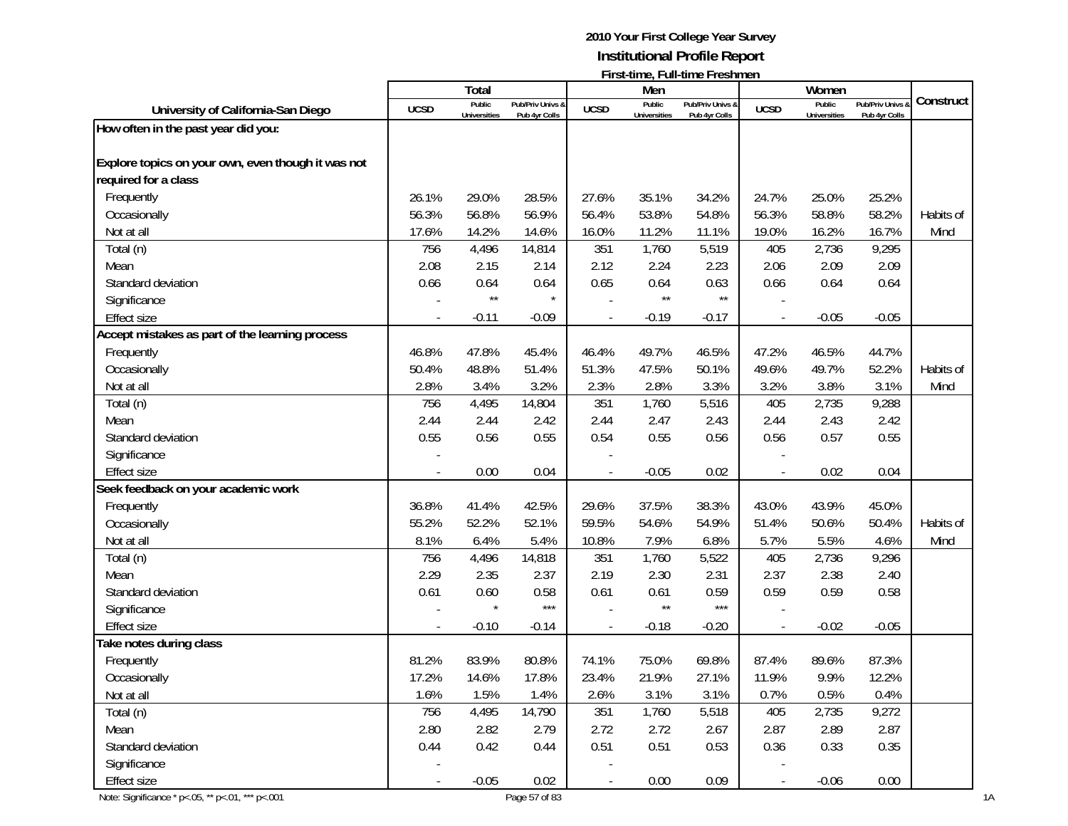|                                                    |                          | <b>Total</b>        |                  |                | Men                 | <b>FILSI-ULLIC, FULL-ULLIC FLESHILICI</b> |                          | Women               |                  |           |
|----------------------------------------------------|--------------------------|---------------------|------------------|----------------|---------------------|-------------------------------------------|--------------------------|---------------------|------------------|-----------|
|                                                    | <b>UCSD</b>              | Public              | Pub/Priv Univs & | <b>UCSD</b>    | Public              | Pub/Priv Univs &                          | <b>UCSD</b>              | Public              | Pub/Priv Univs & | Construct |
| University of California-San Diego                 |                          | <b>Universities</b> | Pub 4yr Colls    |                | <b>Universities</b> | Pub 4yr Colls                             |                          | <b>Universities</b> | Pub 4yr Colls    |           |
| How often in the past year did you:                |                          |                     |                  |                |                     |                                           |                          |                     |                  |           |
| Explore topics on your own, even though it was not |                          |                     |                  |                |                     |                                           |                          |                     |                  |           |
| required for a class                               |                          |                     |                  |                |                     |                                           |                          |                     |                  |           |
|                                                    |                          |                     |                  |                |                     |                                           |                          |                     |                  |           |
| Frequently                                         | 26.1%                    | 29.0%               | 28.5%            | 27.6%          | 35.1%               | 34.2%                                     | 24.7%                    | 25.0%               | 25.2%            |           |
| Occasionally                                       | 56.3%                    | 56.8%               | 56.9%            | 56.4%          | 53.8%               | 54.8%                                     | 56.3%                    | 58.8%               | 58.2%            | Habits of |
| Not at all                                         | 17.6%                    | 14.2%               | 14.6%            | 16.0%          | 11.2%               | 11.1%                                     | 19.0%                    | 16.2%               | 16.7%            | Mind      |
| Total (n)                                          | 756                      | 4,496               | 14,814           | 351            | 1,760               | 5,519                                     | 405                      | 2,736               | 9,295            |           |
| Mean                                               | 2.08                     | 2.15                | 2.14             | 2.12           | 2.24                | 2.23                                      | 2.06                     | 2.09                | 2.09             |           |
| Standard deviation                                 | 0.66                     | 0.64                | 0.64             | 0.65           | 0.64                | 0.63                                      | 0.66                     | 0.64                | 0.64             |           |
| Significance                                       |                          | $\star\star$        |                  |                | $\star\star$        | $\star\star$                              |                          |                     |                  |           |
| <b>Effect size</b>                                 |                          | $-0.11$             | $-0.09$          |                | $-0.19$             | $-0.17$                                   |                          | $-0.05$             | $-0.05$          |           |
| Accept mistakes as part of the learning process    |                          |                     |                  |                |                     |                                           |                          |                     |                  |           |
| Frequently                                         | 46.8%                    | 47.8%               | 45.4%            | 46.4%          | 49.7%               | 46.5%                                     | 47.2%                    | 46.5%               | 44.7%            |           |
| Occasionally                                       | 50.4%                    | 48.8%               | 51.4%            | 51.3%          | 47.5%               | 50.1%                                     | 49.6%                    | 49.7%               | 52.2%            | Habits of |
| Not at all                                         | 2.8%                     | 3.4%                | 3.2%             | 2.3%           | 2.8%                | 3.3%                                      | 3.2%                     | 3.8%                | 3.1%             | Mind      |
| Total (n)                                          | 756                      | 4,495               | 14,804           | 351            | 1,760               | 5,516                                     | 405                      | 2,735               | 9,288            |           |
| Mean                                               | 2.44                     | 2.44                | 2.42             | 2.44           | 2.47                | 2.43                                      | 2.44                     | 2.43                | 2.42             |           |
| Standard deviation                                 | 0.55                     | 0.56                | 0.55             | 0.54           | 0.55                | 0.56                                      | 0.56                     | 0.57                | 0.55             |           |
| Significance                                       |                          |                     |                  |                |                     |                                           |                          |                     |                  |           |
| <b>Effect size</b>                                 |                          | 0.00                | 0.04             |                | $-0.05$             | 0.02                                      |                          | 0.02                | 0.04             |           |
| Seek feedback on your academic work                |                          |                     |                  |                |                     |                                           |                          |                     |                  |           |
| Frequently                                         | 36.8%                    | 41.4%               | 42.5%            | 29.6%          | 37.5%               | 38.3%                                     | 43.0%                    | 43.9%               | 45.0%            |           |
| Occasionally                                       | 55.2%                    | 52.2%               | 52.1%            | 59.5%          | 54.6%               | 54.9%                                     | 51.4%                    | 50.6%               | 50.4%            | Habits of |
| Not at all                                         | 8.1%                     | 6.4%                | 5.4%             | 10.8%          | 7.9%                | 6.8%                                      | 5.7%                     | 5.5%                | 4.6%             | Mind      |
| Total (n)                                          | 756                      | 4,496               | 14,818           | 351            | 1,760               | 5,522                                     | 405                      | 2,736               | 9,296            |           |
| Mean                                               | 2.29                     | 2.35                | 2.37             | 2.19           | 2.30                | 2.31                                      | 2.37                     | 2.38                | 2.40             |           |
| Standard deviation                                 | 0.61                     | 0.60                | 0.58             | 0.61           | 0.61                | 0.59                                      | 0.59                     | 0.59                | 0.58             |           |
| Significance                                       |                          |                     | $***$            |                | $\star\star$        | $***$                                     |                          |                     |                  |           |
| <b>Effect size</b>                                 |                          | $-0.10$             | $-0.14$          |                | $-0.18$             | $-0.20$                                   |                          | $-0.02$             | $-0.05$          |           |
| <b>Take notes during class</b>                     |                          |                     |                  |                |                     |                                           |                          |                     |                  |           |
| Frequently                                         | 81.2%                    | 83.9%               | 80.8%            | 74.1%          | 75.0%               | 69.8%                                     | 87.4%                    | 89.6%               | 87.3%            |           |
| Occasionally                                       | 17.2%                    | 14.6%               | 17.8%            | 23.4%          | 21.9%               | 27.1%                                     | 11.9%                    | 9.9%                | 12.2%            |           |
| Not at all                                         | 1.6%                     | 1.5%                | 1.4%             | 2.6%           | 3.1%                | 3.1%                                      | 0.7%                     | 0.5%                | 0.4%             |           |
| Total (n)                                          | 756                      | 4,495               | 14,790           | 351            | 1,760               | 5,518                                     | 405                      | 2,735               | 9,272            |           |
| Mean                                               | 2.80                     | 2.82                | 2.79             | 2.72           | 2.72                | 2.67                                      | 2.87                     | 2.89                | 2.87             |           |
| Standard deviation                                 | 0.44                     | 0.42                | 0.44             | 0.51           | 0.51                | 0.53                                      | 0.36                     | 0.33                | 0.35             |           |
| Significance                                       |                          |                     |                  |                |                     |                                           |                          |                     |                  |           |
| <b>Effect size</b>                                 |                          | $-0.05$             | 0.02             | $\blacksquare$ | 0.00                | 0.09                                      | $\overline{\phantom{a}}$ | $-0.06$             | 0.00             |           |
|                                                    | $\overline{\phantom{a}}$ |                     |                  |                |                     |                                           |                          |                     |                  |           |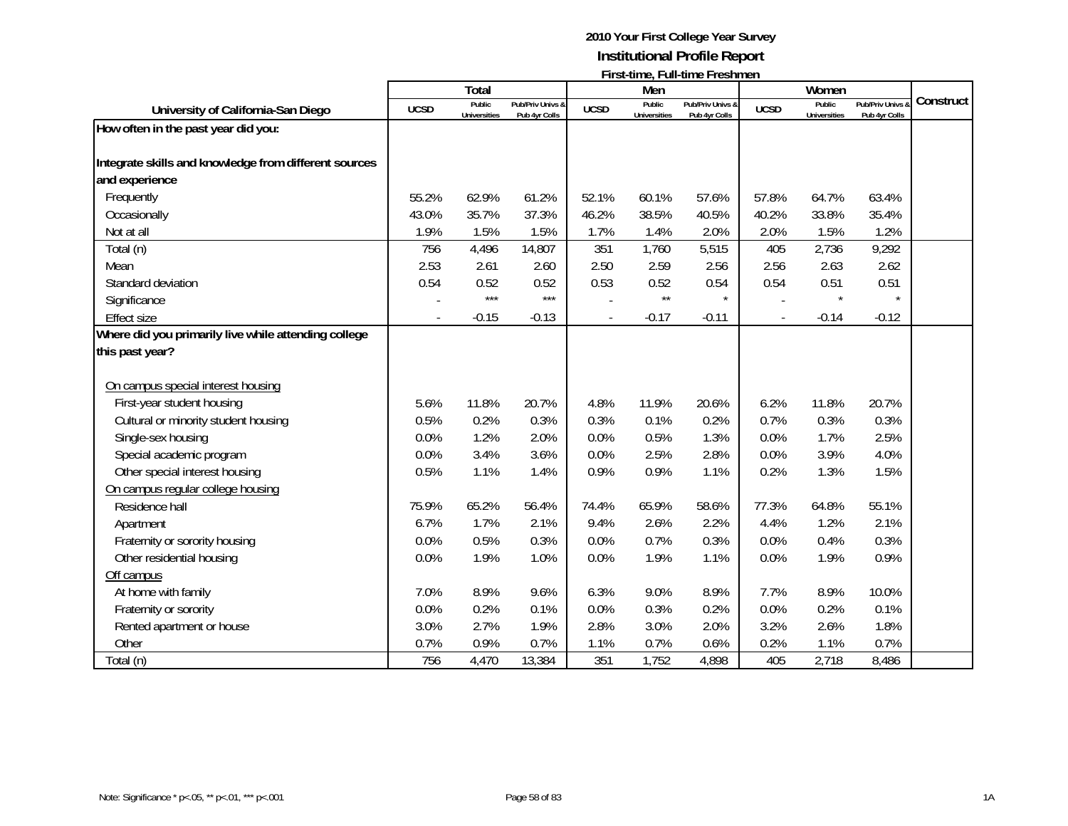|                                                       |             | <b>Total</b>                  |                                   |                          | Men                           | $\cdots$                          |                          | Women                         |                                              |           |
|-------------------------------------------------------|-------------|-------------------------------|-----------------------------------|--------------------------|-------------------------------|-----------------------------------|--------------------------|-------------------------------|----------------------------------------------|-----------|
| University of California-San Diego                    | <b>UCSD</b> | Public<br><b>Universities</b> | Pub/Priv Univs 8<br>Pub 4yr Colls | <b>UCSD</b>              | Public<br><b>Universities</b> | Pub/Priv Univs &<br>Pub 4yr Colls | <b>UCSD</b>              | Public<br><b>Universities</b> | <b>Pub/Priv Univs &amp;</b><br>Pub 4yr Colls | Construct |
| How often in the past year did you:                   |             |                               |                                   |                          |                               |                                   |                          |                               |                                              |           |
|                                                       |             |                               |                                   |                          |                               |                                   |                          |                               |                                              |           |
| Integrate skills and knowledge from different sources |             |                               |                                   |                          |                               |                                   |                          |                               |                                              |           |
| and experience                                        |             |                               |                                   |                          |                               |                                   |                          |                               |                                              |           |
| Frequently                                            | 55.2%       | 62.9%                         | 61.2%                             | 52.1%                    | 60.1%                         | 57.6%                             | 57.8%                    | 64.7%                         | 63.4%                                        |           |
| Occasionally                                          | 43.0%       | 35.7%                         | 37.3%                             | 46.2%                    | 38.5%                         | 40.5%                             | 40.2%                    | 33.8%                         | 35.4%                                        |           |
| Not at all                                            | 1.9%        | 1.5%                          | 1.5%                              | 1.7%                     | 1.4%                          | 2.0%                              | 2.0%                     | 1.5%                          | 1.2%                                         |           |
| Total (n)                                             | 756         | 4,496                         | 14,807                            | 351                      | 1,760                         | 5,515                             | 405                      | 2,736                         | 9,292                                        |           |
| Mean                                                  | 2.53        | 2.61                          | 2.60                              | 2.50                     | 2.59                          | 2.56                              | 2.56                     | 2.63                          | 2.62                                         |           |
| Standard deviation                                    | 0.54        | 0.52                          | 0.52                              | 0.53                     | 0.52                          | 0.54                              | 0.54                     | 0.51                          | 0.51                                         |           |
| Significance                                          |             | $***$                         | $***$                             |                          | $\star\star$                  | $\star$                           |                          |                               | $\star$                                      |           |
| <b>Effect size</b>                                    |             | $-0.15$                       | $-0.13$                           | $\overline{\phantom{a}}$ | $-0.17$                       | $-0.11$                           | $\overline{\phantom{a}}$ | $-0.14$                       | $-0.12$                                      |           |
| Where did you primarily live while attending college  |             |                               |                                   |                          |                               |                                   |                          |                               |                                              |           |
| this past year?                                       |             |                               |                                   |                          |                               |                                   |                          |                               |                                              |           |
|                                                       |             |                               |                                   |                          |                               |                                   |                          |                               |                                              |           |
| On campus special interest housing                    |             |                               |                                   |                          |                               |                                   |                          |                               |                                              |           |
| First-year student housing                            | 5.6%        | 11.8%                         | 20.7%                             | 4.8%                     | 11.9%                         | 20.6%                             | 6.2%                     | 11.8%                         | 20.7%                                        |           |
| Cultural or minority student housing                  | 0.5%        | 0.2%                          | 0.3%                              | 0.3%                     | 0.1%                          | 0.2%                              | 0.7%                     | 0.3%                          | 0.3%                                         |           |
| Single-sex housing                                    | 0.0%        | 1.2%                          | 2.0%                              | 0.0%                     | 0.5%                          | 1.3%                              | 0.0%                     | 1.7%                          | 2.5%                                         |           |
| Special academic program                              | 0.0%        | 3.4%                          | 3.6%                              | 0.0%                     | 2.5%                          | 2.8%                              | 0.0%                     | 3.9%                          | 4.0%                                         |           |
| Other special interest housing                        | 0.5%        | 1.1%                          | 1.4%                              | 0.9%                     | 0.9%                          | 1.1%                              | 0.2%                     | 1.3%                          | 1.5%                                         |           |
| On campus regular college housing                     |             |                               |                                   |                          |                               |                                   |                          |                               |                                              |           |
| Residence hall                                        | 75.9%       | 65.2%                         | 56.4%                             | 74.4%                    | 65.9%                         | 58.6%                             | 77.3%                    | 64.8%                         | 55.1%                                        |           |
| Apartment                                             | 6.7%        | 1.7%                          | 2.1%                              | 9.4%                     | 2.6%                          | 2.2%                              | 4.4%                     | 1.2%                          | 2.1%                                         |           |
| Fraternity or sorority housing                        | 0.0%        | 0.5%                          | 0.3%                              | 0.0%                     | 0.7%                          | 0.3%                              | 0.0%                     | 0.4%                          | 0.3%                                         |           |
| Other residential housing                             | 0.0%        | 1.9%                          | 1.0%                              | 0.0%                     | 1.9%                          | 1.1%                              | 0.0%                     | 1.9%                          | 0.9%                                         |           |
| Off campus                                            |             |                               |                                   |                          |                               |                                   |                          |                               |                                              |           |
| At home with family                                   | 7.0%        | 8.9%                          | 9.6%                              | 6.3%                     | 9.0%                          | 8.9%                              | 7.7%                     | 8.9%                          | 10.0%                                        |           |
| Fraternity or sorority                                | 0.0%        | 0.2%                          | 0.1%                              | 0.0%                     | 0.3%                          | 0.2%                              | 0.0%                     | 0.2%                          | 0.1%                                         |           |
| Rented apartment or house                             | 3.0%        | 2.7%                          | 1.9%                              | 2.8%                     | 3.0%                          | 2.0%                              | 3.2%                     | 2.6%                          | 1.8%                                         |           |
| Other                                                 | 0.7%        | 0.9%                          | 0.7%                              | 1.1%                     | 0.7%                          | 0.6%                              | 0.2%                     | 1.1%                          | 0.7%                                         |           |
| Total (n)                                             | 756         | 4,470                         | 13,384                            | 351                      | 1,752                         | 4,898                             | 405                      | 2,718                         | 8,486                                        |           |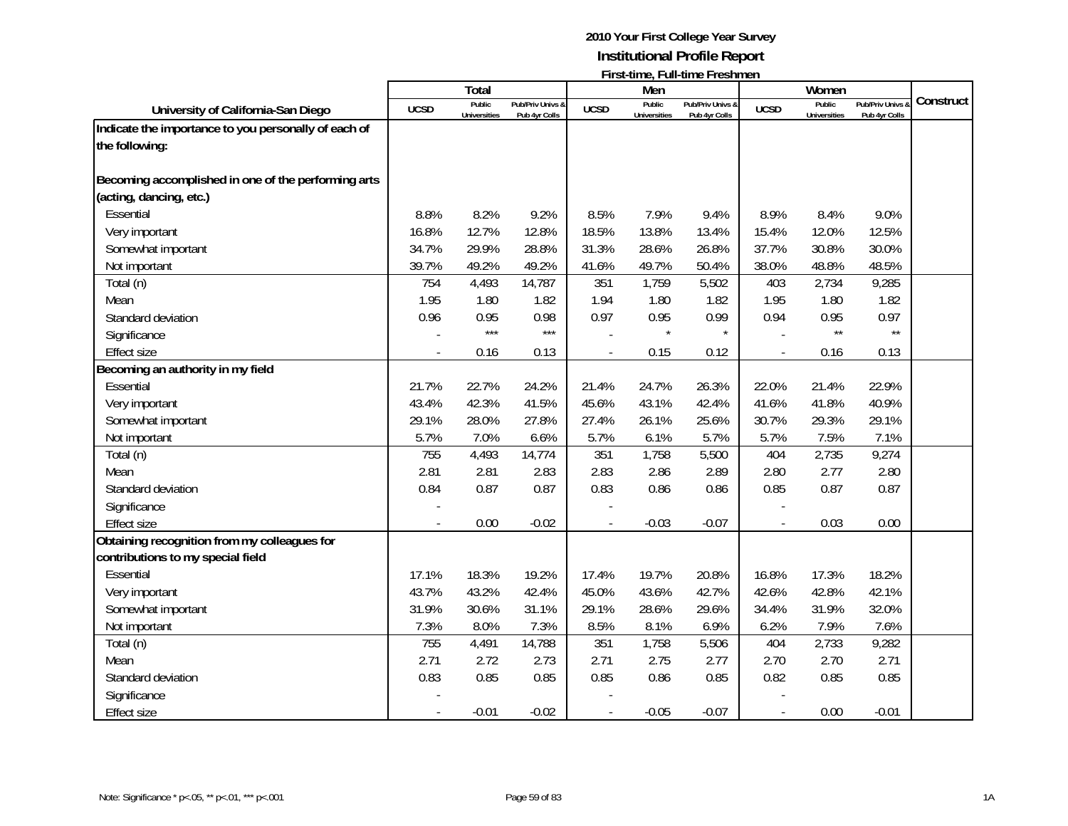|                                                                                |             | <b>Total</b>                  |                                   |             | Men                           | 1 11 3 t-111 1 1 2 1 2 1 1 2 1 1 1 2 3 1 1 1 1 2 1 1 1 2 1 1 1 2 1 1 1 2 1 1 2 1 1 2 1 1 2 1 2 1 2 1 2 1 2 1 2 |                          | Women                         |                                   |           |
|--------------------------------------------------------------------------------|-------------|-------------------------------|-----------------------------------|-------------|-------------------------------|----------------------------------------------------------------------------------------------------------------|--------------------------|-------------------------------|-----------------------------------|-----------|
| University of California-San Diego                                             | <b>UCSD</b> | Public<br><b>Universities</b> | Pub/Priv Univs &<br>Pub 4yr Colls | <b>UCSD</b> | Public<br><b>Universities</b> | Pub/Priv Univs &<br>Pub 4yr Colls                                                                              | <b>UCSD</b>              | Public<br><b>Universities</b> | Pub/Priv Univs &<br>Pub 4yr Colls | Construct |
| Indicate the importance to you personally of each of                           |             |                               |                                   |             |                               |                                                                                                                |                          |                               |                                   |           |
| the following:                                                                 |             |                               |                                   |             |                               |                                                                                                                |                          |                               |                                   |           |
| Becoming accomplished in one of the performing arts<br>(acting, dancing, etc.) |             |                               |                                   |             |                               |                                                                                                                |                          |                               |                                   |           |
| Essential                                                                      | 8.8%        | 8.2%                          | 9.2%                              | 8.5%        | 7.9%                          | 9.4%                                                                                                           | 8.9%                     | 8.4%                          | 9.0%                              |           |
| Very important                                                                 | 16.8%       | 12.7%                         | 12.8%                             | 18.5%       | 13.8%                         | 13.4%                                                                                                          | 15.4%                    | 12.0%                         | 12.5%                             |           |
| Somewhat important                                                             | 34.7%       | 29.9%                         | 28.8%                             | 31.3%       | 28.6%                         | 26.8%                                                                                                          | 37.7%                    | 30.8%                         | 30.0%                             |           |
| Not important                                                                  | 39.7%       | 49.2%                         | 49.2%                             | 41.6%       | 49.7%                         | 50.4%                                                                                                          | 38.0%                    | 48.8%                         | 48.5%                             |           |
| Total (n)                                                                      | 754         | 4,493                         | 14,787                            | 351         | 1,759                         | 5,502                                                                                                          | 403                      | 2,734                         | 9,285                             |           |
| Mean                                                                           | 1.95        | 1.80                          | 1.82                              | 1.94        | 1.80                          | 1.82                                                                                                           | 1.95                     | 1.80                          | 1.82                              |           |
| Standard deviation                                                             | 0.96        | 0.95                          | 0.98                              | 0.97        | 0.95                          | 0.99                                                                                                           | 0.94                     | 0.95                          | 0.97                              |           |
| Significance                                                                   |             | $***$                         | $***$                             |             | $\star$                       | $\star$                                                                                                        |                          | $\star\star$                  | $\star\star$                      |           |
| <b>Effect size</b>                                                             |             | 0.16                          | 0.13                              |             | 0.15                          | 0.12                                                                                                           | $\overline{\phantom{a}}$ | 0.16                          | 0.13                              |           |
| Becoming an authority in my field                                              |             |                               |                                   |             |                               |                                                                                                                |                          |                               |                                   |           |
| Essential                                                                      | 21.7%       | 22.7%                         | 24.2%                             | 21.4%       | 24.7%                         | 26.3%                                                                                                          | 22.0%                    | 21.4%                         | 22.9%                             |           |
| Very important                                                                 | 43.4%       | 42.3%                         | 41.5%                             | 45.6%       | 43.1%                         | 42.4%                                                                                                          | 41.6%                    | 41.8%                         | 40.9%                             |           |
| Somewhat important                                                             | 29.1%       | 28.0%                         | 27.8%                             | 27.4%       | 26.1%                         | 25.6%                                                                                                          | 30.7%                    | 29.3%                         | 29.1%                             |           |
| Not important                                                                  | 5.7%        | 7.0%                          | 6.6%                              | 5.7%        | 6.1%                          | 5.7%                                                                                                           | 5.7%                     | 7.5%                          | 7.1%                              |           |
| Total (n)                                                                      | 755         | 4,493                         | 14,774                            | 351         | 1,758                         | 5,500                                                                                                          | 404                      | 2,735                         | 9,274                             |           |
| Mean                                                                           | 2.81        | 2.81                          | 2.83                              | 2.83        | 2.86                          | 2.89                                                                                                           | 2.80                     | 2.77                          | 2.80                              |           |
| Standard deviation                                                             | 0.84        | 0.87                          | 0.87                              | 0.83        | 0.86                          | 0.86                                                                                                           | 0.85                     | 0.87                          | 0.87                              |           |
| Significance                                                                   |             |                               |                                   |             |                               |                                                                                                                |                          |                               |                                   |           |
| <b>Effect size</b>                                                             |             | 0.00                          | $-0.02$                           |             | $-0.03$                       | $-0.07$                                                                                                        | $\overline{a}$           | 0.03                          | 0.00                              |           |
| Obtaining recognition from my colleagues for                                   |             |                               |                                   |             |                               |                                                                                                                |                          |                               |                                   |           |
| contributions to my special field                                              |             |                               |                                   |             |                               |                                                                                                                |                          |                               |                                   |           |
| Essential                                                                      | 17.1%       | 18.3%                         | 19.2%                             | 17.4%       | 19.7%                         | 20.8%                                                                                                          | 16.8%                    | 17.3%                         | 18.2%                             |           |
| Very important                                                                 | 43.7%       | 43.2%                         | 42.4%                             | 45.0%       | 43.6%                         | 42.7%                                                                                                          | 42.6%                    | 42.8%                         | 42.1%                             |           |
| Somewhat important                                                             | 31.9%       | 30.6%                         | 31.1%                             | 29.1%       | 28.6%                         | 29.6%                                                                                                          | 34.4%                    | 31.9%                         | 32.0%                             |           |
| Not important                                                                  | 7.3%        | 8.0%                          | 7.3%                              | 8.5%        | 8.1%                          | 6.9%                                                                                                           | 6.2%                     | 7.9%                          | 7.6%                              |           |
| Total (n)                                                                      | 755         | 4,491                         | 14,788                            | 351         | 1,758                         | 5,506                                                                                                          | 404                      | 2,733                         | 9,282                             |           |
| Mean                                                                           | 2.71        | 2.72                          | 2.73                              | 2.71        | 2.75                          | 2.77                                                                                                           | 2.70                     | 2.70                          | 2.71                              |           |
| Standard deviation                                                             | 0.83        | 0.85                          | 0.85                              | 0.85        | 0.86                          | 0.85                                                                                                           | 0.82                     | 0.85                          | 0.85                              |           |
| Significance                                                                   |             |                               |                                   |             |                               |                                                                                                                |                          |                               |                                   |           |
| <b>Effect size</b>                                                             |             | $-0.01$                       | $-0.02$                           |             | $-0.05$                       | $-0.07$                                                                                                        | $\overline{\phantom{a}}$ | 0.00                          | $-0.01$                           |           |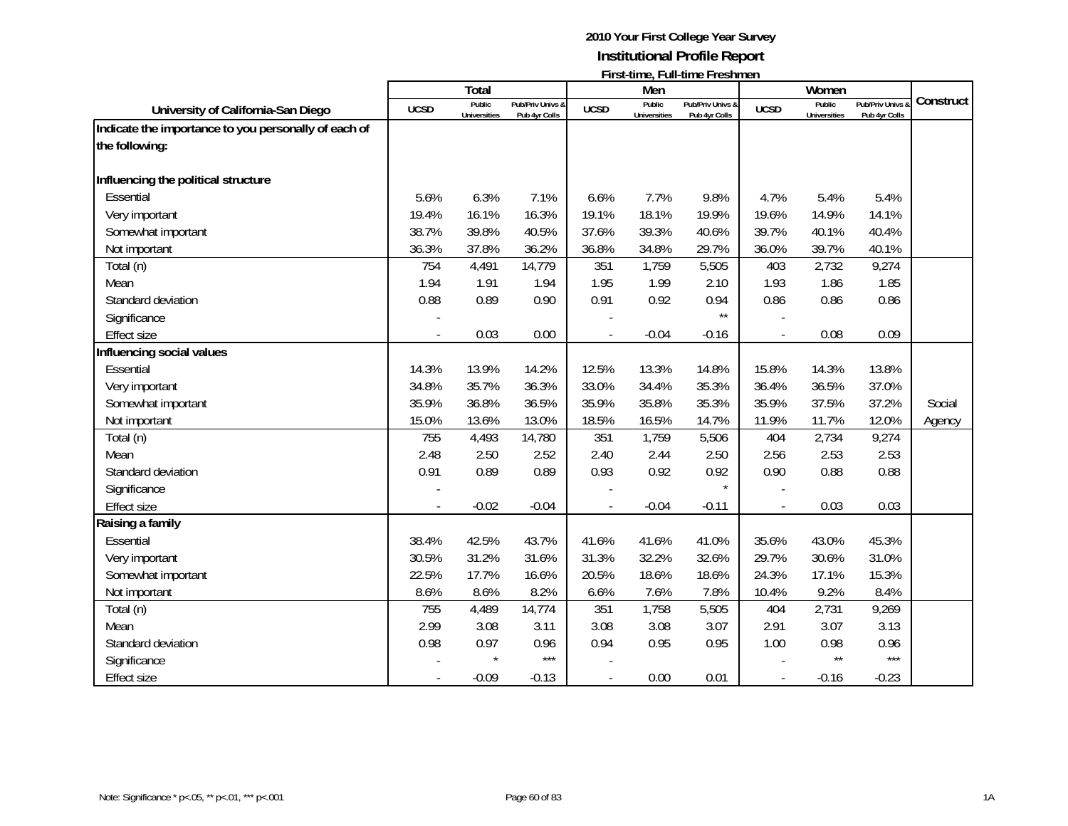|                                                      |             | <b>Total</b>                  |                                   |             | Men                           | <b>I</b> II SC (IIIIC, I GII-(IIIIC I I CSIIIIICII |                | Women                         |                                 |           |
|------------------------------------------------------|-------------|-------------------------------|-----------------------------------|-------------|-------------------------------|----------------------------------------------------|----------------|-------------------------------|---------------------------------|-----------|
| University of California-San Diego                   | <b>UCSD</b> | Public<br><b>Universities</b> | Pub/Priv Univs &<br>Pub 4yr Colls | <b>UCSD</b> | Public<br><b>Universities</b> | Pub/Priv Univs &<br>Pub 4yr Colls                  | <b>UCSD</b>    | Public<br><b>Universities</b> | Pub/Priv Univs<br>Pub 4yr Colls | Construct |
| Indicate the importance to you personally of each of |             |                               |                                   |             |                               |                                                    |                |                               |                                 |           |
| the following:                                       |             |                               |                                   |             |                               |                                                    |                |                               |                                 |           |
|                                                      |             |                               |                                   |             |                               |                                                    |                |                               |                                 |           |
| Influencing the political structure                  |             |                               |                                   |             |                               |                                                    |                |                               |                                 |           |
| Essential                                            | 5.6%        | 6.3%                          | 7.1%                              | 6.6%        | 7.7%                          | 9.8%                                               | 4.7%           | 5.4%                          | 5.4%                            |           |
| Very important                                       | 19.4%       | 16.1%                         | 16.3%                             | 19.1%       | 18.1%                         | 19.9%                                              | 19.6%          | 14.9%                         | 14.1%                           |           |
| Somewhat important                                   | 38.7%       | 39.8%                         | 40.5%                             | 37.6%       | 39.3%                         | 40.6%                                              | 39.7%          | 40.1%                         | 40.4%                           |           |
| Not important                                        | 36.3%       | 37.8%                         | 36.2%                             | 36.8%       | 34.8%                         | 29.7%                                              | 36.0%          | 39.7%                         | 40.1%                           |           |
| Total (n)                                            | 754         | 4,491                         | 14,779                            | 351         | 1,759                         | 5,505                                              | 403            | 2,732                         | 9,274                           |           |
| Mean                                                 | 1.94        | 1.91                          | 1.94                              | 1.95        | 1.99                          | 2.10                                               | 1.93           | 1.86                          | 1.85                            |           |
| Standard deviation                                   | 0.88        | 0.89                          | 0.90                              | 0.91        | 0.92                          | 0.94                                               | 0.86           | 0.86                          | 0.86                            |           |
| Significance                                         |             |                               |                                   |             |                               | $\star\star$                                       |                |                               |                                 |           |
| <b>Effect size</b>                                   |             | 0.03                          | 0.00                              |             | $-0.04$                       | $-0.16$                                            |                | 0.08                          | 0.09                            |           |
| Influencing social values                            |             |                               |                                   |             |                               |                                                    |                |                               |                                 |           |
| Essential                                            | 14.3%       | 13.9%                         | 14.2%                             | 12.5%       | 13.3%                         | 14.8%                                              | 15.8%          | 14.3%                         | 13.8%                           |           |
| Very important                                       | 34.8%       | 35.7%                         | 36.3%                             | 33.0%       | 34.4%                         | 35.3%                                              | 36.4%          | 36.5%                         | 37.0%                           |           |
| Somewhat important                                   | 35.9%       | 36.8%                         | 36.5%                             | 35.9%       | 35.8%                         | 35.3%                                              | 35.9%          | 37.5%                         | 37.2%                           | Social    |
| Not important                                        | 15.0%       | 13.6%                         | 13.0%                             | 18.5%       | 16.5%                         | 14.7%                                              | 11.9%          | 11.7%                         | 12.0%                           | Agency    |
| Total (n)                                            | 755         | 4,493                         | 14,780                            | 351         | 1,759                         | 5,506                                              | 404            | 2,734                         | 9,274                           |           |
| Mean                                                 | 2.48        | 2.50                          | 2.52                              | 2.40        | 2.44                          | 2.50                                               | 2.56           | 2.53                          | 2.53                            |           |
| Standard deviation                                   | 0.91        | 0.89                          | 0.89                              | 0.93        | 0.92                          | 0.92                                               | 0.90           | 0.88                          | 0.88                            |           |
| Significance                                         |             |                               |                                   |             |                               | $\star$                                            |                |                               |                                 |           |
| <b>Effect size</b>                                   |             | $-0.02$                       | $-0.04$                           |             | $-0.04$                       | $-0.11$                                            | $\overline{a}$ | 0.03                          | 0.03                            |           |
| Raising a family                                     |             |                               |                                   |             |                               |                                                    |                |                               |                                 |           |
| Essential                                            | 38.4%       | 42.5%                         | 43.7%                             | 41.6%       | 41.6%                         | 41.0%                                              | 35.6%          | 43.0%                         | 45.3%                           |           |
| Very important                                       | 30.5%       | 31.2%                         | 31.6%                             | 31.3%       | 32.2%                         | 32.6%                                              | 29.7%          | 30.6%                         | 31.0%                           |           |
| Somewhat important                                   | 22.5%       | 17.7%                         | 16.6%                             | 20.5%       | 18.6%                         | 18.6%                                              | 24.3%          | 17.1%                         | 15.3%                           |           |
| Not important                                        | 8.6%        | 8.6%                          | 8.2%                              | 6.6%        | 7.6%                          | 7.8%                                               | 10.4%          | 9.2%                          | 8.4%                            |           |
| Total (n)                                            | 755         | 4,489                         | 14,774                            | 351         | 1,758                         | 5,505                                              | 404            | 2,731                         | 9,269                           |           |
| Mean                                                 | 2.99        | 3.08                          | 3.11                              | 3.08        | 3.08                          | 3.07                                               | 2.91           | 3.07                          | 3.13                            |           |
| Standard deviation                                   | 0.98        | 0.97                          | 0.96                              | 0.94        | 0.95                          | 0.95                                               | 1.00           | 0.98                          | 0.96                            |           |
| Significance                                         |             |                               | $***$                             |             |                               |                                                    |                | $\star\star$                  | $***$                           |           |
| <b>Effect size</b>                                   |             | $-0.09$                       | $-0.13$                           |             | 0.00                          | 0.01                                               |                | $-0.16$                       | $-0.23$                         |           |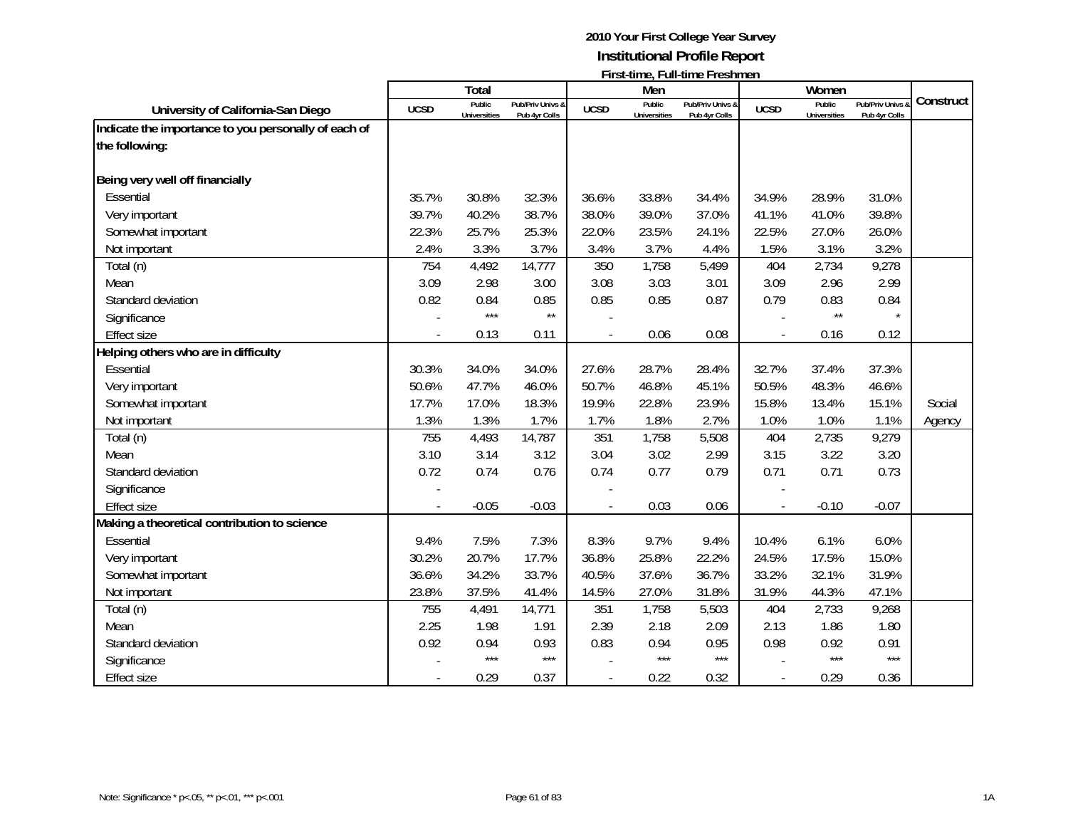|                                                      |             | <b>Total</b>                  |                                   |             | Men                           | $\cdots$                          |             | Women                         |                                 |           |
|------------------------------------------------------|-------------|-------------------------------|-----------------------------------|-------------|-------------------------------|-----------------------------------|-------------|-------------------------------|---------------------------------|-----------|
| University of California-San Diego                   | <b>UCSD</b> | Public<br><b>Universities</b> | Pub/Priv Univs &<br>Pub 4yr Colls | <b>UCSD</b> | Public<br><b>Universities</b> | Pub/Priv Univs &<br>Pub 4yr Colls | <b>UCSD</b> | Public<br><b>Universities</b> | Pub/Priv Univs<br>Pub 4yr Colls | Construct |
| Indicate the importance to you personally of each of |             |                               |                                   |             |                               |                                   |             |                               |                                 |           |
| the following:                                       |             |                               |                                   |             |                               |                                   |             |                               |                                 |           |
| Being very well off financially                      |             |                               |                                   |             |                               |                                   |             |                               |                                 |           |
| Essential                                            | 35.7%       | 30.8%                         | 32.3%                             | 36.6%       | 33.8%                         | 34.4%                             | 34.9%       | 28.9%                         | 31.0%                           |           |
| Very important                                       | 39.7%       | 40.2%                         | 38.7%                             | 38.0%       | 39.0%                         | 37.0%                             | 41.1%       | 41.0%                         | 39.8%                           |           |
| Somewhat important                                   | 22.3%       | 25.7%                         | 25.3%                             | 22.0%       | 23.5%                         | 24.1%                             | 22.5%       | 27.0%                         | 26.0%                           |           |
| Not important                                        | 2.4%        | 3.3%                          | 3.7%                              | 3.4%        | 3.7%                          | 4.4%                              | 1.5%        | 3.1%                          | 3.2%                            |           |
| Total (n)                                            | 754         | 4,492                         | 14,777                            | 350         | 1,758                         | 5,499                             | 404         | 2,734                         | 9,278                           |           |
| Mean                                                 | 3.09        | 2.98                          | 3.00                              | 3.08        | 3.03                          | 3.01                              | 3.09        | 2.96                          | 2.99                            |           |
| Standard deviation                                   | 0.82        | 0.84                          | 0.85                              | 0.85        | 0.85                          | 0.87                              | 0.79        | 0.83                          | 0.84                            |           |
| Significance                                         |             | $***$                         | $\star\star$                      |             |                               |                                   |             | $\star\star$                  |                                 |           |
| <b>Effect size</b>                                   |             | 0.13                          | 0.11                              |             | 0.06                          | 0.08                              |             | 0.16                          | 0.12                            |           |
| Helping others who are in difficulty                 |             |                               |                                   |             |                               |                                   |             |                               |                                 |           |
| Essential                                            | 30.3%       | 34.0%                         | 34.0%                             | 27.6%       | 28.7%                         | 28.4%                             | 32.7%       | 37.4%                         | 37.3%                           |           |
| Very important                                       | 50.6%       | 47.7%                         | 46.0%                             | 50.7%       | 46.8%                         | 45.1%                             | 50.5%       | 48.3%                         | 46.6%                           |           |
| Somewhat important                                   | 17.7%       | 17.0%                         | 18.3%                             | 19.9%       | 22.8%                         | 23.9%                             | 15.8%       | 13.4%                         | 15.1%                           | Social    |
| Not important                                        | 1.3%        | 1.3%                          | 1.7%                              | 1.7%        | 1.8%                          | 2.7%                              | 1.0%        | 1.0%                          | 1.1%                            | Agency    |
| Total (n)                                            | 755         | 4,493                         | 14,787                            | 351         | 1,758                         | 5,508                             | 404         | 2,735                         | 9,279                           |           |
| Mean                                                 | 3.10        | 3.14                          | 3.12                              | 3.04        | 3.02                          | 2.99                              | 3.15        | 3.22                          | 3.20                            |           |
| Standard deviation                                   | 0.72        | 0.74                          | 0.76                              | 0.74        | 0.77                          | 0.79                              | 0.71        | 0.71                          | 0.73                            |           |
| Significance                                         |             |                               |                                   |             |                               |                                   |             |                               |                                 |           |
| <b>Effect size</b>                                   |             | $-0.05$                       | $-0.03$                           |             | 0.03                          | 0.06                              |             | $-0.10$                       | $-0.07$                         |           |
| Making a theoretical contribution to science         |             |                               |                                   |             |                               |                                   |             |                               |                                 |           |
| Essential                                            | 9.4%        | 7.5%                          | 7.3%                              | 8.3%        | 9.7%                          | 9.4%                              | 10.4%       | 6.1%                          | 6.0%                            |           |
| Very important                                       | 30.2%       | 20.7%                         | 17.7%                             | 36.8%       | 25.8%                         | 22.2%                             | 24.5%       | 17.5%                         | 15.0%                           |           |
| Somewhat important                                   | 36.6%       | 34.2%                         | 33.7%                             | 40.5%       | 37.6%                         | 36.7%                             | 33.2%       | 32.1%                         | 31.9%                           |           |
| Not important                                        | 23.8%       | 37.5%                         | 41.4%                             | 14.5%       | 27.0%                         | 31.8%                             | 31.9%       | 44.3%                         | 47.1%                           |           |
| Total (n)                                            | 755         | 4,491                         | 14,771                            | 351         | 1,758                         | 5,503                             | 404         | 2,733                         | 9,268                           |           |
| Mean                                                 | 2.25        | 1.98                          | 1.91                              | 2.39        | 2.18                          | 2.09                              | 2.13        | 1.86                          | 1.80                            |           |
| Standard deviation                                   | 0.92        | 0.94                          | 0.93                              | 0.83        | 0.94                          | 0.95                              | 0.98        | 0.92                          | 0.91                            |           |
| Significance                                         |             | $***$                         | $***$                             |             | $***$                         | $***$                             |             | ***                           | $***$                           |           |
| <b>Effect size</b>                                   |             | 0.29                          | 0.37                              |             | 0.22                          | 0.32                              |             | 0.29                          | 0.36                            |           |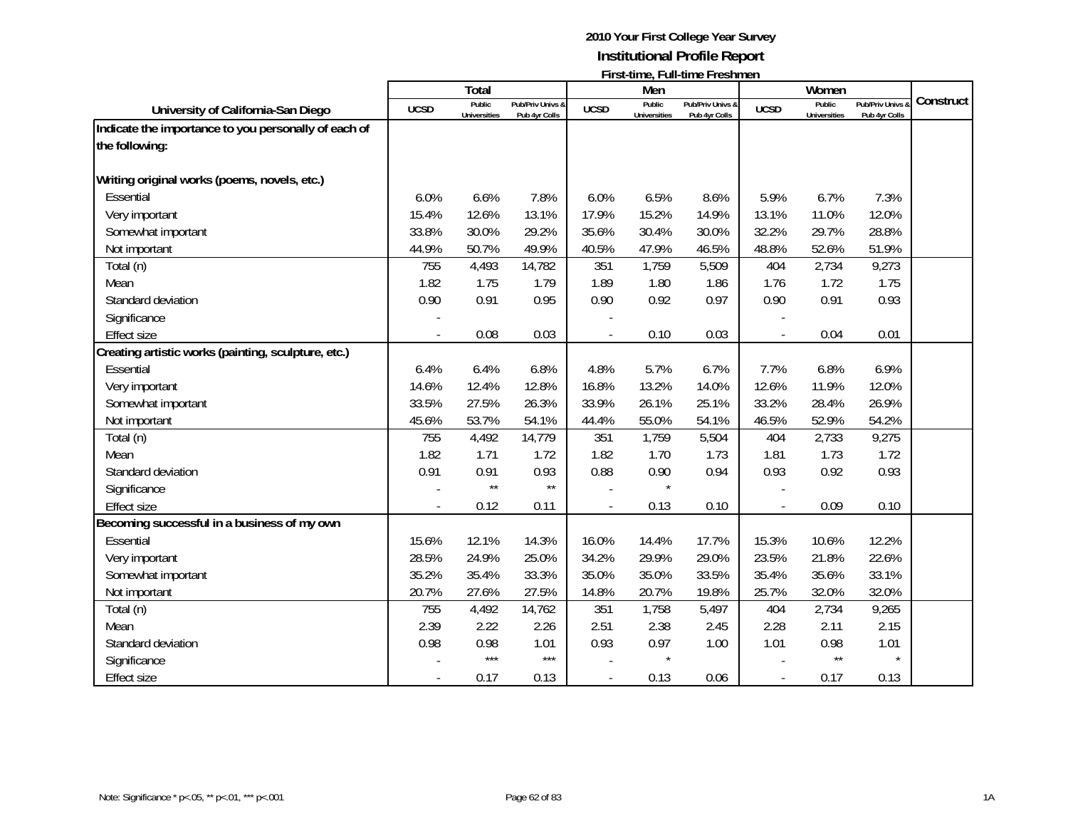|                                                      |             | <b>Total</b>                  |                                   |             | Men                           | <b>I</b> II SC (IIIIC, I GII-(IIIIC I I CSIIIIICII |             | Women                         |                                 |           |
|------------------------------------------------------|-------------|-------------------------------|-----------------------------------|-------------|-------------------------------|----------------------------------------------------|-------------|-------------------------------|---------------------------------|-----------|
| University of California-San Diego                   | <b>UCSD</b> | Public<br><b>Universities</b> | Pub/Priv Univs &<br>Pub 4yr Colls | <b>UCSD</b> | Public<br><b>Universities</b> | Pub/Priv Univs &<br>Pub 4yr Colls                  | <b>UCSD</b> | Public<br><b>Universities</b> | Pub/Priv Univs<br>Pub 4yr Colls | Construct |
| Indicate the importance to you personally of each of |             |                               |                                   |             |                               |                                                    |             |                               |                                 |           |
| the following:                                       |             |                               |                                   |             |                               |                                                    |             |                               |                                 |           |
|                                                      |             |                               |                                   |             |                               |                                                    |             |                               |                                 |           |
| Writing original works (poems, novels, etc.)         |             |                               |                                   |             |                               |                                                    |             |                               |                                 |           |
| Essential                                            | 6.0%        | 6.6%                          | 7.8%                              | 6.0%        | 6.5%                          | 8.6%                                               | 5.9%        | 6.7%                          | 7.3%                            |           |
| Very important                                       | 15.4%       | 12.6%                         | 13.1%                             | 17.9%       | 15.2%                         | 14.9%                                              | 13.1%       | 11.0%                         | 12.0%                           |           |
| Somewhat important                                   | 33.8%       | 30.0%                         | 29.2%                             | 35.6%       | 30.4%                         | 30.0%                                              | 32.2%       | 29.7%                         | 28.8%                           |           |
| Not important                                        | 44.9%       | 50.7%                         | 49.9%                             | 40.5%       | 47.9%                         | 46.5%                                              | 48.8%       | 52.6%                         | 51.9%                           |           |
| Total (n)                                            | 755         | 4,493                         | 14,782                            | 351         | 1,759                         | 5,509                                              | 404         | 2,734                         | 9,273                           |           |
| Mean                                                 | 1.82        | 1.75                          | 1.79                              | 1.89        | 1.80                          | 1.86                                               | 1.76        | 1.72                          | 1.75                            |           |
| Standard deviation                                   | 0.90        | 0.91                          | 0.95                              | 0.90        | 0.92                          | 0.97                                               | 0.90        | 0.91                          | 0.93                            |           |
| Significance                                         |             |                               |                                   |             |                               |                                                    |             |                               |                                 |           |
| <b>Effect size</b>                                   |             | 0.08                          | 0.03                              |             | 0.10                          | 0.03                                               |             | 0.04                          | 0.01                            |           |
| Creating artistic works (painting, sculpture, etc.)  |             |                               |                                   |             |                               |                                                    |             |                               |                                 |           |
| Essential                                            | 6.4%        | 6.4%                          | 6.8%                              | 4.8%        | 5.7%                          | 6.7%                                               | 7.7%        | 6.8%                          | 6.9%                            |           |
| Very important                                       | 14.6%       | 12.4%                         | 12.8%                             | 16.8%       | 13.2%                         | 14.0%                                              | 12.6%       | 11.9%                         | 12.0%                           |           |
| Somewhat important                                   | 33.5%       | 27.5%                         | 26.3%                             | 33.9%       | 26.1%                         | 25.1%                                              | 33.2%       | 28.4%                         | 26.9%                           |           |
| Not important                                        | 45.6%       | 53.7%                         | 54.1%                             | 44.4%       | 55.0%                         | 54.1%                                              | 46.5%       | 52.9%                         | 54.2%                           |           |
| Total (n)                                            | 755         | 4,492                         | 14,779                            | 351         | 1,759                         | 5,504                                              | 404         | 2,733                         | 9,275                           |           |
| Mean                                                 | 1.82        | 1.71                          | 1.72                              | 1.82        | 1.70                          | 1.73                                               | 1.81        | 1.73                          | 1.72                            |           |
| Standard deviation                                   | 0.91        | 0.91                          | 0.93                              | 0.88        | 0.90                          | 0.94                                               | 0.93        | 0.92                          | 0.93                            |           |
| Significance                                         |             | $\star\star$                  | $\star\star$                      |             |                               |                                                    |             |                               |                                 |           |
| <b>Effect size</b>                                   |             | 0.12                          | 0.11                              |             | 0.13                          | 0.10                                               |             | 0.09                          | 0.10                            |           |
| Becoming successful in a business of my own          |             |                               |                                   |             |                               |                                                    |             |                               |                                 |           |
| Essential                                            | 15.6%       | 12.1%                         | 14.3%                             | 16.0%       | 14.4%                         | 17.7%                                              | 15.3%       | 10.6%                         | 12.2%                           |           |
| Very important                                       | 28.5%       | 24.9%                         | 25.0%                             | 34.2%       | 29.9%                         | 29.0%                                              | 23.5%       | 21.8%                         | 22.6%                           |           |
| Somewhat important                                   | 35.2%       | 35.4%                         | 33.3%                             | 35.0%       | 35.0%                         | 33.5%                                              | 35.4%       | 35.6%                         | 33.1%                           |           |
| Not important                                        | 20.7%       | 27.6%                         | 27.5%                             | 14.8%       | 20.7%                         | 19.8%                                              | 25.7%       | 32.0%                         | 32.0%                           |           |
| Total (n)                                            | 755         | 4,492                         | 14,762                            | 351         | 1,758                         | 5,497                                              | 404         | 2,734                         | 9,265                           |           |
| Mean                                                 | 2.39        | 2.22                          | 2.26                              | 2.51        | 2.38                          | 2.45                                               | 2.28        | 2.11                          | 2.15                            |           |
| Standard deviation                                   | 0.98        | 0.98                          | 1.01                              | 0.93        | 0.97                          | 1.00                                               | 1.01        | 0.98                          | 1.01                            |           |
| Significance                                         |             | $***$                         | $***$                             |             |                               |                                                    |             | $\star\star$                  | $\star$                         |           |
| <b>Effect size</b>                                   |             | 0.17                          | 0.13                              |             | 0.13                          | 0.06                                               |             | 0.17                          | 0.13                            |           |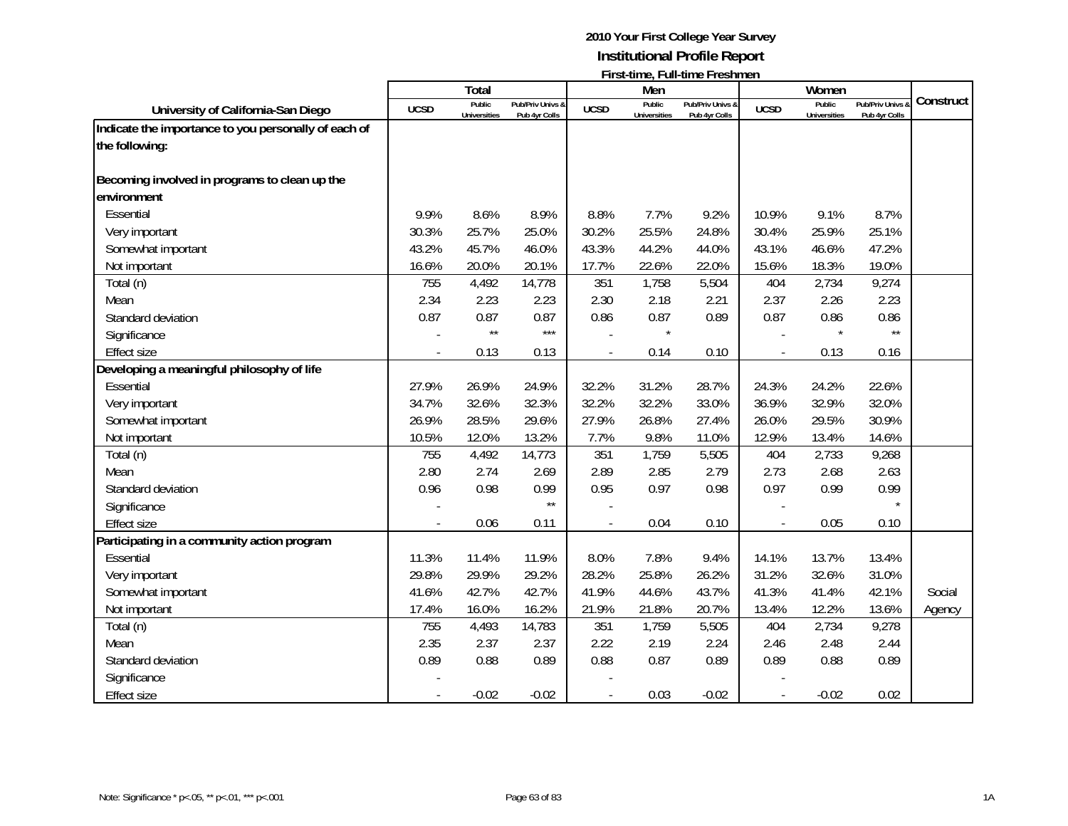|                                                      |             | Total                         |                                   |             | Men                           |                                   |             | Women                         |                                 |           |
|------------------------------------------------------|-------------|-------------------------------|-----------------------------------|-------------|-------------------------------|-----------------------------------|-------------|-------------------------------|---------------------------------|-----------|
| University of California-San Diego                   | <b>UCSD</b> | Public<br><b>Universities</b> | Pub/Priv Univs &<br>Pub 4yr Colls | <b>UCSD</b> | Public<br><b>Universities</b> | Pub/Priv Univs &<br>Pub 4yr Colls | <b>UCSD</b> | Public<br><b>Universities</b> | Pub/Priv Univs<br>Pub 4yr Colls | Construct |
| Indicate the importance to you personally of each of |             |                               |                                   |             |                               |                                   |             |                               |                                 |           |
| the following:                                       |             |                               |                                   |             |                               |                                   |             |                               |                                 |           |
| Becoming involved in programs to clean up the        |             |                               |                                   |             |                               |                                   |             |                               |                                 |           |
| environment                                          |             |                               |                                   |             |                               |                                   |             |                               |                                 |           |
| Essential                                            | 9.9%        | 8.6%                          | 8.9%                              | 8.8%        | 7.7%                          | 9.2%                              | 10.9%       | 9.1%                          | 8.7%                            |           |
| Very important                                       | 30.3%       | 25.7%                         | 25.0%                             | 30.2%       | 25.5%                         | 24.8%                             | 30.4%       | 25.9%                         | 25.1%                           |           |
| Somewhat important                                   | 43.2%       | 45.7%                         | 46.0%                             | 43.3%       | 44.2%                         | 44.0%                             | 43.1%       | 46.6%                         | 47.2%                           |           |
| Not important                                        | 16.6%       | 20.0%                         | 20.1%                             | 17.7%       | 22.6%                         | 22.0%                             | 15.6%       | 18.3%                         | 19.0%                           |           |
| Total (n)                                            | 755         | 4,492                         | 14,778                            | 351         | 1,758                         | 5,504                             | 404         | 2,734                         | 9,274                           |           |
| Mean                                                 | 2.34        | 2.23                          | 2.23                              | 2.30        | 2.18                          | 2.21                              | 2.37        | 2.26                          | 2.23                            |           |
| Standard deviation                                   | 0.87        | 0.87                          | 0.87                              | 0.86        | 0.87                          | 0.89                              | 0.87        | 0.86                          | 0.86                            |           |
| Significance                                         |             | $\star\star$                  | $***$                             |             |                               |                                   |             |                               | $\star\star$                    |           |
| <b>Effect size</b>                                   |             | 0.13                          | 0.13                              |             | 0.14                          | 0.10                              |             | 0.13                          | 0.16                            |           |
| Developing a meaningful philosophy of life           |             |                               |                                   |             |                               |                                   |             |                               |                                 |           |
| Essential                                            | 27.9%       | 26.9%                         | 24.9%                             | 32.2%       | 31.2%                         | 28.7%                             | 24.3%       | 24.2%                         | 22.6%                           |           |
| Very important                                       | 34.7%       | 32.6%                         | 32.3%                             | 32.2%       | 32.2%                         | 33.0%                             | 36.9%       | 32.9%                         | 32.0%                           |           |
| Somewhat important                                   | 26.9%       | 28.5%                         | 29.6%                             | 27.9%       | 26.8%                         | 27.4%                             | 26.0%       | 29.5%                         | 30.9%                           |           |
| Not important                                        | 10.5%       | 12.0%                         | 13.2%                             | 7.7%        | 9.8%                          | 11.0%                             | 12.9%       | 13.4%                         | 14.6%                           |           |
| Total (n)                                            | 755         | 4,492                         | 14,773                            | 351         | 1,759                         | 5,505                             | 404         | 2,733                         | 9,268                           |           |
| Mean                                                 | 2.80        | 2.74                          | 2.69                              | 2.89        | 2.85                          | 2.79                              | 2.73        | 2.68                          | 2.63                            |           |
| Standard deviation                                   | 0.96        | 0.98                          | 0.99                              | 0.95        | 0.97                          | 0.98                              | 0.97        | 0.99                          | 0.99                            |           |
| Significance                                         |             |                               | $\star\star$                      |             |                               |                                   |             |                               | $\star$                         |           |
| <b>Effect size</b>                                   |             | 0.06                          | 0.11                              |             | 0.04                          | 0.10                              |             | 0.05                          | 0.10                            |           |
| Participating in a community action program          |             |                               |                                   |             |                               |                                   |             |                               |                                 |           |
| Essential                                            | 11.3%       | 11.4%                         | 11.9%                             | 8.0%        | 7.8%                          | 9.4%                              | 14.1%       | 13.7%                         | 13.4%                           |           |
| Very important                                       | 29.8%       | 29.9%                         | 29.2%                             | 28.2%       | 25.8%                         | 26.2%                             | 31.2%       | 32.6%                         | 31.0%                           |           |
| Somewhat important                                   | 41.6%       | 42.7%                         | 42.7%                             | 41.9%       | 44.6%                         | 43.7%                             | 41.3%       | 41.4%                         | 42.1%                           | Social    |
| Not important                                        | 17.4%       | 16.0%                         | 16.2%                             | 21.9%       | 21.8%                         | 20.7%                             | 13.4%       | 12.2%                         | 13.6%                           | Agency    |
| Total (n)                                            | 755         | 4,493                         | 14,783                            | 351         | 1,759                         | 5,505                             | 404         | 2,734                         | 9,278                           |           |
| Mean                                                 | 2.35        | 2.37                          | 2.37                              | 2.22        | 2.19                          | 2.24                              | 2.46        | 2.48                          | 2.44                            |           |
| Standard deviation                                   | 0.89        | 0.88                          | 0.89                              | 0.88        | 0.87                          | 0.89                              | 0.89        | 0.88                          | 0.89                            |           |
| Significance                                         |             |                               |                                   |             |                               |                                   |             |                               |                                 |           |
| Effect size                                          |             | $-0.02$                       | $-0.02$                           |             | 0.03                          | $-0.02$                           |             | $-0.02$                       | 0.02                            |           |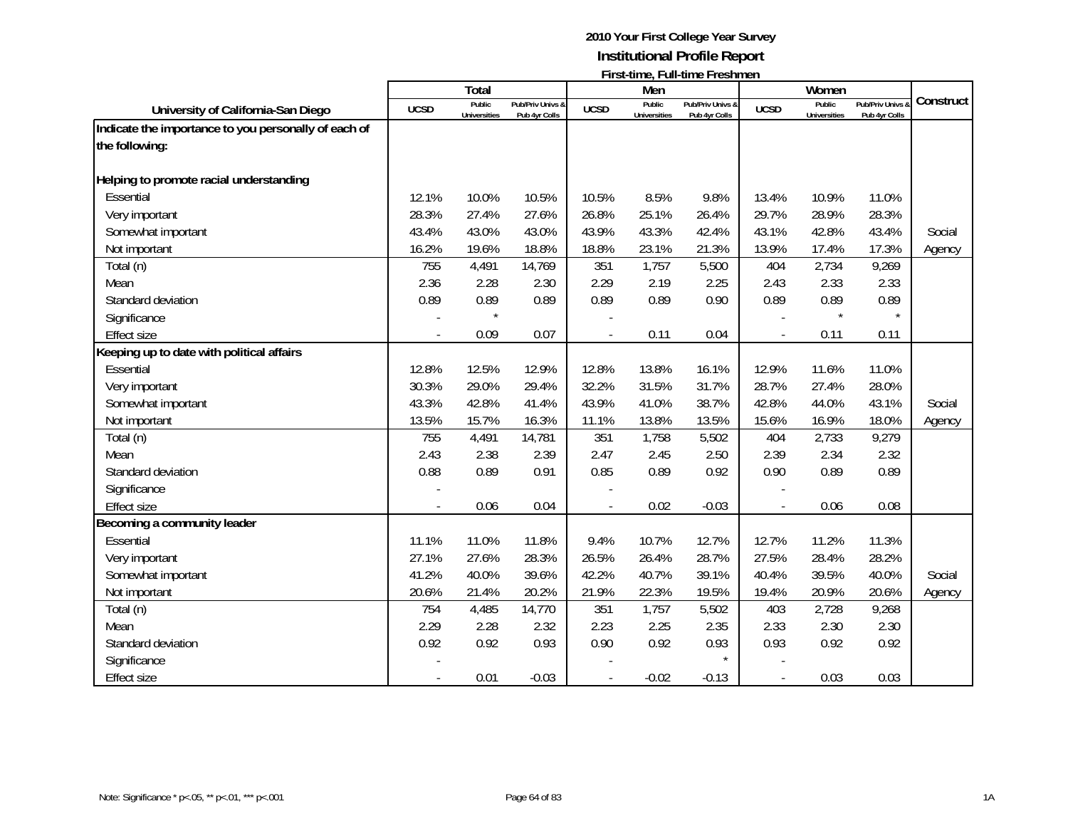|                                                                        |             | Total                         |                                   |             | Men                           | $1.131$ and $1.111$ and $1.111$ and $1.111$ and $1.111$ and $1.111$ and $1.111$ and $1.111$ and $1.111$ and $1.111$ and $1.111$ and $1.111$ and $1.111$ and $1.111$ and $1.111$ and $1.111$ and $1.111$ and $1.111$ and $1.11$ |             | Women                         |                                 |           |
|------------------------------------------------------------------------|-------------|-------------------------------|-----------------------------------|-------------|-------------------------------|--------------------------------------------------------------------------------------------------------------------------------------------------------------------------------------------------------------------------------|-------------|-------------------------------|---------------------------------|-----------|
| University of California-San Diego                                     | <b>UCSD</b> | Public<br><b>Universities</b> | Pub/Priv Univs &<br>Pub 4yr Colls | <b>UCSD</b> | Public<br><b>Universities</b> | Pub/Priv Univs &<br>Pub 4yr Colls                                                                                                                                                                                              | <b>UCSD</b> | Public<br><b>Universities</b> | Pub/Priv Univs<br>Pub 4yr Colls | Construct |
| Indicate the importance to you personally of each of<br>the following: |             |                               |                                   |             |                               |                                                                                                                                                                                                                                |             |                               |                                 |           |
| Helping to promote racial understanding                                |             |                               |                                   |             |                               |                                                                                                                                                                                                                                |             |                               |                                 |           |
| Essential                                                              | 12.1%       | 10.0%                         | 10.5%                             | 10.5%       | 8.5%                          | 9.8%                                                                                                                                                                                                                           | 13.4%       | 10.9%                         | 11.0%                           |           |
| Very important                                                         | 28.3%       | 27.4%                         | 27.6%                             | 26.8%       | 25.1%                         | 26.4%                                                                                                                                                                                                                          | 29.7%       | 28.9%                         | 28.3%                           |           |
| Somewhat important                                                     | 43.4%       | 43.0%                         | 43.0%                             | 43.9%       | 43.3%                         | 42.4%                                                                                                                                                                                                                          | 43.1%       | 42.8%                         | 43.4%                           | Social    |
| Not important                                                          | 16.2%       | 19.6%                         | 18.8%                             | 18.8%       | 23.1%                         | 21.3%                                                                                                                                                                                                                          | 13.9%       | 17.4%                         | 17.3%                           | Agency    |
| Total (n)                                                              | 755         | 4,491                         | 14,769                            | 351         | 1,757                         | 5,500                                                                                                                                                                                                                          | 404         | 2,734                         | 9,269                           |           |
| Mean                                                                   | 2.36        | 2.28                          | 2.30                              | 2.29        | 2.19                          | 2.25                                                                                                                                                                                                                           | 2.43        | 2.33                          | 2.33                            |           |
| Standard deviation                                                     | 0.89        | 0.89                          | 0.89                              | 0.89        | 0.89                          | 0.90                                                                                                                                                                                                                           | 0.89        | 0.89                          | 0.89                            |           |
| Significance                                                           |             |                               |                                   |             |                               |                                                                                                                                                                                                                                |             |                               | $\star$                         |           |
| <b>Effect size</b>                                                     |             | 0.09                          | 0.07                              |             | 0.11                          | 0.04                                                                                                                                                                                                                           |             | 0.11                          | 0.11                            |           |
| Keeping up to date with political affairs                              |             |                               |                                   |             |                               |                                                                                                                                                                                                                                |             |                               |                                 |           |
| Essential                                                              | 12.8%       | 12.5%                         | 12.9%                             | 12.8%       | 13.8%                         | 16.1%                                                                                                                                                                                                                          | 12.9%       | 11.6%                         | 11.0%                           |           |
| Very important                                                         | 30.3%       | 29.0%                         | 29.4%                             | 32.2%       | 31.5%                         | 31.7%                                                                                                                                                                                                                          | 28.7%       | 27.4%                         | 28.0%                           |           |
| Somewhat important                                                     | 43.3%       | 42.8%                         | 41.4%                             | 43.9%       | 41.0%                         | 38.7%                                                                                                                                                                                                                          | 42.8%       | 44.0%                         | 43.1%                           | Social    |
| Not important                                                          | 13.5%       | 15.7%                         | 16.3%                             | 11.1%       | 13.8%                         | 13.5%                                                                                                                                                                                                                          | 15.6%       | 16.9%                         | 18.0%                           | Agency    |
| Total (n)                                                              | 755         | 4,491                         | 14,781                            | 351         | 1,758                         | 5,502                                                                                                                                                                                                                          | 404         | 2,733                         | 9,279                           |           |
| Mean                                                                   | 2.43        | 2.38                          | 2.39                              | 2.47        | 2.45                          | 2.50                                                                                                                                                                                                                           | 2.39        | 2.34                          | 2.32                            |           |
| Standard deviation                                                     | 0.88        | 0.89                          | 0.91                              | 0.85        | 0.89                          | 0.92                                                                                                                                                                                                                           | 0.90        | 0.89                          | 0.89                            |           |
| Significance                                                           |             |                               |                                   |             |                               |                                                                                                                                                                                                                                |             |                               |                                 |           |
| <b>Effect size</b>                                                     |             | 0.06                          | 0.04                              |             | 0.02                          | $-0.03$                                                                                                                                                                                                                        |             | 0.06                          | 0.08                            |           |
| Becoming a community leader                                            |             |                               |                                   |             |                               |                                                                                                                                                                                                                                |             |                               |                                 |           |
| Essential                                                              | 11.1%       | 11.0%                         | 11.8%                             | 9.4%        | 10.7%                         | 12.7%                                                                                                                                                                                                                          | 12.7%       | 11.2%                         | 11.3%                           |           |
| Very important                                                         | 27.1%       | 27.6%                         | 28.3%                             | 26.5%       | 26.4%                         | 28.7%                                                                                                                                                                                                                          | 27.5%       | 28.4%                         | 28.2%                           |           |
| Somewhat important                                                     | 41.2%       | 40.0%                         | 39.6%                             | 42.2%       | 40.7%                         | 39.1%                                                                                                                                                                                                                          | 40.4%       | 39.5%                         | 40.0%                           | Social    |
| Not important                                                          | 20.6%       | 21.4%                         | 20.2%                             | 21.9%       | 22.3%                         | 19.5%                                                                                                                                                                                                                          | 19.4%       | 20.9%                         | 20.6%                           | Agency    |
| Total (n)                                                              | 754         | 4,485                         | 14,770                            | 351         | 1,757                         | 5,502                                                                                                                                                                                                                          | 403         | 2,728                         | 9,268                           |           |
| Mean                                                                   | 2.29        | 2.28                          | 2.32                              | 2.23        | 2.25                          | 2.35                                                                                                                                                                                                                           | 2.33        | 2.30                          | 2.30                            |           |
| Standard deviation                                                     | 0.92        | 0.92                          | 0.93                              | 0.90        | 0.92                          | 0.93                                                                                                                                                                                                                           | 0.93        | 0.92                          | 0.92                            |           |
| Significance                                                           |             |                               |                                   |             |                               |                                                                                                                                                                                                                                |             |                               |                                 |           |
| Effect size                                                            |             | 0.01                          | $-0.03$                           |             | $-0.02$                       | $-0.13$                                                                                                                                                                                                                        |             | 0.03                          | 0.03                            |           |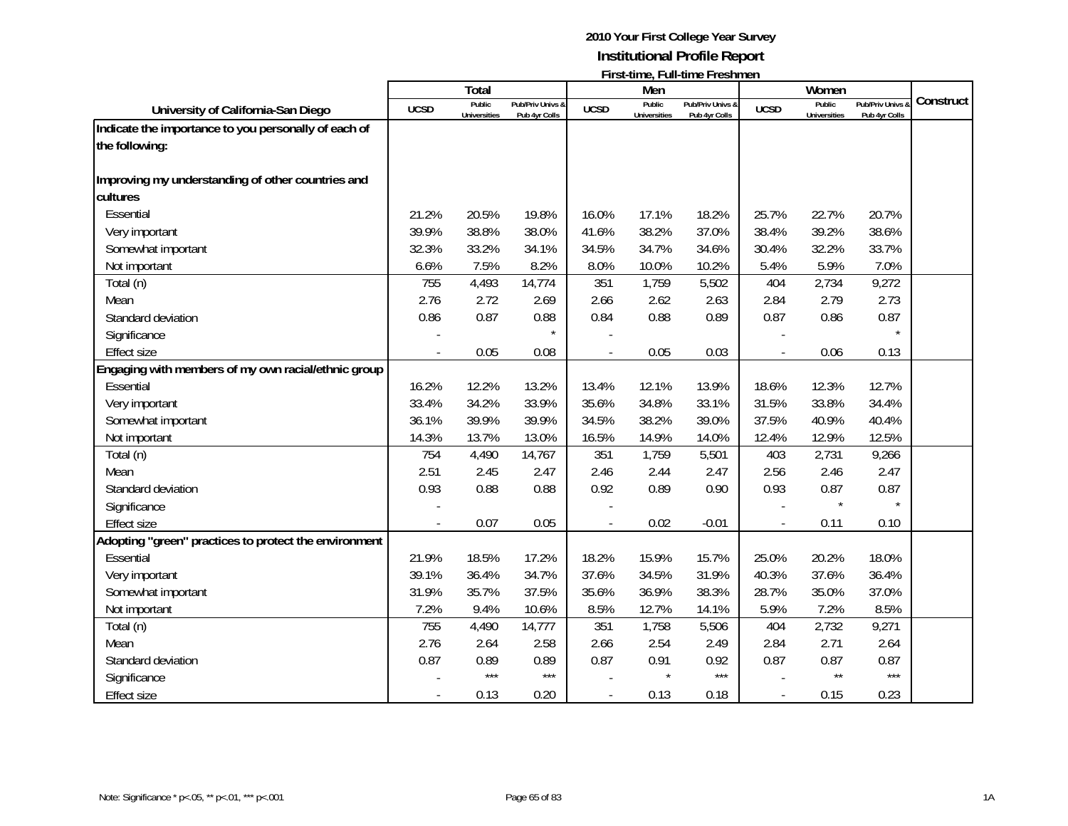|                                                       |             | Total                         |                  |             | Men                           |                  |             | Women                         |                |           |
|-------------------------------------------------------|-------------|-------------------------------|------------------|-------------|-------------------------------|------------------|-------------|-------------------------------|----------------|-----------|
| University of California-San Diego                    | <b>UCSD</b> | Public<br><b>Universities</b> | Pub/Priv Univs & | <b>UCSD</b> | Public<br><b>Universities</b> | Pub/Priv Univs & | <b>UCSD</b> | Public<br><b>Universities</b> | Pub/Priv Univs | Construct |
| Indicate the importance to you personally of each of  |             |                               | Pub 4yr Colls    |             |                               | Pub 4yr Colls    |             |                               | Pub 4yr Colls  |           |
| the following:                                        |             |                               |                  |             |                               |                  |             |                               |                |           |
|                                                       |             |                               |                  |             |                               |                  |             |                               |                |           |
| Improving my understanding of other countries and     |             |                               |                  |             |                               |                  |             |                               |                |           |
| cultures                                              |             |                               |                  |             |                               |                  |             |                               |                |           |
| Essential                                             | 21.2%       | 20.5%                         | 19.8%            | 16.0%       | 17.1%                         | 18.2%            | 25.7%       | 22.7%                         | 20.7%          |           |
| Very important                                        | 39.9%       | 38.8%                         | 38.0%            | 41.6%       | 38.2%                         | 37.0%            | 38.4%       | 39.2%                         | 38.6%          |           |
| Somewhat important                                    | 32.3%       | 33.2%                         | 34.1%            | 34.5%       | 34.7%                         | 34.6%            | 30.4%       | 32.2%                         | 33.7%          |           |
| Not important                                         | 6.6%        | 7.5%                          | 8.2%             | 8.0%        | 10.0%                         | 10.2%            | 5.4%        | 5.9%                          | 7.0%           |           |
| Total (n)                                             | 755         | 4,493                         | 14,774           | 351         | 1,759                         | 5,502            | 404         | 2,734                         | 9,272          |           |
| Mean                                                  | 2.76        | 2.72                          | 2.69             | 2.66        | 2.62                          | 2.63             | 2.84        | 2.79                          | 2.73           |           |
| Standard deviation                                    | 0.86        | 0.87                          | 0.88             | 0.84        | 0.88                          | 0.89             | 0.87        | 0.86                          | 0.87           |           |
| Significance                                          |             |                               | $\star$          |             |                               |                  |             |                               |                |           |
| Effect size                                           |             | 0.05                          | 0.08             |             | 0.05                          | 0.03             |             | 0.06                          | 0.13           |           |
| Engaging with members of my own racial/ethnic group   |             |                               |                  |             |                               |                  |             |                               |                |           |
| Essential                                             | 16.2%       | 12.2%                         | 13.2%            | 13.4%       | 12.1%                         | 13.9%            | 18.6%       | 12.3%                         | 12.7%          |           |
| Very important                                        | 33.4%       | 34.2%                         | 33.9%            | 35.6%       | 34.8%                         | 33.1%            | 31.5%       | 33.8%                         | 34.4%          |           |
| Somewhat important                                    | 36.1%       | 39.9%                         | 39.9%            | 34.5%       | 38.2%                         | 39.0%            | 37.5%       | 40.9%                         | 40.4%          |           |
| Not important                                         | 14.3%       | 13.7%                         | 13.0%            | 16.5%       | 14.9%                         | 14.0%            | 12.4%       | 12.9%                         | 12.5%          |           |
| Total (n)                                             | 754         | 4,490                         | 14,767           | 351         | 1,759                         | 5,501            | 403         | 2,731                         | 9,266          |           |
| Mean                                                  | 2.51        | 2.45                          | 2.47             | 2.46        | 2.44                          | 2.47             | 2.56        | 2.46                          | 2.47           |           |
| Standard deviation                                    | 0.93        | 0.88                          | 0.88             | 0.92        | 0.89                          | 0.90             | 0.93        | 0.87                          | 0.87           |           |
| Significance                                          |             |                               |                  |             |                               |                  |             | $\star$                       | $\star$        |           |
| Effect size                                           |             | 0.07                          | 0.05             |             | 0.02                          | $-0.01$          |             | 0.11                          | 0.10           |           |
| Adopting "green" practices to protect the environment |             |                               |                  |             |                               |                  |             |                               |                |           |
| Essential                                             | 21.9%       | 18.5%                         | 17.2%            | 18.2%       | 15.9%                         | 15.7%            | 25.0%       | 20.2%                         | 18.0%          |           |
| Very important                                        | 39.1%       | 36.4%                         | 34.7%            | 37.6%       | 34.5%                         | 31.9%            | 40.3%       | 37.6%                         | 36.4%          |           |
| Somewhat important                                    | 31.9%       | 35.7%                         | 37.5%            | 35.6%       | 36.9%                         | 38.3%            | 28.7%       | 35.0%                         | 37.0%          |           |
| Not important                                         | 7.2%        | 9.4%                          | 10.6%            | 8.5%        | 12.7%                         | 14.1%            | 5.9%        | 7.2%                          | 8.5%           |           |
| Total (n)                                             | 755         | 4,490                         | 14,777           | 351         | 1,758                         | 5,506            | 404         | 2,732                         | 9,271          |           |
| Mean                                                  | 2.76        | 2.64                          | 2.58             | 2.66        | 2.54                          | 2.49             | 2.84        | 2.71                          | 2.64           |           |
| Standard deviation                                    | 0.87        | 0.89                          | 0.89             | 0.87        | 0.91                          | 0.92             | 0.87        | 0.87                          | 0.87           |           |
| Significance                                          |             | $***$                         | $***$            |             |                               | ***              |             | $***$                         | $***$          |           |
| <b>Effect size</b>                                    |             | 0.13                          | 0.20             |             | 0.13                          | 0.18             |             | 0.15                          | 0.23           |           |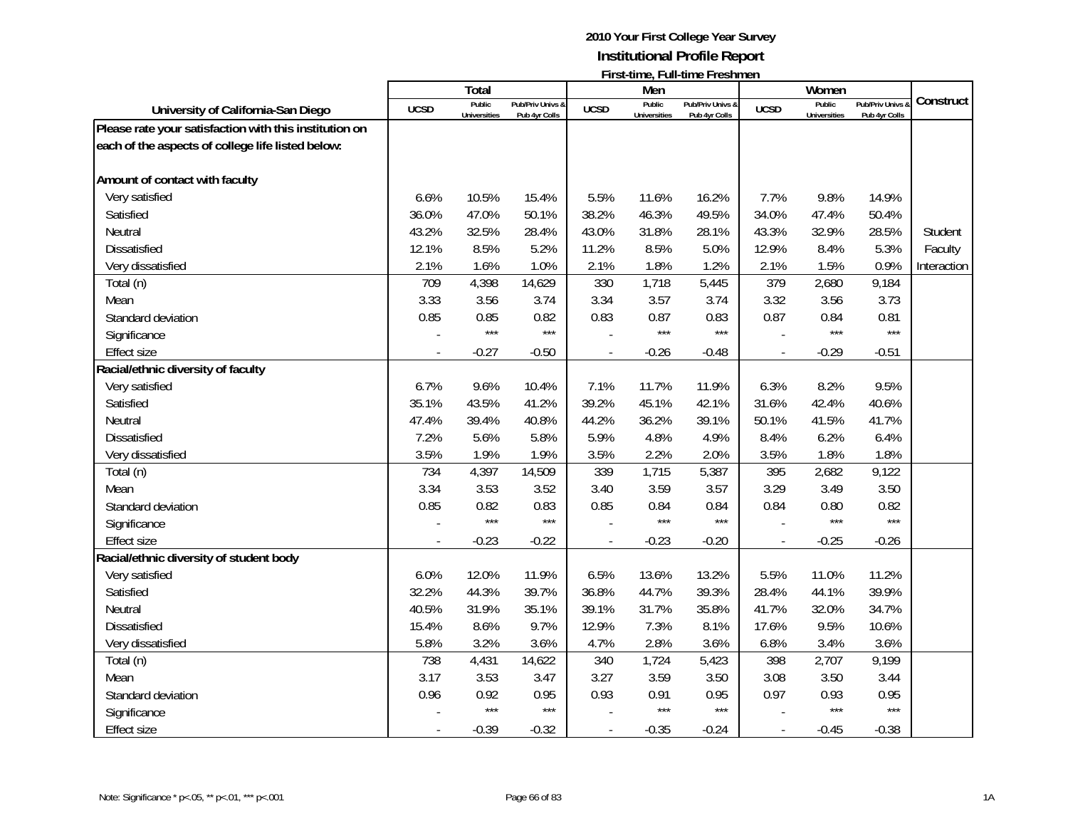|                                                        |             | Total                         |                                   |                          | Men                           | $\overline{1}$ ii st-time, Luirtime Lesimien |                          | Women                         |                                   |             |
|--------------------------------------------------------|-------------|-------------------------------|-----------------------------------|--------------------------|-------------------------------|----------------------------------------------|--------------------------|-------------------------------|-----------------------------------|-------------|
| University of California-San Diego                     | <b>UCSD</b> | Public<br><b>Universities</b> | Pub/Priv Univs &<br>Pub 4yr Colls | <b>UCSD</b>              | Public<br><b>Universities</b> | Pub/Priv Univs &<br>Pub 4yr Colls            | <b>UCSD</b>              | Public<br><b>Universities</b> | Pub/Priv Univs &<br>Pub 4yr Colls | Construct   |
| Please rate your satisfaction with this institution on |             |                               |                                   |                          |                               |                                              |                          |                               |                                   |             |
| each of the aspects of college life listed below:      |             |                               |                                   |                          |                               |                                              |                          |                               |                                   |             |
|                                                        |             |                               |                                   |                          |                               |                                              |                          |                               |                                   |             |
| Amount of contact with faculty                         |             |                               |                                   |                          |                               |                                              |                          |                               |                                   |             |
| Very satisfied                                         | 6.6%        | 10.5%                         | 15.4%                             | 5.5%                     | 11.6%                         | 16.2%                                        | 7.7%                     | 9.8%                          | 14.9%                             |             |
| Satisfied                                              | 36.0%       | 47.0%                         | 50.1%                             | 38.2%                    | 46.3%                         | 49.5%                                        | 34.0%                    | 47.4%                         | 50.4%                             |             |
| Neutral                                                | 43.2%       | 32.5%                         | 28.4%                             | 43.0%                    | 31.8%                         | 28.1%                                        | 43.3%                    | 32.9%                         | 28.5%                             | Student     |
| Dissatisfied                                           | 12.1%       | 8.5%                          | 5.2%                              | 11.2%                    | 8.5%                          | 5.0%                                         | 12.9%                    | 8.4%                          | 5.3%                              | Faculty     |
| Very dissatisfied                                      | 2.1%        | 1.6%                          | 1.0%                              | 2.1%                     | 1.8%                          | 1.2%                                         | 2.1%                     | 1.5%                          | 0.9%                              | Interaction |
| Total (n)                                              | 709         | 4,398                         | 14,629                            | 330                      | 1,718                         | 5,445                                        | 379                      | 2,680                         | 9,184                             |             |
| Mean                                                   | 3.33        | 3.56                          | 3.74                              | 3.34                     | 3.57                          | 3.74                                         | 3.32                     | 3.56                          | 3.73                              |             |
| Standard deviation                                     | 0.85        | 0.85                          | 0.82                              | 0.83                     | 0.87                          | 0.83                                         | 0.87                     | 0.84                          | 0.81                              |             |
| Significance                                           |             | $***$                         | $***$                             |                          | $***$                         | $***$                                        |                          | $***$                         | $***$                             |             |
| <b>Effect size</b>                                     |             | $-0.27$                       | $-0.50$                           |                          | $-0.26$                       | $-0.48$                                      | $\overline{a}$           | $-0.29$                       | $-0.51$                           |             |
| Racial/ethnic diversity of faculty                     |             |                               |                                   |                          |                               |                                              |                          |                               |                                   |             |
| Very satisfied                                         | 6.7%        | 9.6%                          | 10.4%                             | 7.1%                     | 11.7%                         | 11.9%                                        | 6.3%                     | 8.2%                          | 9.5%                              |             |
| Satisfied                                              | 35.1%       | 43.5%                         | 41.2%                             | 39.2%                    | 45.1%                         | 42.1%                                        | 31.6%                    | 42.4%                         | 40.6%                             |             |
| Neutral                                                | 47.4%       | 39.4%                         | 40.8%                             | 44.2%                    | 36.2%                         | 39.1%                                        | 50.1%                    | 41.5%                         | 41.7%                             |             |
| Dissatisfied                                           | 7.2%        | 5.6%                          | 5.8%                              | 5.9%                     | 4.8%                          | 4.9%                                         | 8.4%                     | 6.2%                          | 6.4%                              |             |
| Very dissatisfied                                      | 3.5%        | 1.9%                          | 1.9%                              | 3.5%                     | 2.2%                          | 2.0%                                         | 3.5%                     | 1.8%                          | 1.8%                              |             |
| Total (n)                                              | 734         | 4,397                         | 14,509                            | 339                      | 1,715                         | 5,387                                        | 395                      | 2,682                         | 9,122                             |             |
| Mean                                                   | 3.34        | 3.53                          | 3.52                              | 3.40                     | 3.59                          | 3.57                                         | 3.29                     | 3.49                          | 3.50                              |             |
| Standard deviation                                     | 0.85        | 0.82                          | 0.83                              | 0.85                     | 0.84                          | 0.84                                         | 0.84                     | 0.80                          | 0.82                              |             |
| Significance                                           |             | ***                           | $***$                             |                          | $***$                         | $***$                                        |                          | $***$                         | $***$                             |             |
| <b>Effect size</b>                                     |             | $-0.23$                       | $-0.22$                           | $\blacksquare$           | $-0.23$                       | $-0.20$                                      | $\overline{\phantom{a}}$ | $-0.25$                       | $-0.26$                           |             |
| Racial/ethnic diversity of student body                |             |                               |                                   |                          |                               |                                              |                          |                               |                                   |             |
| Very satisfied                                         | 6.0%        | 12.0%                         | 11.9%                             | 6.5%                     | 13.6%                         | 13.2%                                        | 5.5%                     | 11.0%                         | 11.2%                             |             |
| Satisfied                                              | 32.2%       | 44.3%                         | 39.7%                             | 36.8%                    | 44.7%                         | 39.3%                                        | 28.4%                    | 44.1%                         | 39.9%                             |             |
| Neutral                                                | 40.5%       | 31.9%                         | 35.1%                             | 39.1%                    | 31.7%                         | 35.8%                                        | 41.7%                    | 32.0%                         | 34.7%                             |             |
| <b>Dissatisfied</b>                                    | 15.4%       | 8.6%                          | 9.7%                              | 12.9%                    | 7.3%                          | 8.1%                                         | 17.6%                    | 9.5%                          | 10.6%                             |             |
| Very dissatisfied                                      | 5.8%        | 3.2%                          | 3.6%                              | 4.7%                     | 2.8%                          | 3.6%                                         | 6.8%                     | 3.4%                          | 3.6%                              |             |
| Total (n)                                              | 738         | 4,431                         | 14,622                            | 340                      | 1,724                         | 5,423                                        | 398                      | 2,707                         | 9,199                             |             |
| Mean                                                   | 3.17        | 3.53                          | 3.47                              | 3.27                     | 3.59                          | 3.50                                         | 3.08                     | 3.50                          | 3.44                              |             |
| Standard deviation                                     | 0.96        | 0.92                          | 0.95                              | 0.93                     | 0.91                          | 0.95                                         | 0.97                     | 0.93                          | 0.95                              |             |
| Significance                                           |             | ***                           | $***$                             |                          | $***$                         | $***$                                        |                          | $***$                         | $***$                             |             |
| <b>Effect size</b>                                     |             | $-0.39$                       | $-0.32$                           | $\overline{\phantom{a}}$ | $-0.35$                       | $-0.24$                                      | $\overline{\phantom{a}}$ | $-0.45$                       | $-0.38$                           |             |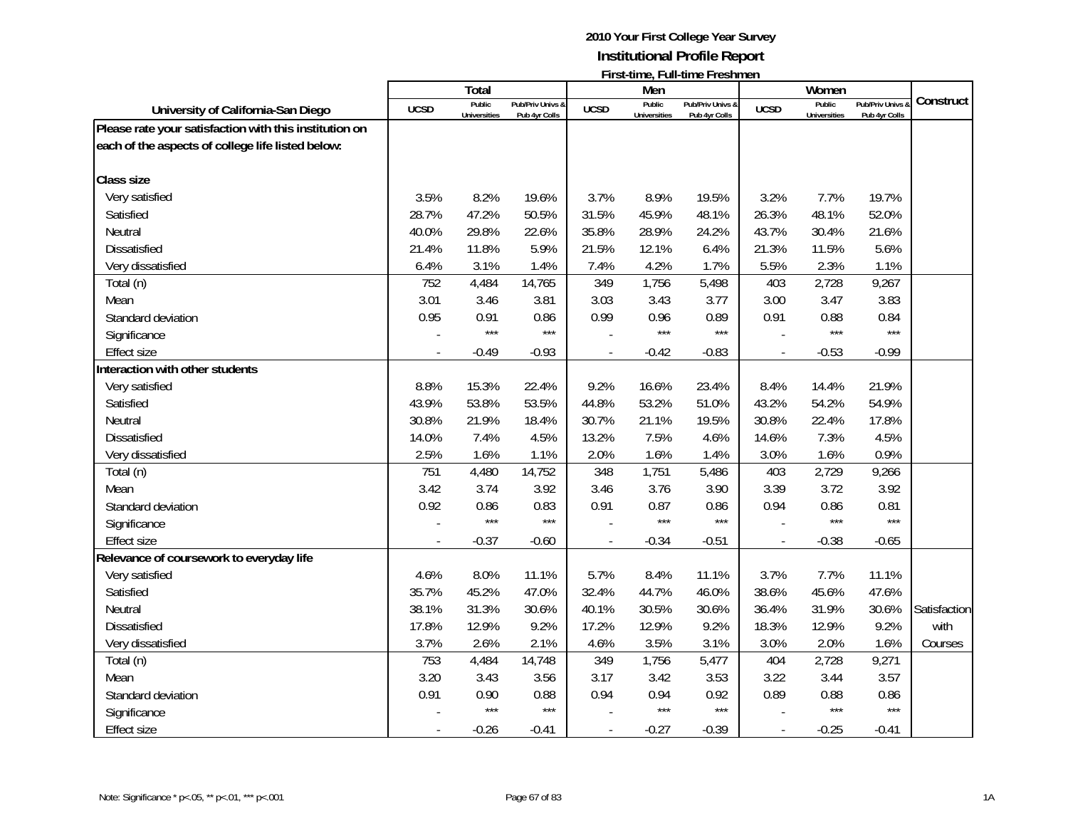|                                                        |             | Total                         |                                   |             | Men                           | $\overline{1}$ ii st-time, Luirtime Lesimien |                          | Women                         |                                   |              |
|--------------------------------------------------------|-------------|-------------------------------|-----------------------------------|-------------|-------------------------------|----------------------------------------------|--------------------------|-------------------------------|-----------------------------------|--------------|
| University of California-San Diego                     | <b>UCSD</b> | Public<br><b>Universities</b> | Pub/Priv Univs &<br>Pub 4yr Colls | <b>UCSD</b> | Public<br><b>Universities</b> | Pub/Priv Univs &<br>Pub 4yr Colls            | <b>UCSD</b>              | Public<br><b>Universities</b> | Pub/Priv Univs &<br>Pub 4yr Colls | Construct    |
| Please rate your satisfaction with this institution on |             |                               |                                   |             |                               |                                              |                          |                               |                                   |              |
| each of the aspects of college life listed below:      |             |                               |                                   |             |                               |                                              |                          |                               |                                   |              |
|                                                        |             |                               |                                   |             |                               |                                              |                          |                               |                                   |              |
| <b>Class size</b>                                      |             |                               |                                   |             |                               |                                              |                          |                               |                                   |              |
| Very satisfied                                         | 3.5%        | 8.2%                          | 19.6%                             | 3.7%        | 8.9%                          | 19.5%                                        | 3.2%                     | 7.7%                          | 19.7%                             |              |
| Satisfied                                              | 28.7%       | 47.2%                         | 50.5%                             | 31.5%       | 45.9%                         | 48.1%                                        | 26.3%                    | 48.1%                         | 52.0%                             |              |
| Neutral                                                | 40.0%       | 29.8%                         | 22.6%                             | 35.8%       | 28.9%                         | 24.2%                                        | 43.7%                    | 30.4%                         | 21.6%                             |              |
| Dissatisfied                                           | 21.4%       | 11.8%                         | 5.9%                              | 21.5%       | 12.1%                         | 6.4%                                         | 21.3%                    | 11.5%                         | 5.6%                              |              |
| Very dissatisfied                                      | 6.4%        | 3.1%                          | 1.4%                              | 7.4%        | 4.2%                          | 1.7%                                         | 5.5%                     | 2.3%                          | 1.1%                              |              |
| Total (n)                                              | 752         | 4,484                         | 14,765                            | 349         | 1,756                         | 5,498                                        | 403                      | 2,728                         | 9,267                             |              |
| Mean                                                   | 3.01        | 3.46                          | 3.81                              | 3.03        | 3.43                          | 3.77                                         | 3.00                     | 3.47                          | 3.83                              |              |
| Standard deviation                                     | 0.95        | 0.91                          | 0.86                              | 0.99        | 0.96                          | 0.89                                         | 0.91                     | 0.88                          | 0.84                              |              |
| Significance                                           |             | $***$                         | $***$                             |             | $***$                         | $***$                                        |                          | $***$                         | $***$                             |              |
| <b>Effect size</b>                                     |             | $-0.49$                       | $-0.93$                           |             | $-0.42$                       | $-0.83$                                      | $\overline{a}$           | $-0.53$                       | $-0.99$                           |              |
| Interaction with other students                        |             |                               |                                   |             |                               |                                              |                          |                               |                                   |              |
| Very satisfied                                         | 8.8%        | 15.3%                         | 22.4%                             | 9.2%        | 16.6%                         | 23.4%                                        | 8.4%                     | 14.4%                         | 21.9%                             |              |
| Satisfied                                              | 43.9%       | 53.8%                         | 53.5%                             | 44.8%       | 53.2%                         | 51.0%                                        | 43.2%                    | 54.2%                         | 54.9%                             |              |
| Neutral                                                | 30.8%       | 21.9%                         | 18.4%                             | 30.7%       | 21.1%                         | 19.5%                                        | 30.8%                    | 22.4%                         | 17.8%                             |              |
| <b>Dissatisfied</b>                                    | 14.0%       | 7.4%                          | 4.5%                              | 13.2%       | 7.5%                          | 4.6%                                         | 14.6%                    | 7.3%                          | 4.5%                              |              |
| Very dissatisfied                                      | 2.5%        | 1.6%                          | 1.1%                              | 2.0%        | 1.6%                          | 1.4%                                         | 3.0%                     | 1.6%                          | 0.9%                              |              |
| Total (n)                                              | 751         | 4,480                         | 14,752                            | 348         | 1,751                         | 5,486                                        | 403                      | 2,729                         | 9,266                             |              |
| Mean                                                   | 3.42        | 3.74                          | 3.92                              | 3.46        | 3.76                          | 3.90                                         | 3.39                     | 3.72                          | 3.92                              |              |
| Standard deviation                                     | 0.92        | 0.86                          | 0.83                              | 0.91        | 0.87                          | 0.86                                         | 0.94                     | 0.86                          | 0.81                              |              |
| Significance                                           |             | $***$                         | $***$                             |             | $***$                         | $***$                                        |                          | $***$                         | ***                               |              |
| <b>Effect size</b>                                     |             | $-0.37$                       | $-0.60$                           |             | $-0.34$                       | $-0.51$                                      | $\overline{\phantom{a}}$ | $-0.38$                       | $-0.65$                           |              |
| Relevance of coursework to everyday life               |             |                               |                                   |             |                               |                                              |                          |                               |                                   |              |
| Very satisfied                                         | 4.6%        | 8.0%                          | 11.1%                             | 5.7%        | 8.4%                          | 11.1%                                        | 3.7%                     | 7.7%                          | 11.1%                             |              |
| Satisfied                                              | 35.7%       | 45.2%                         | 47.0%                             | 32.4%       | 44.7%                         | 46.0%                                        | 38.6%                    | 45.6%                         | 47.6%                             |              |
| Neutral                                                | 38.1%       | 31.3%                         | 30.6%                             | 40.1%       | 30.5%                         | 30.6%                                        | 36.4%                    | 31.9%                         | 30.6%                             | Satisfaction |
| <b>Dissatisfied</b>                                    | 17.8%       | 12.9%                         | 9.2%                              | 17.2%       | 12.9%                         | 9.2%                                         | 18.3%                    | 12.9%                         | 9.2%                              | with         |
| Very dissatisfied                                      | 3.7%        | 2.6%                          | 2.1%                              | 4.6%        | 3.5%                          | 3.1%                                         | 3.0%                     | 2.0%                          | 1.6%                              | Courses      |
| Total (n)                                              | 753         | 4,484                         | 14,748                            | 349         | 1,756                         | 5,477                                        | 404                      | 2,728                         | 9,271                             |              |
| Mean                                                   | 3.20        | 3.43                          | 3.56                              | 3.17        | 3.42                          | 3.53                                         | 3.22                     | 3.44                          | 3.57                              |              |
| Standard deviation                                     | 0.91        | 0.90                          | 0.88                              | 0.94        | 0.94                          | 0.92                                         | 0.89                     | 0.88                          | 0.86                              |              |
| Significance                                           |             | $***$                         | $***$                             |             | $***$                         | $***$                                        |                          | $***$                         | $***$                             |              |
| <b>Effect size</b>                                     |             | $-0.26$                       | $-0.41$                           | $\sim$      | $-0.27$                       | $-0.39$                                      | $\overline{\phantom{a}}$ | $-0.25$                       | $-0.41$                           |              |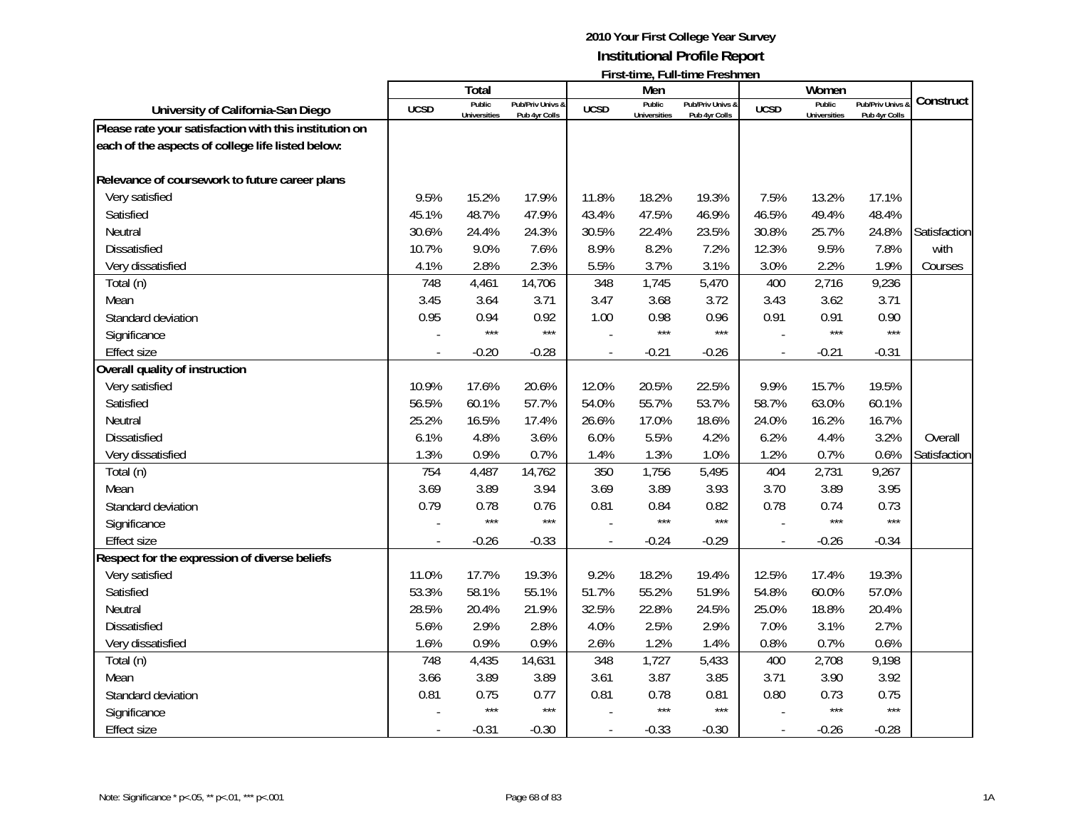|                                                        |             | <b>Total</b>        |                  |                | Men                 |                  |                | Women               |                |              |
|--------------------------------------------------------|-------------|---------------------|------------------|----------------|---------------------|------------------|----------------|---------------------|----------------|--------------|
| University of California-San Diego                     | <b>UCSD</b> | Public              | Pub/Priv Univs & | <b>UCSD</b>    | Public              | Pub/Priv Univs & | <b>UCSD</b>    | Public              | Pub/Priv Univs | Construct    |
|                                                        |             | <b>Universities</b> | Pub 4yr Colls    |                | <b>Universities</b> | Pub 4yr Colls    |                | <b>Universities</b> | Pub 4yr Colls  |              |
| Please rate your satisfaction with this institution on |             |                     |                  |                |                     |                  |                |                     |                |              |
| each of the aspects of college life listed below:      |             |                     |                  |                |                     |                  |                |                     |                |              |
| Relevance of coursework to future career plans         |             |                     |                  |                |                     |                  |                |                     |                |              |
| Very satisfied                                         | 9.5%        | 15.2%               | 17.9%            | 11.8%          | 18.2%               | 19.3%            | 7.5%           | 13.2%               | 17.1%          |              |
| Satisfied                                              | 45.1%       | 48.7%               | 47.9%            | 43.4%          | 47.5%               | 46.9%            | 46.5%          | 49.4%               | 48.4%          |              |
| Neutral                                                | 30.6%       | 24.4%               | 24.3%            | 30.5%          | 22.4%               | 23.5%            | 30.8%          | 25.7%               | 24.8%          | Satisfaction |
| Dissatisfied                                           | 10.7%       | 9.0%                | 7.6%             | 8.9%           | 8.2%                | 7.2%             | 12.3%          | 9.5%                | 7.8%           | with         |
| Very dissatisfied                                      | 4.1%        | 2.8%                | 2.3%             | 5.5%           | 3.7%                | 3.1%             | 3.0%           | 2.2%                | 1.9%           | Courses      |
| Total (n)                                              | 748         | 4,461               | 14,706           | 348            | 1,745               | 5,470            | 400            | 2,716               | 9,236          |              |
| Mean                                                   | 3.45        | 3.64                | 3.71             | 3.47           | 3.68                | 3.72             | 3.43           | 3.62                | 3.71           |              |
| Standard deviation                                     | 0.95        | 0.94                | 0.92             | 1.00           | 0.98                | 0.96             | 0.91           | 0.91                | 0.90           |              |
| Significance                                           |             | $***$               | $***$            |                | $***$               | $***$            |                | $***$               | $***$          |              |
| <b>Effect size</b>                                     |             | $-0.20$             | $-0.28$          |                | $-0.21$             | $-0.26$          | $\overline{a}$ | $-0.21$             | $-0.31$        |              |
| Overall quality of instruction                         |             |                     |                  |                |                     |                  |                |                     |                |              |
| Very satisfied                                         | 10.9%       | 17.6%               | 20.6%            | 12.0%          | 20.5%               | 22.5%            | 9.9%           | 15.7%               | 19.5%          |              |
| Satisfied                                              | 56.5%       | 60.1%               | 57.7%            | 54.0%          | 55.7%               | 53.7%            | 58.7%          | 63.0%               | 60.1%          |              |
| Neutral                                                | 25.2%       | 16.5%               | 17.4%            | 26.6%          | 17.0%               | 18.6%            | 24.0%          | 16.2%               | 16.7%          |              |
| Dissatisfied                                           | 6.1%        | 4.8%                | 3.6%             | 6.0%           | 5.5%                | 4.2%             | 6.2%           | 4.4%                | 3.2%           | Overall      |
| Very dissatisfied                                      | 1.3%        | 0.9%                | 0.7%             | 1.4%           | 1.3%                | 1.0%             | 1.2%           | 0.7%                | 0.6%           | Satisfaction |
| Total (n)                                              | 754         | 4,487               | 14,762           | 350            | 1,756               | 5,495            | 404            | 2,731               | 9,267          |              |
| Mean                                                   | 3.69        | 3.89                | 3.94             | 3.69           | 3.89                | 3.93             | 3.70           | 3.89                | 3.95           |              |
| Standard deviation                                     | 0.79        | 0.78                | 0.76             | 0.81           | 0.84                | 0.82             | 0.78           | 0.74                | 0.73           |              |
| Significance                                           |             | $***$               | $***$            |                | $***$               | ***              |                | ***                 | $***$          |              |
| <b>Effect size</b>                                     |             | $-0.26$             | $-0.33$          |                | $-0.24$             | $-0.29$          |                | $-0.26$             | $-0.34$        |              |
| Respect for the expression of diverse beliefs          |             |                     |                  |                |                     |                  |                |                     |                |              |
| Very satisfied                                         | 11.0%       | 17.7%               | 19.3%            | 9.2%           | 18.2%               | 19.4%            | 12.5%          | 17.4%               | 19.3%          |              |
| Satisfied                                              | 53.3%       | 58.1%               | 55.1%            | 51.7%          | 55.2%               | 51.9%            | 54.8%          | 60.0%               | 57.0%          |              |
| Neutral                                                | 28.5%       | 20.4%               | 21.9%            | 32.5%          | 22.8%               | 24.5%            | 25.0%          | 18.8%               | 20.4%          |              |
| <b>Dissatisfied</b>                                    | 5.6%        | 2.9%                | 2.8%             | 4.0%           | 2.5%                | 2.9%             | 7.0%           | 3.1%                | 2.7%           |              |
| Very dissatisfied                                      | 1.6%        | 0.9%                | 0.9%             | 2.6%           | 1.2%                | 1.4%             | 0.8%           | 0.7%                | 0.6%           |              |
| Total (n)                                              | 748         | 4,435               | 14,631           | 348            | 1,727               | 5,433            | 400            | 2,708               | 9,198          |              |
| Mean                                                   | 3.66        | 3.89                | 3.89             | 3.61           | 3.87                | 3.85             | 3.71           | 3.90                | 3.92           |              |
| Standard deviation                                     | 0.81        | 0.75                | 0.77             | 0.81           | 0.78                | 0.81             | 0.80           | 0.73                | 0.75           |              |
| Significance                                           |             | $***$               | $***$            |                | $***$               | $***$            |                | $***$               | $***$          |              |
| Effect size                                            | $\sim$      | $-0.31$             | $-0.30$          | $\overline{a}$ | $-0.33$             | $-0.30$          | $\blacksquare$ | $-0.26$             | $-0.28$        |              |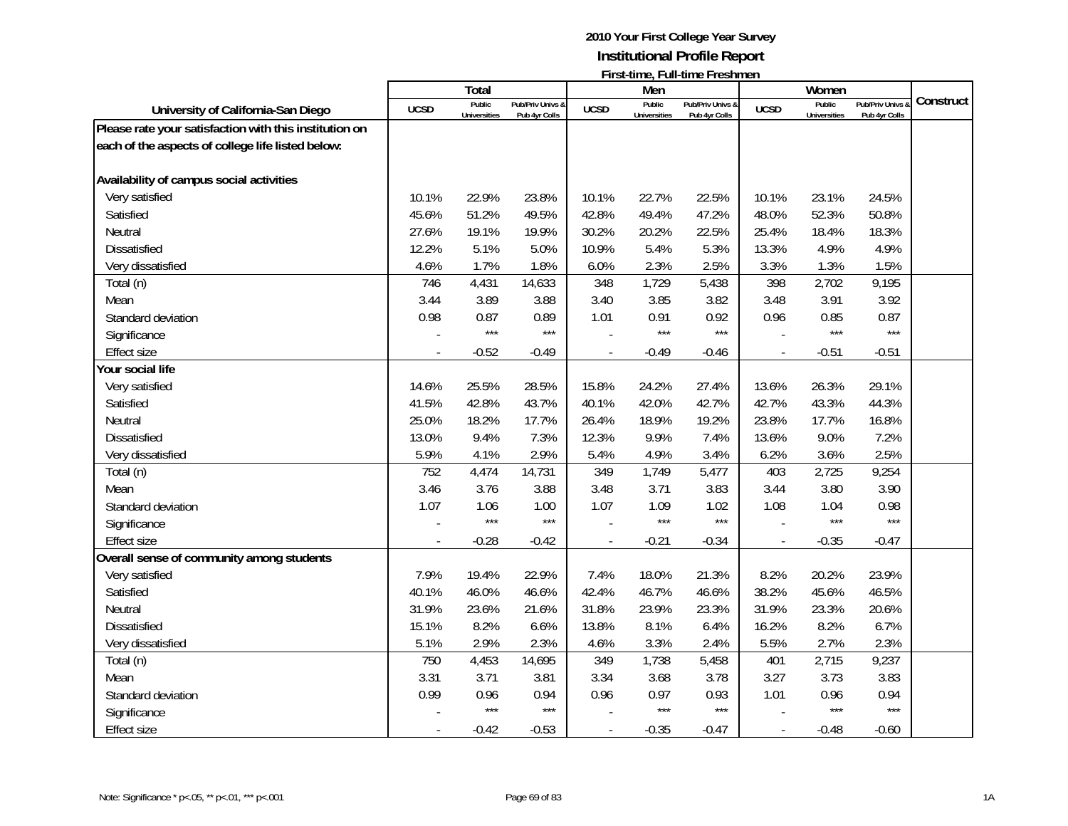|                                                        |             | <b>Total</b>                  |                                   |                | Men                           |                                   |                | Women                         |                                 |           |
|--------------------------------------------------------|-------------|-------------------------------|-----------------------------------|----------------|-------------------------------|-----------------------------------|----------------|-------------------------------|---------------------------------|-----------|
| University of California-San Diego                     | <b>UCSD</b> | Public<br><b>Universities</b> | Pub/Priv Univs &<br>Pub 4yr Colls | <b>UCSD</b>    | Public<br><b>Universities</b> | Pub/Priv Univs &<br>Pub 4yr Colls | <b>UCSD</b>    | Public<br><b>Universities</b> | Pub/Priv Univs<br>Pub 4yr Colls | Construct |
| Please rate your satisfaction with this institution on |             |                               |                                   |                |                               |                                   |                |                               |                                 |           |
| each of the aspects of college life listed below:      |             |                               |                                   |                |                               |                                   |                |                               |                                 |           |
|                                                        |             |                               |                                   |                |                               |                                   |                |                               |                                 |           |
| Availability of campus social activities               |             |                               |                                   |                |                               |                                   |                |                               |                                 |           |
| Very satisfied                                         | 10.1%       | 22.9%                         | 23.8%                             | 10.1%          | 22.7%                         | 22.5%                             | 10.1%          | 23.1%                         | 24.5%                           |           |
| Satisfied                                              | 45.6%       | 51.2%                         | 49.5%                             | 42.8%          | 49.4%                         | 47.2%                             | 48.0%          | 52.3%                         | 50.8%                           |           |
| Neutral                                                | 27.6%       | 19.1%                         | 19.9%                             | 30.2%          | 20.2%                         | 22.5%                             | 25.4%          | 18.4%                         | 18.3%                           |           |
| Dissatisfied                                           | 12.2%       | 5.1%                          | 5.0%                              | 10.9%          | 5.4%                          | 5.3%                              | 13.3%          | 4.9%                          | 4.9%                            |           |
| Very dissatisfied                                      | 4.6%        | 1.7%                          | 1.8%                              | 6.0%           | 2.3%                          | 2.5%                              | 3.3%           | 1.3%                          | 1.5%                            |           |
| Total (n)                                              | 746         | 4,431                         | 14,633                            | 348            | 1,729                         | 5,438                             | 398            | 2,702                         | 9,195                           |           |
| Mean                                                   | 3.44        | 3.89                          | 3.88                              | 3.40           | 3.85                          | 3.82                              | 3.48           | 3.91                          | 3.92                            |           |
| Standard deviation                                     | 0.98        | 0.87                          | 0.89                              | 1.01           | 0.91                          | 0.92                              | 0.96           | 0.85                          | 0.87                            |           |
| Significance                                           |             | $***$                         | $***$                             |                | $***$                         | $***$                             |                | $***$                         | $***$                           |           |
| <b>Effect size</b>                                     |             | $-0.52$                       | $-0.49$                           |                | $-0.49$                       | $-0.46$                           | $\overline{a}$ | $-0.51$                       | $-0.51$                         |           |
| Your social life                                       |             |                               |                                   |                |                               |                                   |                |                               |                                 |           |
| Very satisfied                                         | 14.6%       | 25.5%                         | 28.5%                             | 15.8%          | 24.2%                         | 27.4%                             | 13.6%          | 26.3%                         | 29.1%                           |           |
| Satisfied                                              | 41.5%       | 42.8%                         | 43.7%                             | 40.1%          | 42.0%                         | 42.7%                             | 42.7%          | 43.3%                         | 44.3%                           |           |
| Neutral                                                | 25.0%       | 18.2%                         | 17.7%                             | 26.4%          | 18.9%                         | 19.2%                             | 23.8%          | 17.7%                         | 16.8%                           |           |
| Dissatisfied                                           | 13.0%       | 9.4%                          | 7.3%                              | 12.3%          | 9.9%                          | 7.4%                              | 13.6%          | 9.0%                          | 7.2%                            |           |
| Very dissatisfied                                      | 5.9%        | 4.1%                          | 2.9%                              | 5.4%           | 4.9%                          | 3.4%                              | 6.2%           | 3.6%                          | 2.5%                            |           |
| Total (n)                                              | 752         | 4,474                         | 14,731                            | 349            | 1,749                         | 5,477                             | 403            | 2,725                         | 9,254                           |           |
| Mean                                                   | 3.46        | 3.76                          | 3.88                              | 3.48           | 3.71                          | 3.83                              | 3.44           | 3.80                          | 3.90                            |           |
| Standard deviation                                     | 1.07        | 1.06                          | 1.00                              | 1.07           | 1.09                          | 1.02                              | 1.08           | 1.04                          | 0.98                            |           |
| Significance                                           |             | $***$                         | $***$                             |                | $***$                         | ***                               |                | $***$                         | $***$                           |           |
| <b>Effect size</b>                                     |             | $-0.28$                       | $-0.42$                           |                | $-0.21$                       | $-0.34$                           |                | $-0.35$                       | $-0.47$                         |           |
| Overall sense of community among students              |             |                               |                                   |                |                               |                                   |                |                               |                                 |           |
| Very satisfied                                         | 7.9%        | 19.4%                         | 22.9%                             | 7.4%           | 18.0%                         | 21.3%                             | 8.2%           | 20.2%                         | 23.9%                           |           |
| Satisfied                                              | 40.1%       | 46.0%                         | 46.6%                             | 42.4%          | 46.7%                         | 46.6%                             | 38.2%          | 45.6%                         | 46.5%                           |           |
| Neutral                                                | 31.9%       | 23.6%                         | 21.6%                             | 31.8%          | 23.9%                         | 23.3%                             | 31.9%          | 23.3%                         | 20.6%                           |           |
| <b>Dissatisfied</b>                                    | 15.1%       | 8.2%                          | 6.6%                              | 13.8%          | 8.1%                          | 6.4%                              | 16.2%          | 8.2%                          | 6.7%                            |           |
| Very dissatisfied                                      | 5.1%        | 2.9%                          | 2.3%                              | 4.6%           | 3.3%                          | 2.4%                              | 5.5%           | 2.7%                          | 2.3%                            |           |
| Total (n)                                              | 750         | 4,453                         | 14,695                            | 349            | 1,738                         | 5,458                             | 401            | 2,715                         | 9,237                           |           |
| Mean                                                   | 3.31        | 3.71                          | 3.81                              | 3.34           | 3.68                          | 3.78                              | 3.27           | 3.73                          | 3.83                            |           |
| Standard deviation                                     | 0.99        | 0.96                          | 0.94                              | 0.96           | 0.97                          | 0.93                              | 1.01           | 0.96                          | 0.94                            |           |
| Significance                                           |             | $***$                         | $***$                             |                | $***$                         | $***$                             |                | $***$                         | $***$                           |           |
| Effect size                                            | $\sim$      | $-0.42$                       | $-0.53$                           | $\overline{a}$ | $-0.35$                       | $-0.47$                           | $\blacksquare$ | $-0.48$                       | $-0.60$                         |           |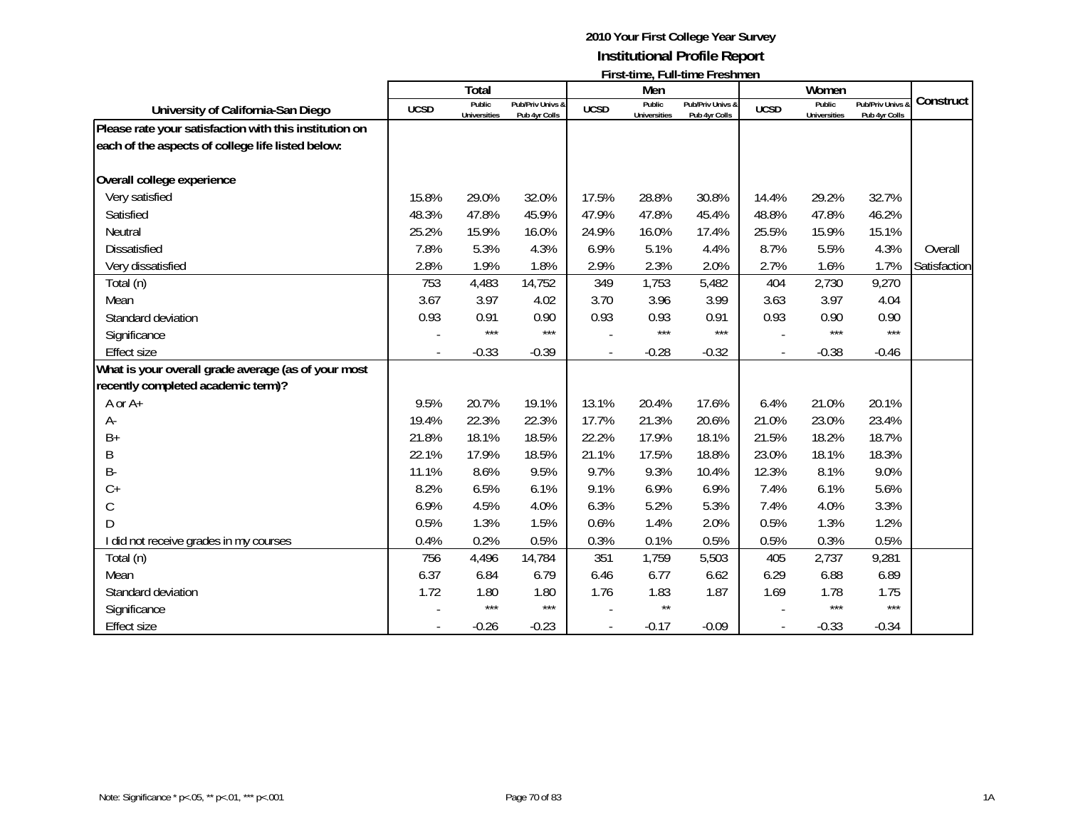|                                                        |             | Total                         |                                   |             | Men                           |                                   |             | Women                         |                                              |              |
|--------------------------------------------------------|-------------|-------------------------------|-----------------------------------|-------------|-------------------------------|-----------------------------------|-------------|-------------------------------|----------------------------------------------|--------------|
| University of California-San Diego                     | <b>UCSD</b> | Public<br><b>Universities</b> | Pub/Priv Univs &<br>Pub 4yr Colls | <b>UCSD</b> | Public<br><b>Universities</b> | Pub/Priv Univs &<br>Pub 4yr Colls | <b>UCSD</b> | Public<br><b>Universities</b> | <b>Pub/Priv Univs &amp;</b><br>Pub 4yr Colls | Construct    |
| Please rate your satisfaction with this institution on |             |                               |                                   |             |                               |                                   |             |                               |                                              |              |
| each of the aspects of college life listed below:      |             |                               |                                   |             |                               |                                   |             |                               |                                              |              |
| Overall college experience                             |             |                               |                                   |             |                               |                                   |             |                               |                                              |              |
| Very satisfied                                         | 15.8%       | 29.0%                         | 32.0%                             | 17.5%       | 28.8%                         | 30.8%                             | 14.4%       | 29.2%                         | 32.7%                                        |              |
| Satisfied                                              | 48.3%       | 47.8%                         | 45.9%                             | 47.9%       | 47.8%                         | 45.4%                             | 48.8%       | 47.8%                         | 46.2%                                        |              |
| Neutral                                                | 25.2%       | 15.9%                         | 16.0%                             | 24.9%       | 16.0%                         | 17.4%                             | 25.5%       | 15.9%                         | 15.1%                                        |              |
| <b>Dissatisfied</b>                                    | 7.8%        | 5.3%                          | 4.3%                              | 6.9%        | 5.1%                          | 4.4%                              | 8.7%        | 5.5%                          | 4.3%                                         | Overall      |
| Very dissatisfied                                      | 2.8%        | 1.9%                          | 1.8%                              | 2.9%        | 2.3%                          | 2.0%                              | 2.7%        | 1.6%                          | 1.7%                                         | Satisfaction |
| Total (n)                                              | 753         | 4,483                         | 14,752                            | 349         | 1,753                         | 5,482                             | 404         | 2,730                         | 9,270                                        |              |
| Mean                                                   | 3.67        | 3.97                          | 4.02                              | 3.70        | 3.96                          | 3.99                              | 3.63        | 3.97                          | 4.04                                         |              |
| Standard deviation                                     | 0.93        | 0.91                          | 0.90                              | 0.93        | 0.93                          | 0.91                              | 0.93        | 0.90                          | 0.90                                         |              |
| Significance                                           |             | $***$                         | $***$                             |             | $***$                         | $***$                             |             | ***                           | $***$                                        |              |
| <b>Effect size</b>                                     |             | $-0.33$                       | $-0.39$                           |             | $-0.28$                       | $-0.32$                           |             | $-0.38$                       | $-0.46$                                      |              |
| What is your overall grade average (as of your most    |             |                               |                                   |             |                               |                                   |             |                               |                                              |              |
| recently completed academic term)?                     |             |                               |                                   |             |                               |                                   |             |                               |                                              |              |
| A or A+                                                | 9.5%        | 20.7%                         | 19.1%                             | 13.1%       | 20.4%                         | 17.6%                             | 6.4%        | 21.0%                         | 20.1%                                        |              |
| А-                                                     | 19.4%       | 22.3%                         | 22.3%                             | 17.7%       | 21.3%                         | 20.6%                             | 21.0%       | 23.0%                         | 23.4%                                        |              |
| $B+$                                                   | 21.8%       | 18.1%                         | 18.5%                             | 22.2%       | 17.9%                         | 18.1%                             | 21.5%       | 18.2%                         | 18.7%                                        |              |
| Β                                                      | 22.1%       | 17.9%                         | 18.5%                             | 21.1%       | 17.5%                         | 18.8%                             | 23.0%       | 18.1%                         | 18.3%                                        |              |
| <b>B-</b>                                              | 11.1%       | 8.6%                          | 9.5%                              | 9.7%        | 9.3%                          | 10.4%                             | 12.3%       | 8.1%                          | 9.0%                                         |              |
| $C +$                                                  | 8.2%        | 6.5%                          | 6.1%                              | 9.1%        | 6.9%                          | 6.9%                              | 7.4%        | 6.1%                          | 5.6%                                         |              |
| $\mathsf{C}$                                           | 6.9%        | 4.5%                          | 4.0%                              | 6.3%        | 5.2%                          | 5.3%                              | 7.4%        | 4.0%                          | 3.3%                                         |              |
| D                                                      | 0.5%        | 1.3%                          | 1.5%                              | 0.6%        | 1.4%                          | 2.0%                              | 0.5%        | 1.3%                          | 1.2%                                         |              |
| I did not receive grades in my courses                 | 0.4%        | 0.2%                          | 0.5%                              | 0.3%        | 0.1%                          | 0.5%                              | 0.5%        | 0.3%                          | 0.5%                                         |              |
| Total (n)                                              | 756         | 4,496                         | 14,784                            | 351         | 1,759                         | 5,503                             | 405         | 2,737                         | 9,281                                        |              |
| Mean                                                   | 6.37        | 6.84                          | 6.79                              | 6.46        | 6.77                          | 6.62                              | 6.29        | 6.88                          | 6.89                                         |              |
| Standard deviation                                     | 1.72        | 1.80                          | 1.80                              | 1.76        | 1.83                          | 1.87                              | 1.69        | 1.78                          | 1.75                                         |              |
| Significance                                           |             | $***$                         | $***$                             |             | $\star\star$                  |                                   |             | $***$                         | $***$                                        |              |
| <b>Effect size</b>                                     |             | $-0.26$                       | $-0.23$                           |             | $-0.17$                       | $-0.09$                           |             | $-0.33$                       | $-0.34$                                      |              |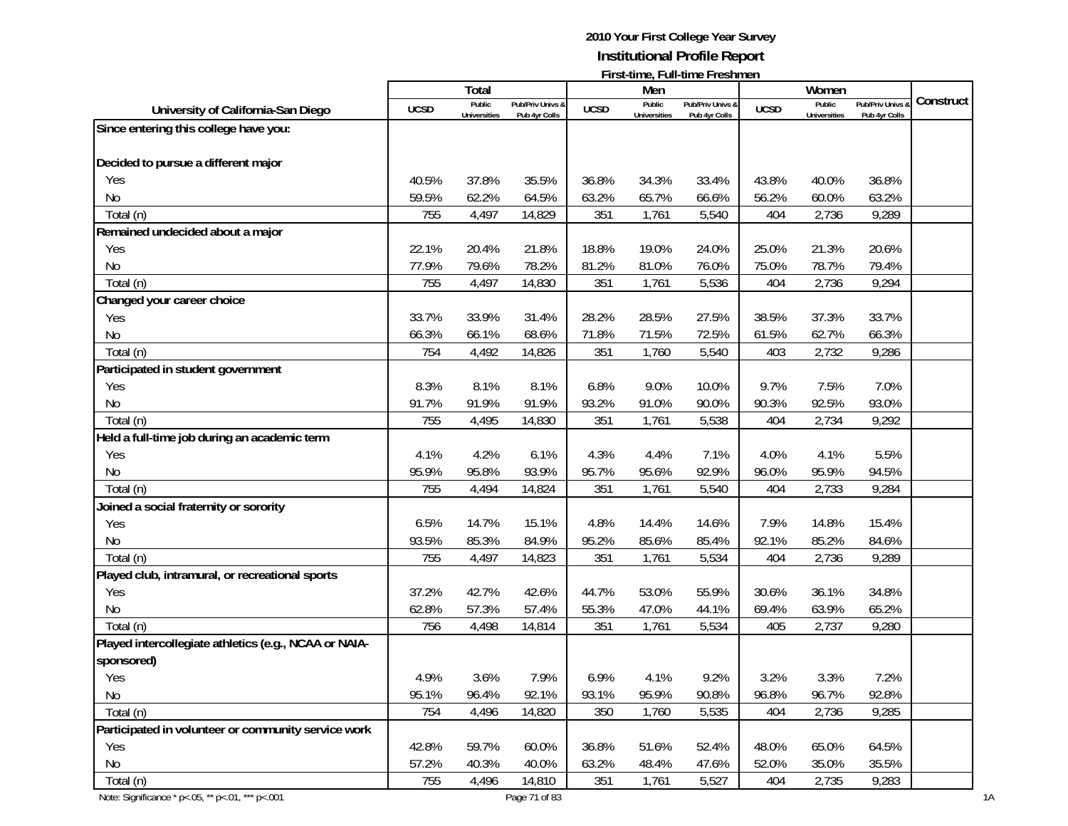|                                                       |             |                               |                                   |             |                               | $\mathsf{L}$ is a contribution of the set $\mathsf{L}$ |             |                               |                                        |           |
|-------------------------------------------------------|-------------|-------------------------------|-----------------------------------|-------------|-------------------------------|--------------------------------------------------------|-------------|-------------------------------|----------------------------------------|-----------|
|                                                       |             | Total                         |                                   |             | Men                           |                                                        |             | Women                         |                                        |           |
| University of California-San Diego                    | <b>UCSD</b> | Public<br><b>Universities</b> | Pub/Priv Univs &<br>Pub 4yr Colls | <b>UCSD</b> | Public<br><b>Universities</b> | Pub/Priv Univs &<br>Pub 4yr Colls                      | <b>UCSD</b> | Public<br><b>Universities</b> | <b>Pub/Priv Univs</b><br>Pub 4yr Colls | Construct |
| Since entering this college have you:                 |             |                               |                                   |             |                               |                                                        |             |                               |                                        |           |
|                                                       |             |                               |                                   |             |                               |                                                        |             |                               |                                        |           |
| Decided to pursue a different major                   |             |                               |                                   |             |                               |                                                        |             |                               |                                        |           |
| Yes                                                   | 40.5%       | 37.8%                         | 35.5%                             | 36.8%       | 34.3%                         | 33.4%                                                  | 43.8%       | 40.0%                         | 36.8%                                  |           |
| <b>No</b>                                             | 59.5%       | 62.2%                         | 64.5%                             | 63.2%       | 65.7%                         | 66.6%                                                  | 56.2%       | 60.0%                         | 63.2%                                  |           |
| Total (n)                                             | 755         | 4,497                         | 14,829                            | 351         | 1,761                         | 5,540                                                  | 404         | 2,736                         | 9,289                                  |           |
| Remained undecided about a major                      |             |                               |                                   |             |                               |                                                        |             |                               |                                        |           |
| Yes                                                   | 22.1%       | 20.4%                         | 21.8%                             | 18.8%       | 19.0%                         | 24.0%                                                  | 25.0%       | 21.3%                         | 20.6%                                  |           |
| No                                                    | 77.9%       | 79.6%                         | 78.2%                             | 81.2%       | 81.0%                         | 76.0%                                                  | 75.0%       | 78.7%                         | 79.4%                                  |           |
| Total (n)                                             | 755         | 4,497                         | 14,830                            | 351         | 1,761                         | 5,536                                                  | 404         | 2,736                         | 9,294                                  |           |
| Changed your career choice                            |             |                               |                                   |             |                               |                                                        |             |                               |                                        |           |
| Yes                                                   | 33.7%       | 33.9%                         | 31.4%                             | 28.2%       | 28.5%                         | 27.5%                                                  | 38.5%       | 37.3%                         | 33.7%                                  |           |
| No                                                    | 66.3%       | 66.1%                         | 68.6%                             | 71.8%       | 71.5%                         | 72.5%                                                  | 61.5%       | 62.7%                         | 66.3%                                  |           |
| Total (n)                                             | 754         | 4,492                         | 14,826                            | 351         | 1,760                         | 5,540                                                  | 403         | 2,732                         | 9,286                                  |           |
| Participated in student government                    |             |                               |                                   |             |                               |                                                        |             |                               |                                        |           |
| Yes                                                   | 8.3%        | 8.1%                          | 8.1%                              | 6.8%        | 9.0%                          | 10.0%                                                  | 9.7%        | 7.5%                          | 7.0%                                   |           |
| No                                                    | 91.7%       | 91.9%                         | 91.9%                             | 93.2%       | 91.0%                         | 90.0%                                                  | 90.3%       | 92.5%                         | 93.0%                                  |           |
| Total (n)                                             | 755         | 4,495                         | 14,830                            | 351         | 1,761                         | 5,538                                                  | 404         | 2,734                         | 9,292                                  |           |
| Held a full-time job during an academic term          |             |                               |                                   |             |                               |                                                        |             |                               |                                        |           |
| Yes                                                   | 4.1%        | 4.2%                          | 6.1%                              | 4.3%        | 4.4%                          | 7.1%                                                   | 4.0%        | 4.1%                          | 5.5%                                   |           |
| No                                                    | 95.9%       | 95.8%                         | 93.9%                             | 95.7%       | 95.6%                         | 92.9%                                                  | 96.0%       | 95.9%                         | 94.5%                                  |           |
| Total (n)                                             | 755         | 4,494                         | 14,824                            | 351         | 1,761                         | 5,540                                                  | 404         | 2,733                         | 9,284                                  |           |
| Joined a social fraternity or sorority                |             |                               |                                   |             |                               |                                                        |             |                               |                                        |           |
| Yes                                                   | 6.5%        | 14.7%                         | 15.1%                             | 4.8%        | 14.4%                         | 14.6%                                                  | 7.9%        | 14.8%                         | 15.4%                                  |           |
| No                                                    | 93.5%       | 85.3%                         | 84.9%                             | 95.2%       | 85.6%                         | 85.4%                                                  | 92.1%       | 85.2%                         | 84.6%                                  |           |
| Total (n)                                             | 755         | 4,497                         | 14,823                            | 351         | 1,761                         | 5,534                                                  | 404         | 2,736                         | 9,289                                  |           |
| Played club, intramural, or recreational sports       |             |                               |                                   |             |                               |                                                        |             |                               |                                        |           |
| Yes                                                   | 37.2%       | 42.7%                         | 42.6%                             | 44.7%       | 53.0%                         | 55.9%                                                  | 30.6%       | 36.1%                         | 34.8%                                  |           |
| No                                                    | 62.8%       | 57.3%                         | 57.4%                             | 55.3%       | 47.0%                         | 44.1%                                                  | 69.4%       | 63.9%                         | 65.2%                                  |           |
| Total (n)                                             | 756         | 4,498                         | 14,814                            | 351         | 1,761                         | 5,534                                                  | 405         | 2,737                         | 9,280                                  |           |
| Played intercollegiate athletics (e.g., NCAA or NAIA- |             |                               |                                   |             |                               |                                                        |             |                               |                                        |           |
| sponsored)                                            |             |                               |                                   |             |                               |                                                        |             |                               |                                        |           |
| Yes                                                   | 4.9%        | 3.6%                          | 7.9%                              | 6.9%        | 4.1%                          | 9.2%                                                   | 3.2%        | 3.3%                          | 7.2%                                   |           |
| No                                                    | 95.1%       | 96.4%                         | 92.1%                             | 93.1%       | 95.9%                         | 90.8%                                                  | 96.8%       | 96.7%                         | 92.8%                                  |           |
| Total (n)                                             | 754         | 4,496                         | 14,820                            | 350         | 1,760                         | 5,535                                                  | 404         | 2,736                         | 9,285                                  |           |
| Participated in volunteer or community service work   |             |                               |                                   |             |                               |                                                        |             |                               |                                        |           |
| Yes                                                   | 42.8%       | 59.7%                         | 60.0%                             | 36.8%       | 51.6%                         | 52.4%                                                  | 48.0%       | 65.0%                         | 64.5%                                  |           |
| No                                                    | 57.2%       | 40.3%                         | 40.0%                             | 63.2%       | 48.4%                         | 47.6%                                                  | 52.0%       | 35.0%                         | 35.5%                                  |           |
| Total (n)                                             | 755         | 4,496                         | 14,810                            | 351         | 1,761                         | 5,527                                                  | 404         | 2,735                         | 9,283                                  |           |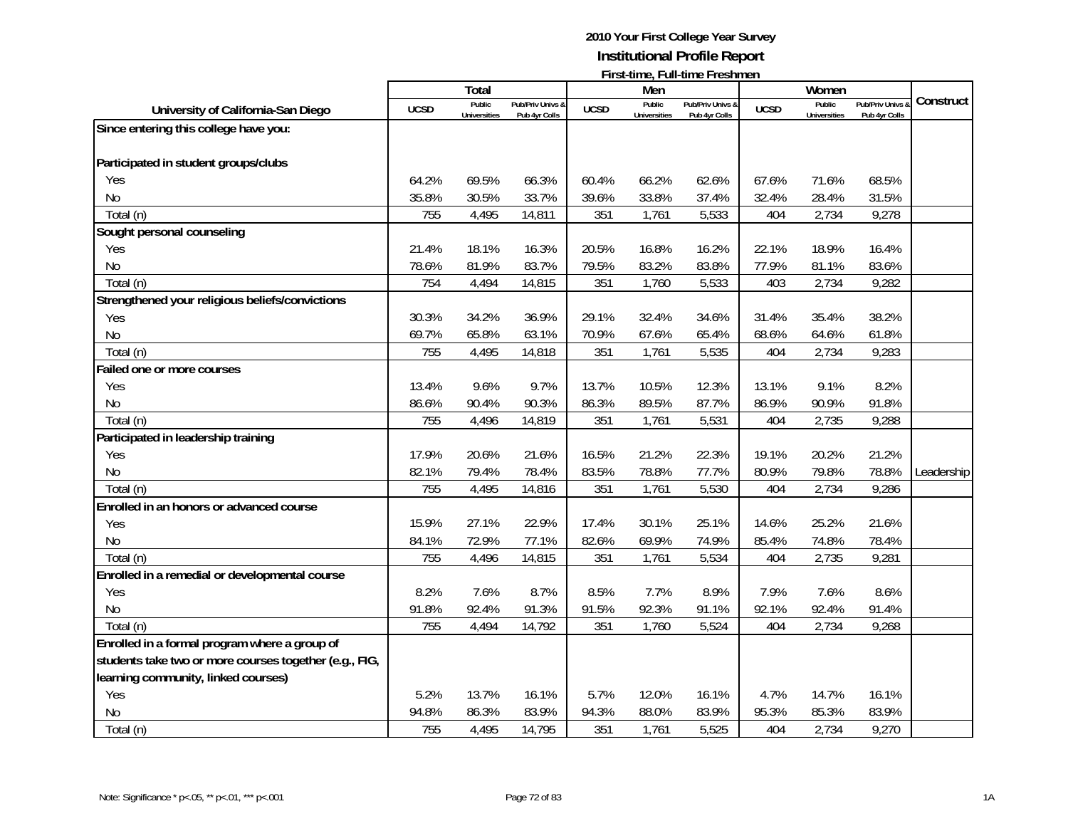|                                                        |             |                               |                                   |             |                               | <u>ı il semne, Fun-mile Fleshineli</u> |             |                               |                                   |            |
|--------------------------------------------------------|-------------|-------------------------------|-----------------------------------|-------------|-------------------------------|----------------------------------------|-------------|-------------------------------|-----------------------------------|------------|
|                                                        |             | Total                         |                                   |             | Men                           |                                        |             | Women                         |                                   | Construct  |
| University of California-San Diego                     | <b>UCSD</b> | Public<br><b>Universities</b> | Pub/Priv Univs &<br>Pub 4yr Colls | <b>UCSD</b> | Public<br><b>Universities</b> | Pub/Priv Univs &<br>Pub 4yr Colls      | <b>UCSD</b> | Public<br><b>Universities</b> | Pub/Priv Univs &<br>Pub 4yr Colls |            |
| Since entering this college have you:                  |             |                               |                                   |             |                               |                                        |             |                               |                                   |            |
|                                                        |             |                               |                                   |             |                               |                                        |             |                               |                                   |            |
| Participated in student groups/clubs                   |             |                               |                                   |             |                               |                                        |             |                               |                                   |            |
| Yes                                                    | 64.2%       | 69.5%                         | 66.3%                             | 60.4%       | 66.2%                         | 62.6%                                  | 67.6%       | 71.6%                         | 68.5%                             |            |
| <b>No</b>                                              | 35.8%       | 30.5%                         | 33.7%                             | 39.6%       | 33.8%                         | 37.4%                                  | 32.4%       | 28.4%                         | 31.5%                             |            |
| Total (n)                                              | 755         | 4,495                         | 14,811                            | 351         | 1,761                         | 5,533                                  | 404         | 2,734                         | 9,278                             |            |
| Sought personal counseling                             |             |                               |                                   |             |                               |                                        |             |                               |                                   |            |
| Yes                                                    | 21.4%       | 18.1%                         | 16.3%                             | 20.5%       | 16.8%                         | 16.2%                                  | 22.1%       | 18.9%                         | 16.4%                             |            |
| <b>No</b>                                              | 78.6%       | 81.9%                         | 83.7%                             | 79.5%       | 83.2%                         | 83.8%                                  | 77.9%       | 81.1%                         | 83.6%                             |            |
| Total (n)                                              | 754         | 4,494                         | 14,815                            | 351         | 1,760                         | 5,533                                  | 403         | 2,734                         | 9,282                             |            |
| Strengthened your religious beliefs/convictions        |             |                               |                                   |             |                               |                                        |             |                               |                                   |            |
| Yes                                                    | 30.3%       | 34.2%                         | 36.9%                             | 29.1%       | 32.4%                         | 34.6%                                  | 31.4%       | 35.4%                         | 38.2%                             |            |
| No                                                     | 69.7%       | 65.8%                         | 63.1%                             | 70.9%       | 67.6%                         | 65.4%                                  | 68.6%       | 64.6%                         | 61.8%                             |            |
| Total (n)                                              | 755         | 4,495                         | 14,818                            | 351         | 1,761                         | 5,535                                  | 404         | 2,734                         | 9,283                             |            |
| Failed one or more courses                             |             |                               |                                   |             |                               |                                        |             |                               |                                   |            |
| Yes                                                    | 13.4%       | 9.6%                          | 9.7%                              | 13.7%       | 10.5%                         | 12.3%                                  | 13.1%       | 9.1%                          | 8.2%                              |            |
| N <sub>0</sub>                                         | 86.6%       | 90.4%                         | 90.3%                             | 86.3%       | 89.5%                         | 87.7%                                  | 86.9%       | 90.9%                         | 91.8%                             |            |
| Total (n)                                              | 755         | 4,496                         | 14,819                            | 351         | 1,761                         | 5,531                                  | 404         | 2,735                         | 9,288                             |            |
| Participated in leadership training                    |             |                               |                                   |             |                               |                                        |             |                               |                                   |            |
| Yes                                                    | 17.9%       | 20.6%                         | 21.6%                             | 16.5%       | 21.2%                         | 22.3%                                  | 19.1%       | 20.2%                         | 21.2%                             |            |
| <b>No</b>                                              | 82.1%       | 79.4%                         | 78.4%                             | 83.5%       | 78.8%                         | 77.7%                                  | 80.9%       | 79.8%                         | 78.8%                             | Leadership |
| Total (n)                                              | 755         | 4,495                         | 14,816                            | 351         | 1,761                         | 5,530                                  | 404         | 2,734                         | 9,286                             |            |
| Enrolled in an honors or advanced course               |             |                               |                                   |             |                               |                                        |             |                               |                                   |            |
| Yes                                                    | 15.9%       | 27.1%                         | 22.9%                             | 17.4%       | 30.1%                         | 25.1%                                  | 14.6%       | 25.2%                         | 21.6%                             |            |
| No                                                     | 84.1%       | 72.9%                         | 77.1%                             | 82.6%       | 69.9%                         | 74.9%                                  | 85.4%       | 74.8%                         | 78.4%                             |            |
| Total (n)                                              | 755         | 4,496                         | 14,815                            | 351         | 1,761                         | 5,534                                  | 404         | 2,735                         | 9,281                             |            |
| Enrolled in a remedial or developmental course         |             |                               |                                   |             |                               |                                        |             |                               |                                   |            |
| Yes                                                    | 8.2%        | 7.6%                          | 8.7%                              | 8.5%        | 7.7%                          | 8.9%                                   | 7.9%        | 7.6%                          | 8.6%                              |            |
| <b>No</b>                                              | 91.8%       | 92.4%                         | 91.3%                             | 91.5%       | 92.3%                         | 91.1%                                  | 92.1%       | 92.4%                         | 91.4%                             |            |
| Total (n)                                              | 755         | 4,494                         | 14,792                            | 351         | 1,760                         | 5,524                                  | 404         | 2,734                         | 9,268                             |            |
| Enrolled in a formal program where a group of          |             |                               |                                   |             |                               |                                        |             |                               |                                   |            |
| students take two or more courses together (e.g., FIG, |             |                               |                                   |             |                               |                                        |             |                               |                                   |            |
| learning community, linked courses)                    |             |                               |                                   |             |                               |                                        |             |                               |                                   |            |
| Yes                                                    | 5.2%        | 13.7%                         | 16.1%                             | 5.7%        | 12.0%                         | 16.1%                                  | 4.7%        | 14.7%                         | 16.1%                             |            |
| N <sub>0</sub>                                         | 94.8%       | 86.3%                         | 83.9%                             | 94.3%       | 88.0%                         | 83.9%                                  | 95.3%       | 85.3%                         | 83.9%                             |            |
| Total (n)                                              | 755         | 4,495                         | 14,795                            | 351         | 1,761                         | 5,525                                  | 404         | 2,734                         | 9,270                             |            |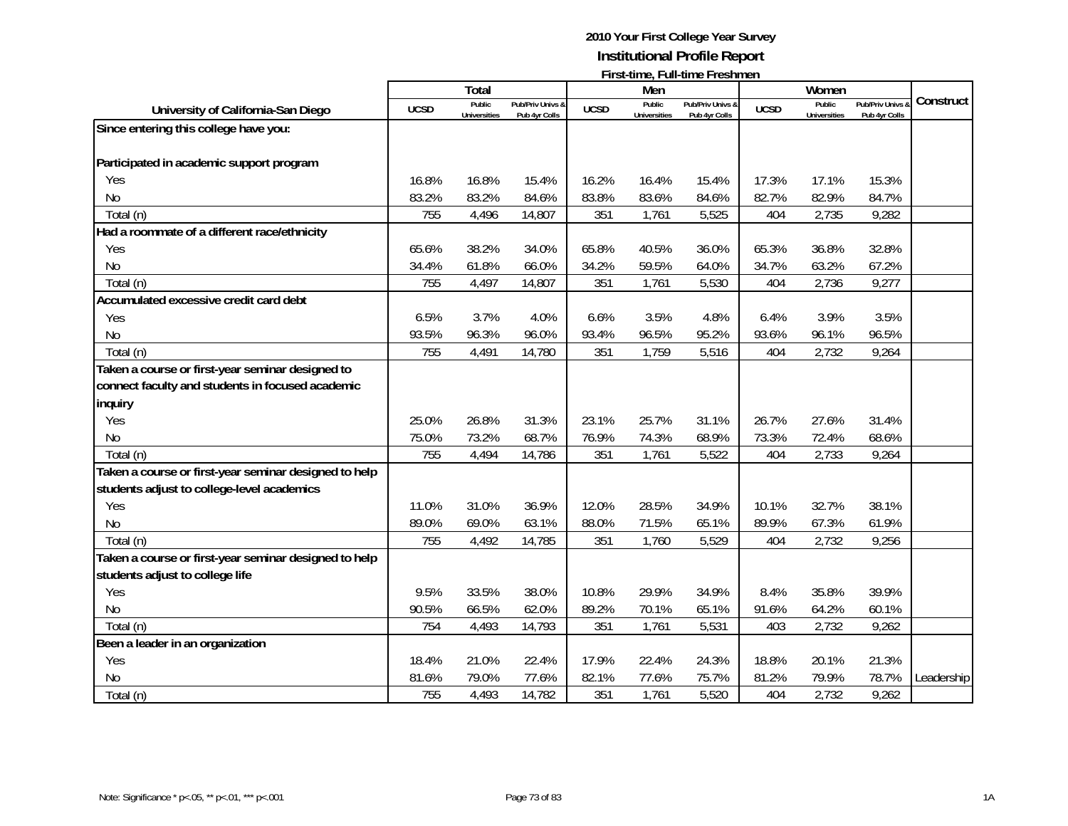|                                                       |             | <b>Total</b>        |                  |             | Men                 |                  |             | Women               |                |            |
|-------------------------------------------------------|-------------|---------------------|------------------|-------------|---------------------|------------------|-------------|---------------------|----------------|------------|
|                                                       |             | Public              | Pub/Priv Univs & |             | Public              | Pub/Priv Univs & |             | Public              | Pub/Priv Univs | Construct  |
| University of California-San Diego                    | <b>UCSD</b> | <b>Universities</b> | Pub 4yr Colls    | <b>UCSD</b> | <b>Universities</b> | Pub 4yr Colls    | <b>UCSD</b> | <b>Universities</b> | Pub 4yr Colls  |            |
| Since entering this college have you:                 |             |                     |                  |             |                     |                  |             |                     |                |            |
| Participated in academic support program              |             |                     |                  |             |                     |                  |             |                     |                |            |
| Yes                                                   | 16.8%       | 16.8%               | 15.4%            | 16.2%       | 16.4%               | 15.4%            | 17.3%       | 17.1%               | 15.3%          |            |
| No                                                    | 83.2%       | 83.2%               | 84.6%            | 83.8%       | 83.6%               | 84.6%            | 82.7%       | 82.9%               | 84.7%          |            |
| Total (n)                                             | 755         | 4,496               | 14,807           | 351         | 1,761               | 5,525            | 404         | 2,735               | 9,282          |            |
| Had a roommate of a different race/ethnicity          |             |                     |                  |             |                     |                  |             |                     |                |            |
| Yes                                                   | 65.6%       | 38.2%               | 34.0%            | 65.8%       | 40.5%               | 36.0%            | 65.3%       | 36.8%               | 32.8%          |            |
| N <sub>o</sub>                                        | 34.4%       | 61.8%               | 66.0%            | 34.2%       | 59.5%               | 64.0%            | 34.7%       | 63.2%               | 67.2%          |            |
| Total (n)                                             | 755         | 4,497               | 14,807           | 351         | 1,761               | 5,530            | 404         | 2,736               | 9,277          |            |
| Accumulated excessive credit card debt                |             |                     |                  |             |                     |                  |             |                     |                |            |
| Yes                                                   | 6.5%        | 3.7%                | 4.0%             | 6.6%        | 3.5%                | 4.8%             | 6.4%        | 3.9%                | 3.5%           |            |
| <b>No</b>                                             | 93.5%       | 96.3%               | 96.0%            | 93.4%       | 96.5%               | 95.2%            | 93.6%       | 96.1%               | 96.5%          |            |
| Total (n)                                             | 755         | 4,491               | 14,780           | 351         | 1,759               | 5,516            | 404         | 2,732               | 9,264          |            |
| Taken a course or first-year seminar designed to      |             |                     |                  |             |                     |                  |             |                     |                |            |
| connect faculty and students in focused academic      |             |                     |                  |             |                     |                  |             |                     |                |            |
| inquiry                                               |             |                     |                  |             |                     |                  |             |                     |                |            |
| Yes                                                   | 25.0%       | 26.8%               | 31.3%            | 23.1%       | 25.7%               | 31.1%            | 26.7%       | 27.6%               | 31.4%          |            |
| <b>No</b>                                             | 75.0%       | 73.2%               | 68.7%            | 76.9%       | 74.3%               | 68.9%            | 73.3%       | 72.4%               | 68.6%          |            |
| Total (n)                                             | 755         | 4,494               | 14,786           | 351         | 1,761               | 5,522            | 404         | 2,733               | 9,264          |            |
| Taken a course or first-year seminar designed to help |             |                     |                  |             |                     |                  |             |                     |                |            |
| students adjust to college-level academics            |             |                     |                  |             |                     |                  |             |                     |                |            |
| Yes                                                   | 11.0%       | 31.0%               | 36.9%            | 12.0%       | 28.5%               | 34.9%            | 10.1%       | 32.7%               | 38.1%          |            |
| <b>No</b>                                             | 89.0%       | 69.0%               | 63.1%            | 88.0%       | 71.5%               | 65.1%            | 89.9%       | 67.3%               | 61.9%          |            |
| Total (n)                                             | 755         | 4,492               | 14,785           | 351         | 1,760               | 5,529            | 404         | 2,732               | 9,256          |            |
| Taken a course or first-year seminar designed to help |             |                     |                  |             |                     |                  |             |                     |                |            |
| students adjust to college life                       |             |                     |                  |             |                     |                  |             |                     |                |            |
| Yes                                                   | 9.5%        | 33.5%               | 38.0%            | 10.8%       | 29.9%               | 34.9%            | 8.4%        | 35.8%               | 39.9%          |            |
| <b>No</b>                                             | 90.5%       | 66.5%               | 62.0%            | 89.2%       | 70.1%               | 65.1%            | 91.6%       | 64.2%               | 60.1%          |            |
| Total (n)                                             | 754         | 4,493               | 14,793           | 351         | 1,761               | 5,531            | 403         | 2,732               | 9,262          |            |
| Been a leader in an organization                      |             |                     |                  |             |                     |                  |             |                     |                |            |
| Yes                                                   | 18.4%       | 21.0%               | 22.4%            | 17.9%       | 22.4%               | 24.3%            | 18.8%       | 20.1%               | 21.3%          |            |
| <b>No</b>                                             | 81.6%       | 79.0%               | 77.6%            | 82.1%       | 77.6%               | 75.7%            | 81.2%       | 79.9%               | 78.7%          | Leadership |
| Total (n)                                             | 755         | 4,493               | 14,782           | 351         | 1,761               | 5,520            | 404         | 2,732               | 9,262          |            |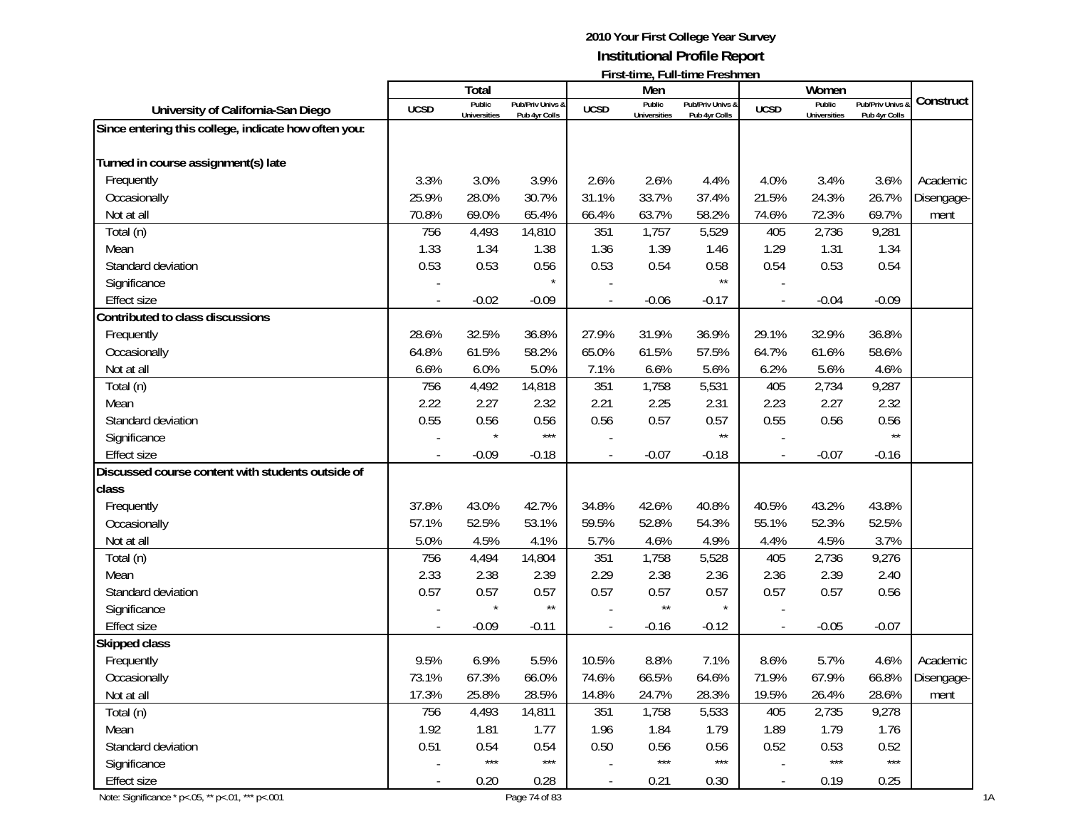# **2010 Your First College Year Survey Institutional Profile Report**

|                                                        | First-time, Full-time Freshmen |                               |                                   |             |                               |                                   |             |                               |                                 |            |
|--------------------------------------------------------|--------------------------------|-------------------------------|-----------------------------------|-------------|-------------------------------|-----------------------------------|-------------|-------------------------------|---------------------------------|------------|
|                                                        |                                | Total                         |                                   |             | Men                           |                                   |             | Women                         |                                 | Construct  |
| University of California-San Diego                     | <b>UCSD</b>                    | Public<br><b>Universities</b> | Pub/Priv Univs &<br>Pub 4yr Colls | <b>UCSD</b> | Public<br><b>Universities</b> | Pub/Priv Univs &<br>Pub 4yr Colls | <b>UCSD</b> | Public<br><b>Universities</b> | Pub/Priv Univs<br>Pub 4yr Colls |            |
| Since entering this college, indicate how often you:   |                                |                               |                                   |             |                               |                                   |             |                               |                                 |            |
|                                                        |                                |                               |                                   |             |                               |                                   |             |                               |                                 |            |
| Turned in course assignment(s) late                    |                                |                               |                                   |             |                               |                                   |             |                               |                                 |            |
| Frequently                                             | 3.3%                           | 3.0%                          | 3.9%                              | 2.6%        | 2.6%                          | 4.4%                              | 4.0%        | 3.4%                          | 3.6%                            | Academic   |
| Occasionally                                           | 25.9%                          | 28.0%                         | 30.7%                             | 31.1%       | 33.7%                         | 37.4%                             | 21.5%       | 24.3%                         | 26.7%                           | Disengage- |
| Not at all                                             | 70.8%                          | 69.0%                         | 65.4%                             | 66.4%       | 63.7%                         | 58.2%                             | 74.6%       | 72.3%                         | 69.7%                           | ment       |
| Total (n)                                              | 756                            | 4,493                         | 14,810                            | 351         | 1,757                         | 5,529                             | 405         | 2,736                         | 9,281                           |            |
| Mean                                                   | 1.33                           | 1.34                          | 1.38                              | 1.36        | 1.39                          | 1.46                              | 1.29        | 1.31                          | 1.34                            |            |
| Standard deviation                                     | 0.53                           | 0.53                          | 0.56                              | 0.53        | 0.54                          | 0.58                              | 0.54        | 0.53                          | 0.54                            |            |
| Significance                                           |                                |                               |                                   |             |                               | $\star\star$                      |             |                               |                                 |            |
| <b>Effect size</b>                                     |                                | $-0.02$                       | $-0.09$                           |             | $-0.06$                       | $-0.17$                           |             | $-0.04$                       | $-0.09$                         |            |
| Contributed to class discussions                       |                                |                               |                                   |             |                               |                                   |             |                               |                                 |            |
| Frequently                                             | 28.6%                          | 32.5%                         | 36.8%                             | 27.9%       | 31.9%                         | 36.9%                             | 29.1%       | 32.9%                         | 36.8%                           |            |
| Occasionally                                           | 64.8%                          | 61.5%                         | 58.2%                             | 65.0%       | 61.5%                         | 57.5%                             | 64.7%       | 61.6%                         | 58.6%                           |            |
| Not at all                                             | 6.6%                           | 6.0%                          | 5.0%                              | 7.1%        | 6.6%                          | 5.6%                              | 6.2%        | 5.6%                          | 4.6%                            |            |
| Total (n)                                              | 756                            | 4,492                         | 14,818                            | 351         | 1,758                         | 5,531                             | 405         | 2,734                         | 9,287                           |            |
| Mean                                                   | 2.22                           | 2.27                          | 2.32                              | 2.21        | 2.25                          | 2.31                              | 2.23        | 2.27                          | 2.32                            |            |
| Standard deviation                                     | 0.55                           | 0.56                          | 0.56                              | 0.56        | 0.57                          | 0.57                              | 0.55        | 0.56                          | 0.56                            |            |
| Significance                                           |                                |                               | $***$                             |             |                               | $\star\star$                      |             |                               | $***$                           |            |
| <b>Effect size</b>                                     |                                | $-0.09$                       | $-0.18$                           |             | $-0.07$                       | $-0.18$                           |             | $-0.07$                       | $-0.16$                         |            |
| Discussed course content with students outside of      |                                |                               |                                   |             |                               |                                   |             |                               |                                 |            |
| class                                                  |                                |                               |                                   |             |                               |                                   |             |                               |                                 |            |
| Frequently                                             | 37.8%                          | 43.0%                         | 42.7%                             | 34.8%       | 42.6%                         | 40.8%                             | 40.5%       | 43.2%                         | 43.8%                           |            |
| Occasionally                                           | 57.1%                          | 52.5%                         | 53.1%                             | 59.5%       | 52.8%                         | 54.3%                             | 55.1%       | 52.3%                         | 52.5%                           |            |
| Not at all                                             | 5.0%                           | 4.5%                          | 4.1%                              | 5.7%        | 4.6%                          | 4.9%                              | 4.4%        | 4.5%                          | 3.7%                            |            |
| Total (n)                                              | 756                            | 4,494                         | 14,804                            | 351         | 1,758                         | 5,528                             | 405         | 2,736                         | 9,276                           |            |
| Mean                                                   | 2.33                           | 2.38                          | 2.39                              | 2.29        | 2.38                          | 2.36                              | 2.36        | 2.39                          | 2.40                            |            |
| Standard deviation                                     | 0.57                           | 0.57                          | 0.57                              | 0.57        | 0.57                          | 0.57                              | 0.57        | 0.57                          | 0.56                            |            |
| Significance                                           |                                |                               | $\star\star$                      |             | $\star\star$                  |                                   |             |                               |                                 |            |
| <b>Effect size</b>                                     |                                | $-0.09$                       | $-0.11$                           |             | $-0.16$                       | $-0.12$                           |             | $-0.05$                       | $-0.07$                         |            |
| Skipped class                                          |                                |                               |                                   |             |                               |                                   |             |                               |                                 |            |
| Frequently                                             | 9.5%                           | 6.9%                          | 5.5%                              | 10.5%       | 8.8%                          | 7.1%                              | 8.6%        | 5.7%                          | 4.6%                            | Academic   |
| Occasionally                                           | 73.1%                          | 67.3%                         | 66.0%                             | 74.6%       | 66.5%                         | 64.6%                             | 71.9%       | 67.9%                         | 66.8%                           | Disengage- |
| Not at all                                             | 17.3%                          | 25.8%                         | 28.5%                             | 14.8%       | 24.7%                         | 28.3%                             | 19.5%       | 26.4%                         | 28.6%                           | ment       |
| Total (n)                                              | 756                            | 4,493                         | 14,811                            | 351         | 1,758                         | 5,533                             | 405         | 2,735                         | 9,278                           |            |
| Mean                                                   | 1.92                           | 1.81                          | 1.77                              | 1.96        | 1.84                          | 1.79                              | 1.89        | 1.79                          | 1.76                            |            |
| Standard deviation                                     | 0.51                           | 0.54                          | 0.54                              | 0.50        | 0.56                          | 0.56                              | 0.52        | 0.53                          | 0.52                            |            |
| Significance                                           |                                | $***$                         | $\star\star\star$                 |             | $***$                         | $\star\star\star$                 |             | $***$                         | $***$                           |            |
| <b>Effect size</b>                                     | $\blacksquare$                 | 0.20                          | 0.28                              |             | 0.21                          | 0.30                              |             | 0.19                          | 0.25                            |            |
| Note: Significance * p <. 05, ** p <. 01, *** p <. 001 |                                |                               | Page 74 of 83                     |             |                               |                                   |             |                               |                                 |            |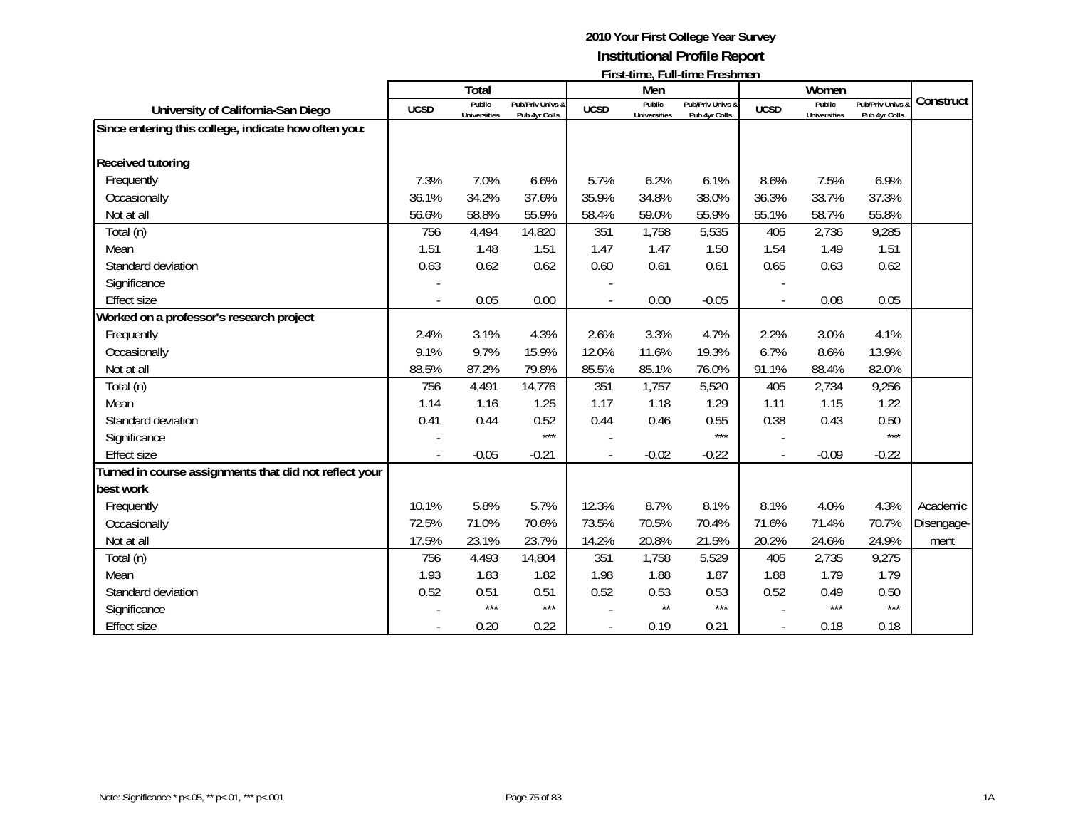|                                                        |             | <b>Total</b>                  |                                              |             | Men                           | <b>FILSI-ULIIE, FUII-ULIIE FIESIIIIEII</b> |             | Women                         |                                   |            |
|--------------------------------------------------------|-------------|-------------------------------|----------------------------------------------|-------------|-------------------------------|--------------------------------------------|-------------|-------------------------------|-----------------------------------|------------|
| University of California-San Diego                     | <b>UCSD</b> | Public<br><b>Universities</b> | <b>Pub/Priv Univs &amp;</b><br>Pub 4yr Colls | <b>UCSD</b> | Public<br><b>Universities</b> | Pub/Priv Univs &<br>Pub 4yr Colls          | <b>UCSD</b> | Public<br><b>Universities</b> | Pub/Priv Univs &<br>Pub 4yr Colls | Construct  |
| Since entering this college, indicate how often you:   |             |                               |                                              |             |                               |                                            |             |                               |                                   |            |
|                                                        |             |                               |                                              |             |                               |                                            |             |                               |                                   |            |
| <b>Received tutoring</b>                               |             |                               |                                              |             |                               |                                            |             |                               |                                   |            |
| Frequently                                             | 7.3%        | 7.0%                          | 6.6%                                         | 5.7%        | 6.2%                          | 6.1%                                       | 8.6%        | 7.5%                          | 6.9%                              |            |
| Occasionally                                           | 36.1%       | 34.2%                         | 37.6%                                        | 35.9%       | 34.8%                         | 38.0%                                      | 36.3%       | 33.7%                         | 37.3%                             |            |
| Not at all                                             | 56.6%       | 58.8%                         | 55.9%                                        | 58.4%       | 59.0%                         | 55.9%                                      | 55.1%       | 58.7%                         | 55.8%                             |            |
| Total (n)                                              | 756         | 4,494                         | 14,820                                       | 351         | 1,758                         | 5,535                                      | 405         | 2,736                         | 9,285                             |            |
| Mean                                                   | 1.51        | 1.48                          | 1.51                                         | 1.47        | 1.47                          | 1.50                                       | 1.54        | 1.49                          | 1.51                              |            |
| Standard deviation                                     | 0.63        | 0.62                          | 0.62                                         | 0.60        | 0.61                          | 0.61                                       | 0.65        | 0.63                          | 0.62                              |            |
| Significance                                           |             |                               |                                              |             |                               |                                            |             |                               |                                   |            |
| <b>Effect size</b>                                     |             | 0.05                          | 0.00                                         |             | 0.00                          | $-0.05$                                    |             | 0.08                          | 0.05                              |            |
| Worked on a professor's research project               |             |                               |                                              |             |                               |                                            |             |                               |                                   |            |
| Frequently                                             | 2.4%        | 3.1%                          | 4.3%                                         | 2.6%        | 3.3%                          | 4.7%                                       | 2.2%        | 3.0%                          | 4.1%                              |            |
| Occasionally                                           | 9.1%        | 9.7%                          | 15.9%                                        | 12.0%       | 11.6%                         | 19.3%                                      | 6.7%        | 8.6%                          | 13.9%                             |            |
| Not at all                                             | 88.5%       | 87.2%                         | 79.8%                                        | 85.5%       | 85.1%                         | 76.0%                                      | 91.1%       | 88.4%                         | 82.0%                             |            |
| Total (n)                                              | 756         | 4,491                         | 14,776                                       | 351         | 1,757                         | 5,520                                      | 405         | 2,734                         | 9,256                             |            |
| Mean                                                   | 1.14        | 1.16                          | 1.25                                         | 1.17        | 1.18                          | 1.29                                       | 1.11        | 1.15                          | 1.22                              |            |
| Standard deviation                                     | 0.41        | 0.44                          | 0.52                                         | 0.44        | 0.46                          | 0.55                                       | 0.38        | 0.43                          | 0.50                              |            |
| Significance                                           |             |                               | $***$                                        |             |                               | $***$                                      |             |                               | $***$                             |            |
| <b>Effect size</b>                                     |             | $-0.05$                       | $-0.21$                                      |             | $-0.02$                       | $-0.22$                                    |             | $-0.09$                       | $-0.22$                           |            |
| Turned in course assignments that did not reflect your |             |                               |                                              |             |                               |                                            |             |                               |                                   |            |
| best work                                              |             |                               |                                              |             |                               |                                            |             |                               |                                   |            |
| Frequently                                             | 10.1%       | 5.8%                          | 5.7%                                         | 12.3%       | 8.7%                          | 8.1%                                       | 8.1%        | 4.0%                          | 4.3%                              | Academic   |
| Occasionally                                           | 72.5%       | 71.0%                         | 70.6%                                        | 73.5%       | 70.5%                         | 70.4%                                      | 71.6%       | 71.4%                         | 70.7%                             | Disengage- |
| Not at all                                             | 17.5%       | 23.1%                         | 23.7%                                        | 14.2%       | 20.8%                         | 21.5%                                      | 20.2%       | 24.6%                         | 24.9%                             | ment       |
| Total (n)                                              | 756         | 4,493                         | 14,804                                       | 351         | 1,758                         | 5,529                                      | 405         | 2,735                         | 9,275                             |            |
| Mean                                                   | 1.93        | 1.83                          | 1.82                                         | 1.98        | 1.88                          | 1.87                                       | 1.88        | 1.79                          | 1.79                              |            |
| Standard deviation                                     | 0.52        | 0.51                          | 0.51                                         | 0.52        | 0.53                          | 0.53                                       | 0.52        | 0.49                          | 0.50                              |            |
| Significance                                           |             | $***$                         | $***$                                        |             | $\star\star$                  | $***$                                      |             | $***$                         | $***$                             |            |
| <b>Effect size</b>                                     |             | 0.20                          | 0.22                                         |             | 0.19                          | 0.21                                       |             | 0.18                          | 0.18                              |            |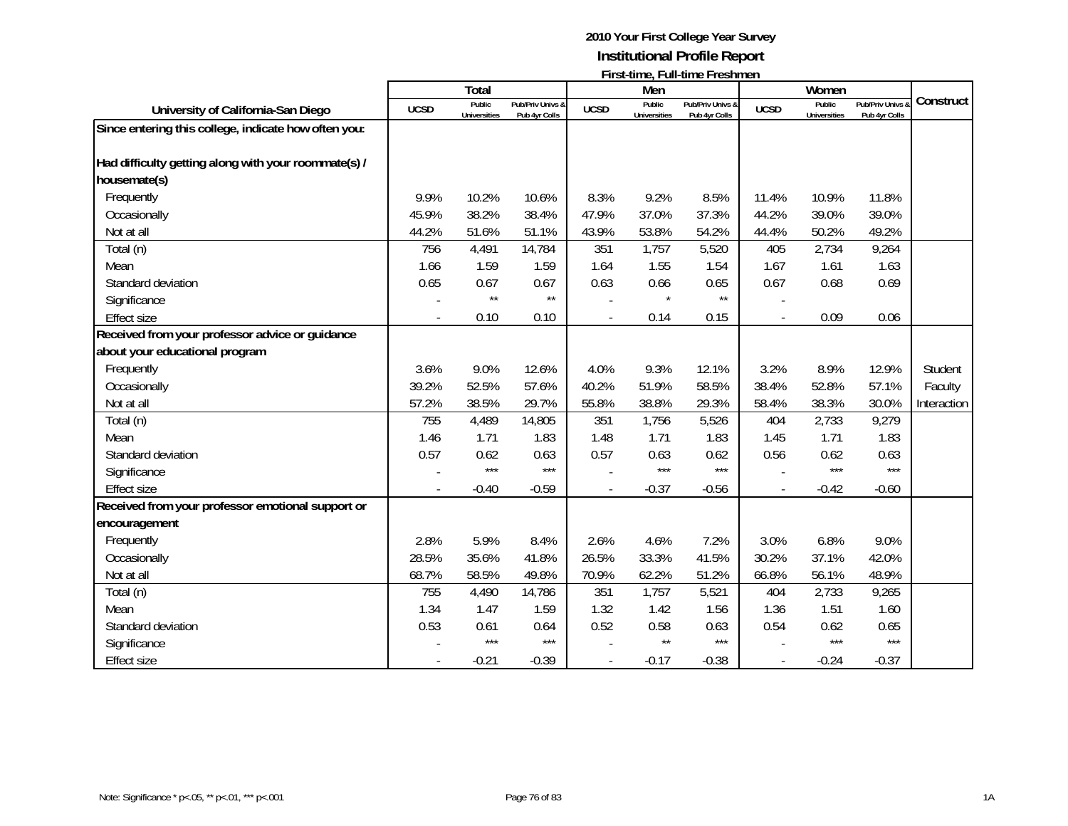|                                                      |             | Total                         |                                   |                | Men                           | <u>Electric, Funcility Freshing i</u> |             | Women                         |                                 |             |
|------------------------------------------------------|-------------|-------------------------------|-----------------------------------|----------------|-------------------------------|---------------------------------------|-------------|-------------------------------|---------------------------------|-------------|
| University of California-San Diego                   | <b>UCSD</b> | Public<br><b>Universities</b> | Pub/Priv Univs &<br>Pub 4yr Colls | <b>UCSD</b>    | Public<br><b>Universities</b> | Pub/Priv Univs &<br>Pub 4yr Colls     | <b>UCSD</b> | Public<br><b>Universities</b> | Pub/Priv Univs<br>Pub 4yr Colls | Construct   |
| Since entering this college, indicate how often you: |             |                               |                                   |                |                               |                                       |             |                               |                                 |             |
| Had difficulty getting along with your roommate(s) / |             |                               |                                   |                |                               |                                       |             |                               |                                 |             |
| housemate(s)                                         |             |                               |                                   |                |                               |                                       |             |                               |                                 |             |
| Frequently                                           | 9.9%        | 10.2%                         | 10.6%                             | 8.3%           | 9.2%                          | 8.5%                                  | 11.4%       | 10.9%                         | 11.8%                           |             |
| Occasionally                                         | 45.9%       | 38.2%                         | 38.4%                             | 47.9%          | 37.0%                         | 37.3%                                 | 44.2%       | 39.0%                         | 39.0%                           |             |
| Not at all                                           | 44.2%       | 51.6%                         | 51.1%                             | 43.9%          | 53.8%                         | 54.2%                                 | 44.4%       | 50.2%                         | 49.2%                           |             |
| Total (n)                                            | 756         | 4,491                         | 14,784                            | 351            | 1,757                         | 5,520                                 | 405         | 2,734                         | 9,264                           |             |
| Mean                                                 | 1.66        | 1.59                          | 1.59                              | 1.64           | 1.55                          | 1.54                                  | 1.67        | 1.61                          | 1.63                            |             |
| Standard deviation                                   | 0.65        | 0.67                          | 0.67                              | 0.63           | 0.66                          | 0.65                                  | 0.67        | 0.68                          | 0.69                            |             |
| Significance                                         |             | $\star\star$                  | $\star\star$                      |                |                               | $\star\star$                          |             |                               |                                 |             |
| <b>Effect size</b>                                   |             | 0.10                          | 0.10                              | $\overline{a}$ | 0.14                          | 0.15                                  |             | 0.09                          | 0.06                            |             |
| Received from your professor advice or guidance      |             |                               |                                   |                |                               |                                       |             |                               |                                 |             |
| about your educational program                       |             |                               |                                   |                |                               |                                       |             |                               |                                 |             |
| Frequently                                           | 3.6%        | 9.0%                          | 12.6%                             | 4.0%           | 9.3%                          | 12.1%                                 | 3.2%        | 8.9%                          | 12.9%                           | Student     |
| Occasionally                                         | 39.2%       | 52.5%                         | 57.6%                             | 40.2%          | 51.9%                         | 58.5%                                 | 38.4%       | 52.8%                         | 57.1%                           | Faculty     |
| Not at all                                           | 57.2%       | 38.5%                         | 29.7%                             | 55.8%          | 38.8%                         | 29.3%                                 | 58.4%       | 38.3%                         | 30.0%                           | Interaction |
| Total (n)                                            | 755         | 4,489                         | 14,805                            | 351            | 1,756                         | 5,526                                 | 404         | 2,733                         | 9,279                           |             |
| Mean                                                 | 1.46        | 1.71                          | 1.83                              | 1.48           | 1.71                          | 1.83                                  | 1.45        | 1.71                          | 1.83                            |             |
| Standard deviation                                   | 0.57        | 0.62                          | 0.63                              | 0.57           | 0.63                          | 0.62                                  | 0.56        | 0.62                          | 0.63                            |             |
| Significance                                         |             | $***$                         | $***$                             |                | $***$                         | $***$                                 |             | $***$                         | $***$                           |             |
| <b>Effect size</b>                                   |             | $-0.40$                       | $-0.59$                           | $\overline{a}$ | $-0.37$                       | $-0.56$                               |             | $-0.42$                       | $-0.60$                         |             |
| Received from your professor emotional support or    |             |                               |                                   |                |                               |                                       |             |                               |                                 |             |
| encouragement                                        |             |                               |                                   |                |                               |                                       |             |                               |                                 |             |
| Frequently                                           | 2.8%        | 5.9%                          | 8.4%                              | 2.6%           | 4.6%                          | 7.2%                                  | 3.0%        | 6.8%                          | 9.0%                            |             |
| Occasionally                                         | 28.5%       | 35.6%                         | 41.8%                             | 26.5%          | 33.3%                         | 41.5%                                 | 30.2%       | 37.1%                         | 42.0%                           |             |
| Not at all                                           | 68.7%       | 58.5%                         | 49.8%                             | 70.9%          | 62.2%                         | 51.2%                                 | 66.8%       | 56.1%                         | 48.9%                           |             |
| Total (n)                                            | 755         | 4,490                         | 14,786                            | 351            | 1,757                         | 5,521                                 | 404         | 2,733                         | 9,265                           |             |
| Mean                                                 | 1.34        | 1.47                          | 1.59                              | 1.32           | 1.42                          | 1.56                                  | 1.36        | 1.51                          | 1.60                            |             |
| Standard deviation                                   | 0.53        | 0.61                          | 0.64                              | 0.52           | 0.58                          | 0.63                                  | 0.54        | 0.62                          | 0.65                            |             |
| Significance                                         |             | $***$                         | $***$                             |                | $\star\star$                  | $***$                                 |             | $***$                         | $***$                           |             |
| <b>Effect size</b>                                   |             | $-0.21$                       | $-0.39$                           |                | $-0.17$                       | $-0.38$                               |             | $-0.24$                       | $-0.37$                         |             |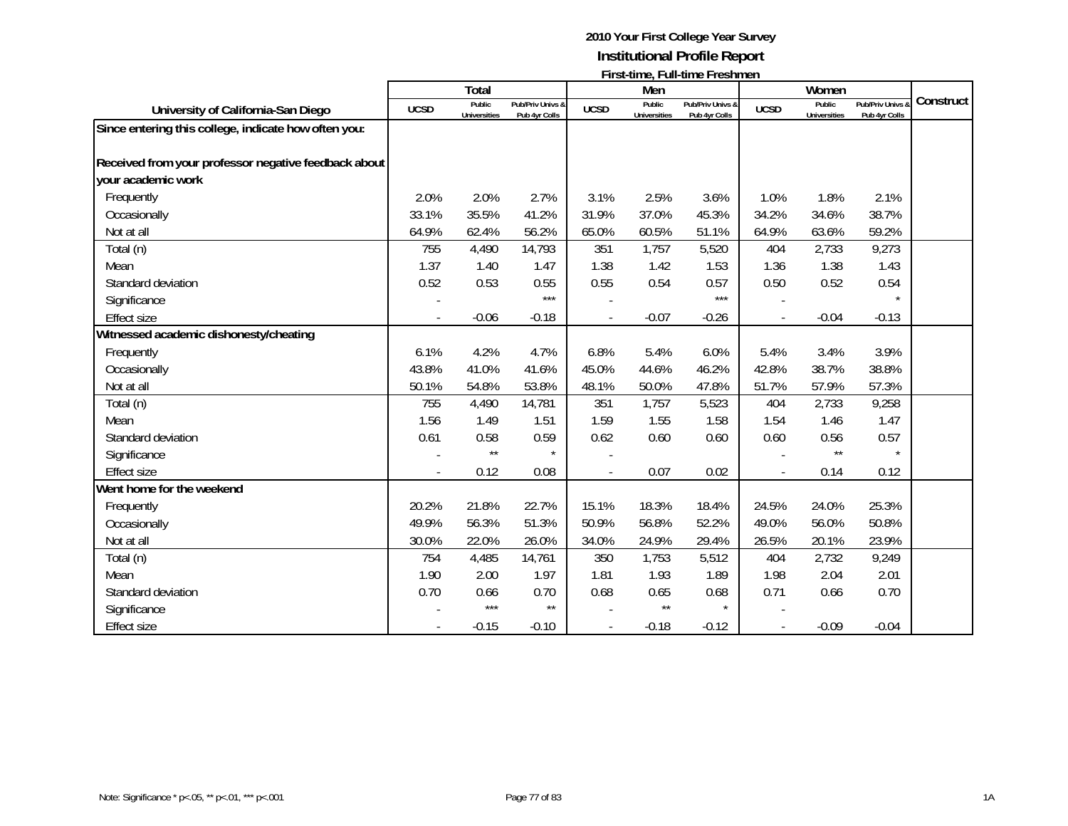|                                                      |             | <b>Total</b>                  |                                   |             | Men                           | $\mathbf{1}$ ii st-time, i un-time i resument |                          | Women                                |                                              |           |
|------------------------------------------------------|-------------|-------------------------------|-----------------------------------|-------------|-------------------------------|-----------------------------------------------|--------------------------|--------------------------------------|----------------------------------------------|-----------|
| University of California-San Diego                   | <b>UCSD</b> | Public<br><b>Universities</b> | Pub/Priv Univs &<br>Pub 4yr Colls | <b>UCSD</b> | Public<br><b>Universities</b> | Pub/Priv Univs &<br>Pub 4yr Colls             | <b>UCSD</b>              | <b>Public</b><br><b>Universities</b> | <b>Pub/Priv Univs &amp;</b><br>Pub 4yr Colls | Construct |
| Since entering this college, indicate how often you: |             |                               |                                   |             |                               |                                               |                          |                                      |                                              |           |
|                                                      |             |                               |                                   |             |                               |                                               |                          |                                      |                                              |           |
| Received from your professor negative feedback about |             |                               |                                   |             |                               |                                               |                          |                                      |                                              |           |
| your academic work                                   |             |                               |                                   |             |                               |                                               |                          |                                      |                                              |           |
| Frequently                                           | 2.0%        | 2.0%                          | 2.7%                              | 3.1%        | 2.5%                          | 3.6%                                          | 1.0%                     | 1.8%                                 | 2.1%                                         |           |
| Occasionally                                         | 33.1%       | 35.5%                         | 41.2%                             | 31.9%       | 37.0%                         | 45.3%                                         | 34.2%                    | 34.6%                                | 38.7%                                        |           |
| Not at all                                           | 64.9%       | 62.4%                         | 56.2%                             | 65.0%       | 60.5%                         | 51.1%                                         | 64.9%                    | 63.6%                                | 59.2%                                        |           |
| Total (n)                                            | 755         | 4,490                         | 14,793                            | 351         | 1,757                         | 5,520                                         | 404                      | 2,733                                | 9,273                                        |           |
| Mean                                                 | 1.37        | 1.40                          | 1.47                              | 1.38        | 1.42                          | 1.53                                          | 1.36                     | 1.38                                 | 1.43                                         |           |
| Standard deviation                                   | 0.52        | 0.53                          | 0.55                              | 0.55        | 0.54                          | 0.57                                          | 0.50                     | 0.52                                 | 0.54                                         |           |
| Significance                                         |             |                               | $***$                             |             |                               | $***$                                         |                          |                                      |                                              |           |
| <b>Effect size</b>                                   |             | $-0.06$                       | $-0.18$                           |             | $-0.07$                       | $-0.26$                                       | $\overline{\phantom{a}}$ | $-0.04$                              | $-0.13$                                      |           |
| Witnessed academic dishonesty/cheating               |             |                               |                                   |             |                               |                                               |                          |                                      |                                              |           |
| Frequently                                           | 6.1%        | 4.2%                          | 4.7%                              | 6.8%        | 5.4%                          | 6.0%                                          | 5.4%                     | 3.4%                                 | 3.9%                                         |           |
| Occasionally                                         | 43.8%       | 41.0%                         | 41.6%                             | 45.0%       | 44.6%                         | 46.2%                                         | 42.8%                    | 38.7%                                | 38.8%                                        |           |
| Not at all                                           | 50.1%       | 54.8%                         | 53.8%                             | 48.1%       | 50.0%                         | 47.8%                                         | 51.7%                    | 57.9%                                | 57.3%                                        |           |
| Total (n)                                            | 755         | 4,490                         | 14,781                            | 351         | 1,757                         | 5,523                                         | 404                      | 2,733                                | 9,258                                        |           |
| Mean                                                 | 1.56        | 1.49                          | 1.51                              | 1.59        | 1.55                          | 1.58                                          | 1.54                     | 1.46                                 | 1.47                                         |           |
| Standard deviation                                   | 0.61        | 0.58                          | 0.59                              | 0.62        | 0.60                          | 0.60                                          | 0.60                     | 0.56                                 | 0.57                                         |           |
| Significance                                         |             | $\star\star$                  | $\star$                           |             |                               |                                               |                          | $\star\star$                         |                                              |           |
| <b>Effect size</b>                                   |             | 0.12                          | 0.08                              |             | 0.07                          | 0.02                                          |                          | 0.14                                 | 0.12                                         |           |
| Went home for the weekend                            |             |                               |                                   |             |                               |                                               |                          |                                      |                                              |           |
| Frequently                                           | 20.2%       | 21.8%                         | 22.7%                             | 15.1%       | 18.3%                         | 18.4%                                         | 24.5%                    | 24.0%                                | 25.3%                                        |           |
| Occasionally                                         | 49.9%       | 56.3%                         | 51.3%                             | 50.9%       | 56.8%                         | 52.2%                                         | 49.0%                    | 56.0%                                | 50.8%                                        |           |
| Not at all                                           | 30.0%       | 22.0%                         | 26.0%                             | 34.0%       | 24.9%                         | 29.4%                                         | 26.5%                    | 20.1%                                | 23.9%                                        |           |
| Total (n)                                            | 754         | 4,485                         | 14,761                            | 350         | 1,753                         | 5,512                                         | 404                      | 2,732                                | 9,249                                        |           |
| Mean                                                 | 1.90        | 2.00                          | 1.97                              | 1.81        | 1.93                          | 1.89                                          | 1.98                     | 2.04                                 | 2.01                                         |           |
| Standard deviation                                   | 0.70        | 0.66                          | 0.70                              | 0.68        | 0.65                          | 0.68                                          | 0.71                     | 0.66                                 | 0.70                                         |           |
| Significance                                         |             | $***$                         | $\star\star$                      |             | $\star\star$                  | $\star$                                       |                          |                                      |                                              |           |
| <b>Effect size</b>                                   |             | $-0.15$                       | $-0.10$                           |             | $-0.18$                       | $-0.12$                                       |                          | $-0.09$                              | $-0.04$                                      |           |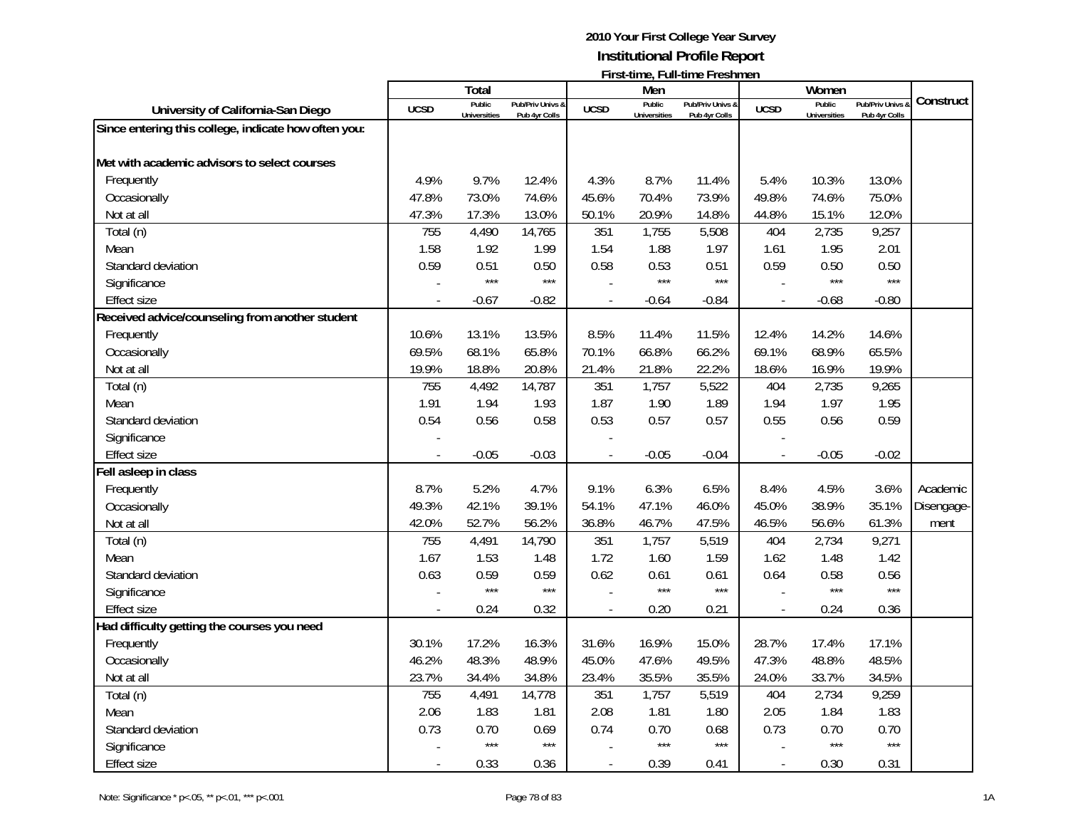|                                                      |                | Total                         |                                   |                | Men                           | <b>FILSI-ULIIC, FULL-ULIIC FICSHILICII</b> |                          | Women                         |                                 |            |
|------------------------------------------------------|----------------|-------------------------------|-----------------------------------|----------------|-------------------------------|--------------------------------------------|--------------------------|-------------------------------|---------------------------------|------------|
| University of California-San Diego                   | <b>UCSD</b>    | Public<br><b>Universities</b> | Pub/Priv Univs &<br>Pub 4yr Colls | <b>UCSD</b>    | Public<br><b>Universities</b> | Pub/Priv Univs &<br>Pub 4yr Colls          | <b>UCSD</b>              | Public<br><b>Universities</b> | Pub/Priv Univs<br>Pub 4yr Colls | Construct  |
| Since entering this college, indicate how often you: |                |                               |                                   |                |                               |                                            |                          |                               |                                 |            |
|                                                      |                |                               |                                   |                |                               |                                            |                          |                               |                                 |            |
| Met with academic advisors to select courses         |                |                               |                                   |                |                               |                                            |                          |                               |                                 |            |
| Frequently                                           | 4.9%           | 9.7%                          | 12.4%                             | 4.3%           | 8.7%                          | 11.4%                                      | 5.4%                     | 10.3%                         | 13.0%                           |            |
| Occasionally                                         | 47.8%          | 73.0%                         | 74.6%                             | 45.6%          | 70.4%                         | 73.9%                                      | 49.8%                    | 74.6%                         | 75.0%                           |            |
| Not at all                                           | 47.3%          | 17.3%                         | 13.0%                             | 50.1%          | 20.9%                         | 14.8%                                      | 44.8%                    | 15.1%                         | 12.0%                           |            |
| Total (n)                                            | 755            | 4,490                         | 14,765                            | 351            | 1,755                         | 5,508                                      | 404                      | 2,735                         | 9,257                           |            |
| Mean                                                 | 1.58           | 1.92                          | 1.99                              | 1.54           | 1.88                          | 1.97                                       | 1.61                     | 1.95                          | 2.01                            |            |
| Standard deviation                                   | 0.59           | 0.51                          | 0.50                              | 0.58           | 0.53                          | 0.51                                       | 0.59                     | 0.50                          | 0.50                            |            |
| Significance                                         |                | $***$                         | $***$                             |                | $***$                         | $***$                                      |                          | $***$                         | $***$                           |            |
| Effect size                                          | $\overline{a}$ | $-0.67$                       | $-0.82$                           | $\overline{a}$ | $-0.64$                       | $-0.84$                                    | $\blacksquare$           | $-0.68$                       | $-0.80$                         |            |
| Received advice/counseling from another student      |                |                               |                                   |                |                               |                                            |                          |                               |                                 |            |
| Frequently                                           | 10.6%          | 13.1%                         | 13.5%                             | 8.5%           | 11.4%                         | 11.5%                                      | 12.4%                    | 14.2%                         | 14.6%                           |            |
| Occasionally                                         | 69.5%          | 68.1%                         | 65.8%                             | 70.1%          | 66.8%                         | 66.2%                                      | 69.1%                    | 68.9%                         | 65.5%                           |            |
| Not at all                                           | 19.9%          | 18.8%                         | 20.8%                             | 21.4%          | 21.8%                         | 22.2%                                      | 18.6%                    | 16.9%                         | 19.9%                           |            |
| Total (n)                                            | 755            | 4,492                         | 14,787                            | 351            | 1,757                         | 5,522                                      | 404                      | 2,735                         | 9,265                           |            |
| Mean                                                 | 1.91           | 1.94                          | 1.93                              | 1.87           | 1.90                          | 1.89                                       | 1.94                     | 1.97                          | 1.95                            |            |
| Standard deviation                                   | 0.54           | 0.56                          | 0.58                              | 0.53           | 0.57                          | 0.57                                       | 0.55                     | 0.56                          | 0.59                            |            |
| Significance                                         |                |                               |                                   |                |                               |                                            |                          |                               |                                 |            |
| <b>Effect size</b>                                   |                | $-0.05$                       | $-0.03$                           |                | $-0.05$                       | $-0.04$                                    | $\overline{a}$           | $-0.05$                       | $-0.02$                         |            |
| Fell asleep in class                                 |                |                               |                                   |                |                               |                                            |                          |                               |                                 |            |
| Frequently                                           | 8.7%           | 5.2%                          | 4.7%                              | 9.1%           | 6.3%                          | 6.5%                                       | 8.4%                     | 4.5%                          | 3.6%                            | Academic   |
| Occasionally                                         | 49.3%          | 42.1%                         | 39.1%                             | 54.1%          | 47.1%                         | 46.0%                                      | 45.0%                    | 38.9%                         | 35.1%                           | Disengage- |
| Not at all                                           | 42.0%          | 52.7%                         | 56.2%                             | 36.8%          | 46.7%                         | 47.5%                                      | 46.5%                    | 56.6%                         | 61.3%                           | ment       |
| Total (n)                                            | 755            | 4,491                         | 14,790                            | 351            | 1,757                         | 5,519                                      | 404                      | 2,734                         | 9,271                           |            |
| Mean                                                 | 1.67           | 1.53                          | 1.48                              | 1.72           | 1.60                          | 1.59                                       | 1.62                     | 1.48                          | 1.42                            |            |
| Standard deviation                                   | 0.63           | 0.59                          | 0.59                              | 0.62           | 0.61                          | 0.61                                       | 0.64                     | 0.58                          | 0.56                            |            |
| Significance                                         |                | $***$                         | $***$                             |                | $***$                         | $***$                                      |                          | $***$                         | $***$                           |            |
| <b>Effect size</b>                                   |                | 0.24                          | 0.32                              | $\overline{a}$ | 0.20                          | 0.21                                       | $\overline{a}$           | 0.24                          | 0.36                            |            |
| Had difficulty getting the courses you need          |                |                               |                                   |                |                               |                                            |                          |                               |                                 |            |
| Frequently                                           | 30.1%          | 17.2%                         | 16.3%                             | 31.6%          | 16.9%                         | 15.0%                                      | 28.7%                    | 17.4%                         | 17.1%                           |            |
| Occasionally                                         | 46.2%          | 48.3%                         | 48.9%                             | 45.0%          | 47.6%                         | 49.5%                                      | 47.3%                    | 48.8%                         | 48.5%                           |            |
| Not at all                                           | 23.7%          | 34.4%                         | 34.8%                             | 23.4%          | 35.5%                         | 35.5%                                      | 24.0%                    | 33.7%                         | 34.5%                           |            |
| Total (n)                                            | 755            | 4,491                         | 14,778                            | 351            | 1,757                         | 5,519                                      | 404                      | 2,734                         | 9,259                           |            |
| Mean                                                 | 2.06           | 1.83                          | 1.81                              | 2.08           | 1.81                          | 1.80                                       | 2.05                     | 1.84                          | 1.83                            |            |
| Standard deviation                                   | 0.73           | 0.70                          | 0.69                              | 0.74           | 0.70                          | 0.68                                       | 0.73                     | 0.70                          | 0.70                            |            |
| Significance                                         |                | $***$                         | $***$                             |                | $***$                         | $***$                                      |                          | $***$                         | $***$                           |            |
| <b>Effect size</b>                                   | $\overline{a}$ | 0.33                          | 0.36                              | $\overline{a}$ | 0.39                          | 0.41                                       | $\overline{\phantom{a}}$ | 0.30                          | 0.31                            |            |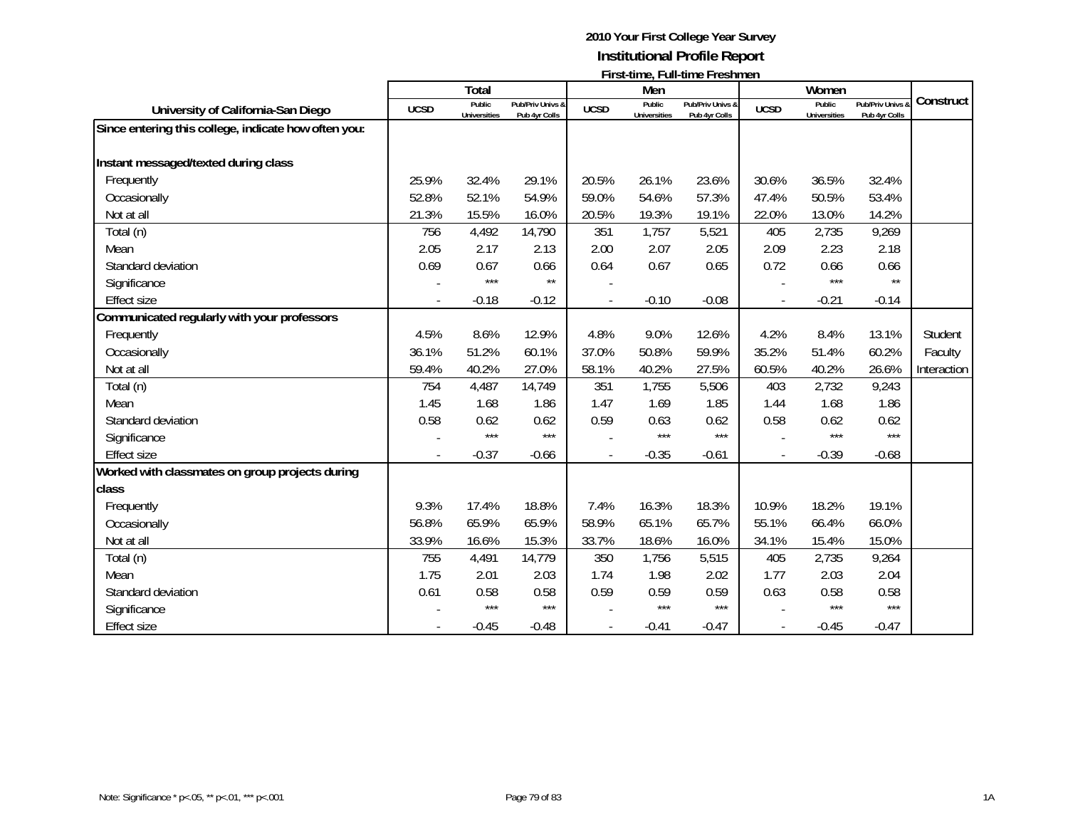|                                                      |             |                                      |                                   |             |                               | <b>FILSI-ULLIC, FULL-ULLIC FLESHILICH</b> |             |                               |                                              |             |
|------------------------------------------------------|-------------|--------------------------------------|-----------------------------------|-------------|-------------------------------|-------------------------------------------|-------------|-------------------------------|----------------------------------------------|-------------|
|                                                      |             | Total                                |                                   |             | Men                           |                                           |             | Women                         |                                              | Construct   |
| University of California-San Diego                   | <b>UCSD</b> | <b>Public</b><br><b>Universities</b> | Pub/Priv Univs &<br>Pub 4yr Colls | <b>UCSD</b> | Public<br><b>Universities</b> | Pub/Priv Univs &<br>Pub 4yr Colls         | <b>UCSD</b> | Public<br><b>Universities</b> | <b>Pub/Priv Univs &amp;</b><br>Pub 4yr Colls |             |
| Since entering this college, indicate how often you: |             |                                      |                                   |             |                               |                                           |             |                               |                                              |             |
|                                                      |             |                                      |                                   |             |                               |                                           |             |                               |                                              |             |
| Instant messaged/texted during class                 |             |                                      |                                   |             |                               |                                           |             |                               |                                              |             |
| Frequently                                           | 25.9%       | 32.4%                                | 29.1%                             | 20.5%       | 26.1%                         | 23.6%                                     | 30.6%       | 36.5%                         | 32.4%                                        |             |
| Occasionally                                         | 52.8%       | 52.1%                                | 54.9%                             | 59.0%       | 54.6%                         | 57.3%                                     | 47.4%       | 50.5%                         | 53.4%                                        |             |
| Not at all                                           | 21.3%       | 15.5%                                | 16.0%                             | 20.5%       | 19.3%                         | 19.1%                                     | 22.0%       | 13.0%                         | 14.2%                                        |             |
| Total (n)                                            | 756         | 4,492                                | 14,790                            | 351         | 1,757                         | 5,521                                     | 405         | 2,735                         | 9,269                                        |             |
| Mean                                                 | 2.05        | 2.17                                 | 2.13                              | 2.00        | 2.07                          | 2.05                                      | 2.09        | 2.23                          | 2.18                                         |             |
| Standard deviation                                   | 0.69        | 0.67                                 | 0.66                              | 0.64        | 0.67                          | 0.65                                      | 0.72        | 0.66                          | 0.66                                         |             |
| Significance                                         |             | $***$                                | $\star\star$                      |             |                               |                                           |             | $***$                         | $\star\star$                                 |             |
| <b>Effect size</b>                                   |             | $-0.18$                              | $-0.12$                           |             | $-0.10$                       | $-0.08$                                   | ÷,          | $-0.21$                       | $-0.14$                                      |             |
| Communicated regularly with your professors          |             |                                      |                                   |             |                               |                                           |             |                               |                                              |             |
| Frequently                                           | 4.5%        | 8.6%                                 | 12.9%                             | 4.8%        | 9.0%                          | 12.6%                                     | 4.2%        | 8.4%                          | 13.1%                                        | Student     |
| Occasionally                                         | 36.1%       | 51.2%                                | 60.1%                             | 37.0%       | 50.8%                         | 59.9%                                     | 35.2%       | 51.4%                         | 60.2%                                        | Faculty     |
| Not at all                                           | 59.4%       | 40.2%                                | 27.0%                             | 58.1%       | 40.2%                         | 27.5%                                     | 60.5%       | 40.2%                         | 26.6%                                        | Interaction |
| Total (n)                                            | 754         | 4,487                                | 14,749                            | 351         | 1,755                         | 5,506                                     | 403         | 2,732                         | 9,243                                        |             |
| Mean                                                 | 1.45        | 1.68                                 | 1.86                              | 1.47        | 1.69                          | 1.85                                      | 1.44        | 1.68                          | 1.86                                         |             |
| Standard deviation                                   | 0.58        | 0.62                                 | 0.62                              | 0.59        | 0.63                          | 0.62                                      | 0.58        | 0.62                          | 0.62                                         |             |
| Significance                                         |             | $***$                                | $***$                             |             | $***$                         | $***$                                     |             | $***$                         | $***$                                        |             |
| <b>Effect size</b>                                   |             | $-0.37$                              | $-0.66$                           |             | $-0.35$                       | $-0.61$                                   |             | $-0.39$                       | $-0.68$                                      |             |
| Worked with classmates on group projects during      |             |                                      |                                   |             |                               |                                           |             |                               |                                              |             |
| class                                                |             |                                      |                                   |             |                               |                                           |             |                               |                                              |             |
| Frequently                                           | 9.3%        | 17.4%                                | 18.8%                             | 7.4%        | 16.3%                         | 18.3%                                     | 10.9%       | 18.2%                         | 19.1%                                        |             |
| Occasionally                                         | 56.8%       | 65.9%                                | 65.9%                             | 58.9%       | 65.1%                         | 65.7%                                     | 55.1%       | 66.4%                         | 66.0%                                        |             |
| Not at all                                           | 33.9%       | 16.6%                                | 15.3%                             | 33.7%       | 18.6%                         | 16.0%                                     | 34.1%       | 15.4%                         | 15.0%                                        |             |
| Total (n)                                            | 755         | 4,491                                | 14,779                            | 350         | 1,756                         | 5,515                                     | 405         | 2,735                         | 9,264                                        |             |
| Mean                                                 | 1.75        | 2.01                                 | 2.03                              | 1.74        | 1.98                          | 2.02                                      | 1.77        | 2.03                          | 2.04                                         |             |
| Standard deviation                                   | 0.61        | 0.58                                 | 0.58                              | 0.59        | 0.59                          | 0.59                                      | 0.63        | 0.58                          | 0.58                                         |             |
| Significance                                         |             | $***$                                | $***$                             |             | $***$                         | $***$                                     |             | ***                           | $***$                                        |             |
| <b>Effect size</b>                                   |             | $-0.45$                              | $-0.48$                           |             | $-0.41$                       | $-0.47$                                   |             | $-0.45$                       | $-0.47$                                      |             |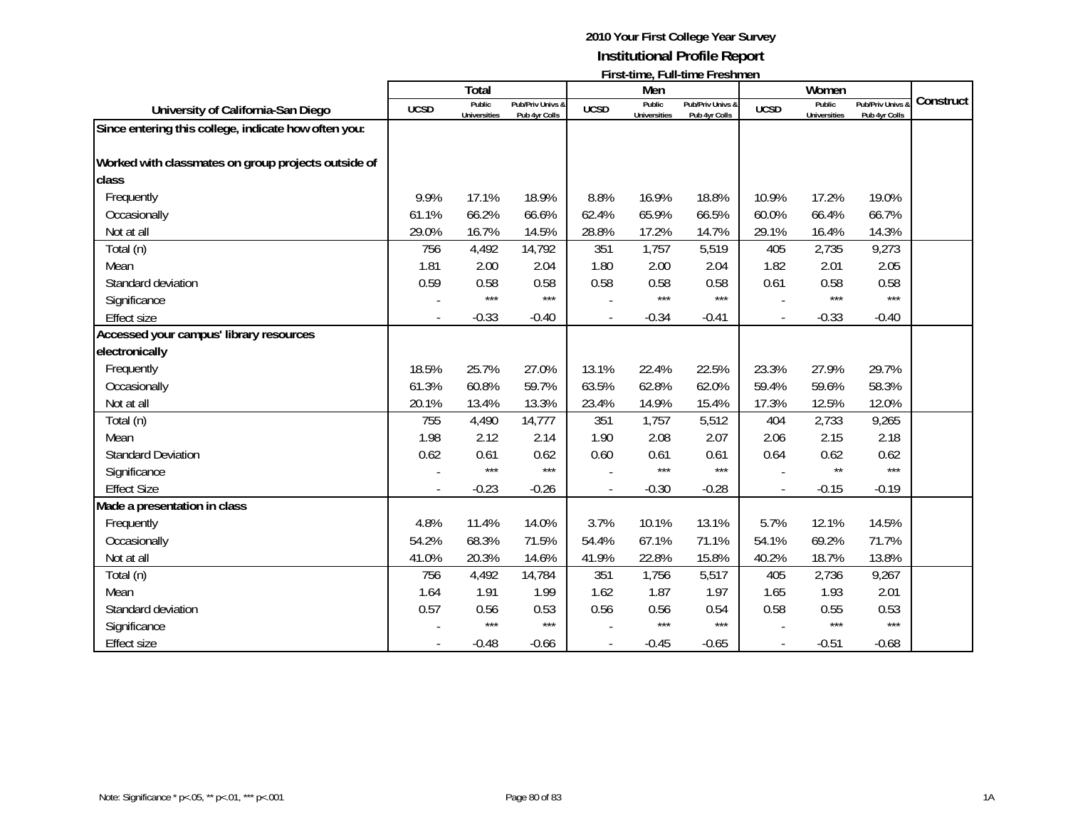|                                                      |             | <b>Total</b>                  |                                   |                | Men                           |                                   |             | Women                         |                                              |           |
|------------------------------------------------------|-------------|-------------------------------|-----------------------------------|----------------|-------------------------------|-----------------------------------|-------------|-------------------------------|----------------------------------------------|-----------|
| University of California-San Diego                   | <b>UCSD</b> | Public<br><b>Universities</b> | Pub/Priv Univs &<br>Pub 4yr Colls | <b>UCSD</b>    | Public<br><b>Universities</b> | Pub/Priv Univs &<br>Pub 4yr Colls | <b>UCSD</b> | Public<br><b>Universities</b> | <b>Pub/Priv Univs &amp;</b><br>Pub 4yr Colls | Construct |
| Since entering this college, indicate how often you: |             |                               |                                   |                |                               |                                   |             |                               |                                              |           |
| Worked with classmates on group projects outside of  |             |                               |                                   |                |                               |                                   |             |                               |                                              |           |
| class                                                |             |                               |                                   |                |                               |                                   |             |                               |                                              |           |
| Frequently                                           | 9.9%        | 17.1%                         | 18.9%                             | 8.8%           | 16.9%                         | 18.8%                             | 10.9%       | 17.2%                         | 19.0%                                        |           |
| Occasionally                                         | 61.1%       | 66.2%                         | 66.6%                             | 62.4%          | 65.9%                         | 66.5%                             | 60.0%       | 66.4%                         | 66.7%                                        |           |
| Not at all                                           | 29.0%       | 16.7%                         | 14.5%                             | 28.8%          | 17.2%                         | 14.7%                             | 29.1%       | 16.4%                         | 14.3%                                        |           |
| Total (n)                                            | 756         | 4,492                         | 14,792                            | 351            | 1,757                         | 5,519                             | 405         | 2,735                         | 9,273                                        |           |
| Mean                                                 | 1.81        | 2.00                          | 2.04                              | 1.80           | 2.00                          | 2.04                              | 1.82        | 2.01                          | 2.05                                         |           |
| Standard deviation                                   | 0.59        | 0.58                          | 0.58                              | 0.58           | 0.58                          | 0.58                              | 0.61        | 0.58                          | 0.58                                         |           |
| Significance                                         |             | $***$                         | $***$                             |                | $***$                         | ***                               |             | $***$                         | $***$                                        |           |
| <b>Effect size</b>                                   |             | $-0.33$                       | $-0.40$                           |                | $-0.34$                       | $-0.41$                           |             | $-0.33$                       | $-0.40$                                      |           |
| Accessed your campus' library resources              |             |                               |                                   |                |                               |                                   |             |                               |                                              |           |
| electronically                                       |             |                               |                                   |                |                               |                                   |             |                               |                                              |           |
| Frequently                                           | 18.5%       | 25.7%                         | 27.0%                             | 13.1%          | 22.4%                         | 22.5%                             | 23.3%       | 27.9%                         | 29.7%                                        |           |
| Occasionally                                         | 61.3%       | 60.8%                         | 59.7%                             | 63.5%          | 62.8%                         | 62.0%                             | 59.4%       | 59.6%                         | 58.3%                                        |           |
| Not at all                                           | 20.1%       | 13.4%                         | 13.3%                             | 23.4%          | 14.9%                         | 15.4%                             | 17.3%       | 12.5%                         | 12.0%                                        |           |
| Total (n)                                            | 755         | 4,490                         | 14,777                            | 351            | 1,757                         | 5,512                             | 404         | 2,733                         | 9,265                                        |           |
| Mean                                                 | 1.98        | 2.12                          | 2.14                              | 1.90           | 2.08                          | 2.07                              | 2.06        | 2.15                          | 2.18                                         |           |
| <b>Standard Deviation</b>                            | 0.62        | 0.61                          | 0.62                              | 0.60           | 0.61                          | 0.61                              | 0.64        | 0.62                          | 0.62                                         |           |
| Significance                                         |             | $***$                         | $***$                             |                | $***$                         | ***                               |             | $\star\star$                  | $***$                                        |           |
| <b>Effect Size</b>                                   |             | $-0.23$                       | $-0.26$                           | $\overline{a}$ | $-0.30$                       | $-0.28$                           |             | $-0.15$                       | $-0.19$                                      |           |
| Made a presentation in class                         |             |                               |                                   |                |                               |                                   |             |                               |                                              |           |
| Frequently                                           | 4.8%        | 11.4%                         | 14.0%                             | 3.7%           | 10.1%                         | 13.1%                             | 5.7%        | 12.1%                         | 14.5%                                        |           |
| Occasionally                                         | 54.2%       | 68.3%                         | 71.5%                             | 54.4%          | 67.1%                         | 71.1%                             | 54.1%       | 69.2%                         | 71.7%                                        |           |
| Not at all                                           | 41.0%       | 20.3%                         | 14.6%                             | 41.9%          | 22.8%                         | 15.8%                             | 40.2%       | 18.7%                         | 13.8%                                        |           |
| Total (n)                                            | 756         | 4,492                         | 14,784                            | 351            | 1,756                         | 5,517                             | 405         | 2,736                         | 9,267                                        |           |
| Mean                                                 | 1.64        | 1.91                          | 1.99                              | 1.62           | 1.87                          | 1.97                              | 1.65        | 1.93                          | 2.01                                         |           |
| Standard deviation                                   | 0.57        | 0.56                          | 0.53                              | 0.56           | 0.56                          | 0.54                              | 0.58        | 0.55                          | 0.53                                         |           |
| Significance                                         |             | $***$                         | $***$                             |                | $***$                         | $***$                             |             | $***$                         | $***$                                        |           |
| <b>Effect size</b>                                   |             | $-0.48$                       | $-0.66$                           |                | $-0.45$                       | $-0.65$                           |             | $-0.51$                       | $-0.68$                                      |           |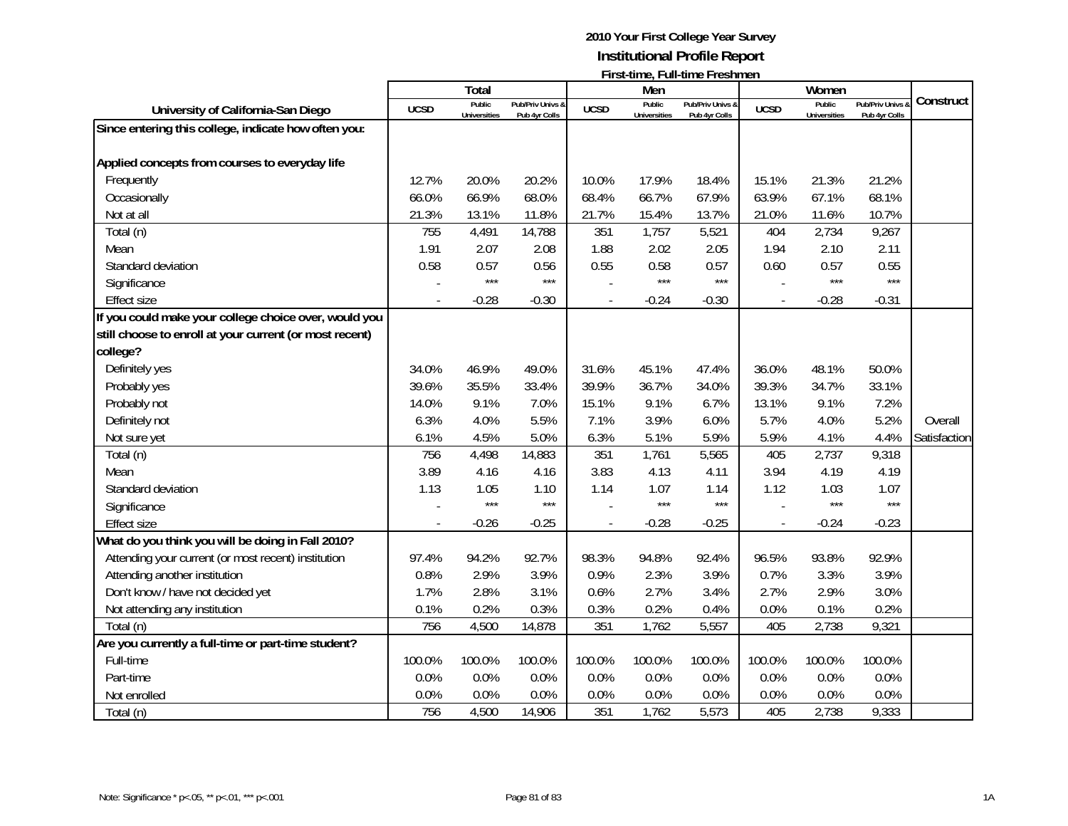|                                                         |             |                               |                                   |                |                               | <u>I II SUUILLE, LUILLUILLE LI ESIIILLEIT</u> |                          |                               |                                              |              |
|---------------------------------------------------------|-------------|-------------------------------|-----------------------------------|----------------|-------------------------------|-----------------------------------------------|--------------------------|-------------------------------|----------------------------------------------|--------------|
|                                                         |             | Total                         |                                   |                | Men                           |                                               |                          | Women                         |                                              | Construct    |
| University of California-San Diego                      | <b>UCSD</b> | Public<br><b>Universities</b> | Pub/Priv Univs &<br>Pub 4yr Colls | <b>UCSD</b>    | Public<br><b>Universities</b> | Pub/Priv Univs &<br>Pub 4yr Colls             | <b>UCSD</b>              | Public<br><b>Universities</b> | <b>Pub/Priv Univs &amp;</b><br>Pub 4yr Colls |              |
| Since entering this college, indicate how often you:    |             |                               |                                   |                |                               |                                               |                          |                               |                                              |              |
|                                                         |             |                               |                                   |                |                               |                                               |                          |                               |                                              |              |
| Applied concepts from courses to everyday life          |             |                               |                                   |                |                               |                                               |                          |                               |                                              |              |
| Frequently                                              | 12.7%       | 20.0%                         | 20.2%                             | 10.0%          | 17.9%                         | 18.4%                                         | 15.1%                    | 21.3%                         | 21.2%                                        |              |
| Occasionally                                            | 66.0%       | 66.9%                         | 68.0%                             | 68.4%          | 66.7%                         | 67.9%                                         | 63.9%                    | 67.1%                         | 68.1%                                        |              |
| Not at all                                              | 21.3%       | 13.1%                         | 11.8%                             | 21.7%          | 15.4%                         | 13.7%                                         | 21.0%                    | 11.6%                         | 10.7%                                        |              |
| Total (n)                                               | 755         | 4,491                         | 14,788                            | 351            | 1,757                         | 5,521                                         | 404                      | 2,734                         | 9,267                                        |              |
| Mean                                                    | 1.91        | 2.07                          | 2.08                              | 1.88           | 2.02                          | 2.05                                          | 1.94                     | 2.10                          | 2.11                                         |              |
| Standard deviation                                      | 0.58        | 0.57                          | 0.56                              | 0.55           | 0.58                          | 0.57                                          | 0.60                     | 0.57                          | 0.55                                         |              |
| Significance                                            |             | $***$                         | $***$                             |                | $***$                         | $***$                                         |                          | $***$                         | $***$                                        |              |
| <b>Effect size</b>                                      |             | $-0.28$                       | $-0.30$                           | $\overline{a}$ | $-0.24$                       | $-0.30$                                       | $\blacksquare$           | $-0.28$                       | $-0.31$                                      |              |
| If you could make your college choice over, would you   |             |                               |                                   |                |                               |                                               |                          |                               |                                              |              |
| still choose to enroll at your current (or most recent) |             |                               |                                   |                |                               |                                               |                          |                               |                                              |              |
| college?                                                |             |                               |                                   |                |                               |                                               |                          |                               |                                              |              |
| Definitely yes                                          | 34.0%       | 46.9%                         | 49.0%                             | 31.6%          | 45.1%                         | 47.4%                                         | 36.0%                    | 48.1%                         | 50.0%                                        |              |
| Probably yes                                            | 39.6%       | 35.5%                         | 33.4%                             | 39.9%          | 36.7%                         | 34.0%                                         | 39.3%                    | 34.7%                         | 33.1%                                        |              |
| Probably not                                            | 14.0%       | 9.1%                          | 7.0%                              | 15.1%          | 9.1%                          | 6.7%                                          | 13.1%                    | 9.1%                          | 7.2%                                         |              |
| Definitely not                                          | 6.3%        | 4.0%                          | 5.5%                              | 7.1%           | 3.9%                          | 6.0%                                          | 5.7%                     | 4.0%                          | 5.2%                                         | Overall      |
| Not sure yet                                            | 6.1%        | 4.5%                          | 5.0%                              | 6.3%           | 5.1%                          | 5.9%                                          | 5.9%                     | 4.1%                          | 4.4%                                         | Satisfaction |
| Total (n)                                               | 756         | 4,498                         | 14,883                            | 351            | 1,761                         | 5,565                                         | 405                      | 2,737                         | 9,318                                        |              |
| Mean                                                    | 3.89        | 4.16                          | 4.16                              | 3.83           | 4.13                          | 4.11                                          | 3.94                     | 4.19                          | 4.19                                         |              |
| Standard deviation                                      | 1.13        | 1.05                          | 1.10                              | 1.14           | 1.07                          | 1.14                                          | 1.12                     | 1.03                          | 1.07                                         |              |
| Significance                                            |             | $***$                         | $***$                             |                | $***$                         | $***$                                         |                          | $***$                         | $***$                                        |              |
| <b>Effect size</b>                                      |             | $-0.26$                       | $-0.25$                           |                | $-0.28$                       | $-0.25$                                       | $\overline{\phantom{a}}$ | $-0.24$                       | $-0.23$                                      |              |
| What do you think you will be doing in Fall 2010?       |             |                               |                                   |                |                               |                                               |                          |                               |                                              |              |
| Attending your current (or most recent) institution     | 97.4%       | 94.2%                         | 92.7%                             | 98.3%          | 94.8%                         | 92.4%                                         | 96.5%                    | 93.8%                         | 92.9%                                        |              |
| Attending another institution                           | 0.8%        | 2.9%                          | 3.9%                              | 0.9%           | 2.3%                          | 3.9%                                          | 0.7%                     | 3.3%                          | 3.9%                                         |              |
| Don't know / have not decided yet                       | 1.7%        | 2.8%                          | 3.1%                              | 0.6%           | 2.7%                          | 3.4%                                          | 2.7%                     | 2.9%                          | 3.0%                                         |              |
| Not attending any institution                           | 0.1%        | 0.2%                          | 0.3%                              | 0.3%           | 0.2%                          | 0.4%                                          | 0.0%                     | 0.1%                          | 0.2%                                         |              |
| Total (n)                                               | 756         | 4,500                         | 14,878                            | 351            | 1,762                         | 5,557                                         | 405                      | 2,738                         | 9,321                                        |              |
| Are you currently a full-time or part-time student?     |             |                               |                                   |                |                               |                                               |                          |                               |                                              |              |
| Full-time                                               | 100.0%      | 100.0%                        | 100.0%                            | 100.0%         | 100.0%                        | 100.0%                                        | 100.0%                   | 100.0%                        | 100.0%                                       |              |
| Part-time                                               | 0.0%        | 0.0%                          | 0.0%                              | 0.0%           | 0.0%                          | 0.0%                                          | 0.0%                     | 0.0%                          | 0.0%                                         |              |
| Not enrolled                                            | 0.0%        | 0.0%                          | 0.0%                              | 0.0%           | 0.0%                          | 0.0%                                          | 0.0%                     | 0.0%                          | 0.0%                                         |              |
| Total (n)                                               | 756         | 4,500                         | 14,906                            | 351            | 1,762                         | 5,573                                         | 405                      | 2,738                         | 9,333                                        |              |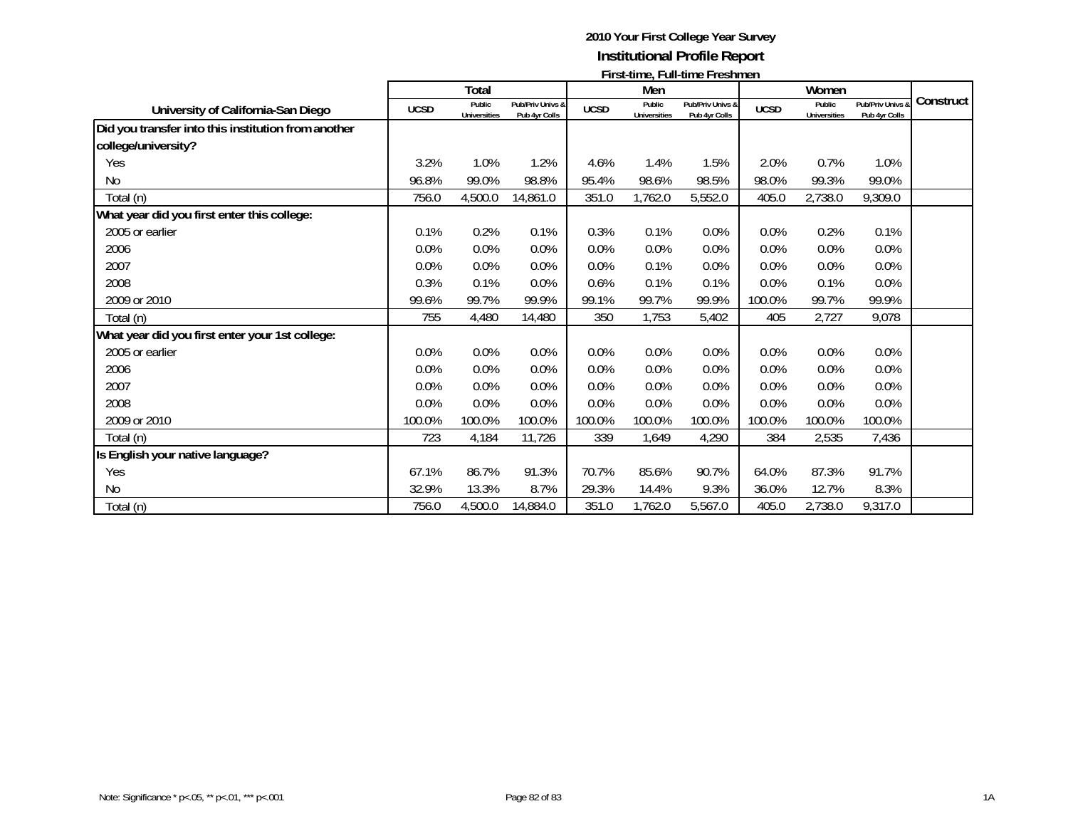|                                                     | First-unie, Fun-unie Freshinen |                               |                                   |             |                               |                                   |             |                               |                                   |           |
|-----------------------------------------------------|--------------------------------|-------------------------------|-----------------------------------|-------------|-------------------------------|-----------------------------------|-------------|-------------------------------|-----------------------------------|-----------|
|                                                     |                                | Total                         |                                   |             | Men                           |                                   |             | Women                         |                                   |           |
| University of California-San Diego                  | <b>UCSD</b>                    | Public<br><b>Universities</b> | Pub/Priv Univs &<br>Pub 4yr Colls | <b>UCSD</b> | Public<br><b>Universities</b> | Pub/Priv Univs &<br>Pub 4yr Colls | <b>UCSD</b> | Public<br><b>Universities</b> | Pub/Priv Univs &<br>Pub 4yr Colls | Construct |
| Did you transfer into this institution from another |                                |                               |                                   |             |                               |                                   |             |                               |                                   |           |
| college/university?                                 |                                |                               |                                   |             |                               |                                   |             |                               |                                   |           |
| Yes                                                 | 3.2%                           | 1.0%                          | 1.2%                              | 4.6%        | 1.4%                          | 1.5%                              | 2.0%        | 0.7%                          | 1.0%                              |           |
| No                                                  | 96.8%                          | 99.0%                         | 98.8%                             | 95.4%       | 98.6%                         | 98.5%                             | 98.0%       | 99.3%                         | 99.0%                             |           |
| Total (n)                                           | 756.0                          | 4,500.0                       | 14,861.0                          | 351.0       | 1,762.0                       | 5,552.0                           | 405.0       | 2,738.0                       | 9,309.0                           |           |
| What year did you first enter this college:         |                                |                               |                                   |             |                               |                                   |             |                               |                                   |           |
| 2005 or earlier                                     | 0.1%                           | 0.2%                          | 0.1%                              | 0.3%        | 0.1%                          | 0.0%                              | 0.0%        | 0.2%                          | 0.1%                              |           |
| 2006                                                | 0.0%                           | 0.0%                          | 0.0%                              | 0.0%        | 0.0%                          | 0.0%                              | 0.0%        | 0.0%                          | 0.0%                              |           |
| 2007                                                | 0.0%                           | 0.0%                          | 0.0%                              | $0.0\%$     | 0.1%                          | 0.0%                              | 0.0%        | 0.0%                          | 0.0%                              |           |
| 2008                                                | 0.3%                           | 0.1%                          | 0.0%                              | 0.6%        | 0.1%                          | 0.1%                              | 0.0%        | 0.1%                          | 0.0%                              |           |
| 2009 or 2010                                        | 99.6%                          | 99.7%                         | 99.9%                             | 99.1%       | 99.7%                         | 99.9%                             | 100.0%      | 99.7%                         | 99.9%                             |           |
| Total (n)                                           | 755                            | 4,480                         | 14,480                            | 350         | 1,753                         | 5,402                             | 405         | 2,727                         | 9,078                             |           |
| What year did you first enter your 1st college:     |                                |                               |                                   |             |                               |                                   |             |                               |                                   |           |
| 2005 or earlier                                     | 0.0%                           | 0.0%                          | 0.0%                              | 0.0%        | 0.0%                          | 0.0%                              | 0.0%        | 0.0%                          | 0.0%                              |           |
| 2006                                                | 0.0%                           | 0.0%                          | 0.0%                              | 0.0%        | 0.0%                          | 0.0%                              | 0.0%        | 0.0%                          | 0.0%                              |           |
| 2007                                                | 0.0%                           | 0.0%                          | 0.0%                              | 0.0%        | 0.0%                          | 0.0%                              | 0.0%        | 0.0%                          | 0.0%                              |           |
| 2008                                                | 0.0%                           | 0.0%                          | 0.0%                              | 0.0%        | 0.0%                          | 0.0%                              | 0.0%        | 0.0%                          | 0.0%                              |           |
| 2009 or 2010                                        | 100.0%                         | 100.0%                        | 100.0%                            | 100.0%      | 100.0%                        | 100.0%                            | 100.0%      | 100.0%                        | 100.0%                            |           |
| Total (n)                                           | 723                            | 4,184                         | 11,726                            | 339         | 1,649                         | 4,290                             | 384         | 2,535                         | 7,436                             |           |
| Is English your native language?                    |                                |                               |                                   |             |                               |                                   |             |                               |                                   |           |
| Yes                                                 | 67.1%                          | 86.7%                         | 91.3%                             | 70.7%       | 85.6%                         | 90.7%                             | 64.0%       | 87.3%                         | 91.7%                             |           |
| No                                                  | 32.9%                          | 13.3%                         | 8.7%                              | 29.3%       | 14.4%                         | 9.3%                              | 36.0%       | 12.7%                         | 8.3%                              |           |
| Total (n)                                           | 756.0                          | 4,500.0                       | 14,884.0                          | 351.0       | 1,762.0                       | 5,567.0                           | 405.0       | 2,738.0                       | 9,317.0                           |           |